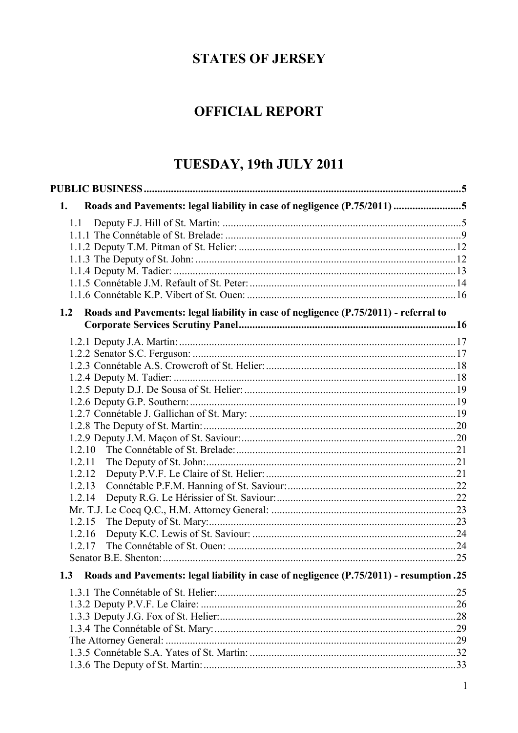# **STATES OF JERSEY**

# **OFFICIAL REPORT**

# TUESDAY, 19th JULY 2011

| Roads and Pavements: legal liability in case of negligence (P.75/2011) 5<br>1.                 |  |
|------------------------------------------------------------------------------------------------|--|
| 1.1                                                                                            |  |
|                                                                                                |  |
|                                                                                                |  |
|                                                                                                |  |
|                                                                                                |  |
|                                                                                                |  |
|                                                                                                |  |
| 1.2<br>Roads and Pavements: legal liability in case of negligence (P.75/2011) - referral to    |  |
|                                                                                                |  |
|                                                                                                |  |
|                                                                                                |  |
|                                                                                                |  |
|                                                                                                |  |
|                                                                                                |  |
|                                                                                                |  |
|                                                                                                |  |
|                                                                                                |  |
| 1.2.10                                                                                         |  |
| 1.2.11                                                                                         |  |
| 1.2.12                                                                                         |  |
| 1.2.13                                                                                         |  |
| 1.2.14                                                                                         |  |
|                                                                                                |  |
| 1.2.15                                                                                         |  |
| 1.2.16                                                                                         |  |
| 1.2.17                                                                                         |  |
|                                                                                                |  |
| 1.3<br>Roads and Pavements: legal liability in case of negligence (P.75/2011) - resumption .25 |  |
|                                                                                                |  |
|                                                                                                |  |
|                                                                                                |  |
|                                                                                                |  |
|                                                                                                |  |
|                                                                                                |  |
|                                                                                                |  |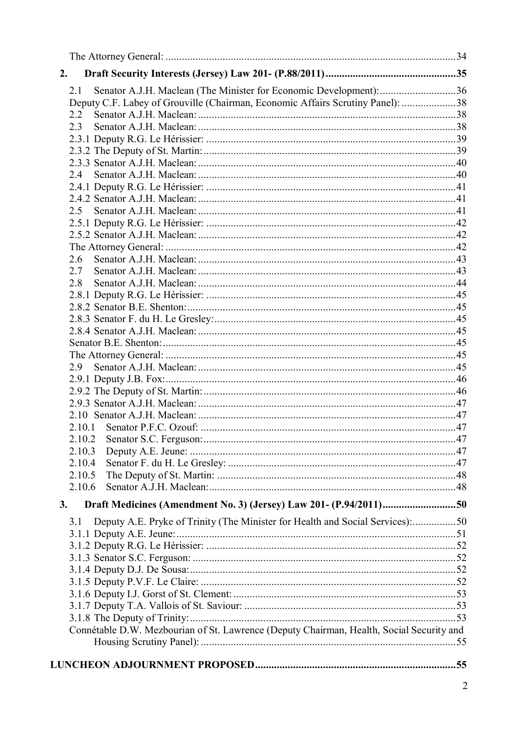| 2.                                                                                       |  |
|------------------------------------------------------------------------------------------|--|
| Senator A.J.H. Maclean (The Minister for Economic Development): 36<br>2.1                |  |
| Deputy C.F. Labey of Grouville (Chairman, Economic Affairs Scrutiny Panel): 38           |  |
| 2.2                                                                                      |  |
| 2.3                                                                                      |  |
|                                                                                          |  |
|                                                                                          |  |
|                                                                                          |  |
|                                                                                          |  |
|                                                                                          |  |
|                                                                                          |  |
| 2.5                                                                                      |  |
|                                                                                          |  |
|                                                                                          |  |
|                                                                                          |  |
| 2.6                                                                                      |  |
| 2.7                                                                                      |  |
| 2.8                                                                                      |  |
|                                                                                          |  |
|                                                                                          |  |
|                                                                                          |  |
|                                                                                          |  |
|                                                                                          |  |
|                                                                                          |  |
| 2.9                                                                                      |  |
|                                                                                          |  |
|                                                                                          |  |
|                                                                                          |  |
|                                                                                          |  |
| 2.10.1                                                                                   |  |
|                                                                                          |  |
| 2.10.3                                                                                   |  |
| 2.10.4                                                                                   |  |
| 2.10.5                                                                                   |  |
| 2.10.6                                                                                   |  |
| Draft Medicines (Amendment No. 3) (Jersey) Law 201- (P.94/2011)50<br>3.                  |  |
| Deputy A.E. Pryke of Trinity (The Minister for Health and Social Services):50<br>3.1     |  |
|                                                                                          |  |
|                                                                                          |  |
|                                                                                          |  |
|                                                                                          |  |
|                                                                                          |  |
|                                                                                          |  |
|                                                                                          |  |
|                                                                                          |  |
| Connétable D.W. Mezbourian of St. Lawrence (Deputy Chairman, Health, Social Security and |  |
|                                                                                          |  |
|                                                                                          |  |
|                                                                                          |  |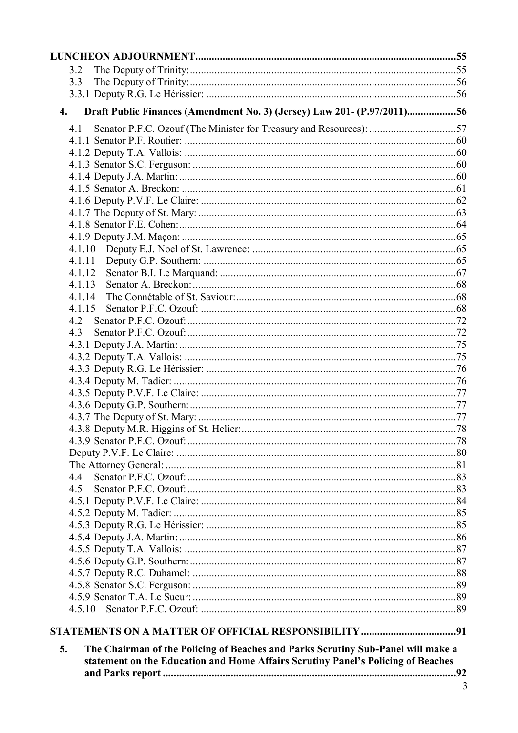| 3.2                                                                                         |  |
|---------------------------------------------------------------------------------------------|--|
| 3.3                                                                                         |  |
|                                                                                             |  |
| Draft Public Finances (Amendment No. 3) (Jersey) Law 201- (P.97/2011)56<br>$\overline{4}$ . |  |
| Senator P.F.C. Ozouf (The Minister for Treasury and Resources): 57<br>4.1                   |  |
|                                                                                             |  |
|                                                                                             |  |
|                                                                                             |  |
|                                                                                             |  |
|                                                                                             |  |
|                                                                                             |  |
|                                                                                             |  |
|                                                                                             |  |
|                                                                                             |  |
|                                                                                             |  |
| 4.1.11                                                                                      |  |
| 4.1.12                                                                                      |  |
| 4.1.13                                                                                      |  |
| 4.1.14                                                                                      |  |
| 4.1.15                                                                                      |  |
| 4.2                                                                                         |  |
| 4.3                                                                                         |  |
|                                                                                             |  |
|                                                                                             |  |
|                                                                                             |  |
|                                                                                             |  |
|                                                                                             |  |
|                                                                                             |  |
|                                                                                             |  |
|                                                                                             |  |
|                                                                                             |  |
|                                                                                             |  |
|                                                                                             |  |
| 4.4                                                                                         |  |
| 4.5                                                                                         |  |
|                                                                                             |  |
|                                                                                             |  |
|                                                                                             |  |
|                                                                                             |  |
|                                                                                             |  |
|                                                                                             |  |
|                                                                                             |  |
|                                                                                             |  |
|                                                                                             |  |
|                                                                                             |  |
|                                                                                             |  |
|                                                                                             |  |
| The Chairman of the Policing of Beaches and Parks Scrutiny Sub-Panel will make a<br>5.      |  |
| statement on the Education and Home Affairs Scrutiny Panel's Policing of Beaches            |  |
|                                                                                             |  |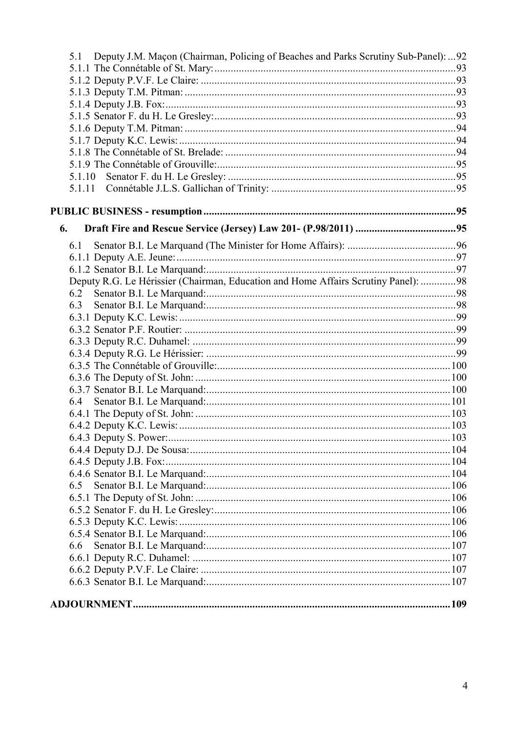| Deputy J.M. Maçon (Chairman, Policing of Beaches and Parks Scrutiny Sub-Panel):  92<br>5.1 |       |
|--------------------------------------------------------------------------------------------|-------|
|                                                                                            |       |
|                                                                                            |       |
|                                                                                            |       |
|                                                                                            |       |
|                                                                                            |       |
|                                                                                            |       |
|                                                                                            |       |
|                                                                                            |       |
|                                                                                            |       |
| 5.1.10                                                                                     |       |
| 5.1.11                                                                                     |       |
|                                                                                            |       |
| 6.                                                                                         |       |
| 6.1                                                                                        |       |
|                                                                                            |       |
|                                                                                            |       |
| Deputy R.G. Le Hérissier (Chairman, Education and Home Affairs Scrutiny Panel): 98         |       |
|                                                                                            |       |
| 6.3                                                                                        |       |
|                                                                                            |       |
|                                                                                            |       |
|                                                                                            |       |
|                                                                                            |       |
|                                                                                            |       |
|                                                                                            |       |
|                                                                                            |       |
| 6.4                                                                                        |       |
|                                                                                            |       |
|                                                                                            |       |
| 6.4.3 Deputy S. Power:                                                                     | . 103 |
|                                                                                            |       |
|                                                                                            |       |
|                                                                                            |       |
| 6.5                                                                                        |       |
|                                                                                            |       |
|                                                                                            |       |
|                                                                                            |       |
|                                                                                            |       |
| 6.6                                                                                        |       |
|                                                                                            |       |
|                                                                                            |       |
|                                                                                            |       |
|                                                                                            |       |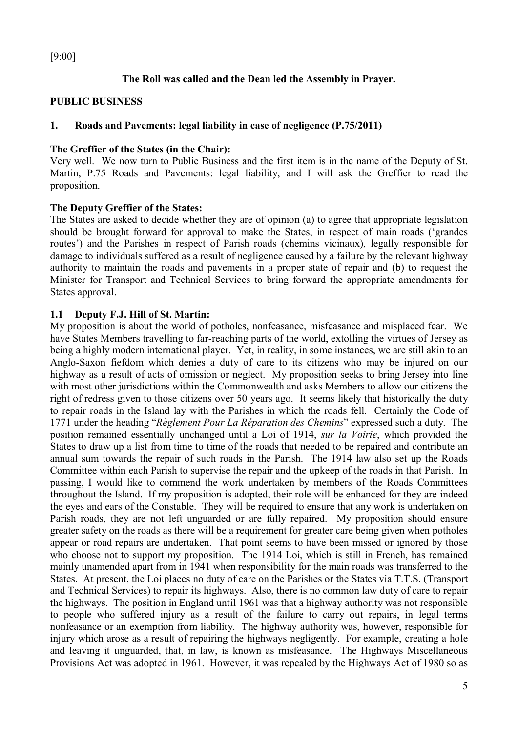[9:00]

# **The Roll was called and the Dean led the Assembly in Prayer.**

# **PUBLIC BUSINESS**

# **1. Roads and Pavements: legal liability in case of negligence (P.75/2011)**

# **The Greffier of the States (in the Chair):**

Very well. We now turn to Public Business and the first item is in the name of the Deputy of St. Martin, P.75 Roads and Pavements: legal liability, and I will ask the Greffier to read the proposition.

# **The Deputy Greffier of the States:**

The States are asked to decide whether they are of opinion (a) to agree that appropriate legislation should be brought forward for approval to make the States, in respect of main roads ('grandes routes') and the Parishes in respect of Parish roads (chemins vicinaux)*,* legally responsible for damage to individuals suffered as a result of negligence caused by a failure by the relevant highway authority to maintain the roads and pavements in a proper state of repair and (b) to request the Minister for Transport and Technical Services to bring forward the appropriate amendments for States approval.

# **1.1 Deputy F.J. Hill of St. Martin:**

My proposition is about the world of potholes, nonfeasance, misfeasance and misplaced fear. We have States Members travelling to far-reaching parts of the world, extolling the virtues of Jersey as being a highly modern international player. Yet, in reality, in some instances, we are still akin to an Anglo-Saxon fiefdom which denies a duty of care to its citizens who may be injured on our highway as a result of acts of omission or neglect. My proposition seeks to bring Jersey into line with most other jurisdictions within the Commonwealth and asks Members to allow our citizens the right of redress given to those citizens over 50 years ago. It seems likely that historically the duty to repair roads in the Island lay with the Parishes in which the roads fell. Certainly the Code of 1771 under the heading "*Règlement Pour La Réparation des Chemins*" expressed such a duty. The position remained essentially unchanged until a Loi of 1914, *sur la Voirie*, which provided the States to draw up a list from time to time of the roads that needed to be repaired and contribute an annual sum towards the repair of such roads in the Parish. The 1914 law also set up the Roads Committee within each Parish to supervise the repair and the upkeep of the roads in that Parish. In passing, I would like to commend the work undertaken by members of the Roads Committees throughout the Island. If my proposition is adopted, their role will be enhanced for they are indeed the eyes and ears of the Constable. They will be required to ensure that any work is undertaken on Parish roads, they are not left unguarded or are fully repaired. My proposition should ensure greater safety on the roads as there will be a requirement for greater care being given when potholes appear or road repairs are undertaken. That point seems to have been missed or ignored by those who choose not to support my proposition. The 1914 Loi, which is still in French, has remained mainly unamended apart from in 1941 when responsibility for the main roads was transferred to the States. At present, the Loi places no duty of care on the Parishes or the States via T.T.S. (Transport and Technical Services) to repair its highways. Also, there is no common law duty of care to repair the highways. The position in England until 1961 was that a highway authority was not responsible to people who suffered injury as a result of the failure to carry out repairs, in legal terms nonfeasance or an exemption from liability. The highway authority was, however, responsible for injury which arose as a result of repairing the highways negligently. For example, creating a hole and leaving it unguarded, that, in law, is known as misfeasance. The Highways Miscellaneous Provisions Act was adopted in 1961. However, it was repealed by the Highways Act of 1980 so as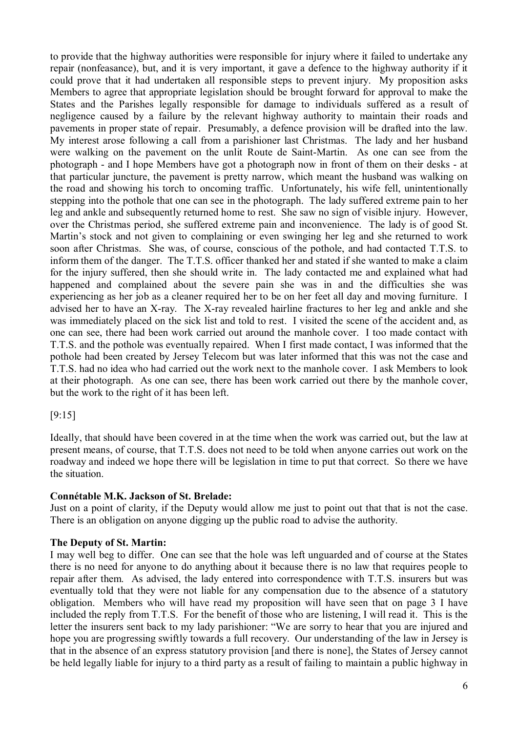to provide that the highway authorities were responsible for injury where it failed to undertake any repair (nonfeasance), but, and it is very important, it gave a defence to the highway authority if it could prove that it had undertaken all responsible steps to prevent injury. My proposition asks Members to agree that appropriate legislation should be brought forward for approval to make the States and the Parishes legally responsible for damage to individuals suffered as a result of negligence caused by a failure by the relevant highway authority to maintain their roads and pavements in proper state of repair. Presumably, a defence provision will be drafted into the law. My interest arose following a call from a parishioner last Christmas. The lady and her husband were walking on the pavement on the unlit Route de Saint-Martin. As one can see from the photograph - and I hope Members have got a photograph now in front of them on their desks - at that particular juncture, the pavement is pretty narrow, which meant the husband was walking on the road and showing his torch to oncoming traffic. Unfortunately, his wife fell, unintentionally stepping into the pothole that one can see in the photograph. The lady suffered extreme pain to her leg and ankle and subsequently returned home to rest. She saw no sign of visible injury. However, over the Christmas period, she suffered extreme pain and inconvenience. The lady is of good St. Martin's stock and not given to complaining or even swinging her leg and she returned to work soon after Christmas. She was, of course, conscious of the pothole, and had contacted T.T.S. to inform them of the danger. The T.T.S. officer thanked her and stated if she wanted to make a claim for the injury suffered, then she should write in. The lady contacted me and explained what had happened and complained about the severe pain she was in and the difficulties she was experiencing as her job as a cleaner required her to be on her feet all day and moving furniture. I advised her to have an X-ray. The X-ray revealed hairline fractures to her leg and ankle and she was immediately placed on the sick list and told to rest. I visited the scene of the accident and, as one can see, there had been work carried out around the manhole cover. I too made contact with T.T.S. and the pothole was eventually repaired. When I first made contact, I was informed that the pothole had been created by Jersey Telecom but was later informed that this was not the case and T.T.S. had no idea who had carried out the work next to the manhole cover. I ask Members to look at their photograph. As one can see, there has been work carried out there by the manhole cover, but the work to the right of it has been left.

[9:15]

Ideally, that should have been covered in at the time when the work was carried out, but the law at present means, of course, that T.T.S. does not need to be told when anyone carries out work on the roadway and indeed we hope there will be legislation in time to put that correct. So there we have the situation.

# **Connétable M.K. Jackson of St. Brelade:**

Just on a point of clarity, if the Deputy would allow me just to point out that that is not the case. There is an obligation on anyone digging up the public road to advise the authority.

# **The Deputy of St. Martin:**

I may well beg to differ. One can see that the hole was left unguarded and of course at the States there is no need for anyone to do anything about it because there is no law that requires people to repair after them. As advised, the lady entered into correspondence with T.T.S. insurers but was eventually told that they were not liable for any compensation due to the absence of a statutory obligation. Members who will have read my proposition will have seen that on page 3 I have included the reply from T.T.S. For the benefit of those who are listening, I will read it. This is the letter the insurers sent back to my lady parishioner: "We are sorry to hear that you are injured and hope you are progressing swiftly towards a full recovery. Our understanding of the law in Jersey is that in the absence of an express statutory provision [and there is none], the States of Jersey cannot be held legally liable for injury to a third party as a result of failing to maintain a public highway in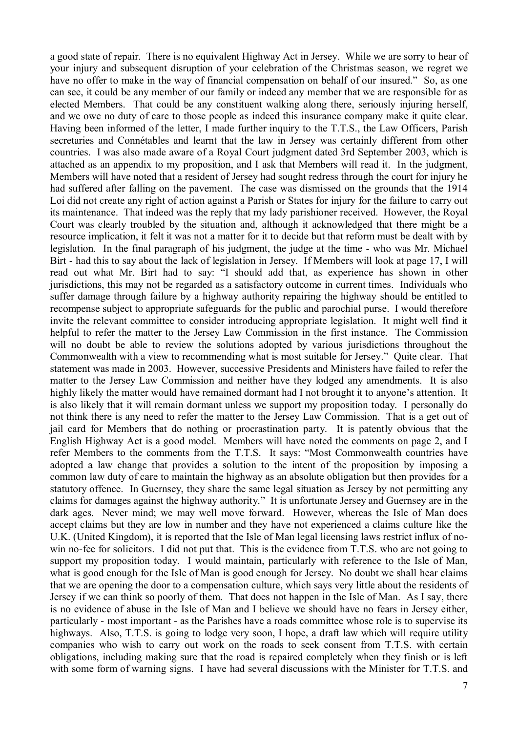a good state of repair. There is no equivalent Highway Act in Jersey. While we are sorry to hear of your injury and subsequent disruption of your celebration of the Christmas season, we regret we have no offer to make in the way of financial compensation on behalf of our insured." So, as one can see, it could be any member of our family or indeed any member that we are responsible for as elected Members. That could be any constituent walking along there, seriously injuring herself, and we owe no duty of care to those people as indeed this insurance company make it quite clear. Having been informed of the letter, I made further inquiry to the T.T.S., the Law Officers, Parish secretaries and Connétables and learnt that the law in Jersey was certainly different from other countries. I was also made aware of a Royal Court judgment dated 3rd September 2003, which is attached as an appendix to my proposition, and I ask that Members will read it. In the judgment, Members will have noted that a resident of Jersey had sought redress through the court for injury he had suffered after falling on the pavement. The case was dismissed on the grounds that the 1914 Loi did not create any right of action against a Parish or States for injury for the failure to carry out its maintenance. That indeed was the reply that my lady parishioner received. However, the Royal Court was clearly troubled by the situation and, although it acknowledged that there might be a resource implication, it felt it was not a matter for it to decide but that reform must be dealt with by legislation. In the final paragraph of his judgment, the judge at the time - who was Mr. Michael Birt - had this to say about the lack of legislation in Jersey. If Members will look at page 17, I will read out what Mr. Birt had to say: "I should add that, as experience has shown in other jurisdictions, this may not be regarded as a satisfactory outcome in current times. Individuals who suffer damage through failure by a highway authority repairing the highway should be entitled to recompense subject to appropriate safeguards for the public and parochial purse. I would therefore invite the relevant committee to consider introducing appropriate legislation. It might well find it helpful to refer the matter to the Jersey Law Commission in the first instance. The Commission will no doubt be able to review the solutions adopted by various jurisdictions throughout the Commonwealth with a view to recommending what is most suitable for Jersey." Quite clear. That statement was made in 2003. However, successive Presidents and Ministers have failed to refer the matter to the Jersey Law Commission and neither have they lodged any amendments. It is also highly likely the matter would have remained dormant had I not brought it to anyone's attention. It is also likely that it will remain dormant unless we support my proposition today. I personally do not think there is any need to refer the matter to the Jersey Law Commission. That is a get out of jail card for Members that do nothing or procrastination party. It is patently obvious that the English Highway Act is a good model. Members will have noted the comments on page 2, and I refer Members to the comments from the T.T.S. It says: "Most Commonwealth countries have adopted a law change that provides a solution to the intent of the proposition by imposing a common law duty of care to maintain the highway as an absolute obligation but then provides for a statutory offence. In Guernsey, they share the same legal situation as Jersey by not permitting any claims for damages against the highway authority." It is unfortunate Jersey and Guernsey are in the dark ages. Never mind; we may well move forward. However, whereas the Isle of Man does accept claims but they are low in number and they have not experienced a claims culture like the U.K. (United Kingdom), it is reported that the Isle of Man legal licensing laws restrict influx of nowin no-fee for solicitors. I did not put that. This is the evidence from T.T.S. who are not going to support my proposition today. I would maintain, particularly with reference to the Isle of Man, what is good enough for the Isle of Man is good enough for Jersey. No doubt we shall hear claims that we are opening the door to a compensation culture, which says very little about the residents of Jersey if we can think so poorly of them. That does not happen in the Isle of Man. As I say, there is no evidence of abuse in the Isle of Man and I believe we should have no fears in Jersey either, particularly - most important - as the Parishes have a roads committee whose role is to supervise its highways. Also, T.T.S. is going to lodge very soon, I hope, a draft law which will require utility companies who wish to carry out work on the roads to seek consent from T.T.S. with certain obligations, including making sure that the road is repaired completely when they finish or is left with some form of warning signs. I have had several discussions with the Minister for T.T.S. and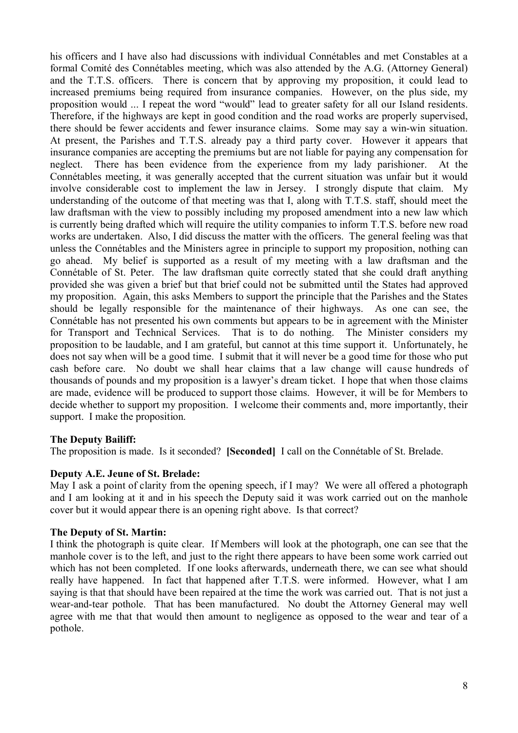his officers and I have also had discussions with individual Connétables and met Constables at a formal Comité des Connétables meeting, which was also attended by the A.G. (Attorney General) and the T.T.S. officers. There is concern that by approving my proposition, it could lead to increased premiums being required from insurance companies. However, on the plus side, my proposition would ... I repeat the word "would" lead to greater safety for all our Island residents. Therefore, if the highways are kept in good condition and the road works are properly supervised, there should be fewer accidents and fewer insurance claims. Some may say a win-win situation. At present, the Parishes and T.T.S. already pay a third party cover. However it appears that insurance companies are accepting the premiums but are not liable for paying any compensation for neglect. There has been evidence from the experience from my lady parishioner. At the Connétables meeting, it was generally accepted that the current situation was unfair but it would involve considerable cost to implement the law in Jersey. I strongly dispute that claim. My understanding of the outcome of that meeting was that I, along with T.T.S. staff, should meet the law draftsman with the view to possibly including my proposed amendment into a new law which is currently being drafted which will require the utility companies to inform T.T.S. before new road works are undertaken. Also, I did discuss the matter with the officers. The general feeling was that unless the Connétables and the Ministers agree in principle to support my proposition, nothing can go ahead. My belief is supported as a result of my meeting with a law draftsman and the Connétable of St. Peter. The law draftsman quite correctly stated that she could draft anything provided she was given a brief but that brief could not be submitted until the States had approved my proposition. Again, this asks Members to support the principle that the Parishes and the States should be legally responsible for the maintenance of their highways. As one can see, the Connétable has not presented his own comments but appears to be in agreement with the Minister for Transport and Technical Services. That is to do nothing. The Minister considers my proposition to be laudable, and I am grateful, but cannot at this time support it. Unfortunately, he does not say when will be a good time. I submit that it will never be a good time for those who put cash before care. No doubt we shall hear claims that a law change will cause hundreds of thousands of pounds and my proposition is a lawyer's dream ticket. I hope that when those claims are made, evidence will be produced to support those claims. However, it will be for Members to decide whether to support my proposition. I welcome their comments and, more importantly, their support. I make the proposition.

# **The Deputy Bailiff:**

The proposition is made. Is it seconded? **[Seconded]** I call on the Connétable of St. Brelade.

# **Deputy A.E. Jeune of St. Brelade:**

May I ask a point of clarity from the opening speech, if I may? We were all offered a photograph and I am looking at it and in his speech the Deputy said it was work carried out on the manhole cover but it would appear there is an opening right above. Is that correct?

## **The Deputy of St. Martin:**

I think the photograph is quite clear. If Members will look at the photograph, one can see that the manhole cover is to the left, and just to the right there appears to have been some work carried out which has not been completed. If one looks afterwards, underneath there, we can see what should really have happened. In fact that happened after T.T.S. were informed. However, what I am saying is that that should have been repaired at the time the work was carried out. That is not just a wear-and-tear pothole. That has been manufactured. No doubt the Attorney General may well agree with me that that would then amount to negligence as opposed to the wear and tear of a pothole.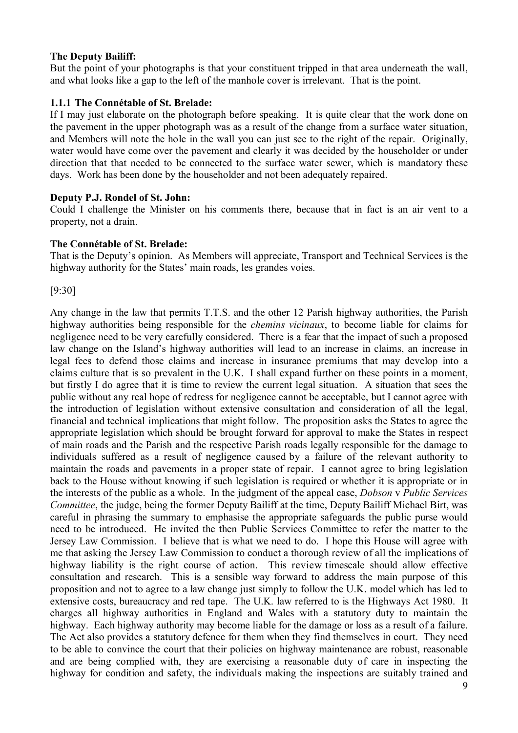# **The Deputy Bailiff:**

But the point of your photographs is that your constituent tripped in that area underneath the wall, and what looks like a gap to the left of the manhole cover is irrelevant. That is the point.

# **1.1.1 The Connétable of St. Brelade:**

If I may just elaborate on the photograph before speaking. It is quite clear that the work done on the pavement in the upper photograph was as a result of the change from a surface water situation, and Members will note the hole in the wall you can just see to the right of the repair. Originally, water would have come over the pavement and clearly it was decided by the householder or under direction that that needed to be connected to the surface water sewer, which is mandatory these days. Work has been done by the householder and not been adequately repaired.

## **Deputy P.J. Rondel of St. John:**

Could I challenge the Minister on his comments there, because that in fact is an air vent to a property, not a drain.

## **The Connétable of St. Brelade:**

That is the Deputy's opinion. As Members will appreciate, Transport and Technical Services is the highway authority for the States' main roads, les grandes voies.

[9:30]

Any change in the law that permits T.T.S. and the other 12 Parish highway authorities, the Parish highway authorities being responsible for the *chemins vicinaux*, to become liable for claims for negligence need to be very carefully considered. There is a fear that the impact of such a proposed law change on the Island's highway authorities will lead to an increase in claims, an increase in legal fees to defend those claims and increase in insurance premiums that may develop into a claims culture that is so prevalent in the U.K. I shall expand further on these points in a moment, but firstly I do agree that it is time to review the current legal situation. A situation that sees the public without any real hope of redress for negligence cannot be acceptable, but I cannot agree with the introduction of legislation without extensive consultation and consideration of all the legal, financial and technical implications that might follow. The proposition asks the States to agree the appropriate legislation which should be brought forward for approval to make the States in respect of main roads and the Parish and the respective Parish roads legally responsible for the damage to individuals suffered as a result of negligence caused by a failure of the relevant authority to maintain the roads and pavements in a proper state of repair. I cannot agree to bring legislation back to the House without knowing if such legislation is required or whether it is appropriate or in the interests of the public as a whole. In the judgment of the appeal case, *Dobson* v *Public Services Committee*, the judge, being the former Deputy Bailiff at the time, Deputy Bailiff Michael Birt, was careful in phrasing the summary to emphasise the appropriate safeguards the public purse would need to be introduced. He invited the then Public Services Committee to refer the matter to the Jersey Law Commission. I believe that is what we need to do. I hope this House will agree with me that asking the Jersey Law Commission to conduct a thorough review of all the implications of highway liability is the right course of action. This review timescale should allow effective consultation and research. This is a sensible way forward to address the main purpose of this proposition and not to agree to a law change just simply to follow the U.K. model which has led to extensive costs, bureaucracy and red tape. The U.K. law referred to is the Highways Act 1980. It charges all highway authorities in England and Wales with a statutory duty to maintain the highway. Each highway authority may become liable for the damage or loss as a result of a failure. The Act also provides a statutory defence for them when they find themselves in court. They need to be able to convince the court that their policies on highway maintenance are robust, reasonable and are being complied with, they are exercising a reasonable duty of care in inspecting the highway for condition and safety, the individuals making the inspections are suitably trained and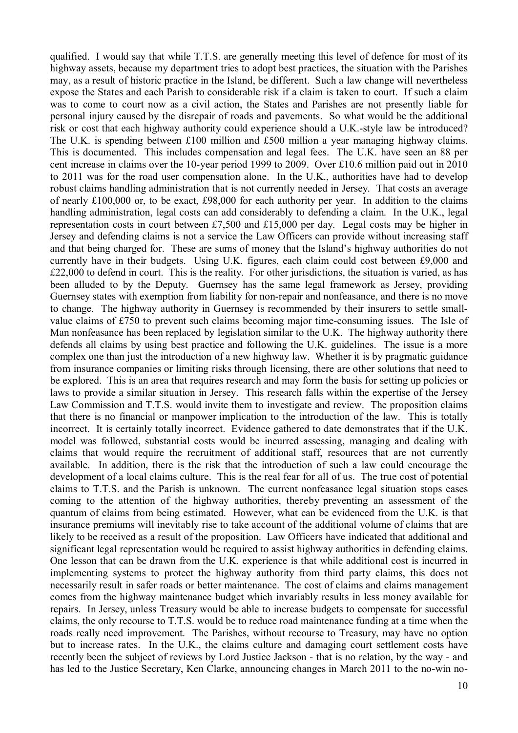qualified. I would say that while T.T.S. are generally meeting this level of defence for most of its highway assets, because my department tries to adopt best practices, the situation with the Parishes may, as a result of historic practice in the Island, be different. Such a law change will nevertheless expose the States and each Parish to considerable risk if a claim is taken to court. If such a claim was to come to court now as a civil action, the States and Parishes are not presently liable for personal injury caused by the disrepair of roads and pavements. So what would be the additional risk or cost that each highway authority could experience should a U.K.-style law be introduced? The U.K. is spending between £100 million and £500 million a year managing highway claims. This is documented. This includes compensation and legal fees. The U.K. have seen an 88 per cent increase in claims over the 10-year period 1999 to 2009. Over £10.6 million paid out in 2010 to 2011 was for the road user compensation alone. In the U.K., authorities have had to develop robust claims handling administration that is not currently needed in Jersey. That costs an average of nearly £100,000 or, to be exact, £98,000 for each authority per year. In addition to the claims handling administration, legal costs can add considerably to defending a claim. In the U.K., legal representation costs in court between £7,500 and £15,000 per day. Legal costs may be higher in Jersey and defending claims is not a service the Law Officers can provide without increasing staff and that being charged for. These are sums of money that the Island's highway authorities do not currently have in their budgets. Using U.K. figures, each claim could cost between £9,000 and £22,000 to defend in court. This is the reality. For other jurisdictions, the situation is varied, as has been alluded to by the Deputy. Guernsey has the same legal framework as Jersey, providing Guernsey states with exemption from liability for non-repair and nonfeasance, and there is no move to change. The highway authority in Guernsey is recommended by their insurers to settle smallvalue claims of £750 to prevent such claims becoming major time-consuming issues. The Isle of Man nonfeasance has been replaced by legislation similar to the U.K. The highway authority there defends all claims by using best practice and following the U.K. guidelines. The issue is a more complex one than just the introduction of a new highway law. Whether it is by pragmatic guidance from insurance companies or limiting risks through licensing, there are other solutions that need to be explored. This is an area that requires research and may form the basis for setting up policies or laws to provide a similar situation in Jersey. This research falls within the expertise of the Jersey Law Commission and T.T.S. would invite them to investigate and review. The proposition claims that there is no financial or manpower implication to the introduction of the law. This is totally incorrect. It is certainly totally incorrect. Evidence gathered to date demonstrates that if the U.K. model was followed, substantial costs would be incurred assessing, managing and dealing with claims that would require the recruitment of additional staff, resources that are not currently available. In addition, there is the risk that the introduction of such a law could encourage the development of a local claims culture. This is the real fear for all of us. The true cost of potential claims to T.T.S. and the Parish is unknown. The current nonfeasance legal situation stops cases coming to the attention of the highway authorities, thereby preventing an assessment of the quantum of claims from being estimated. However, what can be evidenced from the U.K. is that insurance premiums will inevitably rise to take account of the additional volume of claims that are likely to be received as a result of the proposition. Law Officers have indicated that additional and significant legal representation would be required to assist highway authorities in defending claims. One lesson that can be drawn from the U.K. experience is that while additional cost is incurred in implementing systems to protect the highway authority from third party claims, this does not necessarily result in safer roads or better maintenance. The cost of claims and claims management comes from the highway maintenance budget which invariably results in less money available for repairs. In Jersey, unless Treasury would be able to increase budgets to compensate for successful claims, the only recourse to T.T.S. would be to reduce road maintenance funding at a time when the roads really need improvement. The Parishes, without recourse to Treasury, may have no option but to increase rates. In the U.K., the claims culture and damaging court settlement costs have recently been the subject of reviews by Lord Justice Jackson - that is no relation, by the way - and has led to the Justice Secretary, Ken Clarke, announcing changes in March 2011 to the no-win no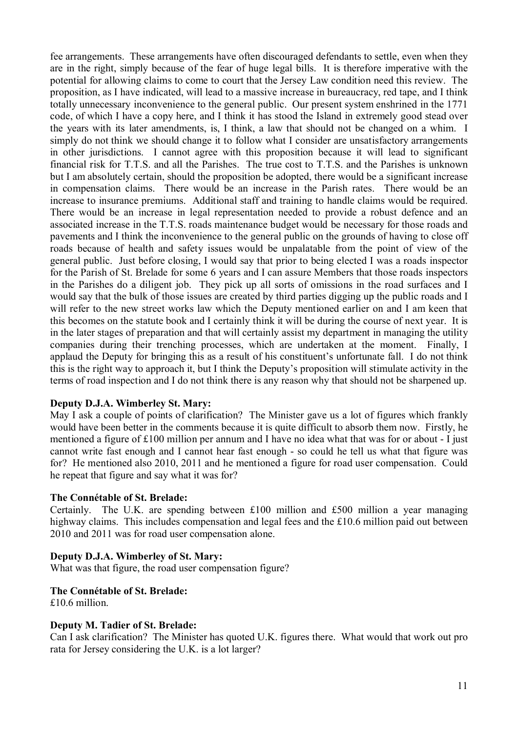fee arrangements. These arrangements have often discouraged defendants to settle, even when they are in the right, simply because of the fear of huge legal bills. It is therefore imperative with the potential for allowing claims to come to court that the Jersey Law condition need this review. The proposition, as I have indicated, will lead to a massive increase in bureaucracy, red tape, and I think totally unnecessary inconvenience to the general public. Our present system enshrined in the 1771 code, of which I have a copy here, and I think it has stood the Island in extremely good stead over the years with its later amendments, is, I think, a law that should not be changed on a whim. I simply do not think we should change it to follow what I consider are unsatisfactory arrangements in other jurisdictions. I cannot agree with this proposition because it will lead to significant financial risk for T.T.S. and all the Parishes. The true cost to T.T.S. and the Parishes is unknown but I am absolutely certain, should the proposition be adopted, there would be a significant increase in compensation claims. There would be an increase in the Parish rates. There would be an increase to insurance premiums. Additional staff and training to handle claims would be required. There would be an increase in legal representation needed to provide a robust defence and an associated increase in the T.T.S. roads maintenance budget would be necessary for those roads and pavements and I think the inconvenience to the general public on the grounds of having to close off roads because of health and safety issues would be unpalatable from the point of view of the general public. Just before closing, I would say that prior to being elected I was a roads inspector for the Parish of St. Brelade for some 6 years and I can assure Members that those roads inspectors in the Parishes do a diligent job. They pick up all sorts of omissions in the road surfaces and I would say that the bulk of those issues are created by third parties digging up the public roads and I will refer to the new street works law which the Deputy mentioned earlier on and I am keen that this becomes on the statute book and I certainly think it will be during the course of next year. It is in the later stages of preparation and that will certainly assist my department in managing the utility companies during their trenching processes, which are undertaken at the moment. Finally, I applaud the Deputy for bringing this as a result of his constituent's unfortunate fall. I do not think this is the right way to approach it, but I think the Deputy's proposition will stimulate activity in the terms of road inspection and I do not think there is any reason why that should not be sharpened up.

# **Deputy D.J.A. Wimberley St. Mary:**

May I ask a couple of points of clarification? The Minister gave us a lot of figures which frankly would have been better in the comments because it is quite difficult to absorb them now. Firstly, he mentioned a figure of £100 million per annum and I have no idea what that was for or about - I just cannot write fast enough and I cannot hear fast enough - so could he tell us what that figure was for? He mentioned also 2010, 2011 and he mentioned a figure for road user compensation. Could he repeat that figure and say what it was for?

## **The Connétable of St. Brelade:**

Certainly. The U.K. are spending between £100 million and £500 million a year managing highway claims. This includes compensation and legal fees and the £10.6 million paid out between 2010 and 2011 was for road user compensation alone.

# **Deputy D.J.A. Wimberley of St. Mary:**

What was that figure, the road user compensation figure?

# **The Connétable of St. Brelade:**

£10.6 million.

# **Deputy M. Tadier of St. Brelade:**

Can I ask clarification? The Minister has quoted U.K. figures there. What would that work out pro rata for Jersey considering the U.K. is a lot larger?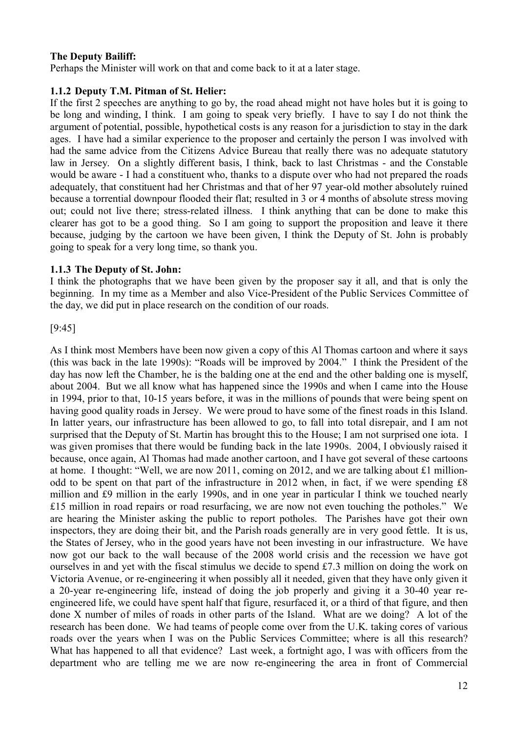# **The Deputy Bailiff:**

Perhaps the Minister will work on that and come back to it at a later stage.

## **1.1.2 Deputy T.M. Pitman of St. Helier:**

If the first 2 speeches are anything to go by, the road ahead might not have holes but it is going to be long and winding, I think. I am going to speak very briefly. I have to say I do not think the argument of potential, possible, hypothetical costs is any reason for a jurisdiction to stay in the dark ages. I have had a similar experience to the proposer and certainly the person I was involved with had the same advice from the Citizens Advice Bureau that really there was no adequate statutory law in Jersey. On a slightly different basis, I think, back to last Christmas - and the Constable would be aware - I had a constituent who, thanks to a dispute over who had not prepared the roads adequately, that constituent had her Christmas and that of her 97 year-old mother absolutely ruined because a torrential downpour flooded their flat; resulted in 3 or 4 months of absolute stress moving out; could not live there; stress-related illness. I think anything that can be done to make this clearer has got to be a good thing. So I am going to support the proposition and leave it there because, judging by the cartoon we have been given, I think the Deputy of St. John is probably going to speak for a very long time, so thank you.

## **1.1.3 The Deputy of St. John:**

I think the photographs that we have been given by the proposer say it all, and that is only the beginning. In my time as a Member and also Vice-President of the Public Services Committee of the day, we did put in place research on the condition of our roads.

## [9:45]

As I think most Members have been now given a copy of this Al Thomas cartoon and where it says (this was back in the late 1990s): "Roads will be improved by 2004." I think the President of the day has now left the Chamber, he is the balding one at the end and the other balding one is myself, about 2004. But we all know what has happened since the 1990s and when I came into the House in 1994, prior to that, 10-15 years before, it was in the millions of pounds that were being spent on having good quality roads in Jersey. We were proud to have some of the finest roads in this Island. In latter years, our infrastructure has been allowed to go, to fall into total disrepair, and I am not surprised that the Deputy of St. Martin has brought this to the House; I am not surprised one iota. I was given promises that there would be funding back in the late 1990s. 2004, I obviously raised it because, once again, Al Thomas had made another cartoon, and I have got several of these cartoons at home. I thought: "Well, we are now 2011, coming on 2012, and we are talking about £1 millionodd to be spent on that part of the infrastructure in 2012 when, in fact, if we were spending £8 million and £9 million in the early 1990s, and in one year in particular I think we touched nearly £15 million in road repairs or road resurfacing, we are now not even touching the potholes." We are hearing the Minister asking the public to report potholes. The Parishes have got their own inspectors, they are doing their bit, and the Parish roads generally are in very good fettle. It is us, the States of Jersey, who in the good years have not been investing in our infrastructure. We have now got our back to the wall because of the 2008 world crisis and the recession we have got ourselves in and yet with the fiscal stimulus we decide to spend £7.3 million on doing the work on Victoria Avenue, or re-engineering it when possibly all it needed, given that they have only given it a 20-year re-engineering life, instead of doing the job properly and giving it a 30-40 year reengineered life, we could have spent half that figure, resurfaced it, or a third of that figure, and then done X number of miles of roads in other parts of the Island. What are we doing? A lot of the research has been done. We had teams of people come over from the U.K. taking cores of various roads over the years when I was on the Public Services Committee; where is all this research? What has happened to all that evidence? Last week, a fortnight ago, I was with officers from the department who are telling me we are now re-engineering the area in front of Commercial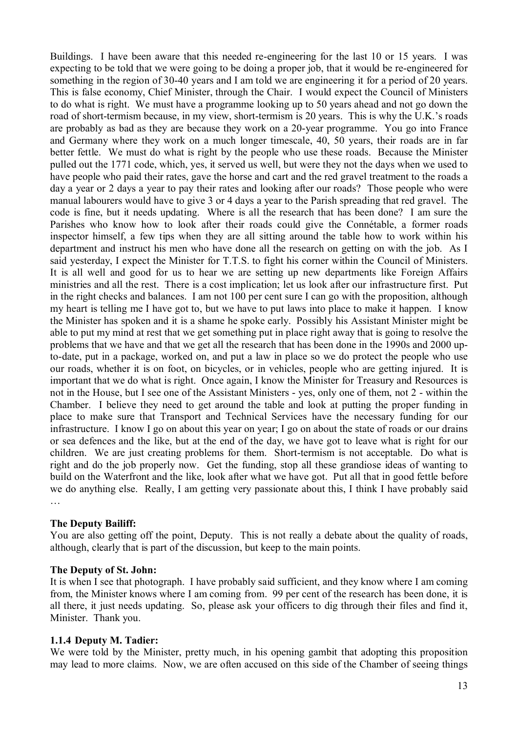Buildings. I have been aware that this needed re-engineering for the last 10 or 15 years. I was expecting to be told that we were going to be doing a proper job, that it would be re-engineered for something in the region of 30-40 years and I am told we are engineering it for a period of 20 years. This is false economy, Chief Minister, through the Chair. I would expect the Council of Ministers to do what is right. We must have a programme looking up to 50 years ahead and not go down the road of short-termism because, in my view, short-termism is 20 years. This is why the U.K.'s roads are probably as bad as they are because they work on a 20-year programme. You go into France and Germany where they work on a much longer timescale, 40, 50 years, their roads are in far better fettle. We must do what is right by the people who use these roads. Because the Minister pulled out the 1771 code, which, yes, it served us well, but were they not the days when we used to have people who paid their rates, gave the horse and cart and the red gravel treatment to the roads a day a year or 2 days a year to pay their rates and looking after our roads? Those people who were manual labourers would have to give 3 or 4 days a year to the Parish spreading that red gravel. The code is fine, but it needs updating. Where is all the research that has been done? I am sure the Parishes who know how to look after their roads could give the Connétable, a former roads inspector himself, a few tips when they are all sitting around the table how to work within his department and instruct his men who have done all the research on getting on with the job. As I said yesterday, I expect the Minister for T.T.S. to fight his corner within the Council of Ministers. It is all well and good for us to hear we are setting up new departments like Foreign Affairs ministries and all the rest. There is a cost implication; let us look after our infrastructure first. Put in the right checks and balances. I am not 100 per cent sure I can go with the proposition, although my heart is telling me I have got to, but we have to put laws into place to make it happen. I know the Minister has spoken and it is a shame he spoke early. Possibly his Assistant Minister might be able to put my mind at rest that we get something put in place right away that is going to resolve the problems that we have and that we get all the research that has been done in the 1990s and 2000 upto-date, put in a package, worked on, and put a law in place so we do protect the people who use our roads, whether it is on foot, on bicycles, or in vehicles, people who are getting injured. It is important that we do what is right. Once again, I know the Minister for Treasury and Resources is not in the House, but I see one of the Assistant Ministers - yes, only one of them, not 2 - within the Chamber. I believe they need to get around the table and look at putting the proper funding in place to make sure that Transport and Technical Services have the necessary funding for our infrastructure. I know I go on about this year on year; I go on about the state of roads or our drains or sea defences and the like, but at the end of the day, we have got to leave what is right for our children. We are just creating problems for them. Short-termism is not acceptable. Do what is right and do the job properly now. Get the funding, stop all these grandiose ideas of wanting to build on the Waterfront and the like, look after what we have got. Put all that in good fettle before we do anything else. Really, I am getting very passionate about this, I think I have probably said …

## **The Deputy Bailiff:**

You are also getting off the point, Deputy. This is not really a debate about the quality of roads, although, clearly that is part of the discussion, but keep to the main points.

## **The Deputy of St. John:**

It is when I see that photograph. I have probably said sufficient, and they know where I am coming from, the Minister knows where I am coming from. 99 per cent of the research has been done, it is all there, it just needs updating. So, please ask your officers to dig through their files and find it, Minister. Thank you.

### **1.1.4 Deputy M. Tadier:**

We were told by the Minister, pretty much, in his opening gambit that adopting this proposition may lead to more claims. Now, we are often accused on this side of the Chamber of seeing things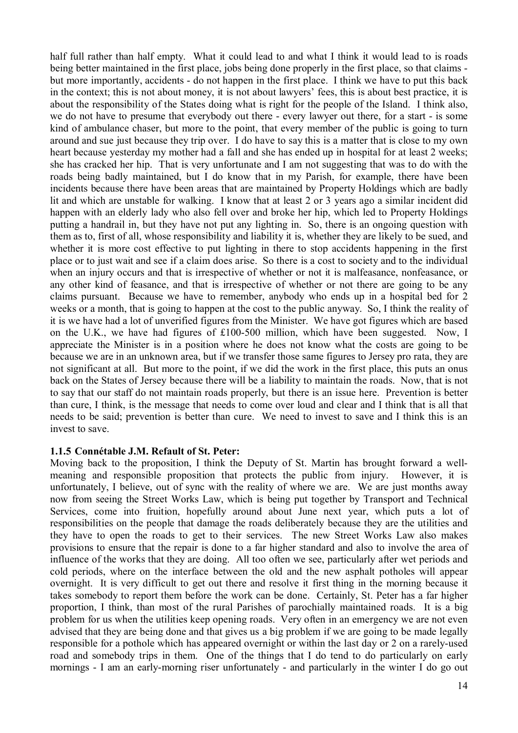half full rather than half empty. What it could lead to and what I think it would lead to is roads being better maintained in the first place, jobs being done properly in the first place, so that claims but more importantly, accidents - do not happen in the first place. I think we have to put this back in the context; this is not about money, it is not about lawyers' fees, this is about best practice, it is about the responsibility of the States doing what is right for the people of the Island. I think also, we do not have to presume that everybody out there - every lawyer out there, for a start - is some kind of ambulance chaser, but more to the point, that every member of the public is going to turn around and sue just because they trip over. I do have to say this is a matter that is close to my own heart because yesterday my mother had a fall and she has ended up in hospital for at least 2 weeks; she has cracked her hip. That is very unfortunate and I am not suggesting that was to do with the roads being badly maintained, but I do know that in my Parish, for example, there have been incidents because there have been areas that are maintained by Property Holdings which are badly lit and which are unstable for walking. I know that at least 2 or 3 years ago a similar incident did happen with an elderly lady who also fell over and broke her hip, which led to Property Holdings putting a handrail in, but they have not put any lighting in. So, there is an ongoing question with them as to, first of all, whose responsibility and liability it is, whether they are likely to be sued, and whether it is more cost effective to put lighting in there to stop accidents happening in the first place or to just wait and see if a claim does arise. So there is a cost to society and to the individual when an injury occurs and that is irrespective of whether or not it is malfeasance, nonfeasance, or any other kind of feasance, and that is irrespective of whether or not there are going to be any claims pursuant. Because we have to remember, anybody who ends up in a hospital bed for 2 weeks or a month, that is going to happen at the cost to the public anyway. So, I think the reality of it is we have had a lot of unverified figures from the Minister. We have got figures which are based on the U.K., we have had figures of £100-500 million, which have been suggested. Now, I appreciate the Minister is in a position where he does not know what the costs are going to be because we are in an unknown area, but if we transfer those same figures to Jersey pro rata, they are not significant at all. But more to the point, if we did the work in the first place, this puts an onus back on the States of Jersey because there will be a liability to maintain the roads. Now, that is not to say that our staff do not maintain roads properly, but there is an issue here. Prevention is better than cure, I think, is the message that needs to come over loud and clear and I think that is all that needs to be said; prevention is better than cure. We need to invest to save and I think this is an invest to save.

## **1.1.5 Connétable J.M. Refault of St. Peter:**

Moving back to the proposition, I think the Deputy of St. Martin has brought forward a wellmeaning and responsible proposition that protects the public from injury. However, it is unfortunately, I believe, out of sync with the reality of where we are. We are just months away now from seeing the Street Works Law, which is being put together by Transport and Technical Services, come into fruition, hopefully around about June next year, which puts a lot of responsibilities on the people that damage the roads deliberately because they are the utilities and they have to open the roads to get to their services. The new Street Works Law also makes provisions to ensure that the repair is done to a far higher standard and also to involve the area of influence of the works that they are doing. All too often we see, particularly after wet periods and cold periods, where on the interface between the old and the new asphalt potholes will appear overnight. It is very difficult to get out there and resolve it first thing in the morning because it takes somebody to report them before the work can be done. Certainly, St. Peter has a far higher proportion, I think, than most of the rural Parishes of parochially maintained roads. It is a big problem for us when the utilities keep opening roads. Very often in an emergency we are not even advised that they are being done and that gives us a big problem if we are going to be made legally responsible for a pothole which has appeared overnight or within the last day or 2 on a rarely-used road and somebody trips in them. One of the things that I do tend to do particularly on early mornings - I am an early-morning riser unfortunately - and particularly in the winter I do go out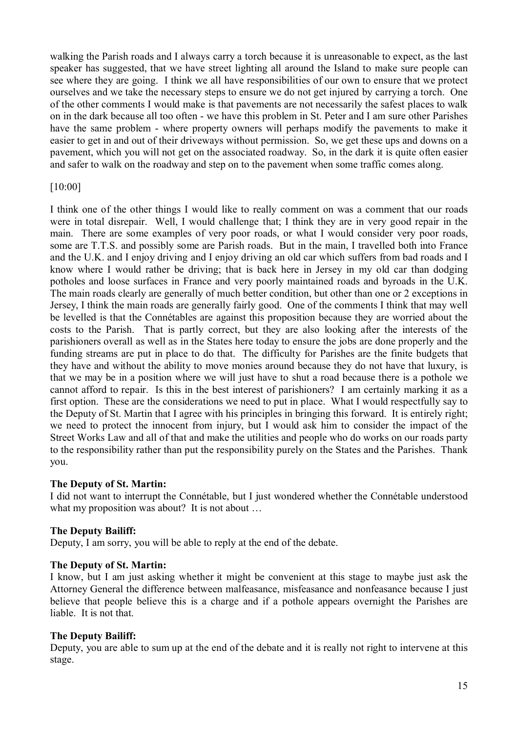walking the Parish roads and I always carry a torch because it is unreasonable to expect, as the last speaker has suggested, that we have street lighting all around the Island to make sure people can see where they are going. I think we all have responsibilities of our own to ensure that we protect ourselves and we take the necessary steps to ensure we do not get injured by carrying a torch. One of the other comments I would make is that pavements are not necessarily the safest places to walk on in the dark because all too often - we have this problem in St. Peter and I am sure other Parishes have the same problem - where property owners will perhaps modify the pavements to make it easier to get in and out of their driveways without permission. So, we get these ups and downs on a pavement, which you will not get on the associated roadway. So, in the dark it is quite often easier and safer to walk on the roadway and step on to the pavement when some traffic comes along.

# [10:00]

I think one of the other things I would like to really comment on was a comment that our roads were in total disrepair. Well, I would challenge that; I think they are in very good repair in the main. There are some examples of very poor roads, or what I would consider very poor roads, some are T.T.S. and possibly some are Parish roads. But in the main, I travelled both into France and the U.K. and I enjoy driving and I enjoy driving an old car which suffers from bad roads and I know where I would rather be driving; that is back here in Jersey in my old car than dodging potholes and loose surfaces in France and very poorly maintained roads and byroads in the U.K. The main roads clearly are generally of much better condition, but other than one or 2 exceptions in Jersey, I think the main roads are generally fairly good. One of the comments I think that may well be levelled is that the Connétables are against this proposition because they are worried about the costs to the Parish. That is partly correct, but they are also looking after the interests of the parishioners overall as well as in the States here today to ensure the jobs are done properly and the funding streams are put in place to do that. The difficulty for Parishes are the finite budgets that they have and without the ability to move monies around because they do not have that luxury, is that we may be in a position where we will just have to shut a road because there is a pothole we cannot afford to repair. Is this in the best interest of parishioners? I am certainly marking it as a first option. These are the considerations we need to put in place. What I would respectfully say to the Deputy of St. Martin that I agree with his principles in bringing this forward. It is entirely right; we need to protect the innocent from injury, but I would ask him to consider the impact of the Street Works Law and all of that and make the utilities and people who do works on our roads party to the responsibility rather than put the responsibility purely on the States and the Parishes. Thank you.

## **The Deputy of St. Martin:**

I did not want to interrupt the Connétable, but I just wondered whether the Connétable understood what my proposition was about? It is not about ...

# **The Deputy Bailiff:**

Deputy, I am sorry, you will be able to reply at the end of the debate.

## **The Deputy of St. Martin:**

I know, but I am just asking whether it might be convenient at this stage to maybe just ask the Attorney General the difference between malfeasance, misfeasance and nonfeasance because I just believe that people believe this is a charge and if a pothole appears overnight the Parishes are liable. It is not that.

# **The Deputy Bailiff:**

Deputy, you are able to sum up at the end of the debate and it is really not right to intervene at this stage.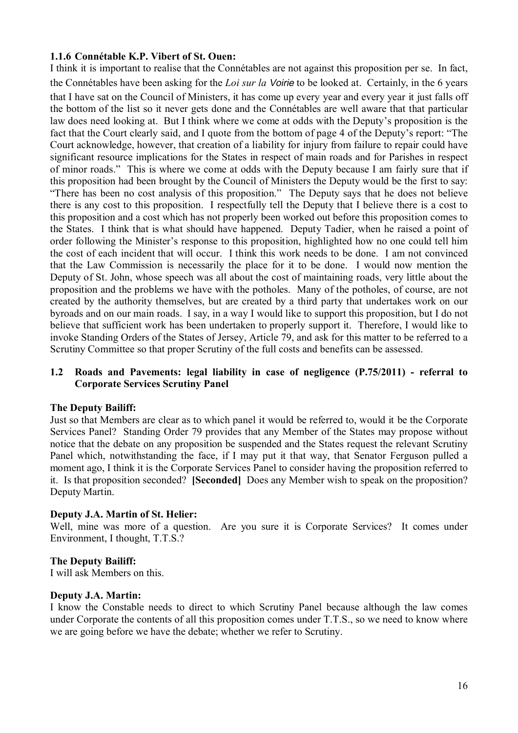# **1.1.6 Connétable K.P. Vibert of St. Ouen:**

I think it is important to realise that the Connétables are not against this proposition per se. In fact, the Connétables have been asking for the *Loi sur la* Voirie to be looked at. Certainly, in the 6 years that I have sat on the Council of Ministers, it has come up every year and every year it just falls off the bottom of the list so it never gets done and the Connétables are well aware that that particular law does need looking at. But I think where we come at odds with the Deputy's proposition is the fact that the Court clearly said, and I quote from the bottom of page 4 of the Deputy's report: "The Court acknowledge, however, that creation of a liability for injury from failure to repair could have significant resource implications for the States in respect of main roads and for Parishes in respect of minor roads." This is where we come at odds with the Deputy because I am fairly sure that if this proposition had been brought by the Council of Ministers the Deputy would be the first to say: "There has been no cost analysis of this proposition." The Deputy says that he does not believe there is any cost to this proposition. I respectfully tell the Deputy that I believe there is a cost to this proposition and a cost which has not properly been worked out before this proposition comes to the States. I think that is what should have happened. Deputy Tadier, when he raised a point of order following the Minister's response to this proposition, highlighted how no one could tell him the cost of each incident that will occur. I think this work needs to be done. I am not convinced that the Law Commission is necessarily the place for it to be done. I would now mention the Deputy of St. John, whose speech was all about the cost of maintaining roads, very little about the proposition and the problems we have with the potholes. Many of the potholes, of course, are not created by the authority themselves, but are created by a third party that undertakes work on our byroads and on our main roads. I say, in a way I would like to support this proposition, but I do not believe that sufficient work has been undertaken to properly support it. Therefore, I would like to invoke Standing Orders of the States of Jersey, Article 79, and ask for this matter to be referred to a Scrutiny Committee so that proper Scrutiny of the full costs and benefits can be assessed.

## **1.2 Roads and Pavements: legal liability in case of negligence (P.75/2011) - referral to Corporate Services Scrutiny Panel**

## **The Deputy Bailiff:**

Just so that Members are clear as to which panel it would be referred to, would it be the Corporate Services Panel? Standing Order 79 provides that any Member of the States may propose without notice that the debate on any proposition be suspended and the States request the relevant Scrutiny Panel which, notwithstanding the face, if I may put it that way, that Senator Ferguson pulled a moment ago, I think it is the Corporate Services Panel to consider having the proposition referred to it. Is that proposition seconded? **[Seconded]** Does any Member wish to speak on the proposition? Deputy Martin.

## **Deputy J.A. Martin of St. Helier:**

Well, mine was more of a question. Are you sure it is Corporate Services? It comes under Environment, I thought, T.T.S.?

## **The Deputy Bailiff:**

I will ask Members on this.

## **Deputy J.A. Martin:**

I know the Constable needs to direct to which Scrutiny Panel because although the law comes under Corporate the contents of all this proposition comes under T.T.S., so we need to know where we are going before we have the debate; whether we refer to Scrutiny.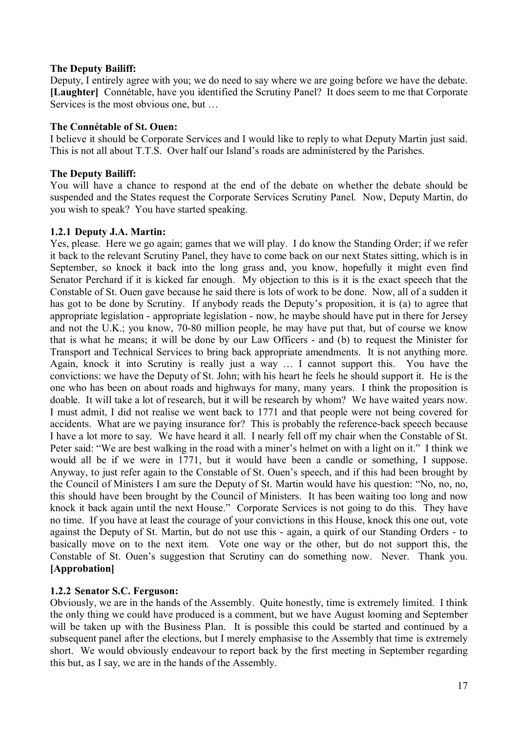# **The Deputy Bailiff:**

Deputy, I entirely agree with you; we do need to say where we are going before we have the debate. **[Laughter]** Connétable, have you identified the Scrutiny Panel? It does seem to me that Corporate Services is the most obvious one, but …

## **The Connétable of St. Ouen:**

I believe it should be Corporate Services and I would like to reply to what Deputy Martin just said. This is not all about T.T.S. Over half our Island's roads are administered by the Parishes.

# **The Deputy Bailiff:**

You will have a chance to respond at the end of the debate on whether the debate should be suspended and the States request the Corporate Services Scrutiny Panel. Now, Deputy Martin, do you wish to speak? You have started speaking.

## **1.2.1 Deputy J.A. Martin:**

Yes, please. Here we go again; games that we will play. I do know the Standing Order; if we refer it back to the relevant Scrutiny Panel, they have to come back on our next States sitting, which is in September, so knock it back into the long grass and, you know, hopefully it might even find Senator Perchard if it is kicked far enough. My objection to this is it is the exact speech that the Constable of St. Ouen gave because he said there is lots of work to be done. Now, all of a sudden it has got to be done by Scrutiny. If anybody reads the Deputy's proposition, it is (a) to agree that appropriate legislation - appropriate legislation - now, he maybe should have put in there for Jersey and not the U.K.; you know, 70-80 million people, he may have put that, but of course we know that is what he means; it will be done by our Law Officers - and (b) to request the Minister for Transport and Technical Services to bring back appropriate amendments. It is not anything more. Again, knock it into Scrutiny is really just a way … I cannot support this. You have the convictions: we have the Deputy of St. John; with his heart he feels he should support it. He is the one who has been on about roads and highways for many, many years. I think the proposition is doable. It will take a lot of research, but it will be research by whom? We have waited years now. I must admit, I did not realise we went back to 1771 and that people were not being covered for accidents. What are we paying insurance for? This is probably the reference-back speech because I have a lot more to say. We have heard it all. I nearly fell off my chair when the Constable of St. Peter said: "We are best walking in the road with a miner's helmet on with a light on it." I think we would all be if we were in 1771, but it would have been a candle or something, I suppose. Anyway, to just refer again to the Constable of St. Ouen's speech, and if this had been brought by the Council of Ministers I am sure the Deputy of St. Martin would have his question: "No, no, no, this should have been brought by the Council of Ministers. It has been waiting too long and now knock it back again until the next House." Corporate Services is not going to do this. They have no time. If you have at least the courage of your convictions in this House, knock this one out, vote against the Deputy of St. Martin, but do not use this - again, a quirk of our Standing Orders - to basically move on to the next item. Vote one way or the other, but do not support this, the Constable of St. Ouen's suggestion that Scrutiny can do something now. Never. Thank you. **[Approbation]**

# **1.2.2 Senator S.C. Ferguson:**

Obviously, we are in the hands of the Assembly. Quite honestly, time is extremely limited. I think the only thing we could have produced is a comment, but we have August looming and September will be taken up with the Business Plan. It is possible this could be started and continued by a subsequent panel after the elections, but I merely emphasise to the Assembly that time is extremely short. We would obviously endeavour to report back by the first meeting in September regarding this but, as I say, we are in the hands of the Assembly.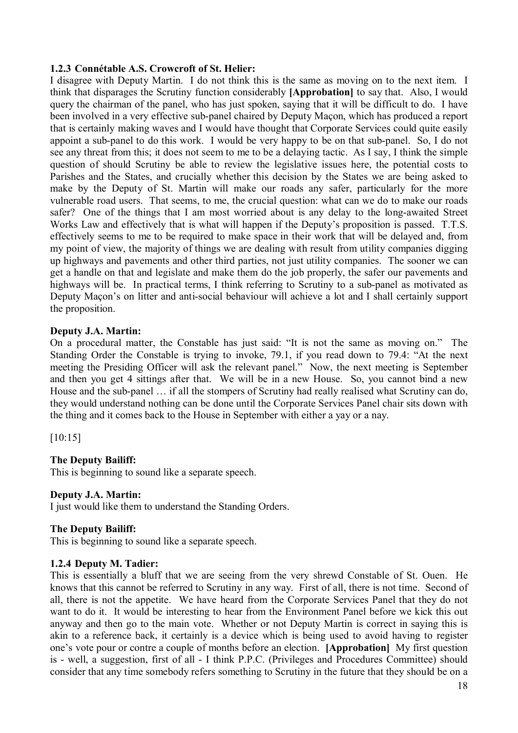## **1.2.3 Connétable A.S. Crowcroft of St. Helier:**

I disagree with Deputy Martin. I do not think this is the same as moving on to the next item. I think that disparages the Scrutiny function considerably **[Approbation]** to say that. Also, I would query the chairman of the panel, who has just spoken, saying that it will be difficult to do. I have been involved in a very effective sub-panel chaired by Deputy Maçon, which has produced a report that is certainly making waves and I would have thought that Corporate Services could quite easily appoint a sub-panel to do this work. I would be very happy to be on that sub-panel. So, I do not see any threat from this; it does not seem to me to be a delaying tactic. As I say, I think the simple question of should Scrutiny be able to review the legislative issues here, the potential costs to Parishes and the States, and crucially whether this decision by the States we are being asked to make by the Deputy of St. Martin will make our roads any safer, particularly for the more vulnerable road users. That seems, to me, the crucial question: what can we do to make our roads safer? One of the things that I am most worried about is any delay to the long-awaited Street Works Law and effectively that is what will happen if the Deputy's proposition is passed. T.T.S. effectively seems to me to be required to make space in their work that will be delayed and, from my point of view, the majority of things we are dealing with result from utility companies digging up highways and pavements and other third parties, not just utility companies. The sooner we can get a handle on that and legislate and make them do the job properly, the safer our pavements and highways will be. In practical terms, I think referring to Scrutiny to a sub-panel as motivated as Deputy Maçon's on litter and anti-social behaviour will achieve a lot and I shall certainly support the proposition.

## **Deputy J.A. Martin:**

On a procedural matter, the Constable has just said: "It is not the same as moving on." The Standing Order the Constable is trying to invoke, 79.1, if you read down to 79.4: "At the next meeting the Presiding Officer will ask the relevant panel." Now, the next meeting is September and then you get 4 sittings after that. We will be in a new House. So, you cannot bind a new House and the sub-panel … if all the stompers of Scrutiny had really realised what Scrutiny can do, they would understand nothing can be done until the Corporate Services Panel chair sits down with the thing and it comes back to the House in September with either a yay or a nay.

[10:15]

# **The Deputy Bailiff:**

This is beginning to sound like a separate speech.

## **Deputy J.A. Martin:**

I just would like them to understand the Standing Orders.

## **The Deputy Bailiff:**

This is beginning to sound like a separate speech.

## **1.2.4 Deputy M. Tadier:**

This is essentially a bluff that we are seeing from the very shrewd Constable of St. Ouen. He knows that this cannot be referred to Scrutiny in any way. First of all, there is not time. Second of all, there is not the appetite. We have heard from the Corporate Services Panel that they do not want to do it. It would be interesting to hear from the Environment Panel before we kick this out anyway and then go to the main vote. Whether or not Deputy Martin is correct in saying this is akin to a reference back, it certainly is a device which is being used to avoid having to register one's vote pour or contre a couple of months before an election. **[Approbation]** My first question is - well, a suggestion, first of all - I think P.P.C. (Privileges and Procedures Committee) should consider that any time somebody refers something to Scrutiny in the future that they should be on a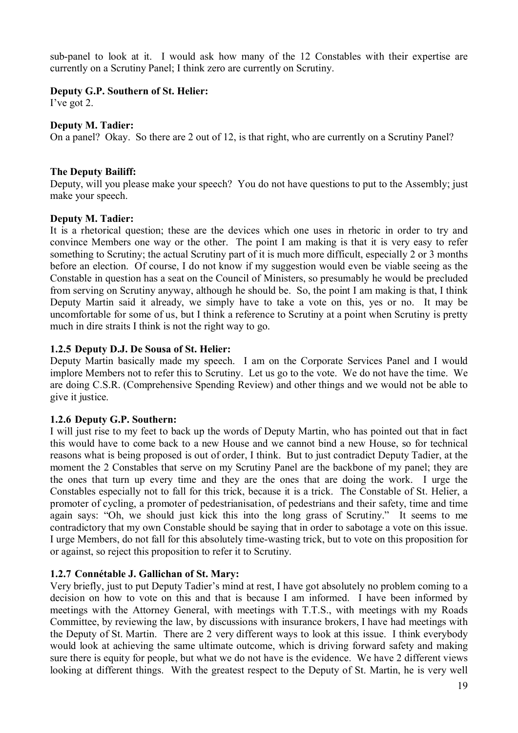sub-panel to look at it. I would ask how many of the 12 Constables with their expertise are currently on a Scrutiny Panel; I think zero are currently on Scrutiny.

## **Deputy G.P. Southern of St. Helier:**

I've got 2.

# **Deputy M. Tadier:**

On a panel? Okay. So there are 2 out of 12, is that right, who are currently on a Scrutiny Panel?

# **The Deputy Bailiff:**

Deputy, will you please make your speech? You do not have questions to put to the Assembly; just make your speech.

## **Deputy M. Tadier:**

It is a rhetorical question; these are the devices which one uses in rhetoric in order to try and convince Members one way or the other. The point I am making is that it is very easy to refer something to Scrutiny; the actual Scrutiny part of it is much more difficult, especially 2 or 3 months before an election. Of course, I do not know if my suggestion would even be viable seeing as the Constable in question has a seat on the Council of Ministers, so presumably he would be precluded from serving on Scrutiny anyway, although he should be. So, the point I am making is that, I think Deputy Martin said it already, we simply have to take a vote on this, yes or no. It may be uncomfortable for some of us, but I think a reference to Scrutiny at a point when Scrutiny is pretty much in dire straits I think is not the right way to go.

## **1.2.5 Deputy D.J. De Sousa of St. Helier:**

Deputy Martin basically made my speech. I am on the Corporate Services Panel and I would implore Members not to refer this to Scrutiny. Let us go to the vote. We do not have the time. We are doing C.S.R. (Comprehensive Spending Review) and other things and we would not be able to give it justice.

# **1.2.6 Deputy G.P. Southern:**

I will just rise to my feet to back up the words of Deputy Martin, who has pointed out that in fact this would have to come back to a new House and we cannot bind a new House, so for technical reasons what is being proposed is out of order, I think. But to just contradict Deputy Tadier, at the moment the 2 Constables that serve on my Scrutiny Panel are the backbone of my panel; they are the ones that turn up every time and they are the ones that are doing the work. I urge the Constables especially not to fall for this trick, because it is a trick. The Constable of St. Helier, a promoter of cycling, a promoter of pedestrianisation, of pedestrians and their safety, time and time again says: "Oh, we should just kick this into the long grass of Scrutiny." It seems to me contradictory that my own Constable should be saying that in order to sabotage a vote on this issue. I urge Members, do not fall for this absolutely time-wasting trick, but to vote on this proposition for or against, so reject this proposition to refer it to Scrutiny.

# **1.2.7 Connétable J. Gallichan of St. Mary:**

Very briefly, just to put Deputy Tadier's mind at rest, I have got absolutely no problem coming to a decision on how to vote on this and that is because I am informed. I have been informed by meetings with the Attorney General, with meetings with T.T.S., with meetings with my Roads Committee, by reviewing the law, by discussions with insurance brokers, I have had meetings with the Deputy of St. Martin. There are 2 very different ways to look at this issue. I think everybody would look at achieving the same ultimate outcome, which is driving forward safety and making sure there is equity for people, but what we do not have is the evidence. We have 2 different views looking at different things. With the greatest respect to the Deputy of St. Martin, he is very well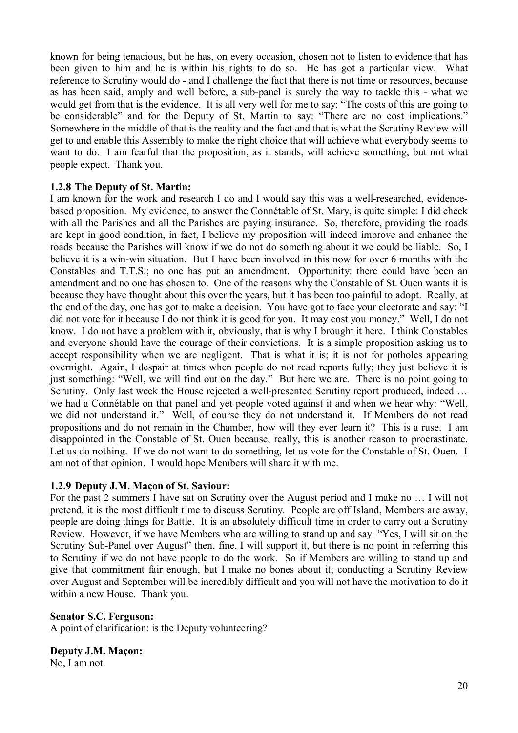known for being tenacious, but he has, on every occasion, chosen not to listen to evidence that has been given to him and he is within his rights to do so. He has got a particular view. What reference to Scrutiny would do - and I challenge the fact that there is not time or resources, because as has been said, amply and well before, a sub-panel is surely the way to tackle this - what we would get from that is the evidence. It is all very well for me to say: "The costs of this are going to be considerable" and for the Deputy of St. Martin to say: "There are no cost implications." Somewhere in the middle of that is the reality and the fact and that is what the Scrutiny Review will get to and enable this Assembly to make the right choice that will achieve what everybody seems to want to do. I am fearful that the proposition, as it stands, will achieve something, but not what people expect. Thank you.

## **1.2.8 The Deputy of St. Martin:**

I am known for the work and research I do and I would say this was a well-researched, evidencebased proposition. My evidence, to answer the Connétable of St. Mary, is quite simple: I did check with all the Parishes and all the Parishes are paying insurance. So, therefore, providing the roads are kept in good condition, in fact, I believe my proposition will indeed improve and enhance the roads because the Parishes will know if we do not do something about it we could be liable. So, I believe it is a win-win situation. But I have been involved in this now for over 6 months with the Constables and T.T.S.; no one has put an amendment. Opportunity: there could have been an amendment and no one has chosen to. One of the reasons why the Constable of St. Ouen wants it is because they have thought about this over the years, but it has been too painful to adopt. Really, at the end of the day, one has got to make a decision. You have got to face your electorate and say: "I did not vote for it because I do not think it is good for you. It may cost you money." Well, I do not know. I do not have a problem with it, obviously, that is why I brought it here. I think Constables and everyone should have the courage of their convictions. It is a simple proposition asking us to accept responsibility when we are negligent. That is what it is; it is not for potholes appearing overnight. Again, I despair at times when people do not read reports fully; they just believe it is just something: "Well, we will find out on the day." But here we are. There is no point going to Scrutiny. Only last week the House rejected a well-presented Scrutiny report produced, indeed … we had a Connétable on that panel and yet people voted against it and when we hear why: "Well, we did not understand it." Well, of course they do not understand it. If Members do not read propositions and do not remain in the Chamber, how will they ever learn it? This is a ruse. I am disappointed in the Constable of St. Ouen because, really, this is another reason to procrastinate. Let us do nothing. If we do not want to do something, let us vote for the Constable of St. Ouen. I am not of that opinion. I would hope Members will share it with me.

## **1.2.9 Deputy J.M. Maçon of St. Saviour:**

For the past 2 summers I have sat on Scrutiny over the August period and I make no … I will not pretend, it is the most difficult time to discuss Scrutiny. People are off Island, Members are away, people are doing things for Battle. It is an absolutely difficult time in order to carry out a Scrutiny Review. However, if we have Members who are willing to stand up and say: "Yes, I will sit on the Scrutiny Sub-Panel over August" then, fine, I will support it, but there is no point in referring this to Scrutiny if we do not have people to do the work. So if Members are willing to stand up and give that commitment fair enough, but I make no bones about it; conducting a Scrutiny Review over August and September will be incredibly difficult and you will not have the motivation to do it within a new House. Thank you.

## **Senator S.C. Ferguson:**

A point of clarification: is the Deputy volunteering?

# **Deputy J.M. Maçon:**

No, I am not.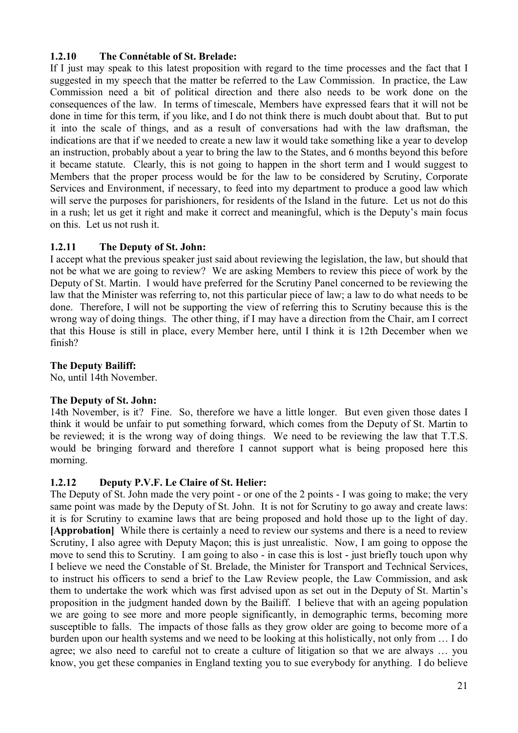# **1.2.10 The Connétable of St. Brelade:**

If I just may speak to this latest proposition with regard to the time processes and the fact that I suggested in my speech that the matter be referred to the Law Commission. In practice, the Law Commission need a bit of political direction and there also needs to be work done on the consequences of the law. In terms of timescale, Members have expressed fears that it will not be done in time for this term, if you like, and I do not think there is much doubt about that. But to put it into the scale of things, and as a result of conversations had with the law draftsman, the indications are that if we needed to create a new law it would take something like a year to develop an instruction, probably about a year to bring the law to the States, and 6 months beyond this before it became statute. Clearly, this is not going to happen in the short term and I would suggest to Members that the proper process would be for the law to be considered by Scrutiny, Corporate Services and Environment, if necessary, to feed into my department to produce a good law which will serve the purposes for parishioners, for residents of the Island in the future. Let us not do this in a rush; let us get it right and make it correct and meaningful, which is the Deputy's main focus on this. Let us not rush it.

# **1.2.11 The Deputy of St. John:**

I accept what the previous speaker just said about reviewing the legislation, the law, but should that not be what we are going to review? We are asking Members to review this piece of work by the Deputy of St. Martin. I would have preferred for the Scrutiny Panel concerned to be reviewing the law that the Minister was referring to, not this particular piece of law; a law to do what needs to be done. Therefore, I will not be supporting the view of referring this to Scrutiny because this is the wrong way of doing things. The other thing, if I may have a direction from the Chair, am I correct that this House is still in place, every Member here, until I think it is 12th December when we finish?

# **The Deputy Bailiff:**

No, until 14th November.

# **The Deputy of St. John:**

14th November, is it? Fine. So, therefore we have a little longer. But even given those dates I think it would be unfair to put something forward, which comes from the Deputy of St. Martin to be reviewed; it is the wrong way of doing things. We need to be reviewing the law that T.T.S. would be bringing forward and therefore I cannot support what is being proposed here this morning.

# **1.2.12 Deputy P.V.F. Le Claire of St. Helier:**

The Deputy of St. John made the very point - or one of the 2 points - I was going to make; the very same point was made by the Deputy of St. John. It is not for Scrutiny to go away and create laws: it is for Scrutiny to examine laws that are being proposed and hold those up to the light of day. **[Approbation]** While there is certainly a need to review our systems and there is a need to review Scrutiny, I also agree with Deputy Maçon; this is just unrealistic. Now, I am going to oppose the move to send this to Scrutiny. I am going to also - in case this is lost - just briefly touch upon why I believe we need the Constable of St. Brelade, the Minister for Transport and Technical Services, to instruct his officers to send a brief to the Law Review people, the Law Commission, and ask them to undertake the work which was first advised upon as set out in the Deputy of St. Martin's proposition in the judgment handed down by the Bailiff. I believe that with an ageing population we are going to see more and more people significantly, in demographic terms, becoming more susceptible to falls. The impacts of those falls as they grow older are going to become more of a burden upon our health systems and we need to be looking at this holistically, not only from … I do agree; we also need to careful not to create a culture of litigation so that we are always … you know, you get these companies in England texting you to sue everybody for anything. I do believe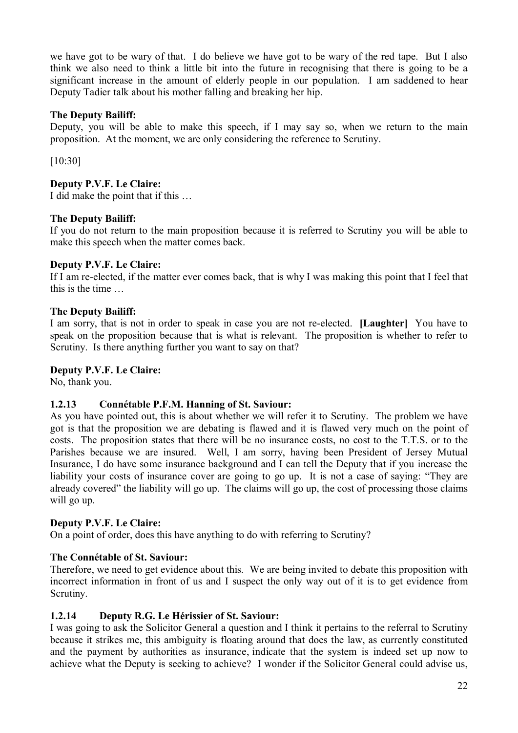we have got to be wary of that. I do believe we have got to be wary of the red tape. But I also think we also need to think a little bit into the future in recognising that there is going to be a significant increase in the amount of elderly people in our population. I am saddened to hear Deputy Tadier talk about his mother falling and breaking her hip.

# **The Deputy Bailiff:**

Deputy, you will be able to make this speech, if I may say so, when we return to the main proposition. At the moment, we are only considering the reference to Scrutiny.

[10:30]

# **Deputy P.V.F. Le Claire:**

I did make the point that if this …

# **The Deputy Bailiff:**

If you do not return to the main proposition because it is referred to Scrutiny you will be able to make this speech when the matter comes back.

# **Deputy P.V.F. Le Claire:**

If I am re-elected, if the matter ever comes back, that is why I was making this point that I feel that this is the time

# **The Deputy Bailiff:**

I am sorry, that is not in order to speak in case you are not re-elected. **[Laughter]** You have to speak on the proposition because that is what is relevant. The proposition is whether to refer to Scrutiny. Is there anything further you want to say on that?

# **Deputy P.V.F. Le Claire:**

No, thank you.

# **1.2.13 Connétable P.F.M. Hanning of St. Saviour:**

As you have pointed out, this is about whether we will refer it to Scrutiny. The problem we have got is that the proposition we are debating is flawed and it is flawed very much on the point of costs. The proposition states that there will be no insurance costs, no cost to the T.T.S. or to the Parishes because we are insured. Well, I am sorry, having been President of Jersey Mutual Insurance, I do have some insurance background and I can tell the Deputy that if you increase the liability your costs of insurance cover are going to go up. It is not a case of saying: "They are already covered" the liability will go up. The claims will go up, the cost of processing those claims will go up.

# **Deputy P.V.F. Le Claire:**

On a point of order, does this have anything to do with referring to Scrutiny?

# **The Connétable of St. Saviour:**

Therefore, we need to get evidence about this. We are being invited to debate this proposition with incorrect information in front of us and I suspect the only way out of it is to get evidence from Scrutiny.

# **1.2.14 Deputy R.G. Le Hérissier of St. Saviour:**

I was going to ask the Solicitor General a question and I think it pertains to the referral to Scrutiny because it strikes me, this ambiguity is floating around that does the law, as currently constituted and the payment by authorities as insurance, indicate that the system is indeed set up now to achieve what the Deputy is seeking to achieve? I wonder if the Solicitor General could advise us,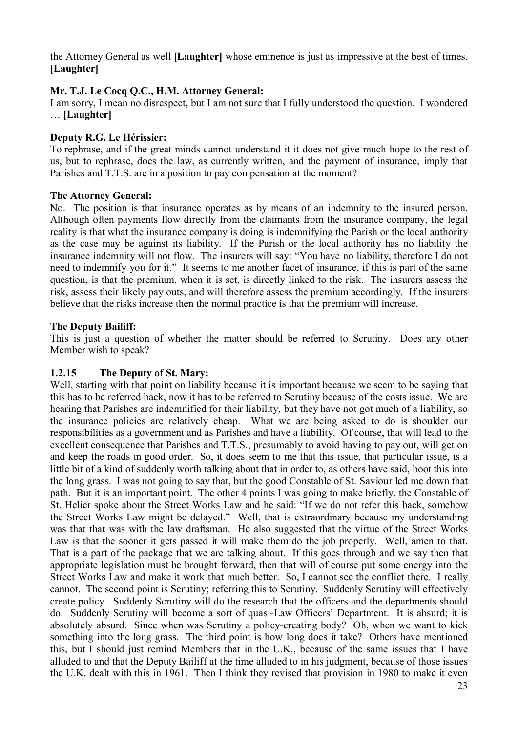the Attorney General as well **[Laughter]** whose eminence is just as impressive at the best of times. **[Laughter]**

# **Mr. T.J. Le Cocq Q.C., H.M. Attorney General:**

I am sorry, I mean no disrespect, but I am not sure that I fully understood the question. I wondered … **[Laughter]**

## **Deputy R.G. Le Hérissier:**

To rephrase, and if the great minds cannot understand it it does not give much hope to the rest of us, but to rephrase, does the law, as currently written, and the payment of insurance, imply that Parishes and T.T.S. are in a position to pay compensation at the moment?

## **The Attorney General:**

No. The position is that insurance operates as by means of an indemnity to the insured person. Although often payments flow directly from the claimants from the insurance company, the legal reality is that what the insurance company is doing is indemnifying the Parish or the local authority as the case may be against its liability. If the Parish or the local authority has no liability the insurance indemnity will not flow. The insurers will say: "You have no liability, therefore I do not need to indemnify you for it." It seems to me another facet of insurance, if this is part of the same question, is that the premium, when it is set, is directly linked to the risk. The insurers assess the risk, assess their likely pay outs, and will therefore assess the premium accordingly. If the insurers believe that the risks increase then the normal practice is that the premium will increase.

## **The Deputy Bailiff:**

This is just a question of whether the matter should be referred to Scrutiny. Does any other Member wish to speak?

# **1.2.15 The Deputy of St. Mary:**

Well, starting with that point on liability because it is important because we seem to be saying that this has to be referred back, now it has to be referred to Scrutiny because of the costs issue. We are hearing that Parishes are indemnified for their liability, but they have not got much of a liability, so the insurance policies are relatively cheap. What we are being asked to do is shoulder our responsibilities as a government and as Parishes and have a liability. Of course, that will lead to the excellent consequence that Parishes and T.T.S., presumably to avoid having to pay out, will get on and keep the roads in good order. So, it does seem to me that this issue, that particular issue, is a little bit of a kind of suddenly worth talking about that in order to, as others have said, boot this into the long grass. I was not going to say that, but the good Constable of St. Saviour led me down that path. But it is an important point. The other 4 points I was going to make briefly, the Constable of St. Helier spoke about the Street Works Law and he said: "If we do not refer this back, somehow the Street Works Law might be delayed." Well, that is extraordinary because my understanding was that that was with the law draftsman. He also suggested that the virtue of the Street Works Law is that the sooner it gets passed it will make them do the job properly. Well, amen to that. That is a part of the package that we are talking about. If this goes through and we say then that appropriate legislation must be brought forward, then that will of course put some energy into the Street Works Law and make it work that much better. So, I cannot see the conflict there. I really cannot. The second point is Scrutiny; referring this to Scrutiny. Suddenly Scrutiny will effectively create policy. Suddenly Scrutiny will do the research that the officers and the departments should do. Suddenly Scrutiny will become a sort of quasi-Law Officers' Department. It is absurd; it is absolutely absurd. Since when was Scrutiny a policy-creating body? Oh, when we want to kick something into the long grass. The third point is how long does it take? Others have mentioned this, but I should just remind Members that in the U.K., because of the same issues that I have alluded to and that the Deputy Bailiff at the time alluded to in his judgment, because of those issues the U.K. dealt with this in 1961. Then I think they revised that provision in 1980 to make it even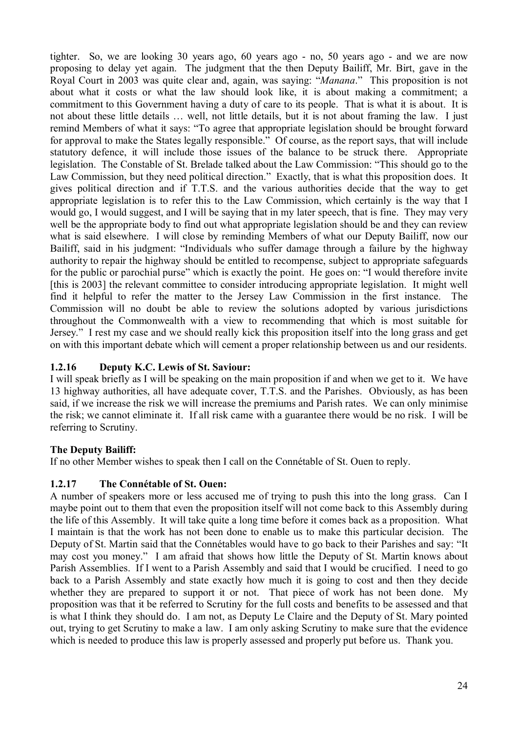tighter. So, we are looking 30 years ago, 60 years ago - no, 50 years ago - and we are now proposing to delay yet again. The judgment that the then Deputy Bailiff, Mr. Birt, gave in the Royal Court in 2003 was quite clear and, again, was saying: "*Manana*." This proposition is not about what it costs or what the law should look like, it is about making a commitment; a commitment to this Government having a duty of care to its people. That is what it is about. It is not about these little details … well, not little details, but it is not about framing the law. I just remind Members of what it says: "To agree that appropriate legislation should be brought forward for approval to make the States legally responsible." Of course, as the report says, that will include statutory defence, it will include those issues of the balance to be struck there. Appropriate legislation. The Constable of St. Brelade talked about the Law Commission: "This should go to the Law Commission, but they need political direction." Exactly, that is what this proposition does. It gives political direction and if T.T.S. and the various authorities decide that the way to get appropriate legislation is to refer this to the Law Commission, which certainly is the way that I would go, I would suggest, and I will be saying that in my later speech, that is fine. They may very well be the appropriate body to find out what appropriate legislation should be and they can review what is said elsewhere. I will close by reminding Members of what our Deputy Bailiff, now our Bailiff, said in his judgment: "Individuals who suffer damage through a failure by the highway authority to repair the highway should be entitled to recompense, subject to appropriate safeguards for the public or parochial purse" which is exactly the point. He goes on: "I would therefore invite [this is 2003] the relevant committee to consider introducing appropriate legislation. It might well find it helpful to refer the matter to the Jersey Law Commission in the first instance. The Commission will no doubt be able to review the solutions adopted by various jurisdictions throughout the Commonwealth with a view to recommending that which is most suitable for Jersey." I rest my case and we should really kick this proposition itself into the long grass and get on with this important debate which will cement a proper relationship between us and our residents.

# **1.2.16 Deputy K.C. Lewis of St. Saviour:**

I will speak briefly as I will be speaking on the main proposition if and when we get to it. We have 13 highway authorities, all have adequate cover, T.T.S. and the Parishes. Obviously, as has been said, if we increase the risk we will increase the premiums and Parish rates. We can only minimise the risk; we cannot eliminate it. If all risk came with a guarantee there would be no risk. I will be referring to Scrutiny.

# **The Deputy Bailiff:**

If no other Member wishes to speak then I call on the Connétable of St. Ouen to reply.

# **1.2.17 The Connétable of St. Ouen:**

A number of speakers more or less accused me of trying to push this into the long grass. Can I maybe point out to them that even the proposition itself will not come back to this Assembly during the life of this Assembly. It will take quite a long time before it comes back as a proposition. What I maintain is that the work has not been done to enable us to make this particular decision. The Deputy of St. Martin said that the Connétables would have to go back to their Parishes and say: "It may cost you money." I am afraid that shows how little the Deputy of St. Martin knows about Parish Assemblies. If I went to a Parish Assembly and said that I would be crucified. I need to go back to a Parish Assembly and state exactly how much it is going to cost and then they decide whether they are prepared to support it or not. That piece of work has not been done. My proposition was that it be referred to Scrutiny for the full costs and benefits to be assessed and that is what I think they should do. I am not, as Deputy Le Claire and the Deputy of St. Mary pointed out, trying to get Scrutiny to make a law. I am only asking Scrutiny to make sure that the evidence which is needed to produce this law is properly assessed and properly put before us. Thank you.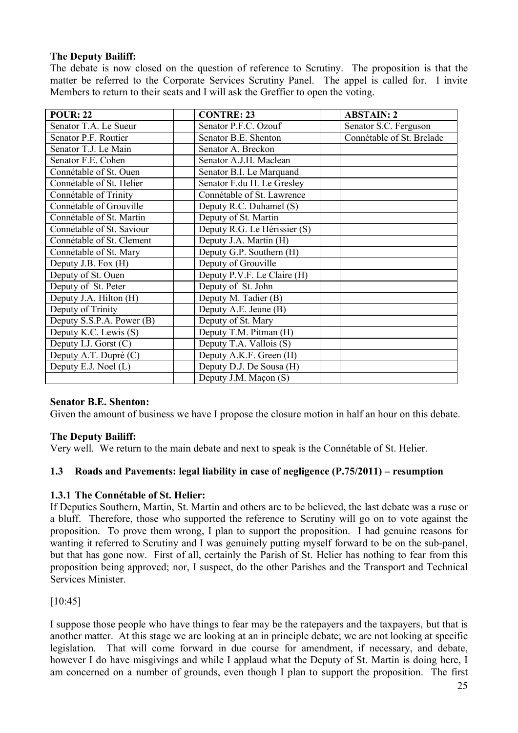# **The Deputy Bailiff:**

The debate is now closed on the question of reference to Scrutiny. The proposition is that the matter be referred to the Corporate Services Scrutiny Panel. The appel is called for. I invite Members to return to their seats and I will ask the Greffier to open the voting.

| <b>POUR: 22</b>           | <b>CONTRE: 23</b>            | <b>ABSTAIN: 2</b>         |
|---------------------------|------------------------------|---------------------------|
| Senator T.A. Le Sueur     | Senator P.F.C. Ozouf         | Senator S.C. Ferguson     |
| Senator P.F. Routier      | Senator B.E. Shenton         | Connétable of St. Brelade |
| Senator T.J. Le Main      | Senator A. Breckon           |                           |
| Senator F.E. Cohen        | Senator A.J.H. Maclean       |                           |
| Connétable of St. Ouen    | Senator B.I. Le Marquand     |                           |
| Connétable of St. Helier  | Senator F.du H. Le Gresley   |                           |
| Connétable of Trinity     | Connétable of St. Lawrence   |                           |
| Connétable of Grouville   | Deputy R.C. Duhamel (S)      |                           |
| Connétable of St. Martin  | Deputy of St. Martin         |                           |
| Connétable of St. Saviour | Deputy R.G. Le Hérissier (S) |                           |
| Connétable of St. Clement | Deputy J.A. Martin (H)       |                           |
| Connétable of St. Mary    | Deputy G.P. Southern (H)     |                           |
| Deputy J.B. Fox (H)       | Deputy of Grouville          |                           |
| Deputy of St. Ouen        | Deputy P.V.F. Le Claire (H)  |                           |
| Deputy of St. Peter       | Deputy of St. John           |                           |
| Deputy J.A. Hilton (H)    | Deputy M. Tadier (B)         |                           |
| Deputy of Trinity         | Deputy A.E. Jeune (B)        |                           |
| Deputy S.S.P.A. Power (B) | Deputy of St. Mary           |                           |
| Deputy K.C. Lewis (S)     | Deputy T.M. Pitman (H)       |                           |
| Deputy I.J. Gorst $(C)$   | Deputy T.A. Vallois (S)      |                           |
| Deputy A.T. Dupré (C)     | Deputy A.K.F. Green (H)      |                           |
| Deputy E.J. Noel (L)      | Deputy D.J. De Sousa (H)     |                           |
|                           | Deputy J.M. Maçon (S)        |                           |

# **Senator B.E. Shenton:**

Given the amount of business we have I propose the closure motion in half an hour on this debate.

# **The Deputy Bailiff:**

Very well. We return to the main debate and next to speak is the Connétable of St. Helier.

# **1.3 Roads and Pavements: legal liability in case of negligence (P.75/2011) – resumption**

# **1.3.1 The Connétable of St. Helier:**

If Deputies Southern, Martin, St. Martin and others are to be believed, the last debate was a ruse or a bluff. Therefore, those who supported the reference to Scrutiny will go on to vote against the proposition. To prove them wrong, I plan to support the proposition. I had genuine reasons for wanting it referred to Scrutiny and I was genuinely putting myself forward to be on the sub-panel, but that has gone now. First of all, certainly the Parish of St. Helier has nothing to fear from this proposition being approved; nor, I suspect, do the other Parishes and the Transport and Technical Services Minister.

[10:45]

I suppose those people who have things to fear may be the ratepayers and the taxpayers, but that is another matter. At this stage we are looking at an in principle debate; we are not looking at specific legislation. That will come forward in due course for amendment, if necessary, and debate, however I do have misgivings and while I applaud what the Deputy of St. Martin is doing here, I am concerned on a number of grounds, even though I plan to support the proposition. The first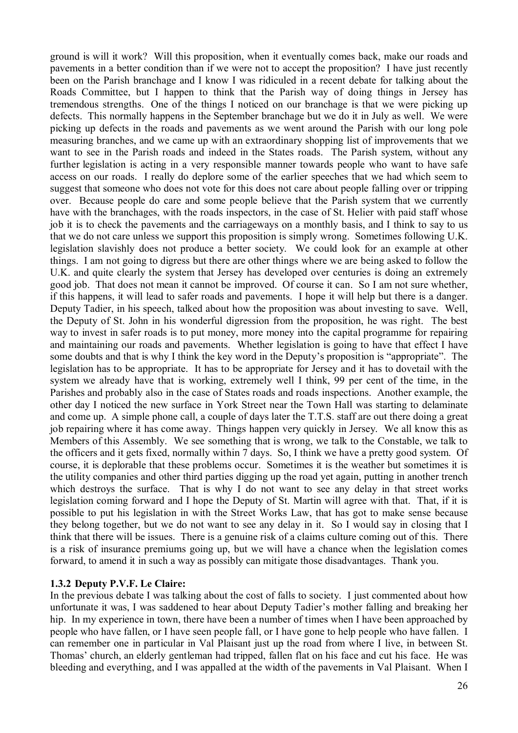ground is will it work? Will this proposition, when it eventually comes back, make our roads and pavements in a better condition than if we were not to accept the proposition? I have just recently been on the Parish branchage and I know I was ridiculed in a recent debate for talking about the Roads Committee, but I happen to think that the Parish way of doing things in Jersey has tremendous strengths. One of the things I noticed on our branchage is that we were picking up defects. This normally happens in the September branchage but we do it in July as well. We were picking up defects in the roads and pavements as we went around the Parish with our long pole measuring branches, and we came up with an extraordinary shopping list of improvements that we want to see in the Parish roads and indeed in the States roads. The Parish system, without any further legislation is acting in a very responsible manner towards people who want to have safe access on our roads. I really do deplore some of the earlier speeches that we had which seem to suggest that someone who does not vote for this does not care about people falling over or tripping over. Because people do care and some people believe that the Parish system that we currently have with the branchages, with the roads inspectors, in the case of St. Helier with paid staff whose job it is to check the pavements and the carriageways on a monthly basis, and I think to say to us that we do not care unless we support this proposition is simply wrong. Sometimes following U.K. legislation slavishly does not produce a better society. We could look for an example at other things. I am not going to digress but there are other things where we are being asked to follow the U.K. and quite clearly the system that Jersey has developed over centuries is doing an extremely good job. That does not mean it cannot be improved. Of course it can. So I am not sure whether, if this happens, it will lead to safer roads and pavements. I hope it will help but there is a danger. Deputy Tadier, in his speech, talked about how the proposition was about investing to save. Well, the Deputy of St. John in his wonderful digression from the proposition, he was right. The best way to invest in safer roads is to put money, more money into the capital programme for repairing and maintaining our roads and pavements. Whether legislation is going to have that effect I have some doubts and that is why I think the key word in the Deputy's proposition is "appropriate". The legislation has to be appropriate. It has to be appropriate for Jersey and it has to dovetail with the system we already have that is working, extremely well I think, 99 per cent of the time, in the Parishes and probably also in the case of States roads and roads inspections. Another example, the other day I noticed the new surface in York Street near the Town Hall was starting to delaminate and come up. A simple phone call, a couple of days later the T.T.S. staff are out there doing a great job repairing where it has come away. Things happen very quickly in Jersey. We all know this as Members of this Assembly. We see something that is wrong, we talk to the Constable, we talk to the officers and it gets fixed, normally within 7 days. So, I think we have a pretty good system. Of course, it is deplorable that these problems occur. Sometimes it is the weather but sometimes it is the utility companies and other third parties digging up the road yet again, putting in another trench which destroys the surface. That is why I do not want to see any delay in that street works legislation coming forward and I hope the Deputy of St. Martin will agree with that. That, if it is possible to put his legislation in with the Street Works Law, that has got to make sense because they belong together, but we do not want to see any delay in it. So I would say in closing that I think that there will be issues. There is a genuine risk of a claims culture coming out of this. There is a risk of insurance premiums going up, but we will have a chance when the legislation comes forward, to amend it in such a way as possibly can mitigate those disadvantages. Thank you.

## **1.3.2 Deputy P.V.F. Le Claire:**

In the previous debate I was talking about the cost of falls to society. I just commented about how unfortunate it was, I was saddened to hear about Deputy Tadier's mother falling and breaking her hip. In my experience in town, there have been a number of times when I have been approached by people who have fallen, or I have seen people fall, or I have gone to help people who have fallen. I can remember one in particular in Val Plaisant just up the road from where I live, in between St. Thomas' church, an elderly gentleman had tripped, fallen flat on his face and cut his face. He was bleeding and everything, and I was appalled at the width of the pavements in Val Plaisant. When I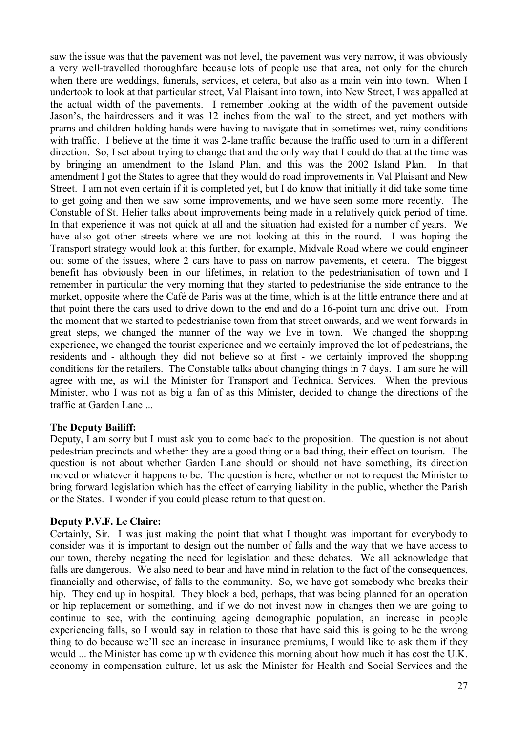saw the issue was that the pavement was not level, the pavement was very narrow, it was obviously a very well-travelled thoroughfare because lots of people use that area, not only for the church when there are weddings, funerals, services, et cetera, but also as a main vein into town. When I undertook to look at that particular street, Val Plaisant into town, into New Street, I was appalled at the actual width of the pavements. I remember looking at the width of the pavement outside Jason's, the hairdressers and it was 12 inches from the wall to the street, and yet mothers with prams and children holding hands were having to navigate that in sometimes wet, rainy conditions with traffic. I believe at the time it was 2-lane traffic because the traffic used to turn in a different direction. So, I set about trying to change that and the only way that I could do that at the time was by bringing an amendment to the Island Plan, and this was the 2002 Island Plan. In that amendment I got the States to agree that they would do road improvements in Val Plaisant and New Street. I am not even certain if it is completed yet, but I do know that initially it did take some time to get going and then we saw some improvements, and we have seen some more recently. The Constable of St. Helier talks about improvements being made in a relatively quick period of time. In that experience it was not quick at all and the situation had existed for a number of years. We have also got other streets where we are not looking at this in the round. I was hoping the Transport strategy would look at this further, for example, Midvale Road where we could engineer out some of the issues, where 2 cars have to pass on narrow pavements, et cetera. The biggest benefit has obviously been in our lifetimes, in relation to the pedestrianisation of town and I remember in particular the very morning that they started to pedestrianise the side entrance to the market, opposite where the Café de Paris was at the time, which is at the little entrance there and at that point there the cars used to drive down to the end and do a 16-point turn and drive out. From the moment that we started to pedestrianise town from that street onwards, and we went forwards in great steps, we changed the manner of the way we live in town. We changed the shopping experience, we changed the tourist experience and we certainly improved the lot of pedestrians, the residents and - although they did not believe so at first - we certainly improved the shopping conditions for the retailers. The Constable talks about changing things in 7 days. I am sure he will agree with me, as will the Minister for Transport and Technical Services. When the previous Minister, who I was not as big a fan of as this Minister, decided to change the directions of the traffic at Garden Lane ...

## **The Deputy Bailiff:**

Deputy, I am sorry but I must ask you to come back to the proposition. The question is not about pedestrian precincts and whether they are a good thing or a bad thing, their effect on tourism. The question is not about whether Garden Lane should or should not have something, its direction moved or whatever it happens to be. The question is here, whether or not to request the Minister to bring forward legislation which has the effect of carrying liability in the public, whether the Parish or the States. I wonder if you could please return to that question.

## **Deputy P.V.F. Le Claire:**

Certainly, Sir. I was just making the point that what I thought was important for everybody to consider was it is important to design out the number of falls and the way that we have access to our town, thereby negating the need for legislation and these debates. We all acknowledge that falls are dangerous. We also need to bear and have mind in relation to the fact of the consequences, financially and otherwise, of falls to the community. So, we have got somebody who breaks their hip. They end up in hospital. They block a bed, perhaps, that was being planned for an operation or hip replacement or something, and if we do not invest now in changes then we are going to continue to see, with the continuing ageing demographic population, an increase in people experiencing falls, so I would say in relation to those that have said this is going to be the wrong thing to do because we'll see an increase in insurance premiums, I would like to ask them if they would ... the Minister has come up with evidence this morning about how much it has cost the U.K. economy in compensation culture, let us ask the Minister for Health and Social Services and the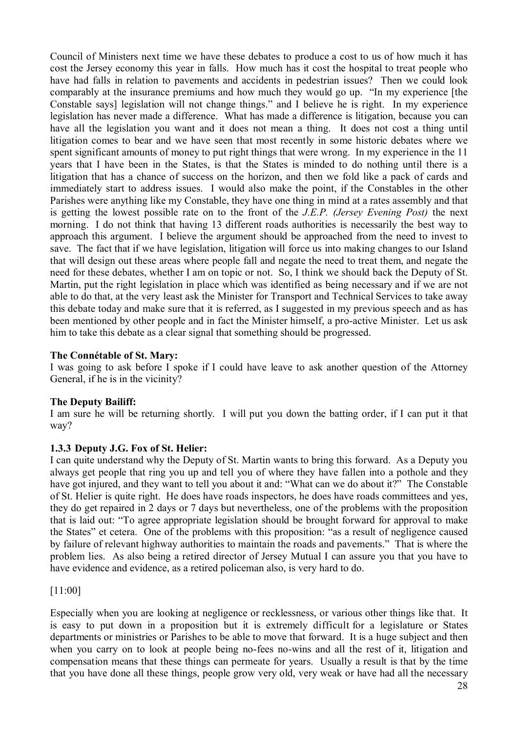Council of Ministers next time we have these debates to produce a cost to us of how much it has cost the Jersey economy this year in falls. How much has it cost the hospital to treat people who have had falls in relation to pavements and accidents in pedestrian issues? Then we could look comparably at the insurance premiums and how much they would go up. "In my experience [the Constable says] legislation will not change things." and I believe he is right. In my experience legislation has never made a difference. What has made a difference is litigation, because you can have all the legislation you want and it does not mean a thing. It does not cost a thing until litigation comes to bear and we have seen that most recently in some historic debates where we spent significant amounts of money to put right things that were wrong. In my experience in the 11 years that I have been in the States, is that the States is minded to do nothing until there is a litigation that has a chance of success on the horizon, and then we fold like a pack of cards and immediately start to address issues. I would also make the point, if the Constables in the other Parishes were anything like my Constable, they have one thing in mind at a rates assembly and that is getting the lowest possible rate on to the front of the *J.E.P. (Jersey Evening Post)* the next morning. I do not think that having 13 different roads authorities is necessarily the best way to approach this argument. I believe the argument should be approached from the need to invest to save. The fact that if we have legislation, litigation will force us into making changes to our Island that will design out these areas where people fall and negate the need to treat them, and negate the need for these debates, whether I am on topic or not. So, I think we should back the Deputy of St. Martin, put the right legislation in place which was identified as being necessary and if we are not able to do that, at the very least ask the Minister for Transport and Technical Services to take away this debate today and make sure that it is referred, as I suggested in my previous speech and as has been mentioned by other people and in fact the Minister himself, a pro-active Minister. Let us ask him to take this debate as a clear signal that something should be progressed.

## **The Connétable of St. Mary:**

I was going to ask before I spoke if I could have leave to ask another question of the Attorney General, if he is in the vicinity?

# **The Deputy Bailiff:**

I am sure he will be returning shortly. I will put you down the batting order, if I can put it that way?

# **1.3.3 Deputy J.G. Fox of St. Helier:**

I can quite understand why the Deputy of St. Martin wants to bring this forward. As a Deputy you always get people that ring you up and tell you of where they have fallen into a pothole and they have got injured, and they want to tell you about it and: "What can we do about it?" The Constable of St. Helier is quite right. He does have roads inspectors, he does have roads committees and yes, they do get repaired in 2 days or 7 days but nevertheless, one of the problems with the proposition that is laid out: "To agree appropriate legislation should be brought forward for approval to make the States" et cetera. One of the problems with this proposition: "as a result of negligence caused by failure of relevant highway authorities to maintain the roads and pavements." That is where the problem lies. As also being a retired director of Jersey Mutual I can assure you that you have to have evidence and evidence, as a retired policeman also, is very hard to do.

[11:00]

Especially when you are looking at negligence or recklessness, or various other things like that. It is easy to put down in a proposition but it is extremely difficult for a legislature or States departments or ministries or Parishes to be able to move that forward. It is a huge subject and then when you carry on to look at people being no-fees no-wins and all the rest of it, litigation and compensation means that these things can permeate for years. Usually a result is that by the time that you have done all these things, people grow very old, very weak or have had all the necessary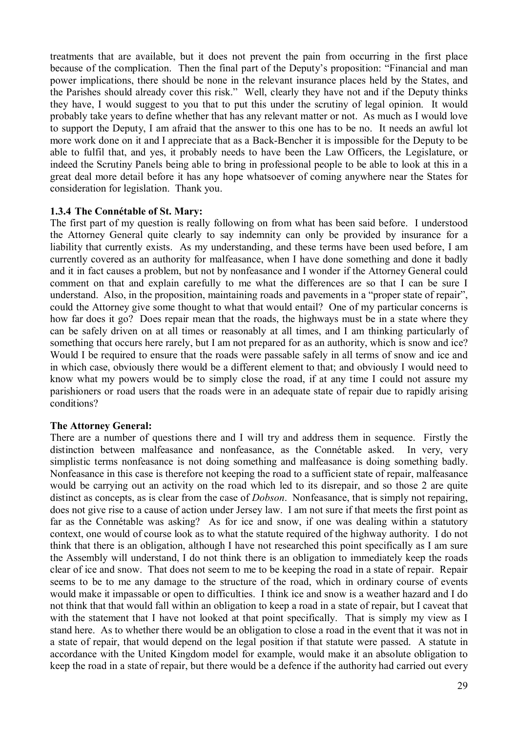treatments that are available, but it does not prevent the pain from occurring in the first place because of the complication. Then the final part of the Deputy's proposition: "Financial and man power implications, there should be none in the relevant insurance places held by the States, and the Parishes should already cover this risk." Well, clearly they have not and if the Deputy thinks they have, I would suggest to you that to put this under the scrutiny of legal opinion. It would probably take years to define whether that has any relevant matter or not. As much as I would love to support the Deputy, I am afraid that the answer to this one has to be no. It needs an awful lot more work done on it and I appreciate that as a Back-Bencher it is impossible for the Deputy to be able to fulfil that, and yes, it probably needs to have been the Law Officers, the Legislature, or indeed the Scrutiny Panels being able to bring in professional people to be able to look at this in a great deal more detail before it has any hope whatsoever of coming anywhere near the States for consideration for legislation. Thank you.

## **1.3.4 The Connétable of St. Mary:**

The first part of my question is really following on from what has been said before. I understood the Attorney General quite clearly to say indemnity can only be provided by insurance for a liability that currently exists. As my understanding, and these terms have been used before, I am currently covered as an authority for malfeasance, when I have done something and done it badly and it in fact causes a problem, but not by nonfeasance and I wonder if the Attorney General could comment on that and explain carefully to me what the differences are so that I can be sure I understand. Also, in the proposition, maintaining roads and pavements in a "proper state of repair", could the Attorney give some thought to what that would entail? One of my particular concerns is how far does it go? Does repair mean that the roads, the highways must be in a state where they can be safely driven on at all times or reasonably at all times, and I am thinking particularly of something that occurs here rarely, but I am not prepared for as an authority, which is snow and ice? Would I be required to ensure that the roads were passable safely in all terms of snow and ice and in which case, obviously there would be a different element to that; and obviously I would need to know what my powers would be to simply close the road, if at any time I could not assure my parishioners or road users that the roads were in an adequate state of repair due to rapidly arising conditions?

## **The Attorney General:**

There are a number of questions there and I will try and address them in sequence. Firstly the distinction between malfeasance and nonfeasance, as the Connétable asked. In very, very simplistic terms nonfeasance is not doing something and malfeasance is doing something badly. Nonfeasance in this case is therefore not keeping the road to a sufficient state of repair, malfeasance would be carrying out an activity on the road which led to its disrepair, and so those 2 are quite distinct as concepts, as is clear from the case of *Dobson*. Nonfeasance, that is simply not repairing, does not give rise to a cause of action under Jersey law. I am not sure if that meets the first point as far as the Connétable was asking? As for ice and snow, if one was dealing within a statutory context, one would of course look as to what the statute required of the highway authority. I do not think that there is an obligation, although I have not researched this point specifically as I am sure the Assembly will understand, I do not think there is an obligation to immediately keep the roads clear of ice and snow. That does not seem to me to be keeping the road in a state of repair. Repair seems to be to me any damage to the structure of the road, which in ordinary course of events would make it impassable or open to difficulties. I think ice and snow is a weather hazard and I do not think that that would fall within an obligation to keep a road in a state of repair, but I caveat that with the statement that I have not looked at that point specifically. That is simply my view as I stand here. As to whether there would be an obligation to close a road in the event that it was not in a state of repair, that would depend on the legal position if that statute were passed. A statute in accordance with the United Kingdom model for example, would make it an absolute obligation to keep the road in a state of repair, but there would be a defence if the authority had carried out every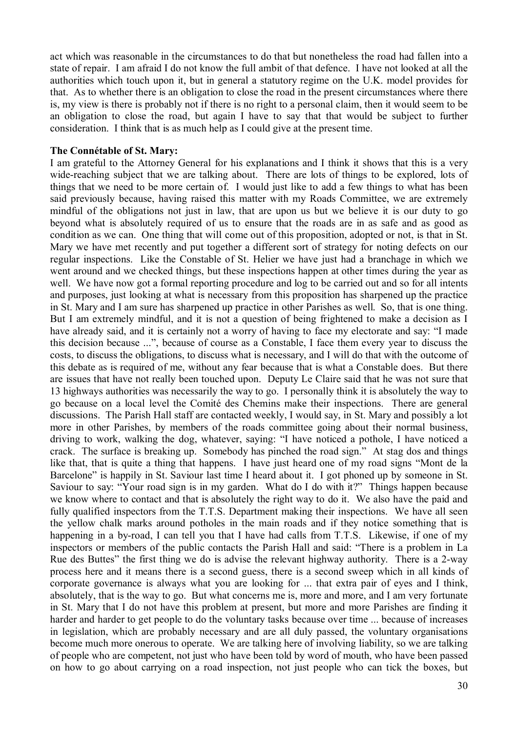act which was reasonable in the circumstances to do that but nonetheless the road had fallen into a state of repair. I am afraid I do not know the full ambit of that defence. I have not looked at all the authorities which touch upon it, but in general a statutory regime on the U.K. model provides for that. As to whether there is an obligation to close the road in the present circumstances where there is, my view is there is probably not if there is no right to a personal claim, then it would seem to be an obligation to close the road, but again I have to say that that would be subject to further consideration. I think that is as much help as I could give at the present time.

#### **The Connétable of St. Mary:**

I am grateful to the Attorney General for his explanations and I think it shows that this is a very wide-reaching subject that we are talking about. There are lots of things to be explored, lots of things that we need to be more certain of. I would just like to add a few things to what has been said previously because, having raised this matter with my Roads Committee, we are extremely mindful of the obligations not just in law, that are upon us but we believe it is our duty to go beyond what is absolutely required of us to ensure that the roads are in as safe and as good as condition as we can. One thing that will come out of this proposition, adopted or not, is that in St. Mary we have met recently and put together a different sort of strategy for noting defects on our regular inspections. Like the Constable of St. Helier we have just had a branchage in which we went around and we checked things, but these inspections happen at other times during the year as well. We have now got a formal reporting procedure and log to be carried out and so for all intents and purposes, just looking at what is necessary from this proposition has sharpened up the practice in St. Mary and I am sure has sharpened up practice in other Parishes as well. So, that is one thing. But I am extremely mindful, and it is not a question of being frightened to make a decision as I have already said, and it is certainly not a worry of having to face my electorate and say: "I made this decision because ...", because of course as a Constable, I face them every year to discuss the costs, to discuss the obligations, to discuss what is necessary, and I will do that with the outcome of this debate as is required of me, without any fear because that is what a Constable does. But there are issues that have not really been touched upon. Deputy Le Claire said that he was not sure that 13 highways authorities was necessarily the way to go. I personally think it is absolutely the way to go because on a local level the Comité des Chemins make their inspections. There are general discussions. The Parish Hall staff are contacted weekly, I would say, in St. Mary and possibly a lot more in other Parishes, by members of the roads committee going about their normal business, driving to work, walking the dog, whatever, saying: "I have noticed a pothole, I have noticed a crack. The surface is breaking up. Somebody has pinched the road sign." At stag dos and things like that, that is quite a thing that happens. I have just heard one of my road signs "Mont de la Barcelone" is happily in St. Saviour last time I heard about it. I got phoned up by someone in St. Saviour to say: "Your road sign is in my garden. What do I do with it?" Things happen because we know where to contact and that is absolutely the right way to do it. We also have the paid and fully qualified inspectors from the T.T.S. Department making their inspections. We have all seen the yellow chalk marks around potholes in the main roads and if they notice something that is happening in a by-road, I can tell you that I have had calls from T.T.S. Likewise, if one of my inspectors or members of the public contacts the Parish Hall and said: "There is a problem in La Rue des Buttes" the first thing we do is advise the relevant highway authority. There is a 2-way process here and it means there is a second guess, there is a second sweep which in all kinds of corporate governance is always what you are looking for ... that extra pair of eyes and I think, absolutely, that is the way to go. But what concerns me is, more and more, and I am very fortunate in St. Mary that I do not have this problem at present, but more and more Parishes are finding it harder and harder to get people to do the voluntary tasks because over time ... because of increases in legislation, which are probably necessary and are all duly passed, the voluntary organisations become much more onerous to operate. We are talking here of involving liability, so we are talking of people who are competent, not just who have been told by word of mouth, who have been passed on how to go about carrying on a road inspection, not just people who can tick the boxes, but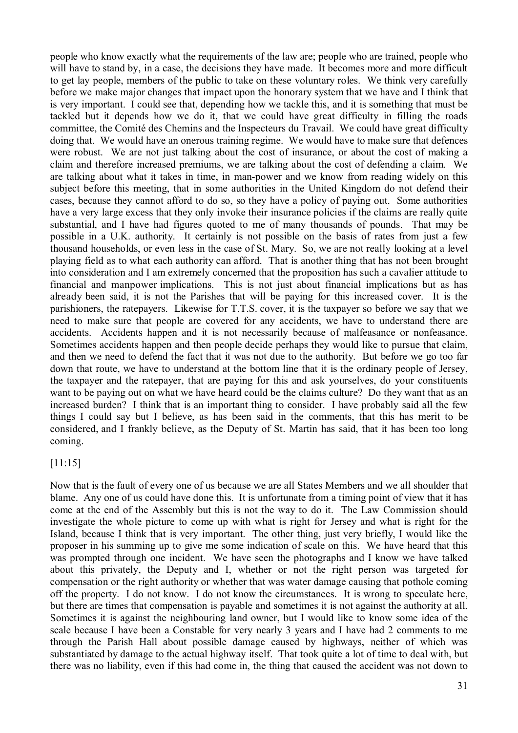people who know exactly what the requirements of the law are; people who are trained, people who will have to stand by, in a case, the decisions they have made. It becomes more and more difficult to get lay people, members of the public to take on these voluntary roles. We think very carefully before we make major changes that impact upon the honorary system that we have and I think that is very important. I could see that, depending how we tackle this, and it is something that must be tackled but it depends how we do it, that we could have great difficulty in filling the roads committee, the Comité des Chemins and the Inspecteurs du Travail. We could have great difficulty doing that. We would have an onerous training regime. We would have to make sure that defences were robust. We are not just talking about the cost of insurance, or about the cost of making a claim and therefore increased premiums, we are talking about the cost of defending a claim. We are talking about what it takes in time, in man-power and we know from reading widely on this subject before this meeting, that in some authorities in the United Kingdom do not defend their cases, because they cannot afford to do so, so they have a policy of paying out. Some authorities have a very large excess that they only invoke their insurance policies if the claims are really quite substantial, and I have had figures quoted to me of many thousands of pounds. That may be possible in a U.K. authority. It certainly is not possible on the basis of rates from just a few thousand households, or even less in the case of St. Mary. So, we are not really looking at a level playing field as to what each authority can afford. That is another thing that has not been brought into consideration and I am extremely concerned that the proposition has such a cavalier attitude to financial and manpower implications. This is not just about financial implications but as has already been said, it is not the Parishes that will be paying for this increased cover. It is the parishioners, the ratepayers. Likewise for T.T.S. cover, it is the taxpayer so before we say that we need to make sure that people are covered for any accidents, we have to understand there are accidents. Accidents happen and it is not necessarily because of malfeasance or nonfeasance. Sometimes accidents happen and then people decide perhaps they would like to pursue that claim, and then we need to defend the fact that it was not due to the authority. But before we go too far down that route, we have to understand at the bottom line that it is the ordinary people of Jersey, the taxpayer and the ratepayer, that are paying for this and ask yourselves, do your constituents want to be paying out on what we have heard could be the claims culture? Do they want that as an increased burden? I think that is an important thing to consider. I have probably said all the few things I could say but I believe, as has been said in the comments, that this has merit to be considered, and I frankly believe, as the Deputy of St. Martin has said, that it has been too long coming.

## [11:15]

Now that is the fault of every one of us because we are all States Members and we all shoulder that blame. Any one of us could have done this. It is unfortunate from a timing point of view that it has come at the end of the Assembly but this is not the way to do it. The Law Commission should investigate the whole picture to come up with what is right for Jersey and what is right for the Island, because I think that is very important. The other thing, just very briefly, I would like the proposer in his summing up to give me some indication of scale on this. We have heard that this was prompted through one incident. We have seen the photographs and I know we have talked about this privately, the Deputy and I, whether or not the right person was targeted for compensation or the right authority or whether that was water damage causing that pothole coming off the property. I do not know. I do not know the circumstances. It is wrong to speculate here, but there are times that compensation is payable and sometimes it is not against the authority at all. Sometimes it is against the neighbouring land owner, but I would like to know some idea of the scale because I have been a Constable for very nearly 3 years and I have had 2 comments to me through the Parish Hall about possible damage caused by highways, neither of which was substantiated by damage to the actual highway itself. That took quite a lot of time to deal with, but there was no liability, even if this had come in, the thing that caused the accident was not down to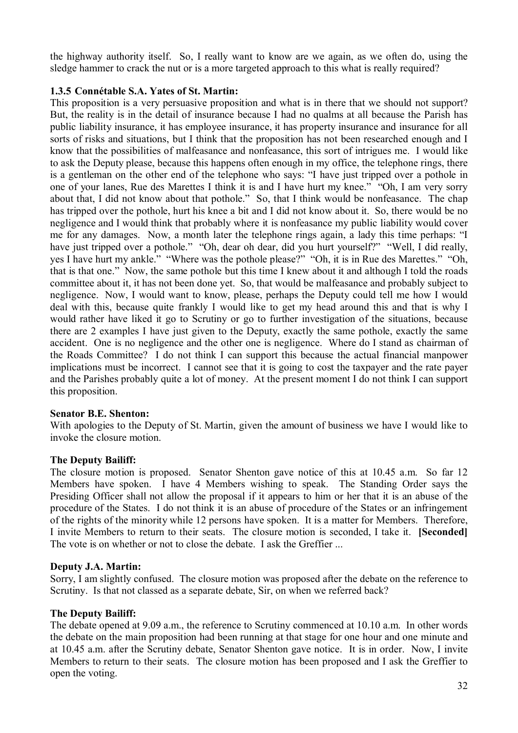the highway authority itself. So, I really want to know are we again, as we often do, using the sledge hammer to crack the nut or is a more targeted approach to this what is really required?

# **1.3.5 Connétable S.A. Yates of St. Martin:**

This proposition is a very persuasive proposition and what is in there that we should not support? But, the reality is in the detail of insurance because I had no qualms at all because the Parish has public liability insurance, it has employee insurance, it has property insurance and insurance for all sorts of risks and situations, but I think that the proposition has not been researched enough and I know that the possibilities of malfeasance and nonfeasance, this sort of intrigues me. I would like to ask the Deputy please, because this happens often enough in my office, the telephone rings, there is a gentleman on the other end of the telephone who says: "I have just tripped over a pothole in one of your lanes, Rue des Marettes I think it is and I have hurt my knee." "Oh, I am very sorry about that, I did not know about that pothole." So, that I think would be nonfeasance. The chap has tripped over the pothole, hurt his knee a bit and I did not know about it. So, there would be no negligence and I would think that probably where it is nonfeasance my public liability would cover me for any damages. Now, a month later the telephone rings again, a lady this time perhaps: "I have just tripped over a pothole." "Oh, dear oh dear, did you hurt yourself?" "Well, I did really, yes I have hurt my ankle." "Where was the pothole please?" "Oh, it is in Rue des Marettes." "Oh, that is that one." Now, the same pothole but this time I knew about it and although I told the roads committee about it, it has not been done yet. So, that would be malfeasance and probably subject to negligence. Now, I would want to know, please, perhaps the Deputy could tell me how I would deal with this, because quite frankly I would like to get my head around this and that is why I would rather have liked it go to Scrutiny or go to further investigation of the situations, because there are 2 examples I have just given to the Deputy, exactly the same pothole, exactly the same accident. One is no negligence and the other one is negligence. Where do I stand as chairman of the Roads Committee? I do not think I can support this because the actual financial manpower implications must be incorrect. I cannot see that it is going to cost the taxpayer and the rate payer and the Parishes probably quite a lot of money. At the present moment I do not think I can support this proposition.

## **Senator B.E. Shenton:**

With apologies to the Deputy of St. Martin, given the amount of business we have I would like to invoke the closure motion.

# **The Deputy Bailiff:**

The closure motion is proposed. Senator Shenton gave notice of this at 10.45 a.m. So far 12 Members have spoken. I have 4 Members wishing to speak. The Standing Order says the Presiding Officer shall not allow the proposal if it appears to him or her that it is an abuse of the procedure of the States. I do not think it is an abuse of procedure of the States or an infringement of the rights of the minority while 12 persons have spoken. It is a matter for Members. Therefore, I invite Members to return to their seats. The closure motion is seconded, I take it. **[Seconded]** The vote is on whether or not to close the debate. I ask the Greffier ...

## **Deputy J.A. Martin:**

Sorry, I am slightly confused. The closure motion was proposed after the debate on the reference to Scrutiny. Is that not classed as a separate debate, Sir, on when we referred back?

## **The Deputy Bailiff:**

The debate opened at 9.09 a.m., the reference to Scrutiny commenced at 10.10 a.m. In other words the debate on the main proposition had been running at that stage for one hour and one minute and at 10.45 a.m. after the Scrutiny debate, Senator Shenton gave notice. It is in order. Now, I invite Members to return to their seats. The closure motion has been proposed and I ask the Greffier to open the voting.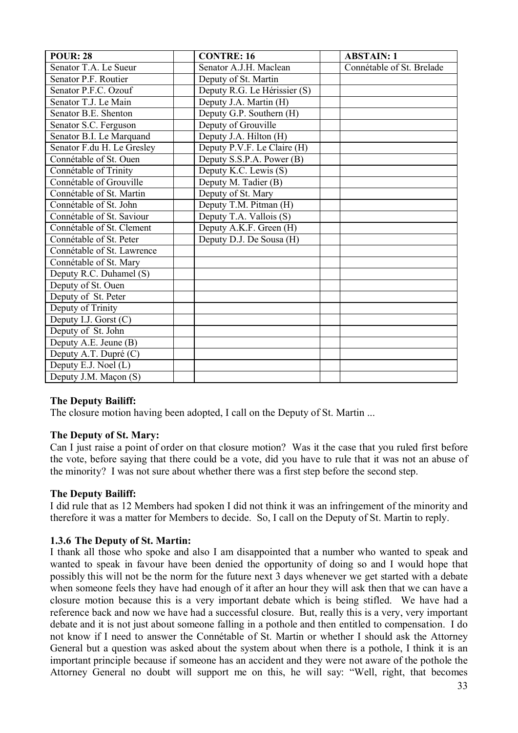| <b>POUR: 28</b>            | <b>CONTRE: 16</b>            | <b>ABSTAIN: 1</b>         |
|----------------------------|------------------------------|---------------------------|
| Senator T.A. Le Sueur      | Senator A.J.H. Maclean       | Connétable of St. Brelade |
| Senator P.F. Routier       | Deputy of St. Martin         |                           |
| Senator P.F.C. Ozouf       | Deputy R.G. Le Hérissier (S) |                           |
| Senator T.J. Le Main       | Deputy J.A. Martin (H)       |                           |
| Senator B.E. Shenton       | Deputy G.P. Southern (H)     |                           |
| Senator S.C. Ferguson      | Deputy of Grouville          |                           |
| Senator B.I. Le Marquand   | Deputy J.A. Hilton (H)       |                           |
| Senator F.du H. Le Gresley | Deputy P.V.F. Le Claire (H)  |                           |
| Connétable of St. Ouen     | Deputy S.S.P.A. Power (B)    |                           |
| Connétable of Trinity      | Deputy K.C. Lewis (S)        |                           |
| Connétable of Grouville    | Deputy M. Tadier (B)         |                           |
| Connétable of St. Martin   | Deputy of St. Mary           |                           |
| Connétable of St. John     | Deputy T.M. Pitman (H)       |                           |
| Connétable of St. Saviour  | Deputy T.A. Vallois (S)      |                           |
| Connétable of St. Clement  | Deputy A.K.F. Green (H)      |                           |
| Connétable of St. Peter    | Deputy D.J. De Sousa (H)     |                           |
| Connétable of St. Lawrence |                              |                           |
| Connétable of St. Mary     |                              |                           |
| Deputy R.C. Duhamel (S)    |                              |                           |
| Deputy of St. Ouen         |                              |                           |
| Deputy of St. Peter        |                              |                           |
| Deputy of Trinity          |                              |                           |
| Deputy I.J. Gorst (C)      |                              |                           |
| Deputy of St. John         |                              |                           |
| Deputy A.E. Jeune (B)      |                              |                           |
| Deputy A.T. Dupré (C)      |                              |                           |
| Deputy E.J. Noel (L)       |                              |                           |
| Deputy J.M. Maçon (S)      |                              |                           |

# **The Deputy Bailiff:**

The closure motion having been adopted, I call on the Deputy of St. Martin ...

# **The Deputy of St. Mary:**

Can I just raise a point of order on that closure motion? Was it the case that you ruled first before the vote, before saying that there could be a vote, did you have to rule that it was not an abuse of the minority? I was not sure about whether there was a first step before the second step.

# **The Deputy Bailiff:**

I did rule that as 12 Members had spoken I did not think it was an infringement of the minority and therefore it was a matter for Members to decide. So, I call on the Deputy of St. Martin to reply.

# **1.3.6 The Deputy of St. Martin:**

I thank all those who spoke and also I am disappointed that a number who wanted to speak and wanted to speak in favour have been denied the opportunity of doing so and I would hope that possibly this will not be the norm for the future next 3 days whenever we get started with a debate when someone feels they have had enough of it after an hour they will ask then that we can have a closure motion because this is a very important debate which is being stifled. We have had a reference back and now we have had a successful closure. But, really this is a very, very important debate and it is not just about someone falling in a pothole and then entitled to compensation. I do not know if I need to answer the Connétable of St. Martin or whether I should ask the Attorney General but a question was asked about the system about when there is a pothole, I think it is an important principle because if someone has an accident and they were not aware of the pothole the Attorney General no doubt will support me on this, he will say: "Well, right, that becomes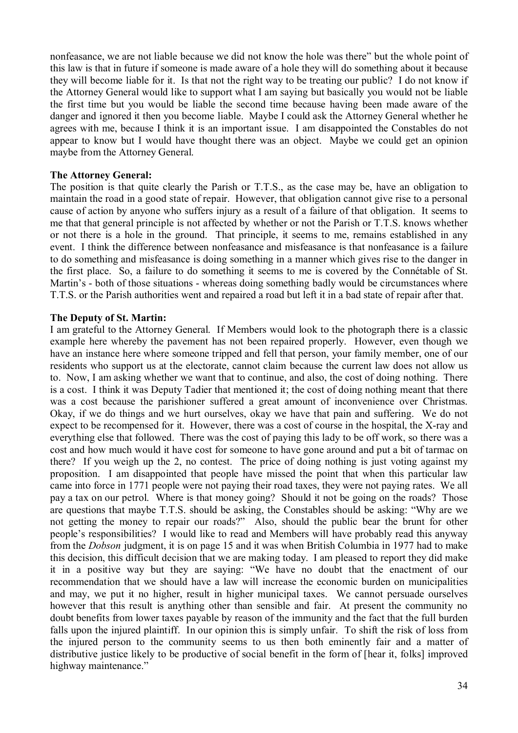nonfeasance, we are not liable because we did not know the hole was there" but the whole point of this law is that in future if someone is made aware of a hole they will do something about it because they will become liable for it. Is that not the right way to be treating our public? I do not know if the Attorney General would like to support what I am saying but basically you would not be liable the first time but you would be liable the second time because having been made aware of the danger and ignored it then you become liable. Maybe I could ask the Attorney General whether he agrees with me, because I think it is an important issue. I am disappointed the Constables do not appear to know but I would have thought there was an object. Maybe we could get an opinion maybe from the Attorney General.

## **The Attorney General:**

The position is that quite clearly the Parish or T.T.S., as the case may be, have an obligation to maintain the road in a good state of repair. However, that obligation cannot give rise to a personal cause of action by anyone who suffers injury as a result of a failure of that obligation. It seems to me that that general principle is not affected by whether or not the Parish or T.T.S. knows whether or not there is a hole in the ground. That principle, it seems to me, remains established in any event. I think the difference between nonfeasance and misfeasance is that nonfeasance is a failure to do something and misfeasance is doing something in a manner which gives rise to the danger in the first place. So, a failure to do something it seems to me is covered by the Connétable of St. Martin's - both of those situations - whereas doing something badly would be circumstances where T.T.S. or the Parish authorities went and repaired a road but left it in a bad state of repair after that.

# **The Deputy of St. Martin:**

I am grateful to the Attorney General. If Members would look to the photograph there is a classic example here whereby the pavement has not been repaired properly. However, even though we have an instance here where someone tripped and fell that person, your family member, one of our residents who support us at the electorate, cannot claim because the current law does not allow us to. Now, I am asking whether we want that to continue, and also, the cost of doing nothing. There is a cost. I think it was Deputy Tadier that mentioned it; the cost of doing nothing meant that there was a cost because the parishioner suffered a great amount of inconvenience over Christmas. Okay, if we do things and we hurt ourselves, okay we have that pain and suffering. We do not expect to be recompensed for it. However, there was a cost of course in the hospital, the X-ray and everything else that followed. There was the cost of paying this lady to be off work, so there was a cost and how much would it have cost for someone to have gone around and put a bit of tarmac on there? If you weigh up the 2, no contest. The price of doing nothing is just voting against my proposition. I am disappointed that people have missed the point that when this particular law came into force in 1771 people were not paying their road taxes, they were not paying rates. We all pay a tax on our petrol. Where is that money going? Should it not be going on the roads? Those are questions that maybe T.T.S. should be asking, the Constables should be asking: "Why are we not getting the money to repair our roads?" Also, should the public bear the brunt for other people's responsibilities? I would like to read and Members will have probably read this anyway from the *Dobson* judgment, it is on page 15 and it was when British Columbia in 1977 had to make this decision, this difficult decision that we are making today. I am pleased to report they did make it in a positive way but they are saying: "We have no doubt that the enactment of our recommendation that we should have a law will increase the economic burden on municipalities and may, we put it no higher, result in higher municipal taxes. We cannot persuade ourselves however that this result is anything other than sensible and fair. At present the community no doubt benefits from lower taxes payable by reason of the immunity and the fact that the full burden falls upon the injured plaintiff. In our opinion this is simply unfair. To shift the risk of loss from the injured person to the community seems to us then both eminently fair and a matter of distributive justice likely to be productive of social benefit in the form of [hear it, folks] improved highway maintenance."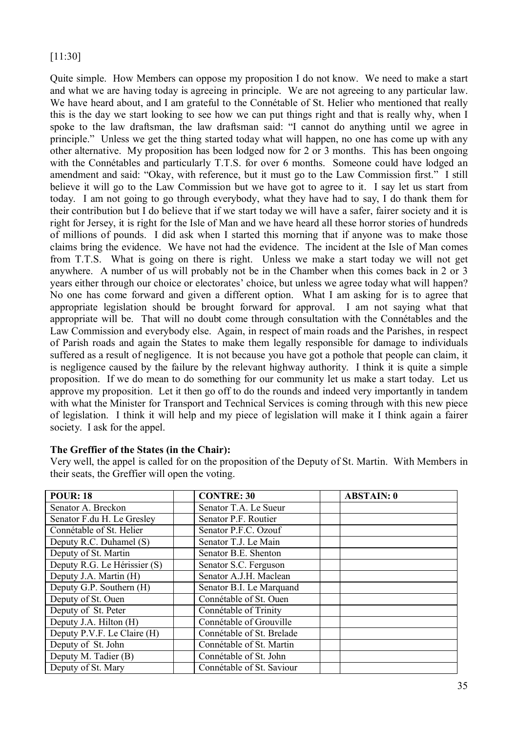# [11:30]

Quite simple. How Members can oppose my proposition I do not know. We need to make a start and what we are having today is agreeing in principle. We are not agreeing to any particular law. We have heard about, and I am grateful to the Connétable of St. Helier who mentioned that really this is the day we start looking to see how we can put things right and that is really why, when I spoke to the law draftsman, the law draftsman said: "I cannot do anything until we agree in principle." Unless we get the thing started today what will happen, no one has come up with any other alternative. My proposition has been lodged now for 2 or 3 months. This has been ongoing with the Connétables and particularly T.T.S. for over 6 months. Someone could have lodged an amendment and said: "Okay, with reference, but it must go to the Law Commission first." I still believe it will go to the Law Commission but we have got to agree to it. I say let us start from today. I am not going to go through everybody, what they have had to say, I do thank them for their contribution but I do believe that if we start today we will have a safer, fairer society and it is right for Jersey, it is right for the Isle of Man and we have heard all these horror stories of hundreds of millions of pounds. I did ask when I started this morning that if anyone was to make those claims bring the evidence. We have not had the evidence. The incident at the Isle of Man comes from T.T.S. What is going on there is right. Unless we make a start today we will not get anywhere. A number of us will probably not be in the Chamber when this comes back in 2 or 3 years either through our choice or electorates' choice, but unless we agree today what will happen? No one has come forward and given a different option. What I am asking for is to agree that appropriate legislation should be brought forward for approval. I am not saying what that appropriate will be. That will no doubt come through consultation with the Connétables and the Law Commission and everybody else. Again, in respect of main roads and the Parishes, in respect of Parish roads and again the States to make them legally responsible for damage to individuals suffered as a result of negligence. It is not because you have got a pothole that people can claim, it is negligence caused by the failure by the relevant highway authority. I think it is quite a simple proposition. If we do mean to do something for our community let us make a start today. Let us approve my proposition. Let it then go off to do the rounds and indeed very importantly in tandem with what the Minister for Transport and Technical Services is coming through with this new piece of legislation. I think it will help and my piece of legislation will make it I think again a fairer society. I ask for the appel.

# **The Greffier of the States (in the Chair):**

Very well, the appel is called for on the proposition of the Deputy of St. Martin. With Members in their seats, the Greffier will open the voting.

| <b>POUR: 18</b>              | <b>CONTRE: 30</b>         | <b>ABSTAIN: 0</b> |
|------------------------------|---------------------------|-------------------|
| Senator A. Breckon           | Senator T.A. Le Sueur     |                   |
| Senator F.du H. Le Gresley   | Senator P.F. Routier      |                   |
| Connétable of St. Helier     | Senator P.F.C. Ozouf      |                   |
| Deputy R.C. Duhamel (S)      | Senator T.J. Le Main      |                   |
| Deputy of St. Martin         | Senator B.E. Shenton      |                   |
| Deputy R.G. Le Hérissier (S) | Senator S.C. Ferguson     |                   |
| Deputy J.A. Martin (H)       | Senator A.J.H. Maclean    |                   |
| Deputy G.P. Southern (H)     | Senator B.I. Le Marquand  |                   |
| Deputy of St. Ouen           | Connétable of St. Ouen    |                   |
| Deputy of St. Peter          | Connétable of Trinity     |                   |
| Deputy J.A. Hilton (H)       | Connétable of Grouville   |                   |
| Deputy P.V.F. Le Claire (H)  | Connétable of St. Brelade |                   |
| Deputy of St. John           | Connétable of St. Martin  |                   |
| Deputy M. Tadier (B)         | Connétable of St. John    |                   |
| Deputy of St. Mary           | Connétable of St. Saviour |                   |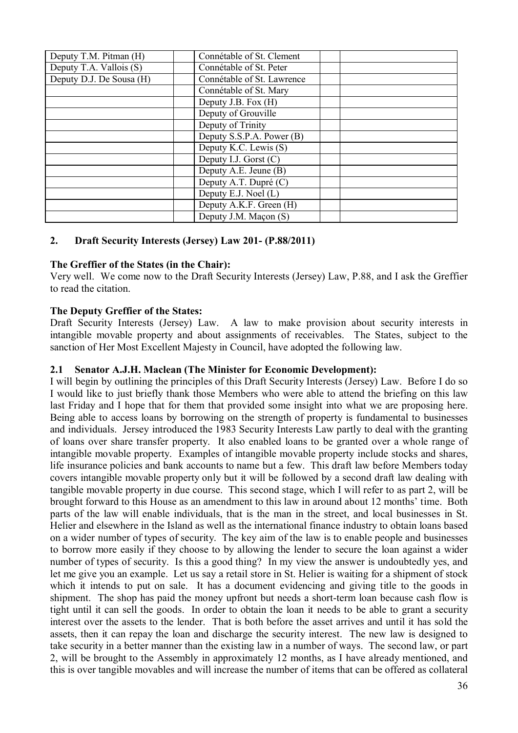| Deputy T.M. Pitman (H)   | Connétable of St. Clement  |  |
|--------------------------|----------------------------|--|
| Deputy T.A. Vallois (S)  | Connétable of St. Peter    |  |
| Deputy D.J. De Sousa (H) | Connétable of St. Lawrence |  |
|                          | Connétable of St. Mary     |  |
|                          | Deputy J.B. Fox (H)        |  |
|                          | Deputy of Grouville        |  |
|                          | Deputy of Trinity          |  |
|                          | Deputy S.S.P.A. Power (B)  |  |
|                          | Deputy K.C. Lewis (S)      |  |
|                          | Deputy I.J. Gorst $(C)$    |  |
|                          | Deputy A.E. Jeune (B)      |  |
|                          | Deputy A.T. Dupré (C)      |  |
|                          | Deputy E.J. Noel (L)       |  |
|                          | Deputy A.K.F. Green (H)    |  |
|                          | Deputy J.M. Maçon (S)      |  |

# **2. Draft Security Interests (Jersey) Law 201- (P.88/2011)**

## **The Greffier of the States (in the Chair):**

Very well. We come now to the Draft Security Interests (Jersey) Law, P.88, and I ask the Greffier to read the citation.

## **The Deputy Greffier of the States:**

Draft Security Interests (Jersey) Law. A law to make provision about security interests in intangible movable property and about assignments of receivables. The States, subject to the sanction of Her Most Excellent Majesty in Council, have adopted the following law.

## **2.1 Senator A.J.H. Maclean (The Minister for Economic Development):**

I will begin by outlining the principles of this Draft Security Interests (Jersey) Law. Before I do so I would like to just briefly thank those Members who were able to attend the briefing on this law last Friday and I hope that for them that provided some insight into what we are proposing here. Being able to access loans by borrowing on the strength of property is fundamental to businesses and individuals. Jersey introduced the 1983 Security Interests Law partly to deal with the granting of loans over share transfer property. It also enabled loans to be granted over a whole range of intangible movable property. Examples of intangible movable property include stocks and shares, life insurance policies and bank accounts to name but a few. This draft law before Members today covers intangible movable property only but it will be followed by a second draft law dealing with tangible movable property in due course. This second stage, which I will refer to as part 2, will be brought forward to this House as an amendment to this law in around about 12 months' time. Both parts of the law will enable individuals, that is the man in the street, and local businesses in St. Helier and elsewhere in the Island as well as the international finance industry to obtain loans based on a wider number of types of security. The key aim of the law is to enable people and businesses to borrow more easily if they choose to by allowing the lender to secure the loan against a wider number of types of security. Is this a good thing? In my view the answer is undoubtedly yes, and let me give you an example. Let us say a retail store in St. Helier is waiting for a shipment of stock which it intends to put on sale. It has a document evidencing and giving title to the goods in shipment. The shop has paid the money upfront but needs a short-term loan because cash flow is tight until it can sell the goods. In order to obtain the loan it needs to be able to grant a security interest over the assets to the lender. That is both before the asset arrives and until it has sold the assets, then it can repay the loan and discharge the security interest. The new law is designed to take security in a better manner than the existing law in a number of ways. The second law, or part 2, will be brought to the Assembly in approximately 12 months, as I have already mentioned, and this is over tangible movables and will increase the number of items that can be offered as collateral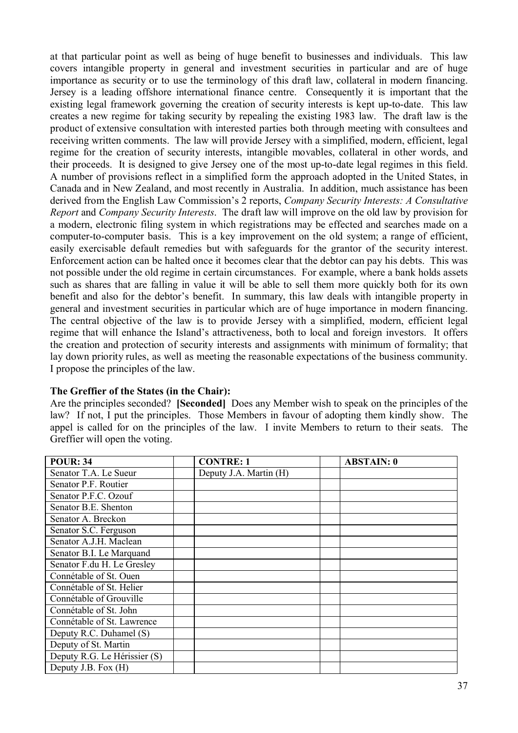at that particular point as well as being of huge benefit to businesses and individuals. This law covers intangible property in general and investment securities in particular and are of huge importance as security or to use the terminology of this draft law, collateral in modern financing. Jersey is a leading offshore international finance centre. Consequently it is important that the existing legal framework governing the creation of security interests is kept up-to-date. This law creates a new regime for taking security by repealing the existing 1983 law. The draft law is the product of extensive consultation with interested parties both through meeting with consultees and receiving written comments. The law will provide Jersey with a simplified, modern, efficient, legal regime for the creation of security interests, intangible movables, collateral in other words, and their proceeds. It is designed to give Jersey one of the most up-to-date legal regimes in this field. A number of provisions reflect in a simplified form the approach adopted in the United States, in Canada and in New Zealand, and most recently in Australia. In addition, much assistance has been derived from the English Law Commission's 2 reports, *Company Security Interests: A Consultative Report* and *Company Security Interests*. The draft law will improve on the old law by provision for a modern, electronic filing system in which registrations may be effected and searches made on a computer-to-computer basis. This is a key improvement on the old system; a range of efficient, easily exercisable default remedies but with safeguards for the grantor of the security interest. Enforcement action can be halted once it becomes clear that the debtor can pay his debts. This was not possible under the old regime in certain circumstances. For example, where a bank holds assets such as shares that are falling in value it will be able to sell them more quickly both for its own benefit and also for the debtor's benefit. In summary, this law deals with intangible property in general and investment securities in particular which are of huge importance in modern financing. The central objective of the law is to provide Jersey with a simplified, modern, efficient legal regime that will enhance the Island's attractiveness, both to local and foreign investors. It offers the creation and protection of security interests and assignments with minimum of formality; that lay down priority rules, as well as meeting the reasonable expectations of the business community. I propose the principles of the law.

### **The Greffier of the States (in the Chair):**

Are the principles seconded? **[Seconded]** Does any Member wish to speak on the principles of the law? If not, I put the principles. Those Members in favour of adopting them kindly show. The appel is called for on the principles of the law. I invite Members to return to their seats. The Greffier will open the voting.

| <b>POUR: 34</b>              | <b>CONTRE: 1</b>       | <b>ABSTAIN: 0</b> |
|------------------------------|------------------------|-------------------|
| Senator T.A. Le Sueur        | Deputy J.A. Martin (H) |                   |
| Senator P.F. Routier         |                        |                   |
| Senator P.F.C. Ozouf         |                        |                   |
| Senator B.E. Shenton         |                        |                   |
| Senator A. Breckon           |                        |                   |
| Senator S.C. Ferguson        |                        |                   |
| Senator A.J.H. Maclean       |                        |                   |
| Senator B.I. Le Marquand     |                        |                   |
| Senator F.du H. Le Gresley   |                        |                   |
| Connétable of St. Ouen       |                        |                   |
| Connétable of St. Helier     |                        |                   |
| Connétable of Grouville      |                        |                   |
| Connétable of St. John       |                        |                   |
| Connétable of St. Lawrence   |                        |                   |
| Deputy R.C. Duhamel (S)      |                        |                   |
| Deputy of St. Martin         |                        |                   |
| Deputy R.G. Le Hérissier (S) |                        |                   |
| Deputy J.B. Fox (H)          |                        |                   |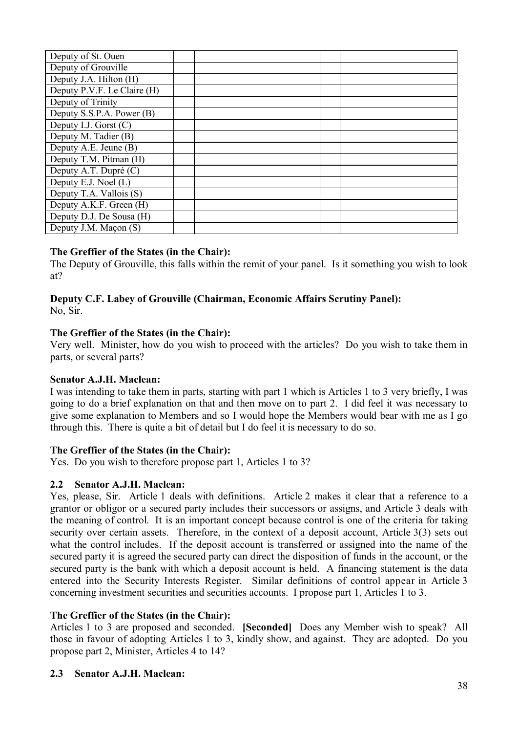| Deputy of St. Ouen          |  |  |
|-----------------------------|--|--|
| Deputy of Grouville         |  |  |
| Deputy J.A. Hilton (H)      |  |  |
| Deputy P.V.F. Le Claire (H) |  |  |
| Deputy of Trinity           |  |  |
| Deputy S.S.P.A. Power (B)   |  |  |
| Deputy I.J. Gorst $(C)$     |  |  |
| Deputy M. Tadier (B)        |  |  |
| Deputy A.E. Jeune (B)       |  |  |
| Deputy T.M. Pitman (H)      |  |  |
| Deputy A.T. Dupré (C)       |  |  |
| Deputy E.J. Noel (L)        |  |  |
| Deputy T.A. Vallois (S)     |  |  |
| Deputy A.K.F. Green (H)     |  |  |
| Deputy D.J. De Sousa (H)    |  |  |
| Deputy J.M. Maçon (S)       |  |  |

### **The Greffier of the States (in the Chair):**

The Deputy of Grouville, this falls within the remit of your panel. Is it something you wish to look at?

# **Deputy C.F. Labey of Grouville (Chairman, Economic Affairs Scrutiny Panel):**

No, Sir.

### **The Greffier of the States (in the Chair):**

Very well. Minister, how do you wish to proceed with the articles? Do you wish to take them in parts, or several parts?

### **Senator A.J.H. Maclean:**

I was intending to take them in parts, starting with part 1 which is Articles 1 to 3 very briefly, I was going to do a brief explanation on that and then move on to part 2. I did feel it was necessary to give some explanation to Members and so I would hope the Members would bear with me as I go through this. There is quite a bit of detail but I do feel it is necessary to do so.

### **The Greffier of the States (in the Chair):**

Yes. Do you wish to therefore propose part 1, Articles 1 to 3?

### **2.2 Senator A.J.H. Maclean:**

Yes, please, Sir. Article 1 deals with definitions. Article 2 makes it clear that a reference to a grantor or obligor or a secured party includes their successors or assigns, and Article 3 deals with the meaning of control. It is an important concept because control is one of the criteria for taking security over certain assets. Therefore, in the context of a deposit account, Article 3(3) sets out what the control includes. If the deposit account is transferred or assigned into the name of the secured party it is agreed the secured party can direct the disposition of funds in the account, or the secured party is the bank with which a deposit account is held. A financing statement is the data entered into the Security Interests Register. Similar definitions of control appear in Article 3 concerning investment securities and securities accounts. I propose part 1, Articles 1 to 3.

# **The Greffier of the States (in the Chair):**

Articles 1 to 3 are proposed and seconded. **[Seconded]** Does any Member wish to speak? All those in favour of adopting Articles 1 to 3, kindly show, and against. They are adopted. Do you propose part 2, Minister, Articles 4 to 14?

### **2.3 Senator A.J.H. Maclean:**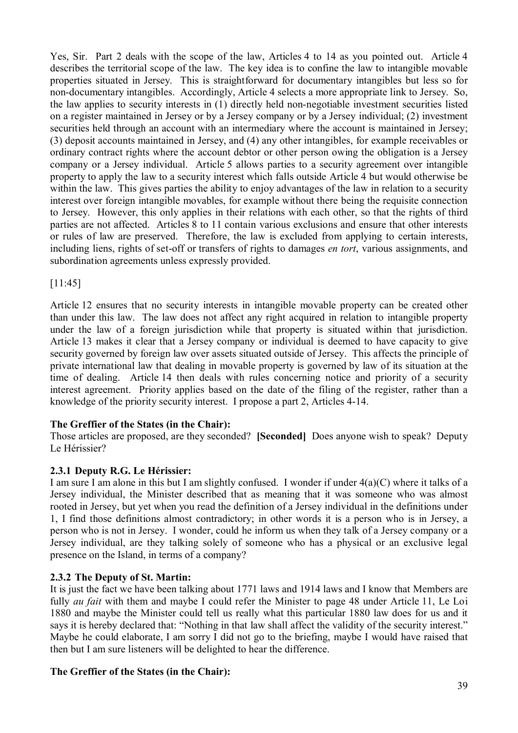Yes, Sir. Part 2 deals with the scope of the law, Articles 4 to 14 as you pointed out. Article 4 describes the territorial scope of the law. The key idea is to confine the law to intangible movable properties situated in Jersey. This is straightforward for documentary intangibles but less so for non-documentary intangibles. Accordingly, Article 4 selects a more appropriate link to Jersey. So, the law applies to security interests in (1) directly held non-negotiable investment securities listed on a register maintained in Jersey or by a Jersey company or by a Jersey individual; (2) investment securities held through an account with an intermediary where the account is maintained in Jersey; (3) deposit accounts maintained in Jersey, and (4) any other intangibles, for example receivables or ordinary contract rights where the account debtor or other person owing the obligation is a Jersey company or a Jersey individual. Article 5 allows parties to a security agreement over intangible property to apply the law to a security interest which falls outside Article 4 but would otherwise be within the law. This gives parties the ability to enjoy advantages of the law in relation to a security interest over foreign intangible movables, for example without there being the requisite connection to Jersey. However, this only applies in their relations with each other, so that the rights of third parties are not affected. Articles 8 to 11 contain various exclusions and ensure that other interests or rules of law are preserved. Therefore, the law is excluded from applying to certain interests, including liens, rights of set-off or transfers of rights to damages *en tort*, various assignments, and subordination agreements unless expressly provided.

[11:45]

Article 12 ensures that no security interests in intangible movable property can be created other than under this law. The law does not affect any right acquired in relation to intangible property under the law of a foreign jurisdiction while that property is situated within that jurisdiction. Article 13 makes it clear that a Jersey company or individual is deemed to have capacity to give security governed by foreign law over assets situated outside of Jersey. This affects the principle of private international law that dealing in movable property is governed by law of its situation at the time of dealing. Article 14 then deals with rules concerning notice and priority of a security interest agreement. Priority applies based on the date of the filing of the register, rather than a knowledge of the priority security interest. I propose a part 2, Articles 4-14.

### **The Greffier of the States (in the Chair):**

Those articles are proposed, are they seconded? **[Seconded]** Does anyone wish to speak? Deputy Le Hérissier?

### **2.3.1 Deputy R.G. Le Hérissier:**

I am sure I am alone in this but I am slightly confused. I wonder if under  $4(a)(C)$  where it talks of a Jersey individual, the Minister described that as meaning that it was someone who was almost rooted in Jersey, but yet when you read the definition of a Jersey individual in the definitions under 1, I find those definitions almost contradictory; in other words it is a person who is in Jersey, a person who is not in Jersey. I wonder, could he inform us when they talk of a Jersey company or a Jersey individual, are they talking solely of someone who has a physical or an exclusive legal presence on the Island, in terms of a company?

### **2.3.2 The Deputy of St. Martin:**

It is just the fact we have been talking about 1771 laws and 1914 laws and I know that Members are fully *au fait* with them and maybe I could refer the Minister to page 48 under Article 11, Le Loi 1880 and maybe the Minister could tell us really what this particular 1880 law does for us and it says it is hereby declared that: "Nothing in that law shall affect the validity of the security interest." Maybe he could elaborate, I am sorry I did not go to the briefing, maybe I would have raised that then but I am sure listeners will be delighted to hear the difference.

### **The Greffier of the States (in the Chair):**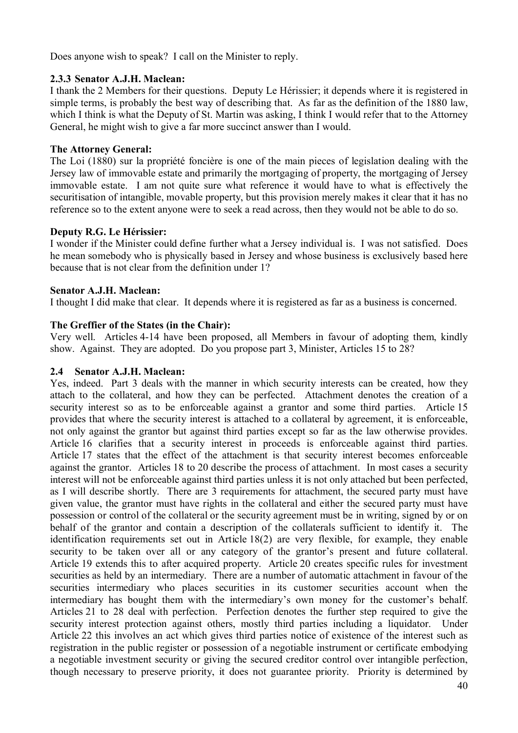Does anyone wish to speak? I call on the Minister to reply.

### **2.3.3 Senator A.J.H. Maclean:**

I thank the 2 Members for their questions. Deputy Le Hérissier; it depends where it is registered in simple terms, is probably the best way of describing that. As far as the definition of the 1880 law, which I think is what the Deputy of St. Martin was asking, I think I would refer that to the Attorney General, he might wish to give a far more succinct answer than I would.

#### **The Attorney General:**

The Loi (1880) sur la propriété foncière is one of the main pieces of legislation dealing with the Jersey law of immovable estate and primarily the mortgaging of property, the mortgaging of Jersey immovable estate. I am not quite sure what reference it would have to what is effectively the securitisation of intangible, movable property, but this provision merely makes it clear that it has no reference so to the extent anyone were to seek a read across, then they would not be able to do so.

#### **Deputy R.G. Le Hérissier:**

I wonder if the Minister could define further what a Jersey individual is. I was not satisfied. Does he mean somebody who is physically based in Jersey and whose business is exclusively based here because that is not clear from the definition under 1?

#### **Senator A.J.H. Maclean:**

I thought I did make that clear. It depends where it is registered as far as a business is concerned.

#### **The Greffier of the States (in the Chair):**

Very well. Articles 4-14 have been proposed, all Members in favour of adopting them, kindly show. Against. They are adopted. Do you propose part 3, Minister, Articles 15 to 28?

#### **2.4 Senator A.J.H. Maclean:**

Yes, indeed. Part 3 deals with the manner in which security interests can be created, how they attach to the collateral, and how they can be perfected. Attachment denotes the creation of a security interest so as to be enforceable against a grantor and some third parties. Article 15 provides that where the security interest is attached to a collateral by agreement, it is enforceable, not only against the grantor but against third parties except so far as the law otherwise provides. Article 16 clarifies that a security interest in proceeds is enforceable against third parties. Article 17 states that the effect of the attachment is that security interest becomes enforceable against the grantor. Articles 18 to 20 describe the process of attachment. In most cases a security interest will not be enforceable against third parties unless it is not only attached but been perfected, as I will describe shortly. There are 3 requirements for attachment, the secured party must have given value, the grantor must have rights in the collateral and either the secured party must have possession or control of the collateral or the security agreement must be in writing, signed by or on behalf of the grantor and contain a description of the collaterals sufficient to identify it. The identification requirements set out in Article 18(2) are very flexible, for example, they enable security to be taken over all or any category of the grantor's present and future collateral. Article 19 extends this to after acquired property. Article 20 creates specific rules for investment securities as held by an intermediary. There are a number of automatic attachment in favour of the securities intermediary who places securities in its customer securities account when the intermediary has bought them with the intermediary's own money for the customer's behalf. Articles 21 to 28 deal with perfection. Perfection denotes the further step required to give the security interest protection against others, mostly third parties including a liquidator. Under Article 22 this involves an act which gives third parties notice of existence of the interest such as registration in the public register or possession of a negotiable instrument or certificate embodying a negotiable investment security or giving the secured creditor control over intangible perfection, though necessary to preserve priority, it does not guarantee priority. Priority is determined by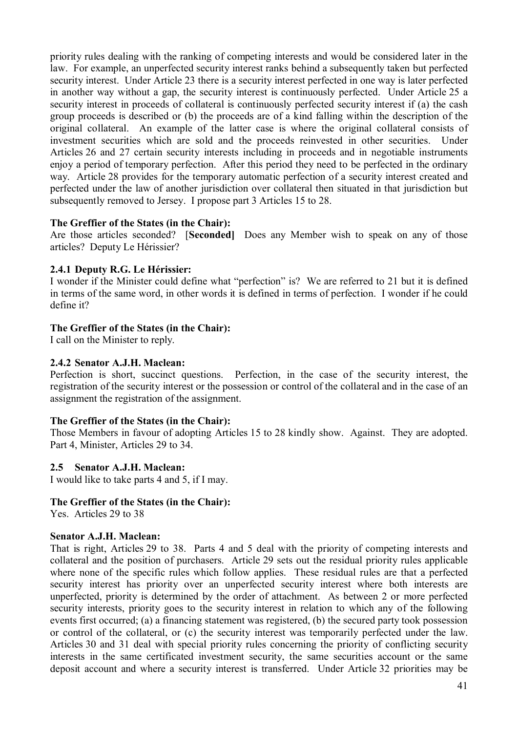priority rules dealing with the ranking of competing interests and would be considered later in the law. For example, an unperfected security interest ranks behind a subsequently taken but perfected security interest. Under Article 23 there is a security interest perfected in one way is later perfected in another way without a gap, the security interest is continuously perfected. Under Article 25 a security interest in proceeds of collateral is continuously perfected security interest if (a) the cash group proceeds is described or (b) the proceeds are of a kind falling within the description of the original collateral. An example of the latter case is where the original collateral consists of investment securities which are sold and the proceeds reinvested in other securities. Under Articles 26 and 27 certain security interests including in proceeds and in negotiable instruments enjoy a period of temporary perfection. After this period they need to be perfected in the ordinary way. Article 28 provides for the temporary automatic perfection of a security interest created and perfected under the law of another jurisdiction over collateral then situated in that jurisdiction but subsequently removed to Jersey. I propose part 3 Articles 15 to 28.

#### **The Greffier of the States (in the Chair):**

Are those articles seconded? [**Seconded]** Does any Member wish to speak on any of those articles? Deputy Le Hérissier?

#### **2.4.1 Deputy R.G. Le Hérissier:**

I wonder if the Minister could define what "perfection" is? We are referred to 21 but it is defined in terms of the same word, in other words it is defined in terms of perfection. I wonder if he could define it?

### **The Greffier of the States (in the Chair):**

I call on the Minister to reply.

### **2.4.2 Senator A.J.H. Maclean:**

Perfection is short, succinct questions. Perfection, in the case of the security interest, the registration of the security interest or the possession or control of the collateral and in the case of an assignment the registration of the assignment.

### **The Greffier of the States (in the Chair):**

Those Members in favour of adopting Articles 15 to 28 kindly show. Against. They are adopted. Part 4, Minister, Articles 29 to 34.

#### **2.5 Senator A.J.H. Maclean:**

I would like to take parts 4 and 5, if I may.

#### **The Greffier of the States (in the Chair):**

Yes. Articles 29 to 38

#### **Senator A.J.H. Maclean:**

That is right, Articles 29 to 38. Parts 4 and 5 deal with the priority of competing interests and collateral and the position of purchasers. Article 29 sets out the residual priority rules applicable where none of the specific rules which follow applies. These residual rules are that a perfected security interest has priority over an unperfected security interest where both interests are unperfected, priority is determined by the order of attachment. As between 2 or more perfected security interests, priority goes to the security interest in relation to which any of the following events first occurred; (a) a financing statement was registered, (b) the secured party took possession or control of the collateral, or (c) the security interest was temporarily perfected under the law. Articles 30 and 31 deal with special priority rules concerning the priority of conflicting security interests in the same certificated investment security, the same securities account or the same deposit account and where a security interest is transferred. Under Article 32 priorities may be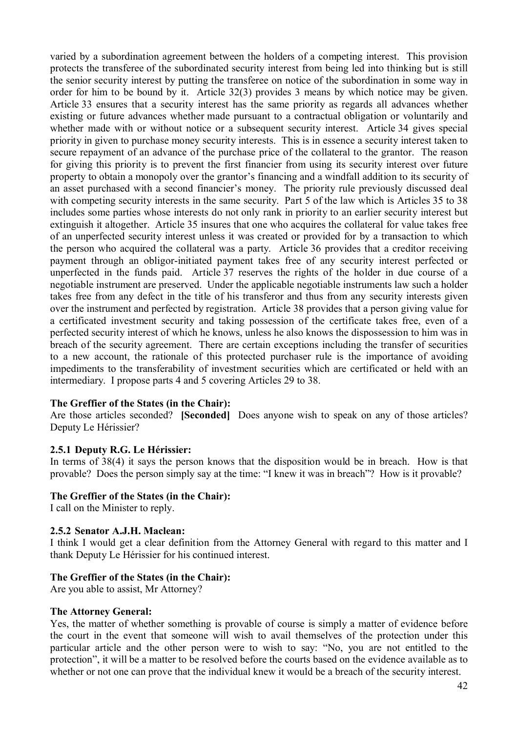varied by a subordination agreement between the holders of a competing interest. This provision protects the transferee of the subordinated security interest from being led into thinking but is still the senior security interest by putting the transferee on notice of the subordination in some way in order for him to be bound by it. Article 32(3) provides 3 means by which notice may be given. Article 33 ensures that a security interest has the same priority as regards all advances whether existing or future advances whether made pursuant to a contractual obligation or voluntarily and whether made with or without notice or a subsequent security interest. Article 34 gives special priority in given to purchase money security interests. This is in essence a security interest taken to secure repayment of an advance of the purchase price of the collateral to the grantor. The reason for giving this priority is to prevent the first financier from using its security interest over future property to obtain a monopoly over the grantor's financing and a windfall addition to its security of an asset purchased with a second financier's money. The priority rule previously discussed deal with competing security interests in the same security. Part 5 of the law which is Articles 35 to 38 includes some parties whose interests do not only rank in priority to an earlier security interest but extinguish it altogether. Article 35 insures that one who acquires the collateral for value takes free of an unperfected security interest unless it was created or provided for by a transaction to which the person who acquired the collateral was a party. Article 36 provides that a creditor receiving payment through an obligor-initiated payment takes free of any security interest perfected or unperfected in the funds paid. Article 37 reserves the rights of the holder in due course of a negotiable instrument are preserved. Under the applicable negotiable instruments law such a holder takes free from any defect in the title of his transferor and thus from any security interests given over the instrument and perfected by registration. Article 38 provides that a person giving value for a certificated investment security and taking possession of the certificate takes free, even of a perfected security interest of which he knows, unless he also knows the dispossession to him was in breach of the security agreement. There are certain exceptions including the transfer of securities to a new account, the rationale of this protected purchaser rule is the importance of avoiding impediments to the transferability of investment securities which are certificated or held with an intermediary. I propose parts 4 and 5 covering Articles 29 to 38.

### **The Greffier of the States (in the Chair):**

Are those articles seconded? **[Seconded]** Does anyone wish to speak on any of those articles? Deputy Le Hérissier?

#### **2.5.1 Deputy R.G. Le Hérissier:**

In terms of 38(4) it says the person knows that the disposition would be in breach. How is that provable? Does the person simply say at the time: "I knew it was in breach"? How is it provable?

#### **The Greffier of the States (in the Chair):**

I call on the Minister to reply.

#### **2.5.2 Senator A.J.H. Maclean:**

I think I would get a clear definition from the Attorney General with regard to this matter and I thank Deputy Le Hérissier for his continued interest.

#### **The Greffier of the States (in the Chair):**

Are you able to assist, Mr Attorney?

#### **The Attorney General:**

Yes, the matter of whether something is provable of course is simply a matter of evidence before the court in the event that someone will wish to avail themselves of the protection under this particular article and the other person were to wish to say: "No, you are not entitled to the protection", it will be a matter to be resolved before the courts based on the evidence available as to whether or not one can prove that the individual knew it would be a breach of the security interest.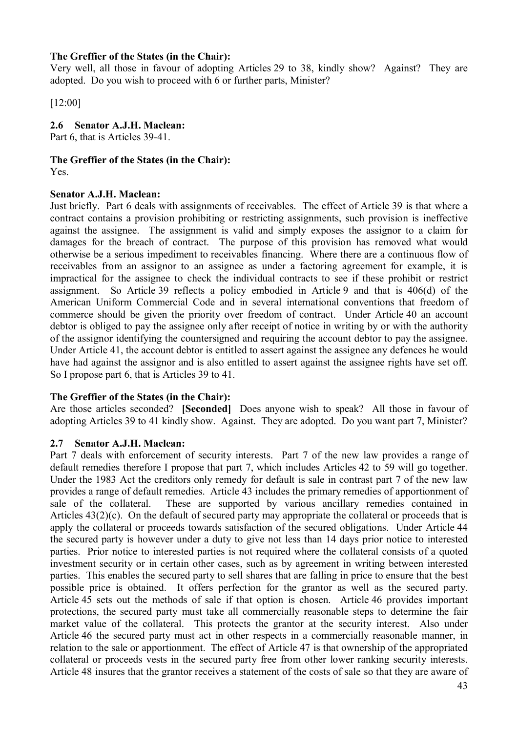### **The Greffier of the States (in the Chair):**

Very well, all those in favour of adopting Articles 29 to 38, kindly show? Against? They are adopted. Do you wish to proceed with 6 or further parts, Minister?

[12:00]

### **2.6 Senator A.J.H. Maclean:**

Part 6, that is Articles 39-41.

### **The Greffier of the States (in the Chair):**

Yes.

### **Senator A.J.H. Maclean:**

Just briefly. Part 6 deals with assignments of receivables. The effect of Article 39 is that where a contract contains a provision prohibiting or restricting assignments, such provision is ineffective against the assignee. The assignment is valid and simply exposes the assignor to a claim for damages for the breach of contract. The purpose of this provision has removed what would otherwise be a serious impediment to receivables financing. Where there are a continuous flow of receivables from an assignor to an assignee as under a factoring agreement for example, it is impractical for the assignee to check the individual contracts to see if these prohibit or restrict assignment. So Article 39 reflects a policy embodied in Article 9 and that is 406(d) of the American Uniform Commercial Code and in several international conventions that freedom of commerce should be given the priority over freedom of contract. Under Article 40 an account debtor is obliged to pay the assignee only after receipt of notice in writing by or with the authority of the assignor identifying the countersigned and requiring the account debtor to pay the assignee. Under Article 41, the account debtor is entitled to assert against the assignee any defences he would have had against the assignor and is also entitled to assert against the assignee rights have set off. So I propose part 6, that is Articles 39 to 41.

# **The Greffier of the States (in the Chair):**

Are those articles seconded? **[Seconded]** Does anyone wish to speak? All those in favour of adopting Articles 39 to 41 kindly show. Against. They are adopted. Do you want part 7, Minister?

### **2.7 Senator A.J.H. Maclean:**

Part 7 deals with enforcement of security interests. Part 7 of the new law provides a range of default remedies therefore I propose that part 7, which includes Articles 42 to 59 will go together. Under the 1983 Act the creditors only remedy for default is sale in contrast part 7 of the new law provides a range of default remedies. Article 43 includes the primary remedies of apportionment of sale of the collateral. These are supported by various ancillary remedies contained in Articles 43(2)(c). On the default of secured party may appropriate the collateral or proceeds that is apply the collateral or proceeds towards satisfaction of the secured obligations. Under Article 44 the secured party is however under a duty to give not less than 14 days prior notice to interested parties. Prior notice to interested parties is not required where the collateral consists of a quoted investment security or in certain other cases, such as by agreement in writing between interested parties. This enables the secured party to sell shares that are falling in price to ensure that the best possible price is obtained. It offers perfection for the grantor as well as the secured party. Article 45 sets out the methods of sale if that option is chosen. Article 46 provides important protections, the secured party must take all commercially reasonable steps to determine the fair market value of the collateral. This protects the grantor at the security interest. Also under Article 46 the secured party must act in other respects in a commercially reasonable manner, in relation to the sale or apportionment. The effect of Article 47 is that ownership of the appropriated collateral or proceeds vests in the secured party free from other lower ranking security interests. Article 48 insures that the grantor receives a statement of the costs of sale so that they are aware of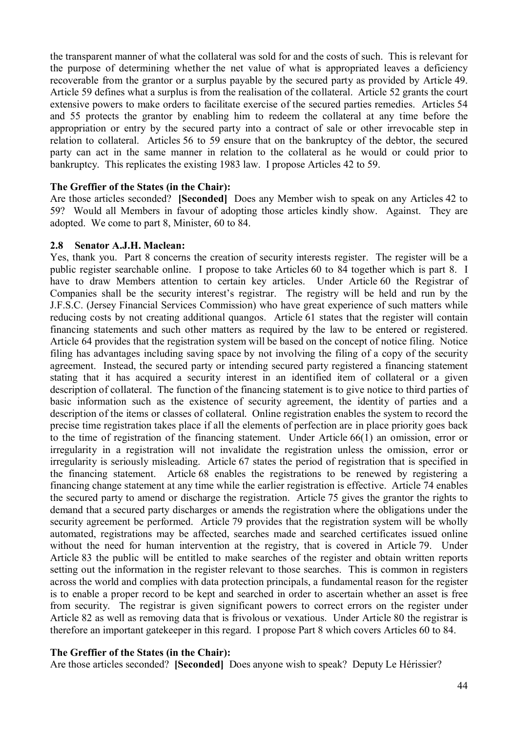the transparent manner of what the collateral was sold for and the costs of such. This is relevant for the purpose of determining whether the net value of what is appropriated leaves a deficiency recoverable from the grantor or a surplus payable by the secured party as provided by Article 49. Article 59 defines what a surplus is from the realisation of the collateral. Article 52 grants the court extensive powers to make orders to facilitate exercise of the secured parties remedies. Articles 54 and 55 protects the grantor by enabling him to redeem the collateral at any time before the appropriation or entry by the secured party into a contract of sale or other irrevocable step in relation to collateral. Articles 56 to 59 ensure that on the bankruptcy of the debtor, the secured party can act in the same manner in relation to the collateral as he would or could prior to bankruptcy. This replicates the existing 1983 law. I propose Articles 42 to 59.

#### **The Greffier of the States (in the Chair):**

Are those articles seconded? **[Seconded]** Does any Member wish to speak on any Articles 42 to 59? Would all Members in favour of adopting those articles kindly show. Against. They are adopted. We come to part 8, Minister, 60 to 84.

#### **2.8 Senator A.J.H. Maclean:**

Yes, thank you. Part 8 concerns the creation of security interests register. The register will be a public register searchable online. I propose to take Articles 60 to 84 together which is part 8. I have to draw Members attention to certain key articles. Under Article 60 the Registrar of Companies shall be the security interest's registrar. The registry will be held and run by the J.F.S.C. (Jersey Financial Services Commission) who have great experience of such matters while reducing costs by not creating additional quangos. Article 61 states that the register will contain financing statements and such other matters as required by the law to be entered or registered. Article 64 provides that the registration system will be based on the concept of notice filing. Notice filing has advantages including saving space by not involving the filing of a copy of the security agreement. Instead, the secured party or intending secured party registered a financing statement stating that it has acquired a security interest in an identified item of collateral or a given description of collateral. The function of the financing statement is to give notice to third parties of basic information such as the existence of security agreement, the identity of parties and a description of the items or classes of collateral. Online registration enables the system to record the precise time registration takes place if all the elements of perfection are in place priority goes back to the time of registration of the financing statement. Under Article 66(1) an omission, error or irregularity in a registration will not invalidate the registration unless the omission, error or irregularity is seriously misleading. Article 67 states the period of registration that is specified in the financing statement. Article 68 enables the registrations to be renewed by registering a financing change statement at any time while the earlier registration is effective. Article 74 enables the secured party to amend or discharge the registration. Article 75 gives the grantor the rights to demand that a secured party discharges or amends the registration where the obligations under the security agreement be performed. Article 79 provides that the registration system will be wholly automated, registrations may be affected, searches made and searched certificates issued online without the need for human intervention at the registry, that is covered in Article 79. Under Article 83 the public will be entitled to make searches of the register and obtain written reports setting out the information in the register relevant to those searches. This is common in registers across the world and complies with data protection principals, a fundamental reason for the register is to enable a proper record to be kept and searched in order to ascertain whether an asset is free from security. The registrar is given significant powers to correct errors on the register under Article 82 as well as removing data that is frivolous or vexatious. Under Article 80 the registrar is therefore an important gatekeeper in this regard. I propose Part 8 which covers Articles 60 to 84.

#### **The Greffier of the States (in the Chair):**

Are those articles seconded? **[Seconded]** Does anyone wish to speak? Deputy Le Hérissier?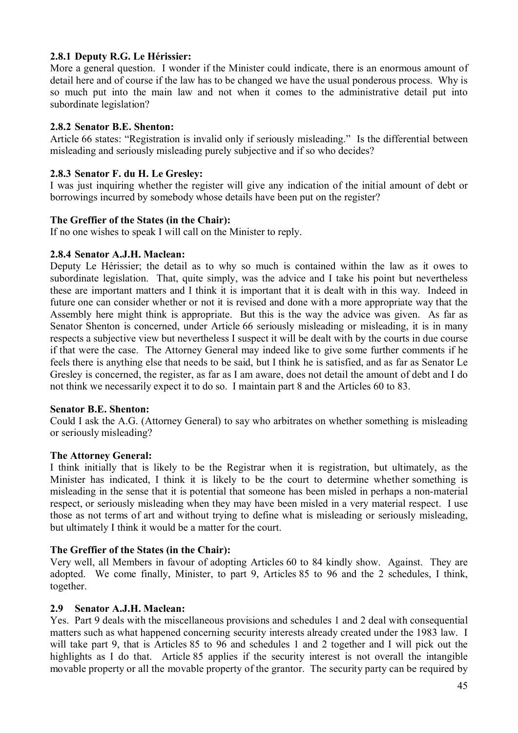### **2.8.1 Deputy R.G. Le Hérissier:**

More a general question. I wonder if the Minister could indicate, there is an enormous amount of detail here and of course if the law has to be changed we have the usual ponderous process. Why is so much put into the main law and not when it comes to the administrative detail put into subordinate legislation?

#### **2.8.2 Senator B.E. Shenton:**

Article 66 states: "Registration is invalid only if seriously misleading." Is the differential between misleading and seriously misleading purely subjective and if so who decides?

#### **2.8.3 Senator F. du H. Le Gresley:**

I was just inquiring whether the register will give any indication of the initial amount of debt or borrowings incurred by somebody whose details have been put on the register?

#### **The Greffier of the States (in the Chair):**

If no one wishes to speak I will call on the Minister to reply.

#### **2.8.4 Senator A.J.H. Maclean:**

Deputy Le Hérissier; the detail as to why so much is contained within the law as it owes to subordinate legislation. That, quite simply, was the advice and I take his point but nevertheless these are important matters and I think it is important that it is dealt with in this way. Indeed in future one can consider whether or not it is revised and done with a more appropriate way that the Assembly here might think is appropriate. But this is the way the advice was given. As far as Senator Shenton is concerned, under Article 66 seriously misleading or misleading, it is in many respects a subjective view but nevertheless I suspect it will be dealt with by the courts in due course if that were the case. The Attorney General may indeed like to give some further comments if he feels there is anything else that needs to be said, but I think he is satisfied, and as far as Senator Le Gresley is concerned, the register, as far as I am aware, does not detail the amount of debt and I do not think we necessarily expect it to do so. I maintain part 8 and the Articles 60 to 83.

#### **Senator B.E. Shenton:**

Could I ask the A.G. (Attorney General) to say who arbitrates on whether something is misleading or seriously misleading?

#### **The Attorney General:**

I think initially that is likely to be the Registrar when it is registration, but ultimately, as the Minister has indicated, I think it is likely to be the court to determine whether something is misleading in the sense that it is potential that someone has been misled in perhaps a non-material respect, or seriously misleading when they may have been misled in a very material respect. I use those as not terms of art and without trying to define what is misleading or seriously misleading, but ultimately I think it would be a matter for the court.

#### **The Greffier of the States (in the Chair):**

Very well, all Members in favour of adopting Articles 60 to 84 kindly show. Against. They are adopted. We come finally, Minister, to part 9, Articles 85 to 96 and the 2 schedules, I think, together.

#### **2.9 Senator A.J.H. Maclean:**

Yes. Part 9 deals with the miscellaneous provisions and schedules 1 and 2 deal with consequential matters such as what happened concerning security interests already created under the 1983 law. I will take part 9, that is Articles 85 to 96 and schedules 1 and 2 together and I will pick out the highlights as I do that. Article 85 applies if the security interest is not overall the intangible movable property or all the movable property of the grantor. The security party can be required by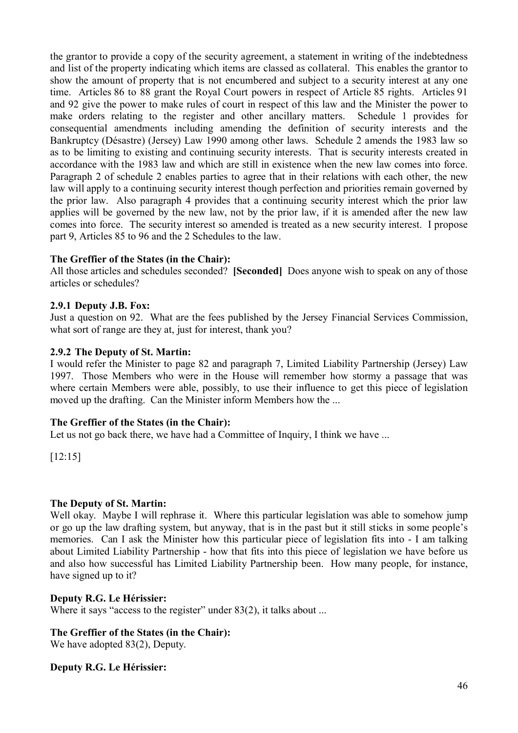the grantor to provide a copy of the security agreement, a statement in writing of the indebtedness and list of the property indicating which items are classed as collateral. This enables the grantor to show the amount of property that is not encumbered and subject to a security interest at any one time. Articles 86 to 88 grant the Royal Court powers in respect of Article 85 rights. Articles 91 and 92 give the power to make rules of court in respect of this law and the Minister the power to make orders relating to the register and other ancillary matters. Schedule 1 provides for consequential amendments including amending the definition of security interests and the Bankruptcy (Désastre) (Jersey) Law 1990 among other laws. Schedule 2 amends the 1983 law so as to be limiting to existing and continuing security interests. That is security interests created in accordance with the 1983 law and which are still in existence when the new law comes into force. Paragraph 2 of schedule 2 enables parties to agree that in their relations with each other, the new law will apply to a continuing security interest though perfection and priorities remain governed by the prior law. Also paragraph 4 provides that a continuing security interest which the prior law applies will be governed by the new law, not by the prior law, if it is amended after the new law comes into force. The security interest so amended is treated as a new security interest. I propose part 9, Articles 85 to 96 and the 2 Schedules to the law.

### **The Greffier of the States (in the Chair):**

All those articles and schedules seconded? **[Seconded]** Does anyone wish to speak on any of those articles or schedules?

#### **2.9.1 Deputy J.B. Fox:**

Just a question on 92. What are the fees published by the Jersey Financial Services Commission, what sort of range are they at, just for interest, thank you?

#### **2.9.2 The Deputy of St. Martin:**

I would refer the Minister to page 82 and paragraph 7, Limited Liability Partnership (Jersey) Law 1997. Those Members who were in the House will remember how stormy a passage that was where certain Members were able, possibly, to use their influence to get this piece of legislation moved up the drafting. Can the Minister inform Members how the ...

#### **The Greffier of the States (in the Chair):**

Let us not go back there, we have had a Committee of Inquiry, I think we have ...

[12:15]

#### **The Deputy of St. Martin:**

Well okay. Maybe I will rephrase it. Where this particular legislation was able to somehow jump or go up the law drafting system, but anyway, that is in the past but it still sticks in some people's memories. Can I ask the Minister how this particular piece of legislation fits into - I am talking about Limited Liability Partnership - how that fits into this piece of legislation we have before us and also how successful has Limited Liability Partnership been. How many people, for instance, have signed up to it?

#### **Deputy R.G. Le Hérissier:**

Where it says "access to the register" under 83(2), it talks about ...

### **The Greffier of the States (in the Chair):**

We have adopted 83(2), Deputy.

#### **Deputy R.G. Le Hérissier:**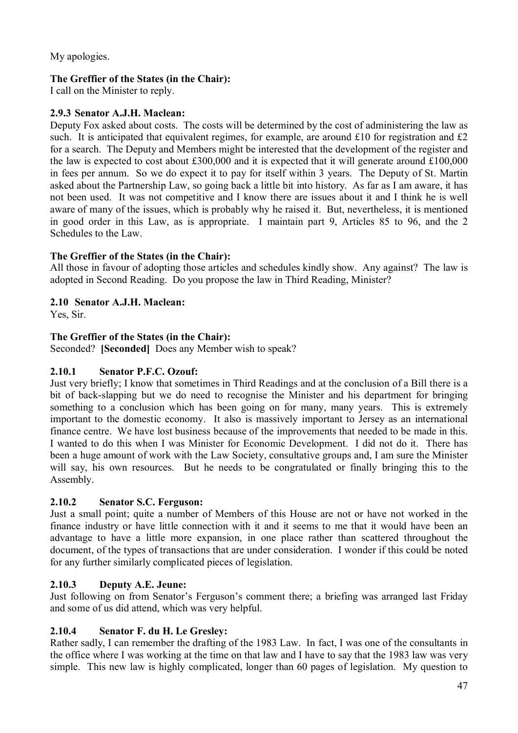My apologies.

### **The Greffier of the States (in the Chair):**

I call on the Minister to reply.

### **2.9.3 Senator A.J.H. Maclean:**

Deputy Fox asked about costs. The costs will be determined by the cost of administering the law as such. It is anticipated that equivalent regimes, for example, are around £10 for registration and £2 for a search. The Deputy and Members might be interested that the development of the register and the law is expected to cost about £300,000 and it is expected that it will generate around £100,000 in fees per annum. So we do expect it to pay for itself within 3 years. The Deputy of St. Martin asked about the Partnership Law, so going back a little bit into history. As far as I am aware, it has not been used. It was not competitive and I know there are issues about it and I think he is well aware of many of the issues, which is probably why he raised it. But, nevertheless, it is mentioned in good order in this Law, as is appropriate. I maintain part 9, Articles 85 to 96, and the 2 Schedules to the Law.

### **The Greffier of the States (in the Chair):**

All those in favour of adopting those articles and schedules kindly show. Any against? The law is adopted in Second Reading. Do you propose the law in Third Reading, Minister?

### **2.10 Senator A.J.H. Maclean:**

Yes, Sir.

### **The Greffier of the States (in the Chair):**

Seconded? **[Seconded]** Does any Member wish to speak?

### **2.10.1 Senator P.F.C. Ozouf:**

Just very briefly; I know that sometimes in Third Readings and at the conclusion of a Bill there is a bit of back-slapping but we do need to recognise the Minister and his department for bringing something to a conclusion which has been going on for many, many years. This is extremely important to the domestic economy. It also is massively important to Jersey as an international finance centre. We have lost business because of the improvements that needed to be made in this. I wanted to do this when I was Minister for Economic Development. I did not do it. There has been a huge amount of work with the Law Society, consultative groups and, I am sure the Minister will say, his own resources. But he needs to be congratulated or finally bringing this to the Assembly.

### **2.10.2 Senator S.C. Ferguson:**

Just a small point; quite a number of Members of this House are not or have not worked in the finance industry or have little connection with it and it seems to me that it would have been an advantage to have a little more expansion, in one place rather than scattered throughout the document, of the types of transactions that are under consideration. I wonder if this could be noted for any further similarly complicated pieces of legislation.

### **2.10.3 Deputy A.E. Jeune:**

Just following on from Senator's Ferguson's comment there; a briefing was arranged last Friday and some of us did attend, which was very helpful.

### **2.10.4 Senator F. du H. Le Gresley:**

Rather sadly, I can remember the drafting of the 1983 Law. In fact, I was one of the consultants in the office where I was working at the time on that law and I have to say that the 1983 law was very simple. This new law is highly complicated, longer than 60 pages of legislation. My question to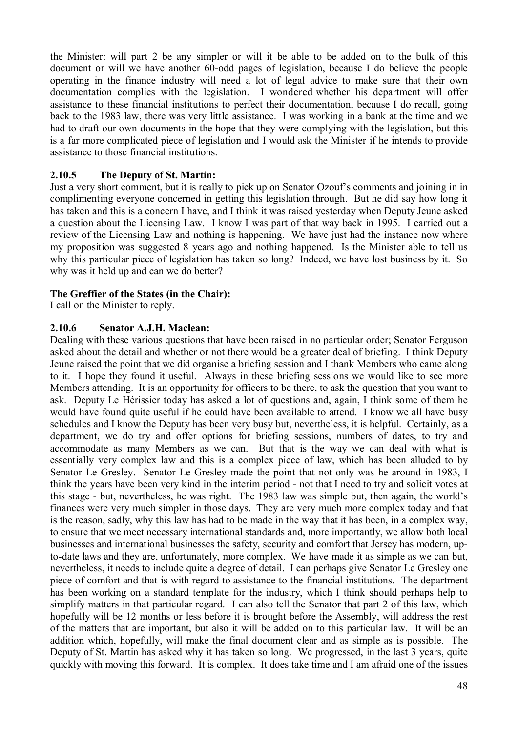the Minister: will part 2 be any simpler or will it be able to be added on to the bulk of this document or will we have another 60-odd pages of legislation, because I do believe the people operating in the finance industry will need a lot of legal advice to make sure that their own documentation complies with the legislation. I wondered whether his department will offer assistance to these financial institutions to perfect their documentation, because I do recall, going back to the 1983 law, there was very little assistance. I was working in a bank at the time and we had to draft our own documents in the hope that they were complying with the legislation, but this is a far more complicated piece of legislation and I would ask the Minister if he intends to provide assistance to those financial institutions.

### **2.10.5 The Deputy of St. Martin:**

Just a very short comment, but it is really to pick up on Senator Ozouf's comments and joining in in complimenting everyone concerned in getting this legislation through. But he did say how long it has taken and this is a concern I have, and I think it was raised yesterday when Deputy Jeune asked a question about the Licensing Law. I know I was part of that way back in 1995. I carried out a review of the Licensing Law and nothing is happening. We have just had the instance now where my proposition was suggested 8 years ago and nothing happened. Is the Minister able to tell us why this particular piece of legislation has taken so long? Indeed, we have lost business by it. So why was it held up and can we do better?

### **The Greffier of the States (in the Chair):**

I call on the Minister to reply.

### **2.10.6 Senator A.J.H. Maclean:**

Dealing with these various questions that have been raised in no particular order; Senator Ferguson asked about the detail and whether or not there would be a greater deal of briefing. I think Deputy Jeune raised the point that we did organise a briefing session and I thank Members who came along to it. I hope they found it useful. Always in these briefing sessions we would like to see more Members attending. It is an opportunity for officers to be there, to ask the question that you want to ask. Deputy Le Hérissier today has asked a lot of questions and, again, I think some of them he would have found quite useful if he could have been available to attend. I know we all have busy schedules and I know the Deputy has been very busy but, nevertheless, it is helpful. Certainly, as a department, we do try and offer options for briefing sessions, numbers of dates, to try and accommodate as many Members as we can. But that is the way we can deal with what is essentially very complex law and this is a complex piece of law, which has been alluded to by Senator Le Gresley. Senator Le Gresley made the point that not only was he around in 1983, I think the years have been very kind in the interim period - not that I need to try and solicit votes at this stage - but, nevertheless, he was right. The 1983 law was simple but, then again, the world's finances were very much simpler in those days. They are very much more complex today and that is the reason, sadly, why this law has had to be made in the way that it has been, in a complex way, to ensure that we meet necessary international standards and, more importantly, we allow both local businesses and international businesses the safety, security and comfort that Jersey has modern, upto-date laws and they are, unfortunately, more complex. We have made it as simple as we can but, nevertheless, it needs to include quite a degree of detail. I can perhaps give Senator Le Gresley one piece of comfort and that is with regard to assistance to the financial institutions. The department has been working on a standard template for the industry, which I think should perhaps help to simplify matters in that particular regard. I can also tell the Senator that part 2 of this law, which hopefully will be 12 months or less before it is brought before the Assembly, will address the rest of the matters that are important, but also it will be added on to this particular law. It will be an addition which, hopefully, will make the final document clear and as simple as is possible. The Deputy of St. Martin has asked why it has taken so long. We progressed, in the last 3 years, quite quickly with moving this forward. It is complex. It does take time and I am afraid one of the issues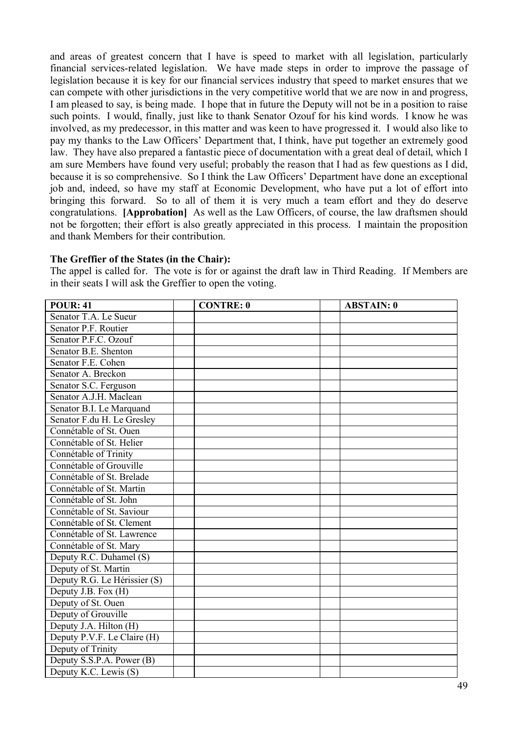and areas of greatest concern that I have is speed to market with all legislation, particularly financial services-related legislation. We have made steps in order to improve the passage of legislation because it is key for our financial services industry that speed to market ensures that we can compete with other jurisdictions in the very competitive world that we are now in and progress, I am pleased to say, is being made. I hope that in future the Deputy will not be in a position to raise such points. I would, finally, just like to thank Senator Ozouf for his kind words. I know he was involved, as my predecessor, in this matter and was keen to have progressed it. I would also like to pay my thanks to the Law Officers' Department that, I think, have put together an extremely good law. They have also prepared a fantastic piece of documentation with a great deal of detail, which I am sure Members have found very useful; probably the reason that I had as few questions as I did, because it is so comprehensive. So I think the Law Officers' Department have done an exceptional job and, indeed, so have my staff at Economic Development, who have put a lot of effort into bringing this forward. So to all of them it is very much a team effort and they do deserve congratulations. **[Approbation]** As well as the Law Officers, of course, the law draftsmen should not be forgotten; their effort is also greatly appreciated in this process. I maintain the proposition and thank Members for their contribution.

#### **The Greffier of the States (in the Chair):**

The appel is called for. The vote is for or against the draft law in Third Reading. If Members are in their seats I will ask the Greffier to open the voting.

| <b>POUR: 41</b>              | <b>CONTRE: 0</b> | <b>ABSTAIN: 0</b> |
|------------------------------|------------------|-------------------|
| Senator T.A. Le Sueur        |                  |                   |
| Senator P.F. Routier         |                  |                   |
| Senator P.F.C. Ozouf         |                  |                   |
| Senator B.E. Shenton         |                  |                   |
| Senator F.E. Cohen           |                  |                   |
| Senator A. Breckon           |                  |                   |
| Senator S.C. Ferguson        |                  |                   |
| Senator A.J.H. Maclean       |                  |                   |
| Senator B.I. Le Marquand     |                  |                   |
| Senator F.du H. Le Gresley   |                  |                   |
| Connétable of St. Ouen       |                  |                   |
| Connétable of St. Helier     |                  |                   |
| Connétable of Trinity        |                  |                   |
| Connétable of Grouville      |                  |                   |
| Connétable of St. Brelade    |                  |                   |
| Connétable of St. Martin     |                  |                   |
| Connétable of St. John       |                  |                   |
| Connétable of St. Saviour    |                  |                   |
| Connétable of St. Clement    |                  |                   |
| Connétable of St. Lawrence   |                  |                   |
| Connétable of St. Mary       |                  |                   |
| Deputy R.C. Duhamel (S)      |                  |                   |
| Deputy of St. Martin         |                  |                   |
| Deputy R.G. Le Hérissier (S) |                  |                   |
| Deputy J.B. Fox (H)          |                  |                   |
| Deputy of St. Ouen           |                  |                   |
| Deputy of Grouville          |                  |                   |
| Deputy J.A. Hilton (H)       |                  |                   |
| Deputy P.V.F. Le Claire (H)  |                  |                   |
| Deputy of Trinity            |                  |                   |
| Deputy S.S.P.A. Power (B)    |                  |                   |
| Deputy K.C. Lewis (S)        |                  |                   |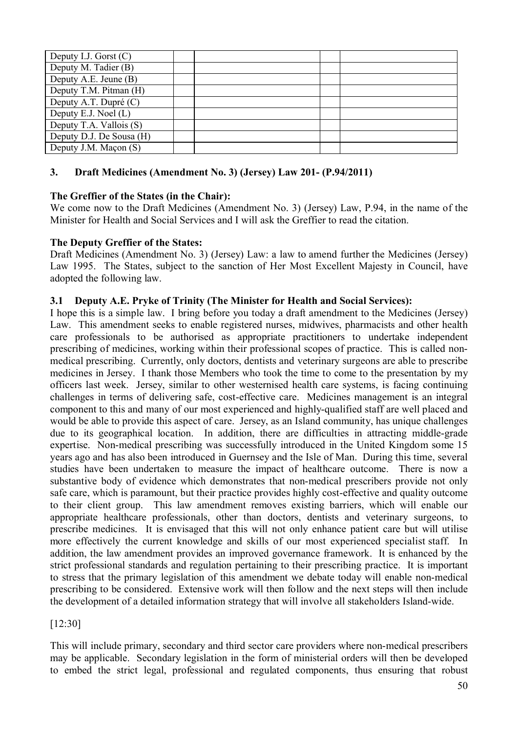| Deputy I.J. Gorst $(C)$  |  |  |
|--------------------------|--|--|
| Deputy M. Tadier (B)     |  |  |
| Deputy A.E. Jeune (B)    |  |  |
| Deputy T.M. Pitman (H)   |  |  |
| Deputy A.T. Dupré (C)    |  |  |
| Deputy E.J. Noel $(L)$   |  |  |
| Deputy T.A. Vallois (S)  |  |  |
| Deputy D.J. De Sousa (H) |  |  |
| Deputy J.M. Maçon (S)    |  |  |

### **3. Draft Medicines (Amendment No. 3) (Jersey) Law 201- (P.94/2011)**

### **The Greffier of the States (in the Chair):**

We come now to the Draft Medicines (Amendment No. 3) (Jersey) Law, P.94, in the name of the Minister for Health and Social Services and I will ask the Greffier to read the citation.

#### **The Deputy Greffier of the States:**

Draft Medicines (Amendment No. 3) (Jersey) Law: a law to amend further the Medicines (Jersey) Law 1995. The States, subject to the sanction of Her Most Excellent Majesty in Council, have adopted the following law.

### **3.1 Deputy A.E. Pryke of Trinity (The Minister for Health and Social Services):**

I hope this is a simple law. I bring before you today a draft amendment to the Medicines (Jersey) Law. This amendment seeks to enable registered nurses, midwives, pharmacists and other health care professionals to be authorised as appropriate practitioners to undertake independent prescribing of medicines, working within their professional scopes of practice. This is called nonmedical prescribing. Currently, only doctors, dentists and veterinary surgeons are able to prescribe medicines in Jersey. I thank those Members who took the time to come to the presentation by my officers last week. Jersey, similar to other westernised health care systems, is facing continuing challenges in terms of delivering safe, cost-effective care. Medicines management is an integral component to this and many of our most experienced and highly-qualified staff are well placed and would be able to provide this aspect of care. Jersey, as an Island community, has unique challenges due to its geographical location. In addition, there are difficulties in attracting middle-grade expertise. Non-medical prescribing was successfully introduced in the United Kingdom some 15 years ago and has also been introduced in Guernsey and the Isle of Man. During this time, several studies have been undertaken to measure the impact of healthcare outcome. There is now a substantive body of evidence which demonstrates that non-medical prescribers provide not only safe care, which is paramount, but their practice provides highly cost-effective and quality outcome to their client group. This law amendment removes existing barriers, which will enable our appropriate healthcare professionals, other than doctors, dentists and veterinary surgeons, to prescribe medicines. It is envisaged that this will not only enhance patient care but will utilise more effectively the current knowledge and skills of our most experienced specialist staff. In addition, the law amendment provides an improved governance framework. It is enhanced by the strict professional standards and regulation pertaining to their prescribing practice. It is important to stress that the primary legislation of this amendment we debate today will enable non-medical prescribing to be considered. Extensive work will then follow and the next steps will then include the development of a detailed information strategy that will involve all stakeholders Island-wide.

#### [12:30]

This will include primary, secondary and third sector care providers where non-medical prescribers may be applicable. Secondary legislation in the form of ministerial orders will then be developed to embed the strict legal, professional and regulated components, thus ensuring that robust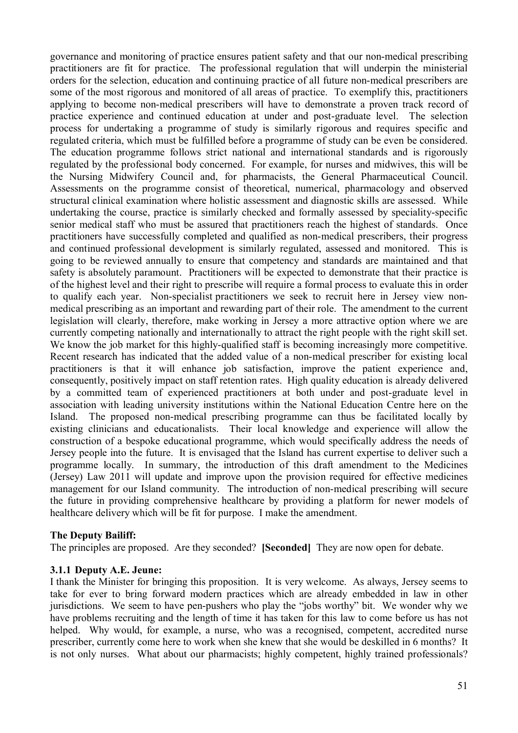governance and monitoring of practice ensures patient safety and that our non-medical prescribing practitioners are fit for practice. The professional regulation that will underpin the ministerial orders for the selection, education and continuing practice of all future non-medical prescribers are some of the most rigorous and monitored of all areas of practice. To exemplify this, practitioners applying to become non-medical prescribers will have to demonstrate a proven track record of practice experience and continued education at under and post-graduate level. The selection process for undertaking a programme of study is similarly rigorous and requires specific and regulated criteria, which must be fulfilled before a programme of study can be even be considered. The education programme follows strict national and international standards and is rigorously regulated by the professional body concerned. For example, for nurses and midwives, this will be the Nursing Midwifery Council and, for pharmacists, the General Pharmaceutical Council. Assessments on the programme consist of theoretical, numerical, pharmacology and observed structural clinical examination where holistic assessment and diagnostic skills are assessed. While undertaking the course, practice is similarly checked and formally assessed by speciality-specific senior medical staff who must be assured that practitioners reach the highest of standards. Once practitioners have successfully completed and qualified as non-medical prescribers, their progress and continued professional development is similarly regulated, assessed and monitored. This is going to be reviewed annually to ensure that competency and standards are maintained and that safety is absolutely paramount. Practitioners will be expected to demonstrate that their practice is of the highest level and their right to prescribe will require a formal process to evaluate this in order to qualify each year. Non-specialist practitioners we seek to recruit here in Jersey view nonmedical prescribing as an important and rewarding part of their role. The amendment to the current legislation will clearly, therefore, make working in Jersey a more attractive option where we are currently competing nationally and internationally to attract the right people with the right skill set. We know the job market for this highly-qualified staff is becoming increasingly more competitive. Recent research has indicated that the added value of a non-medical prescriber for existing local practitioners is that it will enhance job satisfaction, improve the patient experience and, consequently, positively impact on staff retention rates. High quality education is already delivered by a committed team of experienced practitioners at both under and post-graduate level in association with leading university institutions within the National Education Centre here on the Island. The proposed non-medical prescribing programme can thus be facilitated locally by existing clinicians and educationalists. Their local knowledge and experience will allow the construction of a bespoke educational programme, which would specifically address the needs of Jersey people into the future. It is envisaged that the Island has current expertise to deliver such a programme locally. In summary, the introduction of this draft amendment to the Medicines (Jersey) Law 2011 will update and improve upon the provision required for effective medicines management for our Island community. The introduction of non-medical prescribing will secure the future in providing comprehensive healthcare by providing a platform for newer models of healthcare delivery which will be fit for purpose. I make the amendment.

#### **The Deputy Bailiff:**

The principles are proposed. Are they seconded? **[Seconded]** They are now open for debate.

#### **3.1.1 Deputy A.E. Jeune:**

I thank the Minister for bringing this proposition. It is very welcome. As always, Jersey seems to take for ever to bring forward modern practices which are already embedded in law in other jurisdictions. We seem to have pen-pushers who play the "jobs worthy" bit. We wonder why we have problems recruiting and the length of time it has taken for this law to come before us has not helped. Why would, for example, a nurse, who was a recognised, competent, accredited nurse prescriber, currently come here to work when she knew that she would be deskilled in 6 months? It is not only nurses. What about our pharmacists; highly competent, highly trained professionals?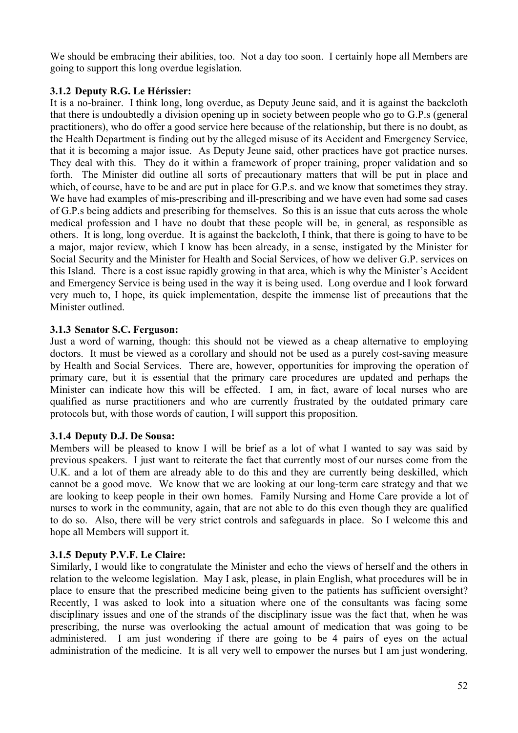We should be embracing their abilities, too. Not a day too soon. I certainly hope all Members are going to support this long overdue legislation.

### **3.1.2 Deputy R.G. Le Hérissier:**

It is a no-brainer. I think long, long overdue, as Deputy Jeune said, and it is against the backcloth that there is undoubtedly a division opening up in society between people who go to G.P.s (general practitioners), who do offer a good service here because of the relationship, but there is no doubt, as the Health Department is finding out by the alleged misuse of its Accident and Emergency Service, that it is becoming a major issue. As Deputy Jeune said, other practices have got practice nurses. They deal with this. They do it within a framework of proper training, proper validation and so forth. The Minister did outline all sorts of precautionary matters that will be put in place and which, of course, have to be and are put in place for G.P.s. and we know that sometimes they stray. We have had examples of mis-prescribing and ill-prescribing and we have even had some sad cases of G.P.s being addicts and prescribing for themselves. So this is an issue that cuts across the whole medical profession and I have no doubt that these people will be, in general, as responsible as others. It is long, long overdue. It is against the backcloth, I think, that there is going to have to be a major, major review, which I know has been already, in a sense, instigated by the Minister for Social Security and the Minister for Health and Social Services, of how we deliver G.P. services on this Island. There is a cost issue rapidly growing in that area, which is why the Minister's Accident and Emergency Service is being used in the way it is being used. Long overdue and I look forward very much to, I hope, its quick implementation, despite the immense list of precautions that the Minister outlined.

#### **3.1.3 Senator S.C. Ferguson:**

Just a word of warning, though: this should not be viewed as a cheap alternative to employing doctors. It must be viewed as a corollary and should not be used as a purely cost-saving measure by Health and Social Services. There are, however, opportunities for improving the operation of primary care, but it is essential that the primary care procedures are updated and perhaps the Minister can indicate how this will be effected. I am, in fact, aware of local nurses who are qualified as nurse practitioners and who are currently frustrated by the outdated primary care protocols but, with those words of caution, I will support this proposition.

### **3.1.4 Deputy D.J. De Sousa:**

Members will be pleased to know I will be brief as a lot of what I wanted to say was said by previous speakers. I just want to reiterate the fact that currently most of our nurses come from the U.K. and a lot of them are already able to do this and they are currently being deskilled, which cannot be a good move. We know that we are looking at our long-term care strategy and that we are looking to keep people in their own homes. Family Nursing and Home Care provide a lot of nurses to work in the community, again, that are not able to do this even though they are qualified to do so. Also, there will be very strict controls and safeguards in place. So I welcome this and hope all Members will support it.

### **3.1.5 Deputy P.V.F. Le Claire:**

Similarly, I would like to congratulate the Minister and echo the views of herself and the others in relation to the welcome legislation. May I ask, please, in plain English, what procedures will be in place to ensure that the prescribed medicine being given to the patients has sufficient oversight? Recently, I was asked to look into a situation where one of the consultants was facing some disciplinary issues and one of the strands of the disciplinary issue was the fact that, when he was prescribing, the nurse was overlooking the actual amount of medication that was going to be administered. I am just wondering if there are going to be 4 pairs of eyes on the actual administration of the medicine. It is all very well to empower the nurses but I am just wondering,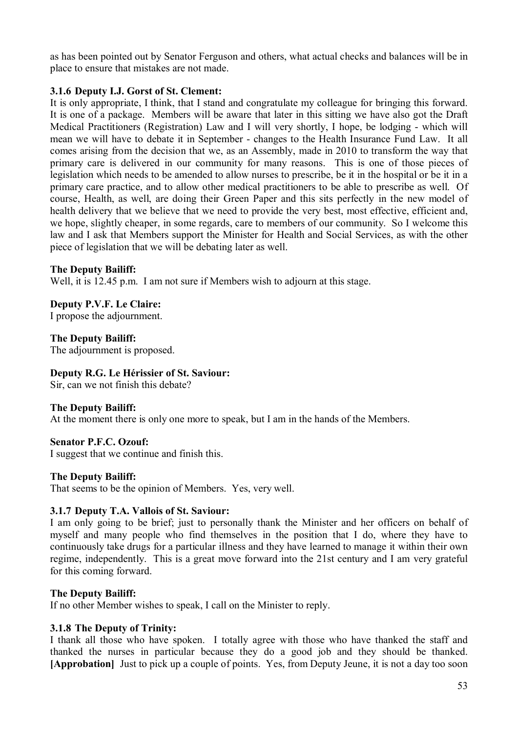as has been pointed out by Senator Ferguson and others, what actual checks and balances will be in place to ensure that mistakes are not made.

#### **3.1.6 Deputy I.J. Gorst of St. Clement:**

It is only appropriate, I think, that I stand and congratulate my colleague for bringing this forward. It is one of a package. Members will be aware that later in this sitting we have also got the Draft Medical Practitioners (Registration) Law and I will very shortly, I hope, be lodging - which will mean we will have to debate it in September - changes to the Health Insurance Fund Law. It all comes arising from the decision that we, as an Assembly, made in 2010 to transform the way that primary care is delivered in our community for many reasons. This is one of those pieces of legislation which needs to be amended to allow nurses to prescribe, be it in the hospital or be it in a primary care practice, and to allow other medical practitioners to be able to prescribe as well. Of course, Health, as well, are doing their Green Paper and this sits perfectly in the new model of health delivery that we believe that we need to provide the very best, most effective, efficient and, we hope, slightly cheaper, in some regards, care to members of our community. So I welcome this law and I ask that Members support the Minister for Health and Social Services, as with the other piece of legislation that we will be debating later as well.

#### **The Deputy Bailiff:**

Well, it is 12.45 p.m. I am not sure if Members wish to adjourn at this stage.

**Deputy P.V.F. Le Claire:** I propose the adjournment.

**The Deputy Bailiff:** The adjournment is proposed.

### **Deputy R.G. Le Hérissier of St. Saviour:**

Sir, can we not finish this debate?

#### **The Deputy Bailiff:**

At the moment there is only one more to speak, but I am in the hands of the Members.

#### **Senator P.F.C. Ozouf:**

I suggest that we continue and finish this.

#### **The Deputy Bailiff:**

That seems to be the opinion of Members. Yes, very well.

#### **3.1.7 Deputy T.A. Vallois of St. Saviour:**

I am only going to be brief; just to personally thank the Minister and her officers on behalf of myself and many people who find themselves in the position that I do, where they have to continuously take drugs for a particular illness and they have learned to manage it within their own regime, independently. This is a great move forward into the 21st century and I am very grateful for this coming forward.

#### **The Deputy Bailiff:**

If no other Member wishes to speak, I call on the Minister to reply.

#### **3.1.8 The Deputy of Trinity:**

I thank all those who have spoken. I totally agree with those who have thanked the staff and thanked the nurses in particular because they do a good job and they should be thanked. **[Approbation]** Just to pick up a couple of points. Yes, from Deputy Jeune, it is not a day too soon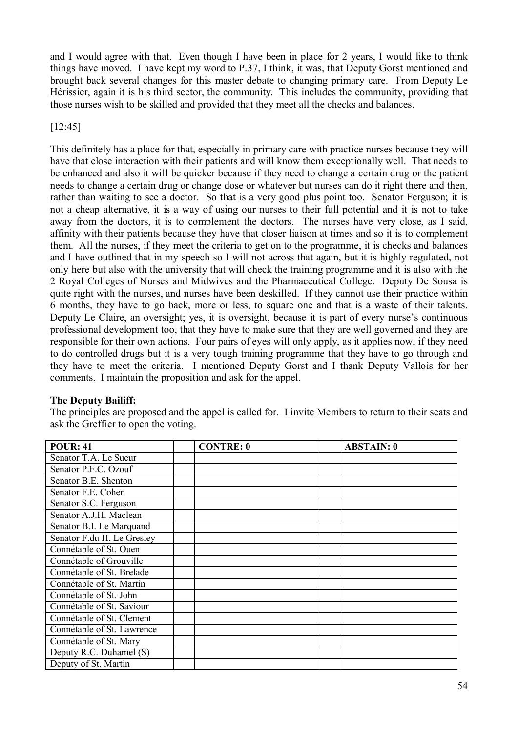and I would agree with that. Even though I have been in place for 2 years, I would like to think things have moved. I have kept my word to P.37, I think, it was, that Deputy Gorst mentioned and brought back several changes for this master debate to changing primary care. From Deputy Le Hérissier, again it is his third sector, the community. This includes the community, providing that those nurses wish to be skilled and provided that they meet all the checks and balances.

[12:45]

This definitely has a place for that, especially in primary care with practice nurses because they will have that close interaction with their patients and will know them exceptionally well. That needs to be enhanced and also it will be quicker because if they need to change a certain drug or the patient needs to change a certain drug or change dose or whatever but nurses can do it right there and then, rather than waiting to see a doctor. So that is a very good plus point too. Senator Ferguson; it is not a cheap alternative, it is a way of using our nurses to their full potential and it is not to take away from the doctors, it is to complement the doctors. The nurses have very close, as I said, affinity with their patients because they have that closer liaison at times and so it is to complement them. All the nurses, if they meet the criteria to get on to the programme, it is checks and balances and I have outlined that in my speech so I will not across that again, but it is highly regulated, not only here but also with the university that will check the training programme and it is also with the 2 Royal Colleges of Nurses and Midwives and the Pharmaceutical College. Deputy De Sousa is quite right with the nurses, and nurses have been deskilled. If they cannot use their practice within 6 months, they have to go back, more or less, to square one and that is a waste of their talents. Deputy Le Claire, an oversight; yes, it is oversight, because it is part of every nurse's continuous professional development too, that they have to make sure that they are well governed and they are responsible for their own actions. Four pairs of eyes will only apply, as it applies now, if they need to do controlled drugs but it is a very tough training programme that they have to go through and they have to meet the criteria. I mentioned Deputy Gorst and I thank Deputy Vallois for her comments. I maintain the proposition and ask for the appel.

### **The Deputy Bailiff:**

The principles are proposed and the appel is called for. I invite Members to return to their seats and ask the Greffier to open the voting.

| <b>POUR: 41</b>            | <b>CONTRE: 0</b> | <b>ABSTAIN: 0</b> |
|----------------------------|------------------|-------------------|
| Senator T.A. Le Sueur      |                  |                   |
| Senator P.F.C. Ozouf       |                  |                   |
| Senator B.E. Shenton       |                  |                   |
| Senator F.E. Cohen         |                  |                   |
| Senator S.C. Ferguson      |                  |                   |
| Senator A.J.H. Maclean     |                  |                   |
| Senator B.I. Le Marquand   |                  |                   |
| Senator F.du H. Le Gresley |                  |                   |
| Connétable of St. Ouen     |                  |                   |
| Connétable of Grouville    |                  |                   |
| Connétable of St. Brelade  |                  |                   |
| Connétable of St. Martin   |                  |                   |
| Connétable of St. John     |                  |                   |
| Connétable of St. Saviour  |                  |                   |
| Connétable of St. Clement  |                  |                   |
| Connétable of St. Lawrence |                  |                   |
| Connétable of St. Mary     |                  |                   |
| Deputy R.C. Duhamel (S)    |                  |                   |
| Deputy of St. Martin       |                  |                   |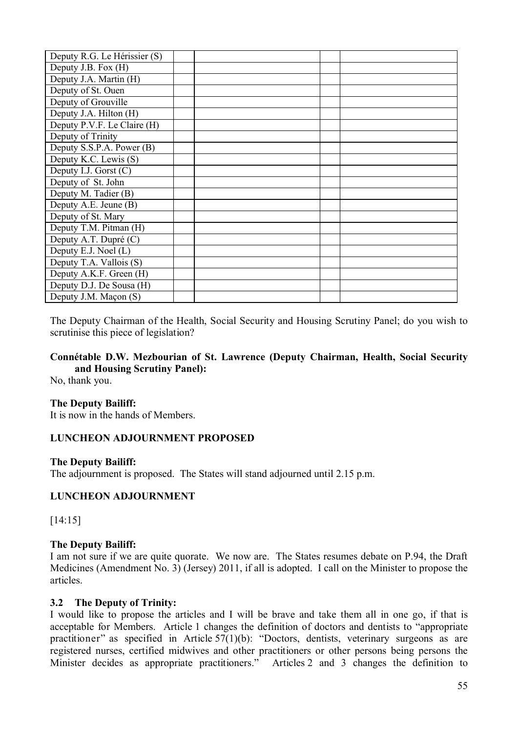| Deputy R.G. Le Hérissier (S) |  |  |
|------------------------------|--|--|
| Deputy J.B. Fox (H)          |  |  |
| Deputy J.A. Martin (H)       |  |  |
| Deputy of St. Ouen           |  |  |
| Deputy of Grouville          |  |  |
| Deputy J.A. Hilton (H)       |  |  |
| Deputy P.V.F. Le Claire (H)  |  |  |
| Deputy of Trinity            |  |  |
| Deputy S.S.P.A. Power (B)    |  |  |
| Deputy K.C. Lewis (S)        |  |  |
| Deputy I.J. Gorst (C)        |  |  |
| Deputy of St. John           |  |  |
| Deputy M. Tadier (B)         |  |  |
| Deputy A.E. Jeune (B)        |  |  |
| Deputy of St. Mary           |  |  |
| Deputy T.M. Pitman (H)       |  |  |
| Deputy A.T. Dupré (C)        |  |  |
| Deputy E.J. Noel (L)         |  |  |
| Deputy T.A. Vallois (S)      |  |  |
| Deputy A.K.F. Green (H)      |  |  |
| Deputy D.J. De Sousa (H)     |  |  |
| Deputy J.M. Maçon (S)        |  |  |

The Deputy Chairman of the Health, Social Security and Housing Scrutiny Panel; do you wish to scrutinise this piece of legislation?

### **Connétable D.W. Mezbourian of St. Lawrence (Deputy Chairman, Health, Social Security and Housing Scrutiny Panel):**

No, thank you.

#### **The Deputy Bailiff:**

It is now in the hands of Members.

#### **LUNCHEON ADJOURNMENT PROPOSED**

#### **The Deputy Bailiff:**

The adjournment is proposed. The States will stand adjourned until 2.15 p.m.

#### **LUNCHEON ADJOURNMENT**

[14:15]

#### **The Deputy Bailiff:**

I am not sure if we are quite quorate. We now are. The States resumes debate on P.94, the Draft Medicines (Amendment No. 3) (Jersey) 2011, if all is adopted. I call on the Minister to propose the articles.

#### **3.2 The Deputy of Trinity:**

I would like to propose the articles and I will be brave and take them all in one go, if that is acceptable for Members. Article 1 changes the definition of doctors and dentists to "appropriate practitioner" as specified in Article 57(1)(b): "Doctors, dentists, veterinary surgeons as are registered nurses, certified midwives and other practitioners or other persons being persons the Minister decides as appropriate practitioners." Articles 2 and 3 changes the definition to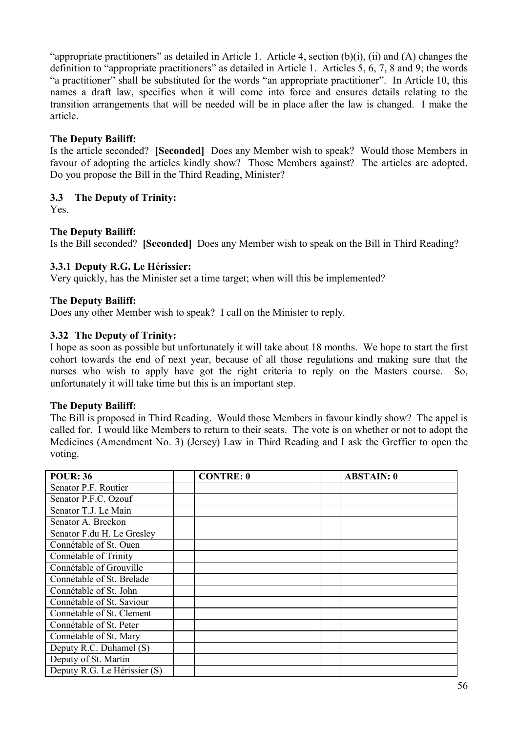"appropriate practitioners" as detailed in Article 1. Article 4, section (b)(i), (ii) and (A) changes the definition to "appropriate practitioners" as detailed in Article 1. Articles 5, 6, 7, 8 and 9; the words "a practitioner" shall be substituted for the words "an appropriate practitioner". In Article 10, this names a draft law, specifies when it will come into force and ensures details relating to the transition arrangements that will be needed will be in place after the law is changed. I make the article.

### **The Deputy Bailiff:**

Is the article seconded? **[Seconded]** Does any Member wish to speak? Would those Members in favour of adopting the articles kindly show? Those Members against? The articles are adopted. Do you propose the Bill in the Third Reading, Minister?

#### **3.3 The Deputy of Trinity:**

Yes.

### **The Deputy Bailiff:**

Is the Bill seconded? **[Seconded]** Does any Member wish to speak on the Bill in Third Reading?

#### **3.3.1 Deputy R.G. Le Hérissier:**

Very quickly, has the Minister set a time target; when will this be implemented?

#### **The Deputy Bailiff:**

Does any other Member wish to speak? I call on the Minister to reply.

#### **3.32 The Deputy of Trinity:**

I hope as soon as possible but unfortunately it will take about 18 months. We hope to start the first cohort towards the end of next year, because of all those regulations and making sure that the nurses who wish to apply have got the right criteria to reply on the Masters course. So, unfortunately it will take time but this is an important step.

#### **The Deputy Bailiff:**

The Bill is proposed in Third Reading. Would those Members in favour kindly show? The appel is called for. I would like Members to return to their seats. The vote is on whether or not to adopt the Medicines (Amendment No. 3) (Jersey) Law in Third Reading and I ask the Greffier to open the voting.

| <b>POUR: 36</b>              | <b>CONTRE: 0</b> | <b>ABSTAIN: 0</b> |
|------------------------------|------------------|-------------------|
| Senator P.F. Routier         |                  |                   |
| Senator P.F.C. Ozouf         |                  |                   |
| Senator T.J. Le Main         |                  |                   |
| Senator A. Breckon           |                  |                   |
| Senator F.du H. Le Gresley   |                  |                   |
| Connétable of St. Ouen       |                  |                   |
| Connétable of Trinity        |                  |                   |
| Connétable of Grouville      |                  |                   |
| Connétable of St. Brelade    |                  |                   |
| Connétable of St. John       |                  |                   |
| Connétable of St. Saviour    |                  |                   |
| Connétable of St. Clement    |                  |                   |
| Connétable of St. Peter      |                  |                   |
| Connétable of St. Mary       |                  |                   |
| Deputy R.C. Duhamel (S)      |                  |                   |
| Deputy of St. Martin         |                  |                   |
| Deputy R.G. Le Hérissier (S) |                  |                   |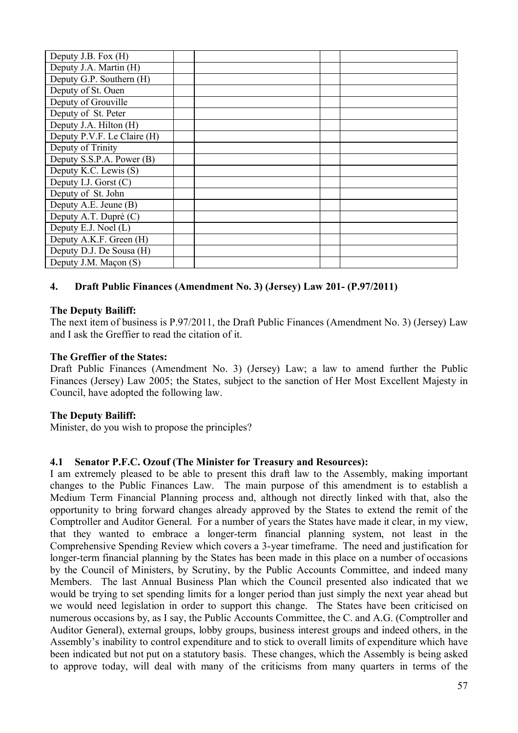| Deputy J.B. Fox (H)         |  |  |
|-----------------------------|--|--|
| Deputy J.A. Martin (H)      |  |  |
| Deputy G.P. Southern (H)    |  |  |
| Deputy of St. Ouen          |  |  |
| Deputy of Grouville         |  |  |
| Deputy of St. Peter         |  |  |
| Deputy J.A. Hilton (H)      |  |  |
| Deputy P.V.F. Le Claire (H) |  |  |
| Deputy of Trinity           |  |  |
| Deputy S.S.P.A. Power (B)   |  |  |
| Deputy K.C. Lewis (S)       |  |  |
| Deputy I.J. Gorst $(C)$     |  |  |
| Deputy of St. John          |  |  |
| Deputy A.E. Jeune (B)       |  |  |
| Deputy A.T. Dupré (C)       |  |  |
| Deputy E.J. Noel (L)        |  |  |
| Deputy A.K.F. Green (H)     |  |  |
| Deputy D.J. De Sousa (H)    |  |  |
| Deputy J.M. Maçon (S)       |  |  |

# **4. Draft Public Finances (Amendment No. 3) (Jersey) Law 201- (P.97/2011)**

### **The Deputy Bailiff:**

The next item of business is P.97/2011, the Draft Public Finances (Amendment No. 3) (Jersey) Law and I ask the Greffier to read the citation of it.

### **The Greffier of the States:**

Draft Public Finances (Amendment No. 3) (Jersey) Law; a law to amend further the Public Finances (Jersey) Law 2005; the States, subject to the sanction of Her Most Excellent Majesty in Council, have adopted the following law.

### **The Deputy Bailiff:**

Minister, do you wish to propose the principles?

### **4.1 Senator P.F.C. Ozouf (The Minister for Treasury and Resources):**

I am extremely pleased to be able to present this draft law to the Assembly, making important changes to the Public Finances Law. The main purpose of this amendment is to establish a Medium Term Financial Planning process and, although not directly linked with that, also the opportunity to bring forward changes already approved by the States to extend the remit of the Comptroller and Auditor General. For a number of years the States have made it clear, in my view, that they wanted to embrace a longer-term financial planning system, not least in the Comprehensive Spending Review which covers a 3-year timeframe. The need and justification for longer-term financial planning by the States has been made in this place on a number of occasions by the Council of Ministers, by Scrutiny, by the Public Accounts Committee, and indeed many Members. The last Annual Business Plan which the Council presented also indicated that we would be trying to set spending limits for a longer period than just simply the next year ahead but we would need legislation in order to support this change. The States have been criticised on numerous occasions by, as I say, the Public Accounts Committee, the C. and A.G. (Comptroller and Auditor General), external groups, lobby groups, business interest groups and indeed others, in the Assembly's inability to control expenditure and to stick to overall limits of expenditure which have been indicated but not put on a statutory basis. These changes, which the Assembly is being asked to approve today, will deal with many of the criticisms from many quarters in terms of the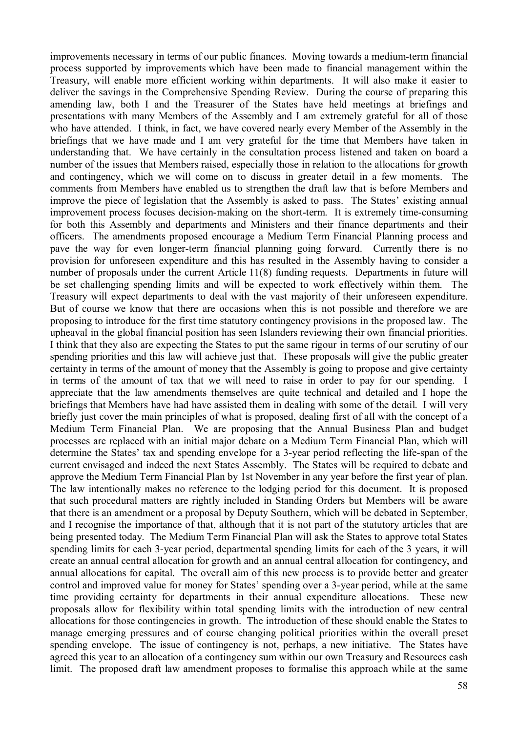improvements necessary in terms of our public finances. Moving towards a medium-term financial process supported by improvements which have been made to financial management within the Treasury, will enable more efficient working within departments. It will also make it easier to deliver the savings in the Comprehensive Spending Review. During the course of preparing this amending law, both I and the Treasurer of the States have held meetings at briefings and presentations with many Members of the Assembly and I am extremely grateful for all of those who have attended. I think, in fact, we have covered nearly every Member of the Assembly in the briefings that we have made and I am very grateful for the time that Members have taken in understanding that. We have certainly in the consultation process listened and taken on board a number of the issues that Members raised, especially those in relation to the allocations for growth and contingency, which we will come on to discuss in greater detail in a few moments. The comments from Members have enabled us to strengthen the draft law that is before Members and improve the piece of legislation that the Assembly is asked to pass. The States' existing annual improvement process focuses decision-making on the short-term. It is extremely time-consuming for both this Assembly and departments and Ministers and their finance departments and their officers. The amendments proposed encourage a Medium Term Financial Planning process and pave the way for even longer-term financial planning going forward. Currently there is no provision for unforeseen expenditure and this has resulted in the Assembly having to consider a number of proposals under the current Article 11(8) funding requests. Departments in future will be set challenging spending limits and will be expected to work effectively within them. The Treasury will expect departments to deal with the vast majority of their unforeseen expenditure. But of course we know that there are occasions when this is not possible and therefore we are proposing to introduce for the first time statutory contingency provisions in the proposed law. The upheaval in the global financial position has seen Islanders reviewing their own financial priorities. I think that they also are expecting the States to put the same rigour in terms of our scrutiny of our spending priorities and this law will achieve just that. These proposals will give the public greater certainty in terms of the amount of money that the Assembly is going to propose and give certainty in terms of the amount of tax that we will need to raise in order to pay for our spending. I appreciate that the law amendments themselves are quite technical and detailed and I hope the briefings that Members have had have assisted them in dealing with some of the detail. I will very briefly just cover the main principles of what is proposed, dealing first of all with the concept of a Medium Term Financial Plan. We are proposing that the Annual Business Plan and budget processes are replaced with an initial major debate on a Medium Term Financial Plan, which will determine the States' tax and spending envelope for a 3-year period reflecting the life-span of the current envisaged and indeed the next States Assembly. The States will be required to debate and approve the Medium Term Financial Plan by 1st November in any year before the first year of plan. The law intentionally makes no reference to the lodging period for this document. It is proposed that such procedural matters are rightly included in Standing Orders but Members will be aware that there is an amendment or a proposal by Deputy Southern, which will be debated in September, and I recognise the importance of that, although that it is not part of the statutory articles that are being presented today. The Medium Term Financial Plan will ask the States to approve total States spending limits for each 3-year period, departmental spending limits for each of the 3 years, it will create an annual central allocation for growth and an annual central allocation for contingency, and annual allocations for capital. The overall aim of this new process is to provide better and greater control and improved value for money for States' spending over a 3-year period, while at the same time providing certainty for departments in their annual expenditure allocations. These new proposals allow for flexibility within total spending limits with the introduction of new central allocations for those contingencies in growth. The introduction of these should enable the States to manage emerging pressures and of course changing political priorities within the overall preset spending envelope. The issue of contingency is not, perhaps, a new initiative. The States have agreed this year to an allocation of a contingency sum within our own Treasury and Resources cash limit. The proposed draft law amendment proposes to formalise this approach while at the same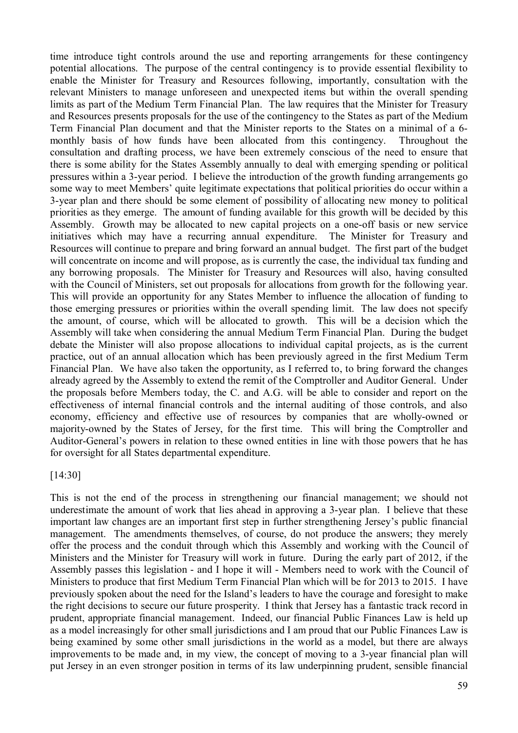time introduce tight controls around the use and reporting arrangements for these contingency potential allocations. The purpose of the central contingency is to provide essential flexibility to enable the Minister for Treasury and Resources following, importantly, consultation with the relevant Ministers to manage unforeseen and unexpected items but within the overall spending limits as part of the Medium Term Financial Plan. The law requires that the Minister for Treasury and Resources presents proposals for the use of the contingency to the States as part of the Medium Term Financial Plan document and that the Minister reports to the States on a minimal of a 6 monthly basis of how funds have been allocated from this contingency. Throughout the consultation and drafting process, we have been extremely conscious of the need to ensure that there is some ability for the States Assembly annually to deal with emerging spending or political pressures within a 3-year period. I believe the introduction of the growth funding arrangements go some way to meet Members' quite legitimate expectations that political priorities do occur within a 3-year plan and there should be some element of possibility of allocating new money to political priorities as they emerge. The amount of funding available for this growth will be decided by this Assembly. Growth may be allocated to new capital projects on a one-off basis or new service initiatives which may have a recurring annual expenditure. The Minister for Treasury and Resources will continue to prepare and bring forward an annual budget. The first part of the budget will concentrate on income and will propose, as is currently the case, the individual tax funding and any borrowing proposals. The Minister for Treasury and Resources will also, having consulted with the Council of Ministers, set out proposals for allocations from growth for the following year. This will provide an opportunity for any States Member to influence the allocation of funding to those emerging pressures or priorities within the overall spending limit. The law does not specify the amount, of course, which will be allocated to growth. This will be a decision which the Assembly will take when considering the annual Medium Term Financial Plan. During the budget debate the Minister will also propose allocations to individual capital projects, as is the current practice, out of an annual allocation which has been previously agreed in the first Medium Term Financial Plan. We have also taken the opportunity, as I referred to, to bring forward the changes already agreed by the Assembly to extend the remit of the Comptroller and Auditor General. Under the proposals before Members today, the C. and A.G. will be able to consider and report on the effectiveness of internal financial controls and the internal auditing of those controls, and also economy, efficiency and effective use of resources by companies that are wholly-owned or majority-owned by the States of Jersey, for the first time. This will bring the Comptroller and Auditor-General's powers in relation to these owned entities in line with those powers that he has for oversight for all States departmental expenditure.

#### [14:30]

This is not the end of the process in strengthening our financial management; we should not underestimate the amount of work that lies ahead in approving a 3-year plan. I believe that these important law changes are an important first step in further strengthening Jersey's public financial management. The amendments themselves, of course, do not produce the answers; they merely offer the process and the conduit through which this Assembly and working with the Council of Ministers and the Minister for Treasury will work in future. During the early part of 2012, if the Assembly passes this legislation - and I hope it will - Members need to work with the Council of Ministers to produce that first Medium Term Financial Plan which will be for 2013 to 2015. I have previously spoken about the need for the Island's leaders to have the courage and foresight to make the right decisions to secure our future prosperity. I think that Jersey has a fantastic track record in prudent, appropriate financial management. Indeed, our financial Public Finances Law is held up as a model increasingly for other small jurisdictions and I am proud that our Public Finances Law is being examined by some other small jurisdictions in the world as a model, but there are always improvements to be made and, in my view, the concept of moving to a 3-year financial plan will put Jersey in an even stronger position in terms of its law underpinning prudent, sensible financial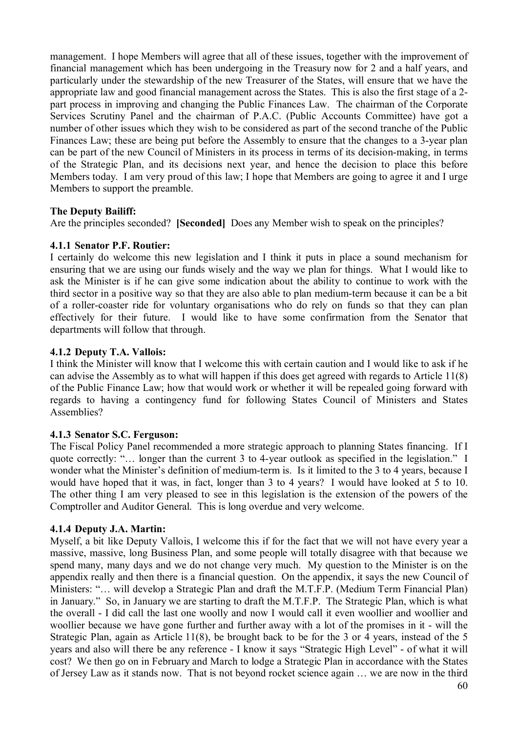management. I hope Members will agree that all of these issues, together with the improvement of financial management which has been undergoing in the Treasury now for 2 and a half years, and particularly under the stewardship of the new Treasurer of the States, will ensure that we have the appropriate law and good financial management across the States. This is also the first stage of a 2 part process in improving and changing the Public Finances Law. The chairman of the Corporate Services Scrutiny Panel and the chairman of P.A.C. (Public Accounts Committee) have got a number of other issues which they wish to be considered as part of the second tranche of the Public Finances Law; these are being put before the Assembly to ensure that the changes to a 3-year plan can be part of the new Council of Ministers in its process in terms of its decision-making, in terms of the Strategic Plan, and its decisions next year, and hence the decision to place this before Members today. I am very proud of this law; I hope that Members are going to agree it and I urge Members to support the preamble.

### **The Deputy Bailiff:**

Are the principles seconded? **[Seconded]** Does any Member wish to speak on the principles?

#### **4.1.1 Senator P.F. Routier:**

I certainly do welcome this new legislation and I think it puts in place a sound mechanism for ensuring that we are using our funds wisely and the way we plan for things. What I would like to ask the Minister is if he can give some indication about the ability to continue to work with the third sector in a positive way so that they are also able to plan medium-term because it can be a bit of a roller-coaster ride for voluntary organisations who do rely on funds so that they can plan effectively for their future. I would like to have some confirmation from the Senator that departments will follow that through.

### **4.1.2 Deputy T.A. Vallois:**

I think the Minister will know that I welcome this with certain caution and I would like to ask if he can advise the Assembly as to what will happen if this does get agreed with regards to Article 11(8) of the Public Finance Law; how that would work or whether it will be repealed going forward with regards to having a contingency fund for following States Council of Ministers and States Assemblies?

### **4.1.3 Senator S.C. Ferguson:**

The Fiscal Policy Panel recommended a more strategic approach to planning States financing. If I quote correctly: "… longer than the current 3 to 4-year outlook as specified in the legislation." I wonder what the Minister's definition of medium-term is. Is it limited to the 3 to 4 years, because I would have hoped that it was, in fact, longer than 3 to 4 years? I would have looked at 5 to 10. The other thing I am very pleased to see in this legislation is the extension of the powers of the Comptroller and Auditor General. This is long overdue and very welcome.

### **4.1.4 Deputy J.A. Martin:**

Myself, a bit like Deputy Vallois, I welcome this if for the fact that we will not have every year a massive, massive, long Business Plan, and some people will totally disagree with that because we spend many, many days and we do not change very much. My question to the Minister is on the appendix really and then there is a financial question. On the appendix, it says the new Council of Ministers: "… will develop a Strategic Plan and draft the M.T.F.P. (Medium Term Financial Plan) in January." So, in January we are starting to draft the M.T.F.P. The Strategic Plan, which is what the overall - I did call the last one woolly and now I would call it even woollier and woollier and woollier because we have gone further and further away with a lot of the promises in it - will the Strategic Plan, again as Article 11(8), be brought back to be for the 3 or 4 years, instead of the 5 years and also will there be any reference - I know it says "Strategic High Level" - of what it will cost? We then go on in February and March to lodge a Strategic Plan in accordance with the States of Jersey Law as it stands now. That is not beyond rocket science again … we are now in the third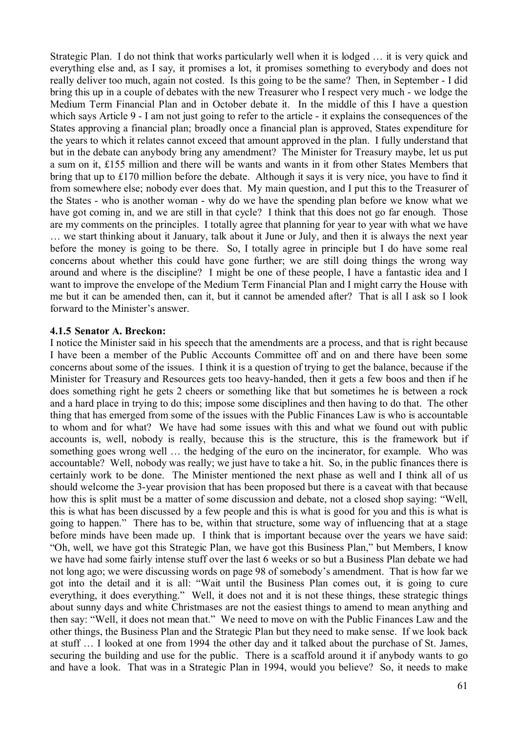Strategic Plan. I do not think that works particularly well when it is lodged … it is very quick and everything else and, as I say, it promises a lot, it promises something to everybody and does not really deliver too much, again not costed. Is this going to be the same? Then, in September - I did bring this up in a couple of debates with the new Treasurer who I respect very much - we lodge the Medium Term Financial Plan and in October debate it. In the middle of this I have a question which says Article 9 - I am not just going to refer to the article - it explains the consequences of the States approving a financial plan; broadly once a financial plan is approved, States expenditure for the years to which it relates cannot exceed that amount approved in the plan. I fully understand that but in the debate can anybody bring any amendment? The Minister for Treasury maybe, let us put a sum on it, £155 million and there will be wants and wants in it from other States Members that bring that up to £170 million before the debate. Although it says it is very nice, you have to find it from somewhere else; nobody ever does that. My main question, and I put this to the Treasurer of the States - who is another woman - why do we have the spending plan before we know what we have got coming in, and we are still in that cycle? I think that this does not go far enough. Those are my comments on the principles. I totally agree that planning for year to year with what we have … we start thinking about it January, talk about it June or July, and then it is always the next year before the money is going to be there. So, I totally agree in principle but I do have some real concerns about whether this could have gone further; we are still doing things the wrong way around and where is the discipline? I might be one of these people, I have a fantastic idea and I want to improve the envelope of the Medium Term Financial Plan and I might carry the House with me but it can be amended then, can it, but it cannot be amended after? That is all I ask so I look forward to the Minister's answer.

#### **4.1.5 Senator A. Breckon:**

I notice the Minister said in his speech that the amendments are a process, and that is right because I have been a member of the Public Accounts Committee off and on and there have been some concerns about some of the issues. I think it is a question of trying to get the balance, because if the Minister for Treasury and Resources gets too heavy-handed, then it gets a few boos and then if he does something right he gets 2 cheers or something like that but sometimes he is between a rock and a hard place in trying to do this; impose some disciplines and then having to do that. The other thing that has emerged from some of the issues with the Public Finances Law is who is accountable to whom and for what? We have had some issues with this and what we found out with public accounts is, well, nobody is really, because this is the structure, this is the framework but if something goes wrong well … the hedging of the euro on the incinerator, for example. Who was accountable? Well, nobody was really; we just have to take a hit. So, in the public finances there is certainly work to be done. The Minister mentioned the next phase as well and I think all of us should welcome the 3-year provision that has been proposed but there is a caveat with that because how this is split must be a matter of some discussion and debate, not a closed shop saying: "Well, this is what has been discussed by a few people and this is what is good for you and this is what is going to happen." There has to be, within that structure, some way of influencing that at a stage before minds have been made up. I think that is important because over the years we have said: "Oh, well, we have got this Strategic Plan, we have got this Business Plan," but Members, I know we have had some fairly intense stuff over the last 6 weeks or so but a Business Plan debate we had not long ago; we were discussing words on page 98 of somebody's amendment. That is how far we got into the detail and it is all: "Wait until the Business Plan comes out, it is going to cure everything, it does everything." Well, it does not and it is not these things, these strategic things about sunny days and white Christmases are not the easiest things to amend to mean anything and then say: "Well, it does not mean that." We need to move on with the Public Finances Law and the other things, the Business Plan and the Strategic Plan but they need to make sense. If we look back at stuff … I looked at one from 1994 the other day and it talked about the purchase of St. James, securing the building and use for the public. There is a scaffold around it if anybody wants to go and have a look. That was in a Strategic Plan in 1994, would you believe? So, it needs to make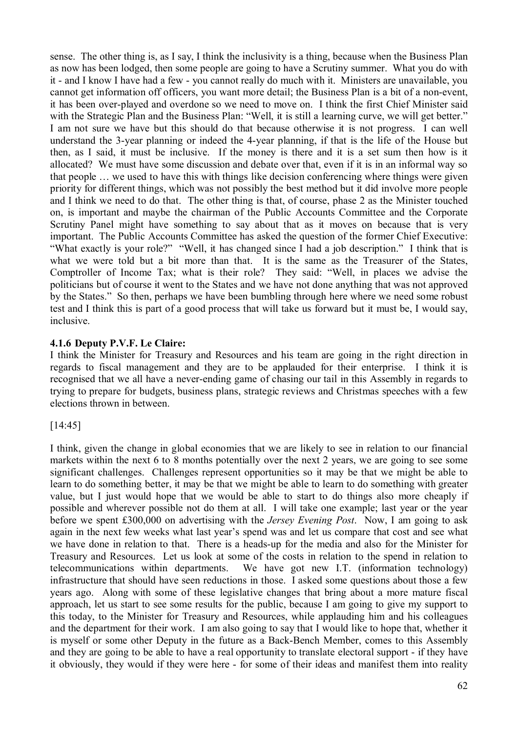sense. The other thing is, as I say, I think the inclusivity is a thing, because when the Business Plan as now has been lodged, then some people are going to have a Scrutiny summer. What you do with it - and I know I have had a few - you cannot really do much with it. Ministers are unavailable, you cannot get information off officers, you want more detail; the Business Plan is a bit of a non-event, it has been over-played and overdone so we need to move on. I think the first Chief Minister said with the Strategic Plan and the Business Plan: "Well, it is still a learning curve, we will get better." I am not sure we have but this should do that because otherwise it is not progress. I can well understand the 3-year planning or indeed the 4-year planning, if that is the life of the House but then, as I said, it must be inclusive. If the money is there and it is a set sum then how is it allocated? We must have some discussion and debate over that, even if it is in an informal way so that people … we used to have this with things like decision conferencing where things were given priority for different things, which was not possibly the best method but it did involve more people and I think we need to do that. The other thing is that, of course, phase 2 as the Minister touched on, is important and maybe the chairman of the Public Accounts Committee and the Corporate Scrutiny Panel might have something to say about that as it moves on because that is very important. The Public Accounts Committee has asked the question of the former Chief Executive: "What exactly is your role?" "Well, it has changed since I had a job description." I think that is what we were told but a bit more than that. It is the same as the Treasurer of the States, Comptroller of Income Tax; what is their role? They said: "Well, in places we advise the politicians but of course it went to the States and we have not done anything that was not approved by the States." So then, perhaps we have been bumbling through here where we need some robust test and I think this is part of a good process that will take us forward but it must be, I would say, inclusive.

#### **4.1.6 Deputy P.V.F. Le Claire:**

I think the Minister for Treasury and Resources and his team are going in the right direction in regards to fiscal management and they are to be applauded for their enterprise. I think it is recognised that we all have a never-ending game of chasing our tail in this Assembly in regards to trying to prepare for budgets, business plans, strategic reviews and Christmas speeches with a few elections thrown in between.

#### [14:45]

I think, given the change in global economies that we are likely to see in relation to our financial markets within the next 6 to 8 months potentially over the next 2 years, we are going to see some significant challenges. Challenges represent opportunities so it may be that we might be able to learn to do something better, it may be that we might be able to learn to do something with greater value, but I just would hope that we would be able to start to do things also more cheaply if possible and wherever possible not do them at all. I will take one example; last year or the year before we spent £300,000 on advertising with the *Jersey Evening Post*. Now, I am going to ask again in the next few weeks what last year's spend was and let us compare that cost and see what we have done in relation to that. There is a heads-up for the media and also for the Minister for Treasury and Resources. Let us look at some of the costs in relation to the spend in relation to telecommunications within departments. We have got new I.T. (information technology) infrastructure that should have seen reductions in those. I asked some questions about those a few years ago. Along with some of these legislative changes that bring about a more mature fiscal approach, let us start to see some results for the public, because I am going to give my support to this today, to the Minister for Treasury and Resources, while applauding him and his colleagues and the department for their work. I am also going to say that I would like to hope that, whether it is myself or some other Deputy in the future as a Back-Bench Member, comes to this Assembly and they are going to be able to have a real opportunity to translate electoral support - if they have it obviously, they would if they were here - for some of their ideas and manifest them into reality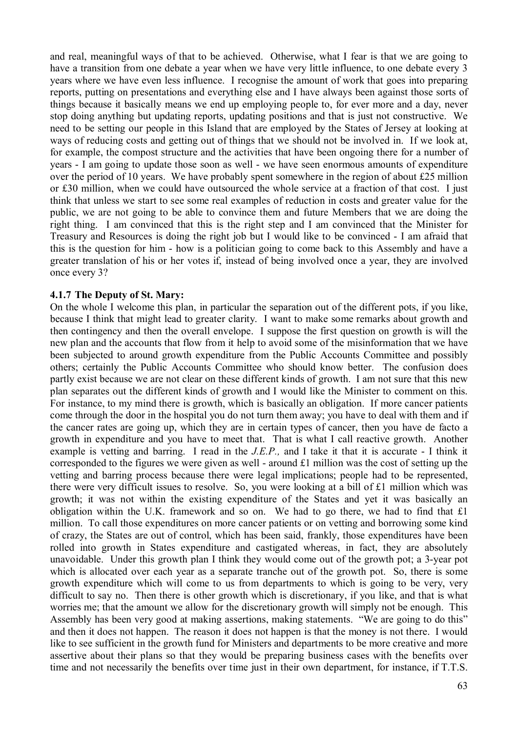and real, meaningful ways of that to be achieved. Otherwise, what I fear is that we are going to have a transition from one debate a year when we have very little influence, to one debate every 3 years where we have even less influence. I recognise the amount of work that goes into preparing reports, putting on presentations and everything else and I have always been against those sorts of things because it basically means we end up employing people to, for ever more and a day, never stop doing anything but updating reports, updating positions and that is just not constructive. We need to be setting our people in this Island that are employed by the States of Jersey at looking at ways of reducing costs and getting out of things that we should not be involved in. If we look at, for example, the compost structure and the activities that have been ongoing there for a number of years - I am going to update those soon as well - we have seen enormous amounts of expenditure over the period of 10 years. We have probably spent somewhere in the region of about £25 million or £30 million, when we could have outsourced the whole service at a fraction of that cost. I just think that unless we start to see some real examples of reduction in costs and greater value for the public, we are not going to be able to convince them and future Members that we are doing the right thing. I am convinced that this is the right step and I am convinced that the Minister for Treasury and Resources is doing the right job but I would like to be convinced - I am afraid that this is the question for him - how is a politician going to come back to this Assembly and have a greater translation of his or her votes if, instead of being involved once a year, they are involved once every 3?

#### **4.1.7 The Deputy of St. Mary:**

On the whole I welcome this plan, in particular the separation out of the different pots, if you like, because I think that might lead to greater clarity. I want to make some remarks about growth and then contingency and then the overall envelope. I suppose the first question on growth is will the new plan and the accounts that flow from it help to avoid some of the misinformation that we have been subjected to around growth expenditure from the Public Accounts Committee and possibly others; certainly the Public Accounts Committee who should know better. The confusion does partly exist because we are not clear on these different kinds of growth. I am not sure that this new plan separates out the different kinds of growth and I would like the Minister to comment on this. For instance, to my mind there is growth, which is basically an obligation. If more cancer patients come through the door in the hospital you do not turn them away; you have to deal with them and if the cancer rates are going up, which they are in certain types of cancer, then you have de facto a growth in expenditure and you have to meet that. That is what I call reactive growth. Another example is vetting and barring. I read in the *J.E.P.,* and I take it that it is accurate - I think it corresponded to the figures we were given as well - around £1 million was the cost of setting up the vetting and barring process because there were legal implications; people had to be represented, there were very difficult issues to resolve. So, you were looking at a bill of £1 million which was growth; it was not within the existing expenditure of the States and yet it was basically an obligation within the U.K. framework and so on. We had to go there, we had to find that £1 million. To call those expenditures on more cancer patients or on vetting and borrowing some kind of crazy, the States are out of control, which has been said, frankly, those expenditures have been rolled into growth in States expenditure and castigated whereas, in fact, they are absolutely unavoidable. Under this growth plan I think they would come out of the growth pot; a 3-year pot which is allocated over each year as a separate tranche out of the growth pot. So, there is some growth expenditure which will come to us from departments to which is going to be very, very difficult to say no. Then there is other growth which is discretionary, if you like, and that is what worries me; that the amount we allow for the discretionary growth will simply not be enough. This Assembly has been very good at making assertions, making statements. "We are going to do this" and then it does not happen. The reason it does not happen is that the money is not there. I would like to see sufficient in the growth fund for Ministers and departments to be more creative and more assertive about their plans so that they would be preparing business cases with the benefits over time and not necessarily the benefits over time just in their own department, for instance, if T.T.S.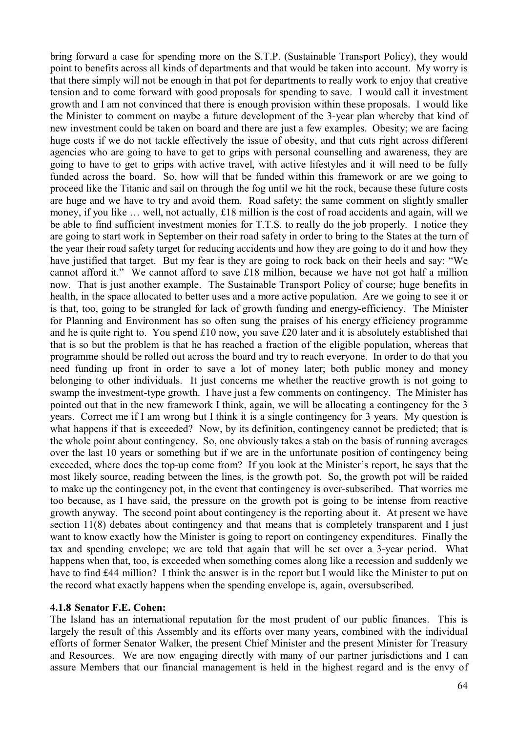bring forward a case for spending more on the S.T.P. (Sustainable Transport Policy), they would point to benefits across all kinds of departments and that would be taken into account. My worry is that there simply will not be enough in that pot for departments to really work to enjoy that creative tension and to come forward with good proposals for spending to save. I would call it investment growth and I am not convinced that there is enough provision within these proposals. I would like the Minister to comment on maybe a future development of the 3-year plan whereby that kind of new investment could be taken on board and there are just a few examples. Obesity; we are facing huge costs if we do not tackle effectively the issue of obesity, and that cuts right across different agencies who are going to have to get to grips with personal counselling and awareness, they are going to have to get to grips with active travel, with active lifestyles and it will need to be fully funded across the board. So, how will that be funded within this framework or are we going to proceed like the Titanic and sail on through the fog until we hit the rock, because these future costs are huge and we have to try and avoid them. Road safety; the same comment on slightly smaller money, if you like … well, not actually, £18 million is the cost of road accidents and again, will we be able to find sufficient investment monies for T.T.S. to really do the job properly. I notice they are going to start work in September on their road safety in order to bring to the States at the turn of the year their road safety target for reducing accidents and how they are going to do it and how they have justified that target. But my fear is they are going to rock back on their heels and say: "We cannot afford it." We cannot afford to save £18 million, because we have not got half a million now. That is just another example. The Sustainable Transport Policy of course; huge benefits in health, in the space allocated to better uses and a more active population. Are we going to see it or is that, too, going to be strangled for lack of growth funding and energy-efficiency. The Minister for Planning and Environment has so often sung the praises of his energy efficiency programme and he is quite right to. You spend £10 now, you save £20 later and it is absolutely established that that is so but the problem is that he has reached a fraction of the eligible population, whereas that programme should be rolled out across the board and try to reach everyone. In order to do that you need funding up front in order to save a lot of money later; both public money and money belonging to other individuals. It just concerns me whether the reactive growth is not going to swamp the investment-type growth. I have just a few comments on contingency. The Minister has pointed out that in the new framework I think, again, we will be allocating a contingency for the 3 years. Correct me if I am wrong but I think it is a single contingency for 3 years. My question is what happens if that is exceeded? Now, by its definition, contingency cannot be predicted; that is the whole point about contingency. So, one obviously takes a stab on the basis of running averages over the last 10 years or something but if we are in the unfortunate position of contingency being exceeded, where does the top-up come from? If you look at the Minister's report, he says that the most likely source, reading between the lines, is the growth pot. So, the growth pot will be raided to make up the contingency pot, in the event that contingency is over-subscribed. That worries me too because, as I have said, the pressure on the growth pot is going to be intense from reactive growth anyway. The second point about contingency is the reporting about it. At present we have section 11(8) debates about contingency and that means that is completely transparent and I just want to know exactly how the Minister is going to report on contingency expenditures. Finally the tax and spending envelope; we are told that again that will be set over a 3-year period. What happens when that, too, is exceeded when something comes along like a recession and suddenly we have to find £44 million? I think the answer is in the report but I would like the Minister to put on the record what exactly happens when the spending envelope is, again, oversubscribed.

#### **4.1.8 Senator F.E. Cohen:**

The Island has an international reputation for the most prudent of our public finances. This is largely the result of this Assembly and its efforts over many years, combined with the individual efforts of former Senator Walker, the present Chief Minister and the present Minister for Treasury and Resources. We are now engaging directly with many of our partner jurisdictions and I can assure Members that our financial management is held in the highest regard and is the envy of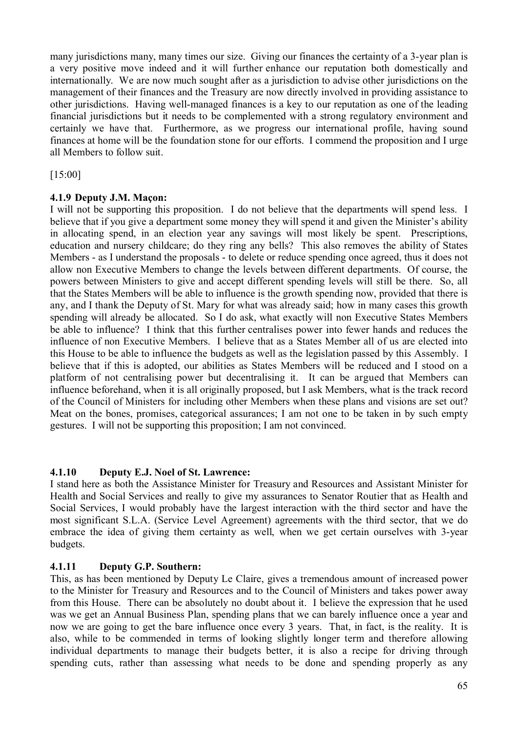many jurisdictions many, many times our size. Giving our finances the certainty of a 3-year plan is a very positive move indeed and it will further enhance our reputation both domestically and internationally. We are now much sought after as a jurisdiction to advise other jurisdictions on the management of their finances and the Treasury are now directly involved in providing assistance to other jurisdictions. Having well-managed finances is a key to our reputation as one of the leading financial jurisdictions but it needs to be complemented with a strong regulatory environment and certainly we have that. Furthermore, as we progress our international profile, having sound finances at home will be the foundation stone for our efforts. I commend the proposition and I urge all Members to follow suit.

[15:00]

### **4.1.9 Deputy J.M. Maçon:**

I will not be supporting this proposition. I do not believe that the departments will spend less. I believe that if you give a department some money they will spend it and given the Minister's ability in allocating spend, in an election year any savings will most likely be spent. Prescriptions, education and nursery childcare; do they ring any bells? This also removes the ability of States Members - as I understand the proposals - to delete or reduce spending once agreed, thus it does not allow non Executive Members to change the levels between different departments. Of course, the powers between Ministers to give and accept different spending levels will still be there. So, all that the States Members will be able to influence is the growth spending now, provided that there is any, and I thank the Deputy of St. Mary for what was already said; how in many cases this growth spending will already be allocated. So I do ask, what exactly will non Executive States Members be able to influence? I think that this further centralises power into fewer hands and reduces the influence of non Executive Members. I believe that as a States Member all of us are elected into this House to be able to influence the budgets as well as the legislation passed by this Assembly. I believe that if this is adopted, our abilities as States Members will be reduced and I stood on a platform of not centralising power but decentralising it. It can be argued that Members can influence beforehand, when it is all originally proposed, but I ask Members, what is the track record of the Council of Ministers for including other Members when these plans and visions are set out? Meat on the bones, promises, categorical assurances; I am not one to be taken in by such empty gestures. I will not be supporting this proposition; I am not convinced.

# **4.1.10 Deputy E.J. Noel of St. Lawrence:**

I stand here as both the Assistance Minister for Treasury and Resources and Assistant Minister for Health and Social Services and really to give my assurances to Senator Routier that as Health and Social Services, I would probably have the largest interaction with the third sector and have the most significant S.L.A. (Service Level Agreement) agreements with the third sector, that we do embrace the idea of giving them certainty as well, when we get certain ourselves with 3-year budgets.

# **4.1.11 Deputy G.P. Southern:**

This, as has been mentioned by Deputy Le Claire, gives a tremendous amount of increased power to the Minister for Treasury and Resources and to the Council of Ministers and takes power away from this House. There can be absolutely no doubt about it. I believe the expression that he used was we get an Annual Business Plan, spending plans that we can barely influence once a year and now we are going to get the bare influence once every 3 years. That, in fact, is the reality. It is also, while to be commended in terms of looking slightly longer term and therefore allowing individual departments to manage their budgets better, it is also a recipe for driving through spending cuts, rather than assessing what needs to be done and spending properly as any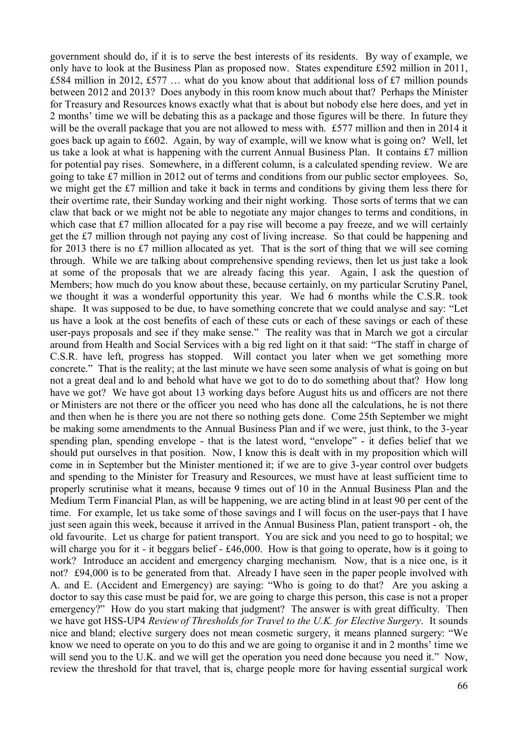government should do, if it is to serve the best interests of its residents. By way of example, we only have to look at the Business Plan as proposed now. States expenditure £592 million in 2011, £584 million in 2012, £577 ... what do you know about that additional loss of £7 million pounds between 2012 and 2013? Does anybody in this room know much about that? Perhaps the Minister for Treasury and Resources knows exactly what that is about but nobody else here does, and yet in 2 months' time we will be debating this as a package and those figures will be there. In future they will be the overall package that you are not allowed to mess with. £577 million and then in 2014 it goes back up again to £602. Again, by way of example, will we know what is going on? Well, let us take a look at what is happening with the current Annual Business Plan. It contains £7 million for potential pay rises. Somewhere, in a different column, is a calculated spending review. We are going to take £7 million in 2012 out of terms and conditions from our public sector employees. So, we might get the £7 million and take it back in terms and conditions by giving them less there for their overtime rate, their Sunday working and their night working. Those sorts of terms that we can claw that back or we might not be able to negotiate any major changes to terms and conditions, in which case that £7 million allocated for a pay rise will become a pay freeze, and we will certainly get the £7 million through not paying any cost of living increase. So that could be happening and for 2013 there is no £7 million allocated as yet. That is the sort of thing that we will see coming through. While we are talking about comprehensive spending reviews, then let us just take a look at some of the proposals that we are already facing this year. Again, I ask the question of Members; how much do you know about these, because certainly, on my particular Scrutiny Panel, we thought it was a wonderful opportunity this year. We had 6 months while the C.S.R. took shape. It was supposed to be due, to have something concrete that we could analyse and say: "Let us have a look at the cost benefits of each of these cuts or each of these savings or each of these user-pays proposals and see if they make sense." The reality was that in March we got a circular around from Health and Social Services with a big red light on it that said: "The staff in charge of C.S.R. have left, progress has stopped. Will contact you later when we get something more concrete." That is the reality; at the last minute we have seen some analysis of what is going on but not a great deal and lo and behold what have we got to do to do something about that? How long have we got? We have got about 13 working days before August hits us and officers are not there or Ministers are not there or the officer you need who has done all the calculations, he is not there and then when he is there you are not there so nothing gets done. Come 25th September we might be making some amendments to the Annual Business Plan and if we were, just think, to the 3-year spending plan, spending envelope - that is the latest word, "envelope" - it defies belief that we should put ourselves in that position. Now, I know this is dealt with in my proposition which will come in in September but the Minister mentioned it; if we are to give 3-year control over budgets and spending to the Minister for Treasury and Resources, we must have at least sufficient time to properly scrutinise what it means, because 9 times out of 10 in the Annual Business Plan and the Medium Term Financial Plan, as will be happening, we are acting blind in at least 90 per cent of the time. For example, let us take some of those savings and I will focus on the user-pays that I have just seen again this week, because it arrived in the Annual Business Plan, patient transport - oh, the old favourite. Let us charge for patient transport. You are sick and you need to go to hospital; we will charge you for it - it beggars belief - £46,000. How is that going to operate, how is it going to work? Introduce an accident and emergency charging mechanism. Now, that is a nice one, is it not? £94,000 is to be generated from that. Already I have seen in the paper people involved with A. and E. (Accident and Emergency) are saying: "Who is going to do that? Are you asking a doctor to say this case must be paid for, we are going to charge this person, this case is not a proper emergency?" How do you start making that judgment? The answer is with great difficulty. Then we have got HSS-UP4 *Review of Thresholds for Travel to the U.K. for Elective Surgery*. It sounds nice and bland; elective surgery does not mean cosmetic surgery, it means planned surgery: "We know we need to operate on you to do this and we are going to organise it and in 2 months' time we will send you to the U.K. and we will get the operation you need done because you need it." Now, review the threshold for that travel, that is, charge people more for having essential surgical work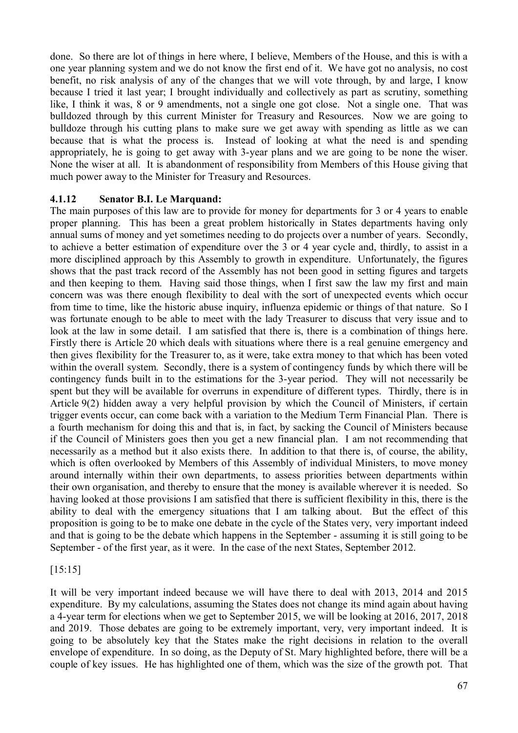done. So there are lot of things in here where, I believe, Members of the House, and this is with a one year planning system and we do not know the first end of it. We have got no analysis, no cost benefit, no risk analysis of any of the changes that we will vote through, by and large, I know because I tried it last year; I brought individually and collectively as part as scrutiny, something like, I think it was, 8 or 9 amendments, not a single one got close. Not a single one. That was bulldozed through by this current Minister for Treasury and Resources. Now we are going to bulldoze through his cutting plans to make sure we get away with spending as little as we can because that is what the process is. Instead of looking at what the need is and spending appropriately, he is going to get away with 3-year plans and we are going to be none the wiser. None the wiser at all. It is abandonment of responsibility from Members of this House giving that much power away to the Minister for Treasury and Resources.

#### **4.1.12 Senator B.I. Le Marquand:**

The main purposes of this law are to provide for money for departments for 3 or 4 years to enable proper planning. This has been a great problem historically in States departments having only annual sums of money and yet sometimes needing to do projects over a number of years. Secondly, to achieve a better estimation of expenditure over the 3 or 4 year cycle and, thirdly, to assist in a more disciplined approach by this Assembly to growth in expenditure. Unfortunately, the figures shows that the past track record of the Assembly has not been good in setting figures and targets and then keeping to them. Having said those things, when I first saw the law my first and main concern was was there enough flexibility to deal with the sort of unexpected events which occur from time to time, like the historic abuse inquiry, influenza epidemic or things of that nature. So I was fortunate enough to be able to meet with the lady Treasurer to discuss that very issue and to look at the law in some detail. I am satisfied that there is, there is a combination of things here. Firstly there is Article 20 which deals with situations where there is a real genuine emergency and then gives flexibility for the Treasurer to, as it were, take extra money to that which has been voted within the overall system. Secondly, there is a system of contingency funds by which there will be contingency funds built in to the estimations for the 3-year period. They will not necessarily be spent but they will be available for overruns in expenditure of different types. Thirdly, there is in Article 9(2) hidden away a very helpful provision by which the Council of Ministers, if certain trigger events occur, can come back with a variation to the Medium Term Financial Plan. There is a fourth mechanism for doing this and that is, in fact, by sacking the Council of Ministers because if the Council of Ministers goes then you get a new financial plan. I am not recommending that necessarily as a method but it also exists there. In addition to that there is, of course, the ability, which is often overlooked by Members of this Assembly of individual Ministers, to move money around internally within their own departments, to assess priorities between departments within their own organisation, and thereby to ensure that the money is available wherever it is needed. So having looked at those provisions I am satisfied that there is sufficient flexibility in this, there is the ability to deal with the emergency situations that I am talking about. But the effect of this proposition is going to be to make one debate in the cycle of the States very, very important indeed and that is going to be the debate which happens in the September - assuming it is still going to be September - of the first year, as it were. In the case of the next States, September 2012.

### [15:15]

It will be very important indeed because we will have there to deal with 2013, 2014 and 2015 expenditure. By my calculations, assuming the States does not change its mind again about having a 4-year term for elections when we get to September 2015, we will be looking at 2016, 2017, 2018 and 2019. Those debates are going to be extremely important, very, very important indeed. It is going to be absolutely key that the States make the right decisions in relation to the overall envelope of expenditure. In so doing, as the Deputy of St. Mary highlighted before, there will be a couple of key issues. He has highlighted one of them, which was the size of the growth pot. That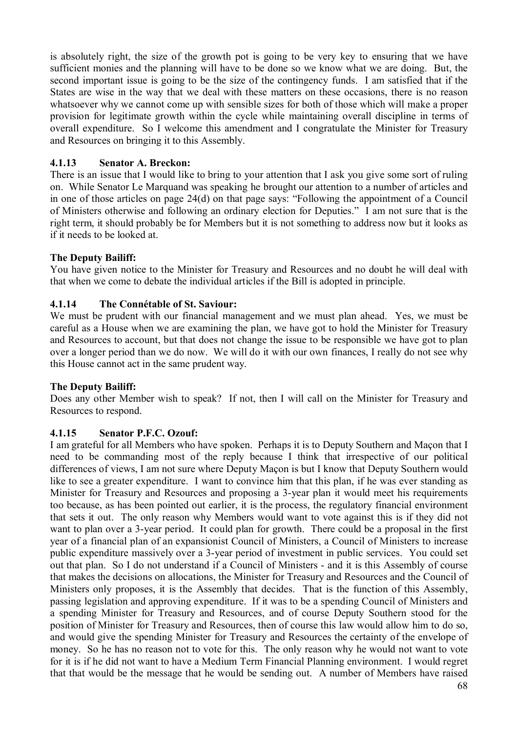is absolutely right, the size of the growth pot is going to be very key to ensuring that we have sufficient monies and the planning will have to be done so we know what we are doing. But, the second important issue is going to be the size of the contingency funds. I am satisfied that if the States are wise in the way that we deal with these matters on these occasions, there is no reason whatsoever why we cannot come up with sensible sizes for both of those which will make a proper provision for legitimate growth within the cycle while maintaining overall discipline in terms of overall expenditure. So I welcome this amendment and I congratulate the Minister for Treasury and Resources on bringing it to this Assembly.

### **4.1.13 Senator A. Breckon:**

There is an issue that I would like to bring to your attention that I ask you give some sort of ruling on. While Senator Le Marquand was speaking he brought our attention to a number of articles and in one of those articles on page 24(d) on that page says: "Following the appointment of a Council of Ministers otherwise and following an ordinary election for Deputies." I am not sure that is the right term, it should probably be for Members but it is not something to address now but it looks as if it needs to be looked at.

### **The Deputy Bailiff:**

You have given notice to the Minister for Treasury and Resources and no doubt he will deal with that when we come to debate the individual articles if the Bill is adopted in principle.

### **4.1.14 The Connétable of St. Saviour:**

We must be prudent with our financial management and we must plan ahead. Yes, we must be careful as a House when we are examining the plan, we have got to hold the Minister for Treasury and Resources to account, but that does not change the issue to be responsible we have got to plan over a longer period than we do now. We will do it with our own finances, I really do not see why this House cannot act in the same prudent way.

### **The Deputy Bailiff:**

Does any other Member wish to speak? If not, then I will call on the Minister for Treasury and Resources to respond.

### **4.1.15 Senator P.F.C. Ozouf:**

I am grateful for all Members who have spoken. Perhaps it is to Deputy Southern and Maçon that I need to be commanding most of the reply because I think that irrespective of our political differences of views, I am not sure where Deputy Maçon is but I know that Deputy Southern would like to see a greater expenditure. I want to convince him that this plan, if he was ever standing as Minister for Treasury and Resources and proposing a 3-year plan it would meet his requirements too because, as has been pointed out earlier, it is the process, the regulatory financial environment that sets it out. The only reason why Members would want to vote against this is if they did not want to plan over a 3-year period. It could plan for growth. There could be a proposal in the first year of a financial plan of an expansionist Council of Ministers, a Council of Ministers to increase public expenditure massively over a 3-year period of investment in public services. You could set out that plan. So I do not understand if a Council of Ministers - and it is this Assembly of course that makes the decisions on allocations, the Minister for Treasury and Resources and the Council of Ministers only proposes, it is the Assembly that decides. That is the function of this Assembly, passing legislation and approving expenditure. If it was to be a spending Council of Ministers and a spending Minister for Treasury and Resources, and of course Deputy Southern stood for the position of Minister for Treasury and Resources, then of course this law would allow him to do so, and would give the spending Minister for Treasury and Resources the certainty of the envelope of money. So he has no reason not to vote for this. The only reason why he would not want to vote for it is if he did not want to have a Medium Term Financial Planning environment. I would regret that that would be the message that he would be sending out. A number of Members have raised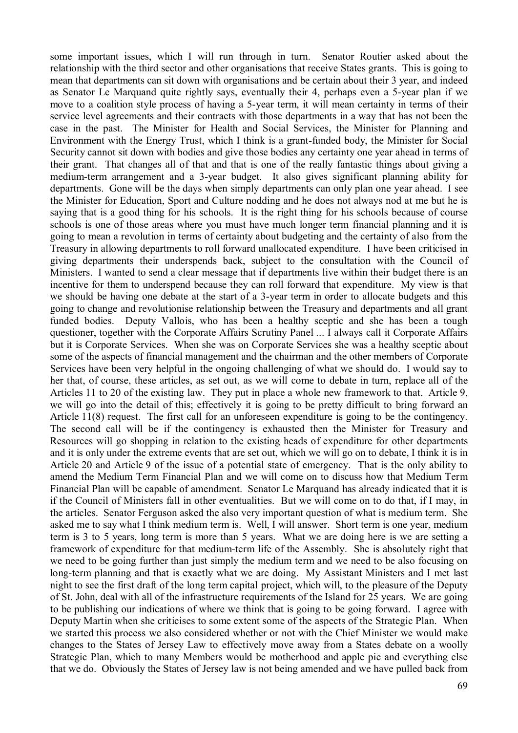some important issues, which I will run through in turn. Senator Routier asked about the relationship with the third sector and other organisations that receive States grants. This is going to mean that departments can sit down with organisations and be certain about their 3 year, and indeed as Senator Le Marquand quite rightly says, eventually their 4, perhaps even a 5-year plan if we move to a coalition style process of having a 5-year term, it will mean certainty in terms of their service level agreements and their contracts with those departments in a way that has not been the case in the past. The Minister for Health and Social Services, the Minister for Planning and Environment with the Energy Trust, which I think is a grant-funded body, the Minister for Social Security cannot sit down with bodies and give those bodies any certainty one year ahead in terms of their grant. That changes all of that and that is one of the really fantastic things about giving a medium-term arrangement and a 3-year budget. It also gives significant planning ability for departments. Gone will be the days when simply departments can only plan one year ahead. I see the Minister for Education, Sport and Culture nodding and he does not always nod at me but he is saying that is a good thing for his schools. It is the right thing for his schools because of course schools is one of those areas where you must have much longer term financial planning and it is going to mean a revolution in terms of certainty about budgeting and the certainty of also from the Treasury in allowing departments to roll forward unallocated expenditure. I have been criticised in giving departments their underspends back, subject to the consultation with the Council of Ministers. I wanted to send a clear message that if departments live within their budget there is an incentive for them to underspend because they can roll forward that expenditure. My view is that we should be having one debate at the start of a 3-year term in order to allocate budgets and this going to change and revolutionise relationship between the Treasury and departments and all grant funded bodies. Deputy Vallois, who has been a healthy sceptic and she has been a tough questioner, together with the Corporate Affairs Scrutiny Panel ... I always call it Corporate Affairs but it is Corporate Services. When she was on Corporate Services she was a healthy sceptic about some of the aspects of financial management and the chairman and the other members of Corporate Services have been very helpful in the ongoing challenging of what we should do. I would say to her that, of course, these articles, as set out, as we will come to debate in turn, replace all of the Articles 11 to 20 of the existing law. They put in place a whole new framework to that. Article 9, we will go into the detail of this; effectively it is going to be pretty difficult to bring forward an Article 11(8) request. The first call for an unforeseen expenditure is going to be the contingency. The second call will be if the contingency is exhausted then the Minister for Treasury and Resources will go shopping in relation to the existing heads of expenditure for other departments and it is only under the extreme events that are set out, which we will go on to debate, I think it is in Article 20 and Article 9 of the issue of a potential state of emergency. That is the only ability to amend the Medium Term Financial Plan and we will come on to discuss how that Medium Term Financial Plan will be capable of amendment. Senator Le Marquand has already indicated that it is if the Council of Ministers fall in other eventualities. But we will come on to do that, if I may, in the articles. Senator Ferguson asked the also very important question of what is medium term. She asked me to say what I think medium term is. Well, I will answer. Short term is one year, medium term is 3 to 5 years, long term is more than 5 years. What we are doing here is we are setting a framework of expenditure for that medium-term life of the Assembly. She is absolutely right that we need to be going further than just simply the medium term and we need to be also focusing on long-term planning and that is exactly what we are doing. My Assistant Ministers and I met last night to see the first draft of the long term capital project, which will, to the pleasure of the Deputy of St. John, deal with all of the infrastructure requirements of the Island for 25 years. We are going to be publishing our indications of where we think that is going to be going forward. I agree with Deputy Martin when she criticises to some extent some of the aspects of the Strategic Plan. When we started this process we also considered whether or not with the Chief Minister we would make changes to the States of Jersey Law to effectively move away from a States debate on a woolly Strategic Plan, which to many Members would be motherhood and apple pie and everything else that we do. Obviously the States of Jersey law is not being amended and we have pulled back from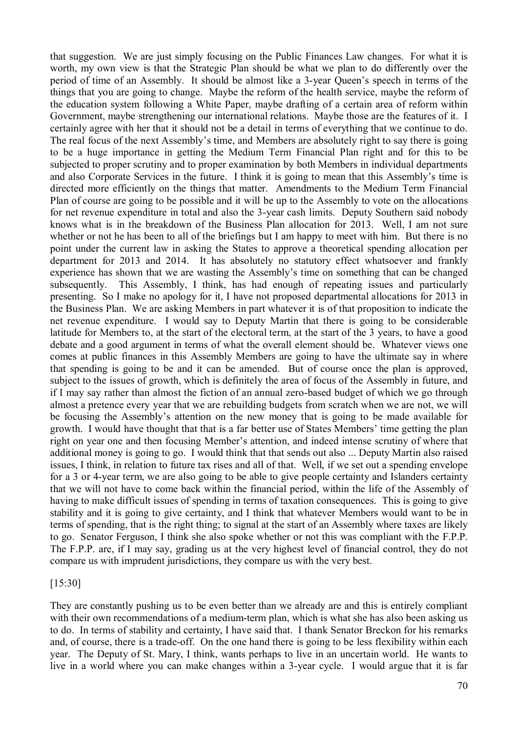that suggestion. We are just simply focusing on the Public Finances Law changes. For what it is worth, my own view is that the Strategic Plan should be what we plan to do differently over the period of time of an Assembly. It should be almost like a 3-year Queen's speech in terms of the things that you are going to change. Maybe the reform of the health service, maybe the reform of the education system following a White Paper, maybe drafting of a certain area of reform within Government, maybe strengthening our international relations. Maybe those are the features of it. I certainly agree with her that it should not be a detail in terms of everything that we continue to do. The real focus of the next Assembly's time, and Members are absolutely right to say there is going to be a huge importance in getting the Medium Term Financial Plan right and for this to be subjected to proper scrutiny and to proper examination by both Members in individual departments and also Corporate Services in the future. I think it is going to mean that this Assembly's time is directed more efficiently on the things that matter. Amendments to the Medium Term Financial Plan of course are going to be possible and it will be up to the Assembly to vote on the allocations for net revenue expenditure in total and also the 3-year cash limits. Deputy Southern said nobody knows what is in the breakdown of the Business Plan allocation for 2013. Well, I am not sure whether or not he has been to all of the briefings but I am happy to meet with him. But there is no point under the current law in asking the States to approve a theoretical spending allocation per department for 2013 and 2014. It has absolutely no statutory effect whatsoever and frankly experience has shown that we are wasting the Assembly's time on something that can be changed subsequently. This Assembly, I think, has had enough of repeating issues and particularly presenting. So I make no apology for it, I have not proposed departmental allocations for 2013 in the Business Plan. We are asking Members in part whatever it is of that proposition to indicate the net revenue expenditure. I would say to Deputy Martin that there is going to be considerable latitude for Members to, at the start of the electoral term, at the start of the 3 years, to have a good debate and a good argument in terms of what the overall element should be. Whatever views one comes at public finances in this Assembly Members are going to have the ultimate say in where that spending is going to be and it can be amended. But of course once the plan is approved, subject to the issues of growth, which is definitely the area of focus of the Assembly in future, and if I may say rather than almost the fiction of an annual zero-based budget of which we go through almost a pretence every year that we are rebuilding budgets from scratch when we are not, we will be focusing the Assembly's attention on the new money that is going to be made available for growth. I would have thought that that is a far better use of States Members' time getting the plan right on year one and then focusing Member's attention, and indeed intense scrutiny of where that additional money is going to go. I would think that that sends out also ... Deputy Martin also raised issues, I think, in relation to future tax rises and all of that. Well, if we set out a spending envelope for a 3 or 4-year term, we are also going to be able to give people certainty and Islanders certainty that we will not have to come back within the financial period, within the life of the Assembly of having to make difficult issues of spending in terms of taxation consequences. This is going to give stability and it is going to give certainty, and I think that whatever Members would want to be in terms of spending, that is the right thing; to signal at the start of an Assembly where taxes are likely to go. Senator Ferguson, I think she also spoke whether or not this was compliant with the F.P.P. The F.P.P. are, if I may say, grading us at the very highest level of financial control, they do not compare us with imprudent jurisdictions, they compare us with the very best.

#### [15:30]

They are constantly pushing us to be even better than we already are and this is entirely compliant with their own recommendations of a medium-term plan, which is what she has also been asking us to do. In terms of stability and certainty, I have said that. I thank Senator Breckon for his remarks and, of course, there is a trade-off. On the one hand there is going to be less flexibility within each year. The Deputy of St. Mary, I think, wants perhaps to live in an uncertain world. He wants to live in a world where you can make changes within a 3-year cycle. I would argue that it is far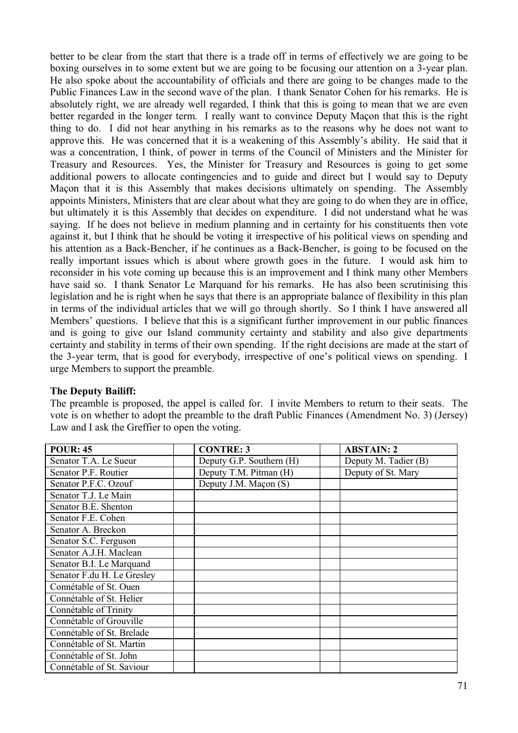better to be clear from the start that there is a trade off in terms of effectively we are going to be boxing ourselves in to some extent but we are going to be focusing our attention on a 3-year plan. He also spoke about the accountability of officials and there are going to be changes made to the Public Finances Law in the second wave of the plan. I thank Senator Cohen for his remarks. He is absolutely right, we are already well regarded, I think that this is going to mean that we are even better regarded in the longer term. I really want to convince Deputy Maçon that this is the right thing to do. I did not hear anything in his remarks as to the reasons why he does not want to approve this. He was concerned that it is a weakening of this Assembly's ability. He said that it was a concentration, I think, of power in terms of the Council of Ministers and the Minister for Treasury and Resources. Yes, the Minister for Treasury and Resources is going to get some additional powers to allocate contingencies and to guide and direct but I would say to Deputy Maçon that it is this Assembly that makes decisions ultimately on spending. The Assembly appoints Ministers, Ministers that are clear about what they are going to do when they are in office, but ultimately it is this Assembly that decides on expenditure. I did not understand what he was saying. If he does not believe in medium planning and in certainty for his constituents then vote against it, but I think that he should be voting it irrespective of his political views on spending and his attention as a Back-Bencher, if he continues as a Back-Bencher, is going to be focused on the really important issues which is about where growth goes in the future. I would ask him to reconsider in his vote coming up because this is an improvement and I think many other Members have said so. I thank Senator Le Marquand for his remarks. He has also been scrutinising this legislation and he is right when he says that there is an appropriate balance of flexibility in this plan in terms of the individual articles that we will go through shortly. So I think I have answered all Members' questions. I believe that this is a significant further improvement in our public finances and is going to give our Island community certainty and stability and also give departments certainty and stability in terms of their own spending. If the right decisions are made at the start of the 3-year term, that is good for everybody, irrespective of one's political views on spending. I urge Members to support the preamble.

### **The Deputy Bailiff:**

The preamble is proposed, the appel is called for. I invite Members to return to their seats. The vote is on whether to adopt the preamble to the draft Public Finances (Amendment No. 3) (Jersey) Law and I ask the Greffier to open the voting.

| <b>POUR: 45</b>            | <b>CONTRE: 3</b>         | <b>ABSTAIN: 2</b>    |
|----------------------------|--------------------------|----------------------|
| Senator T.A. Le Sueur      | Deputy G.P. Southern (H) | Deputy M. Tadier (B) |
| Senator P.F. Routier       | Deputy T.M. Pitman (H)   | Deputy of St. Mary   |
| Senator P.F.C. Ozouf       | Deputy J.M. Maçon (S)    |                      |
| Senator T.J. Le Main       |                          |                      |
| Senator B.E. Shenton       |                          |                      |
| Senator F.E. Cohen         |                          |                      |
| Senator A. Breckon         |                          |                      |
| Senator S.C. Ferguson      |                          |                      |
| Senator A.J.H. Maclean     |                          |                      |
| Senator B.I. Le Marquand   |                          |                      |
| Senator F.du H. Le Gresley |                          |                      |
| Connétable of St. Ouen     |                          |                      |
| Connétable of St. Helier   |                          |                      |
| Connétable of Trinity      |                          |                      |
| Connétable of Grouville    |                          |                      |
| Connétable of St. Brelade  |                          |                      |
| Connétable of St. Martin   |                          |                      |
| Connétable of St. John     |                          |                      |
| Connétable of St. Saviour  |                          |                      |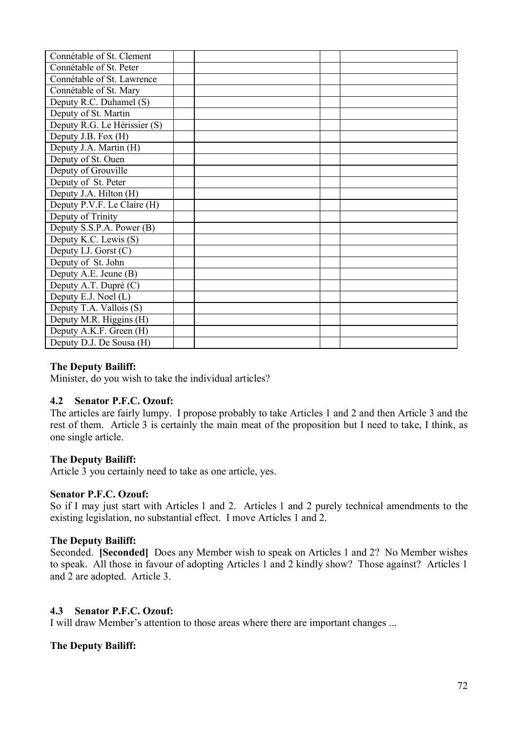| Connétable of St. Clement    |  |  |
|------------------------------|--|--|
| Connétable of St. Peter      |  |  |
| Connétable of St. Lawrence   |  |  |
| Connétable of St. Mary       |  |  |
| Deputy R.C. Duhamel (S)      |  |  |
| Deputy of St. Martin         |  |  |
| Deputy R.G. Le Hérissier (S) |  |  |
| Deputy J.B. Fox (H)          |  |  |
| Deputy J.A. Martin (H)       |  |  |
| Deputy of St. Ouen           |  |  |
| Deputy of Grouville          |  |  |
| Deputy of St. Peter          |  |  |
| Deputy J.A. Hilton (H)       |  |  |
| Deputy P.V.F. Le Claire (H)  |  |  |
| Deputy of Trinity            |  |  |
| Deputy S.S.P.A. Power (B)    |  |  |
| Deputy K.C. Lewis (S)        |  |  |
| Deputy I.J. Gorst $(C)$      |  |  |
| Deputy of St. John           |  |  |
| Deputy A.E. Jeune (B)        |  |  |
| Deputy A.T. Dupré (C)        |  |  |
| Deputy E.J. Noel (L)         |  |  |
| Deputy T.A. Vallois (S)      |  |  |
| Deputy M.R. Higgins (H)      |  |  |
| Deputy A.K.F. Green (H)      |  |  |
| Deputy D.J. De Sousa (H)     |  |  |

#### **The Deputy Bailiff:**

Minister, do you wish to take the individual articles?

#### **4.2 Senator P.F.C. Ozouf:**

The articles are fairly lumpy. I propose probably to take Articles 1 and 2 and then Article 3 and the rest of them. Article 3 is certainly the main meat of the proposition but I need to take, I think, as one single article.

#### **The Deputy Bailiff:**

Article 3 you certainly need to take as one article, yes.

#### **Senator P.F.C. Ozouf:**

So if I may just start with Articles 1 and 2. Articles 1 and 2 purely technical amendments to the existing legislation, no substantial effect. I move Articles 1 and 2.

#### **The Deputy Bailiff:**

Seconded. **[Seconded]** Does any Member wish to speak on Articles 1 and 2? No Member wishes to speak. All those in favour of adopting Articles 1 and 2 kindly show? Those against? Articles 1 and 2 are adopted. Article 3.

#### **4.3 Senator P.F.C. Ozouf:**

I will draw Member's attention to those areas where there are important changes ...

#### **The Deputy Bailiff:**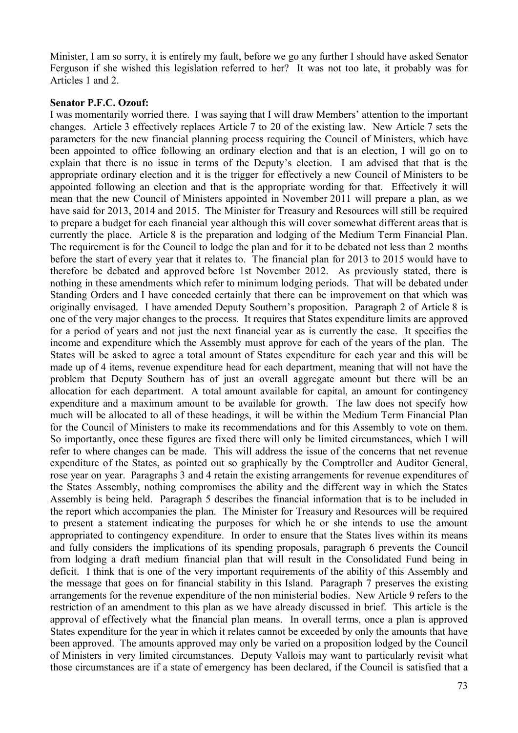Minister, I am so sorry, it is entirely my fault, before we go any further I should have asked Senator Ferguson if she wished this legislation referred to her? It was not too late, it probably was for Articles 1 and 2.

#### **Senator P.F.C. Ozouf:**

I was momentarily worried there. I was saying that I will draw Members' attention to the important changes. Article 3 effectively replaces Article 7 to 20 of the existing law. New Article 7 sets the parameters for the new financial planning process requiring the Council of Ministers, which have been appointed to office following an ordinary election and that is an election, I will go on to explain that there is no issue in terms of the Deputy's election. I am advised that that is the appropriate ordinary election and it is the trigger for effectively a new Council of Ministers to be appointed following an election and that is the appropriate wording for that. Effectively it will mean that the new Council of Ministers appointed in November 2011 will prepare a plan, as we have said for 2013, 2014 and 2015. The Minister for Treasury and Resources will still be required to prepare a budget for each financial year although this will cover somewhat different areas that is currently the place. Article 8 is the preparation and lodging of the Medium Term Financial Plan. The requirement is for the Council to lodge the plan and for it to be debated not less than 2 months before the start of every year that it relates to. The financial plan for 2013 to 2015 would have to therefore be debated and approved before 1st November 2012. As previously stated, there is nothing in these amendments which refer to minimum lodging periods. That will be debated under Standing Orders and I have conceded certainly that there can be improvement on that which was originally envisaged. I have amended Deputy Southern's proposition. Paragraph 2 of Article 8 is one of the very major changes to the process. It requires that States expenditure limits are approved for a period of years and not just the next financial year as is currently the case. It specifies the income and expenditure which the Assembly must approve for each of the years of the plan. The States will be asked to agree a total amount of States expenditure for each year and this will be made up of 4 items, revenue expenditure head for each department, meaning that will not have the problem that Deputy Southern has of just an overall aggregate amount but there will be an allocation for each department. A total amount available for capital, an amount for contingency expenditure and a maximum amount to be available for growth. The law does not specify how much will be allocated to all of these headings, it will be within the Medium Term Financial Plan for the Council of Ministers to make its recommendations and for this Assembly to vote on them. So importantly, once these figures are fixed there will only be limited circumstances, which I will refer to where changes can be made. This will address the issue of the concerns that net revenue expenditure of the States, as pointed out so graphically by the Comptroller and Auditor General, rose year on year. Paragraphs 3 and 4 retain the existing arrangements for revenue expenditures of the States Assembly, nothing compromises the ability and the different way in which the States Assembly is being held. Paragraph 5 describes the financial information that is to be included in the report which accompanies the plan. The Minister for Treasury and Resources will be required to present a statement indicating the purposes for which he or she intends to use the amount appropriated to contingency expenditure. In order to ensure that the States lives within its means and fully considers the implications of its spending proposals, paragraph 6 prevents the Council from lodging a draft medium financial plan that will result in the Consolidated Fund being in deficit. I think that is one of the very important requirements of the ability of this Assembly and the message that goes on for financial stability in this Island. Paragraph 7 preserves the existing arrangements for the revenue expenditure of the non ministerial bodies. New Article 9 refers to the restriction of an amendment to this plan as we have already discussed in brief. This article is the approval of effectively what the financial plan means. In overall terms, once a plan is approved States expenditure for the year in which it relates cannot be exceeded by only the amounts that have been approved. The amounts approved may only be varied on a proposition lodged by the Council of Ministers in very limited circumstances. Deputy Vallois may want to particularly revisit what those circumstances are if a state of emergency has been declared, if the Council is satisfied that a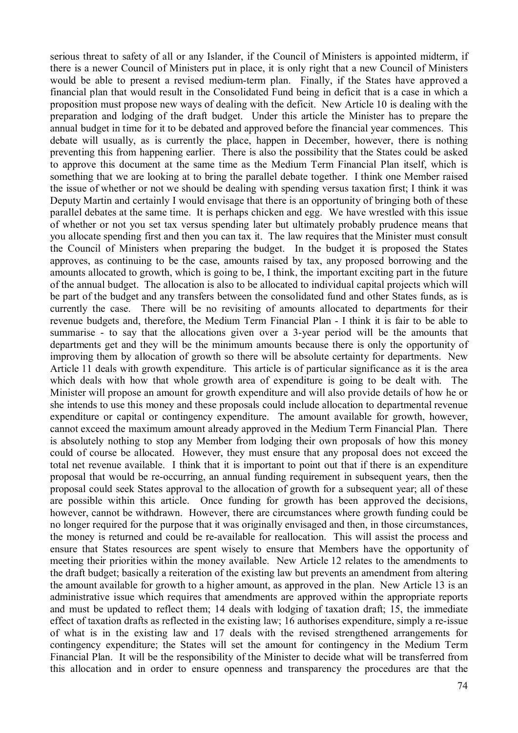serious threat to safety of all or any Islander, if the Council of Ministers is appointed midterm, if there is a newer Council of Ministers put in place, it is only right that a new Council of Ministers would be able to present a revised medium-term plan. Finally, if the States have approved a financial plan that would result in the Consolidated Fund being in deficit that is a case in which a proposition must propose new ways of dealing with the deficit. New Article 10 is dealing with the preparation and lodging of the draft budget. Under this article the Minister has to prepare the annual budget in time for it to be debated and approved before the financial year commences. This debate will usually, as is currently the place, happen in December, however, there is nothing preventing this from happening earlier. There is also the possibility that the States could be asked to approve this document at the same time as the Medium Term Financial Plan itself, which is something that we are looking at to bring the parallel debate together. I think one Member raised the issue of whether or not we should be dealing with spending versus taxation first; I think it was Deputy Martin and certainly I would envisage that there is an opportunity of bringing both of these parallel debates at the same time. It is perhaps chicken and egg. We have wrestled with this issue of whether or not you set tax versus spending later but ultimately probably prudence means that you allocate spending first and then you can tax it. The law requires that the Minister must consult the Council of Ministers when preparing the budget. In the budget it is proposed the States approves, as continuing to be the case, amounts raised by tax, any proposed borrowing and the amounts allocated to growth, which is going to be, I think, the important exciting part in the future of the annual budget. The allocation is also to be allocated to individual capital projects which will be part of the budget and any transfers between the consolidated fund and other States funds, as is currently the case. There will be no revisiting of amounts allocated to departments for their revenue budgets and, therefore, the Medium Term Financial Plan - I think it is fair to be able to summarise - to say that the allocations given over a 3-year period will be the amounts that departments get and they will be the minimum amounts because there is only the opportunity of improving them by allocation of growth so there will be absolute certainty for departments. New Article 11 deals with growth expenditure. This article is of particular significance as it is the area which deals with how that whole growth area of expenditure is going to be dealt with. The Minister will propose an amount for growth expenditure and will also provide details of how he or she intends to use this money and these proposals could include allocation to departmental revenue expenditure or capital or contingency expenditure. The amount available for growth, however, cannot exceed the maximum amount already approved in the Medium Term Financial Plan. There is absolutely nothing to stop any Member from lodging their own proposals of how this money could of course be allocated. However, they must ensure that any proposal does not exceed the total net revenue available. I think that it is important to point out that if there is an expenditure proposal that would be re-occurring, an annual funding requirement in subsequent years, then the proposal could seek States approval to the allocation of growth for a subsequent year; all of these are possible within this article. Once funding for growth has been approved the decisions, however, cannot be withdrawn. However, there are circumstances where growth funding could be no longer required for the purpose that it was originally envisaged and then, in those circumstances, the money is returned and could be re-available for reallocation. This will assist the process and ensure that States resources are spent wisely to ensure that Members have the opportunity of meeting their priorities within the money available. New Article 12 relates to the amendments to the draft budget; basically a reiteration of the existing law but prevents an amendment from altering the amount available for growth to a higher amount, as approved in the plan. New Article 13 is an administrative issue which requires that amendments are approved within the appropriate reports and must be updated to reflect them; 14 deals with lodging of taxation draft; 15, the immediate effect of taxation drafts as reflected in the existing law; 16 authorises expenditure, simply a re-issue of what is in the existing law and 17 deals with the revised strengthened arrangements for contingency expenditure; the States will set the amount for contingency in the Medium Term Financial Plan. It will be the responsibility of the Minister to decide what will be transferred from this allocation and in order to ensure openness and transparency the procedures are that the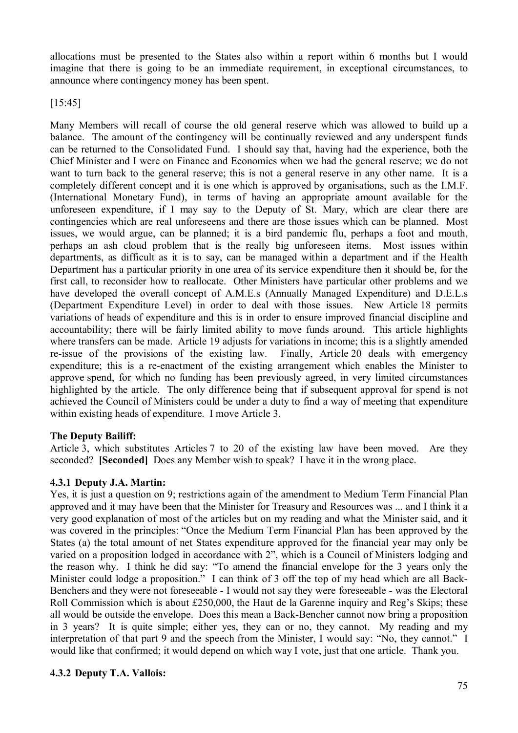allocations must be presented to the States also within a report within 6 months but I would imagine that there is going to be an immediate requirement, in exceptional circumstances, to announce where contingency money has been spent.

[15:45]

Many Members will recall of course the old general reserve which was allowed to build up a balance. The amount of the contingency will be continually reviewed and any underspent funds can be returned to the Consolidated Fund. I should say that, having had the experience, both the Chief Minister and I were on Finance and Economics when we had the general reserve; we do not want to turn back to the general reserve; this is not a general reserve in any other name. It is a completely different concept and it is one which is approved by organisations, such as the I.M.F. (International Monetary Fund), in terms of having an appropriate amount available for the unforeseen expenditure, if I may say to the Deputy of St. Mary, which are clear there are contingencies which are real unforeseens and there are those issues which can be planned. Most issues, we would argue, can be planned; it is a bird pandemic flu, perhaps a foot and mouth, perhaps an ash cloud problem that is the really big unforeseen items. Most issues within departments, as difficult as it is to say, can be managed within a department and if the Health Department has a particular priority in one area of its service expenditure then it should be, for the first call, to reconsider how to reallocate. Other Ministers have particular other problems and we have developed the overall concept of A.M.E.s (Annually Managed Expenditure) and D.E.L.s (Department Expenditure Level) in order to deal with those issues. New Article 18 permits variations of heads of expenditure and this is in order to ensure improved financial discipline and accountability; there will be fairly limited ability to move funds around. This article highlights where transfers can be made. Article 19 adjusts for variations in income; this is a slightly amended re-issue of the provisions of the existing law. Finally, Article 20 deals with emergency expenditure; this is a re-enactment of the existing arrangement which enables the Minister to approve spend, for which no funding has been previously agreed, in very limited circumstances highlighted by the article. The only difference being that if subsequent approval for spend is not achieved the Council of Ministers could be under a duty to find a way of meeting that expenditure within existing heads of expenditure. I move Article 3.

## **The Deputy Bailiff:**

Article 3, which substitutes Articles 7 to 20 of the existing law have been moved. Are they seconded? **[Seconded]** Does any Member wish to speak? I have it in the wrong place.

#### **4.3.1 Deputy J.A. Martin:**

Yes, it is just a question on 9; restrictions again of the amendment to Medium Term Financial Plan approved and it may have been that the Minister for Treasury and Resources was ... and I think it a very good explanation of most of the articles but on my reading and what the Minister said, and it was covered in the principles: "Once the Medium Term Financial Plan has been approved by the States (a) the total amount of net States expenditure approved for the financial year may only be varied on a proposition lodged in accordance with 2", which is a Council of Ministers lodging and the reason why. I think he did say: "To amend the financial envelope for the 3 years only the Minister could lodge a proposition." I can think of 3 off the top of my head which are all Back-Benchers and they were not foreseeable - I would not say they were foreseeable - was the Electoral Roll Commission which is about £250,000, the Haut de la Garenne inquiry and Reg's Skips; these all would be outside the envelope. Does this mean a Back-Bencher cannot now bring a proposition in 3 years? It is quite simple; either yes, they can or no, they cannot. My reading and my interpretation of that part 9 and the speech from the Minister, I would say: "No, they cannot." I would like that confirmed; it would depend on which way I vote, just that one article. Thank you.

### **4.3.2 Deputy T.A. Vallois:**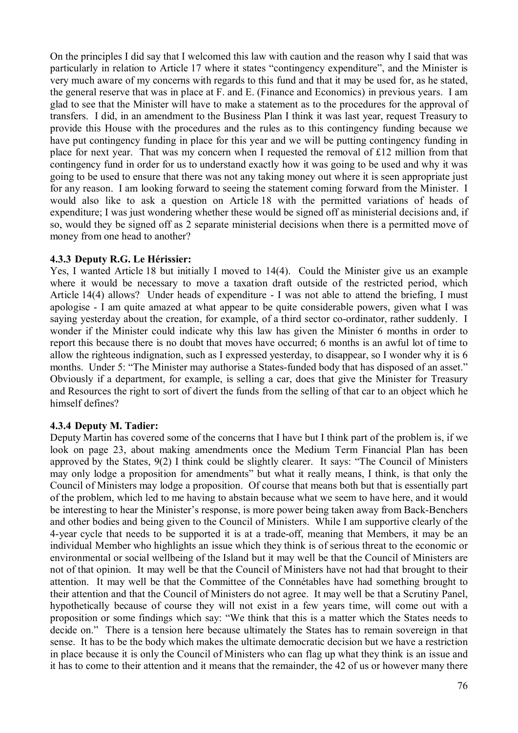On the principles I did say that I welcomed this law with caution and the reason why I said that was particularly in relation to Article 17 where it states "contingency expenditure", and the Minister is very much aware of my concerns with regards to this fund and that it may be used for, as he stated, the general reserve that was in place at F. and E. (Finance and Economics) in previous years. I am glad to see that the Minister will have to make a statement as to the procedures for the approval of transfers. I did, in an amendment to the Business Plan I think it was last year, request Treasury to provide this House with the procedures and the rules as to this contingency funding because we have put contingency funding in place for this year and we will be putting contingency funding in place for next year. That was my concern when I requested the removal of £12 million from that contingency fund in order for us to understand exactly how it was going to be used and why it was going to be used to ensure that there was not any taking money out where it is seen appropriate just for any reason. I am looking forward to seeing the statement coming forward from the Minister. I would also like to ask a question on Article 18 with the permitted variations of heads of expenditure; I was just wondering whether these would be signed off as ministerial decisions and, if so, would they be signed off as 2 separate ministerial decisions when there is a permitted move of money from one head to another?

### **4.3.3 Deputy R.G. Le Hérissier:**

Yes, I wanted Article 18 but initially I moved to 14(4). Could the Minister give us an example where it would be necessary to move a taxation draft outside of the restricted period, which Article 14(4) allows? Under heads of expenditure - I was not able to attend the briefing, I must apologise - I am quite amazed at what appear to be quite considerable powers, given what I was saying yesterday about the creation, for example, of a third sector co-ordinator, rather suddenly. I wonder if the Minister could indicate why this law has given the Minister 6 months in order to report this because there is no doubt that moves have occurred; 6 months is an awful lot of time to allow the righteous indignation, such as I expressed yesterday, to disappear, so I wonder why it is 6 months. Under 5: "The Minister may authorise a States-funded body that has disposed of an asset." Obviously if a department, for example, is selling a car, does that give the Minister for Treasury and Resources the right to sort of divert the funds from the selling of that car to an object which he himself defines?

## **4.3.4 Deputy M. Tadier:**

Deputy Martin has covered some of the concerns that I have but I think part of the problem is, if we look on page 23, about making amendments once the Medium Term Financial Plan has been approved by the States, 9(2) I think could be slightly clearer. It says: "The Council of Ministers may only lodge a proposition for amendments" but what it really means, I think, is that only the Council of Ministers may lodge a proposition. Of course that means both but that is essentially part of the problem, which led to me having to abstain because what we seem to have here, and it would be interesting to hear the Minister's response, is more power being taken away from Back-Benchers and other bodies and being given to the Council of Ministers. While I am supportive clearly of the 4-year cycle that needs to be supported it is at a trade-off, meaning that Members, it may be an individual Member who highlights an issue which they think is of serious threat to the economic or environmental or social wellbeing of the Island but it may well be that the Council of Ministers are not of that opinion. It may well be that the Council of Ministers have not had that brought to their attention. It may well be that the Committee of the Connétables have had something brought to their attention and that the Council of Ministers do not agree. It may well be that a Scrutiny Panel, hypothetically because of course they will not exist in a few years time, will come out with a proposition or some findings which say: "We think that this is a matter which the States needs to decide on." There is a tension here because ultimately the States has to remain sovereign in that sense. It has to be the body which makes the ultimate democratic decision but we have a restriction in place because it is only the Council of Ministers who can flag up what they think is an issue and it has to come to their attention and it means that the remainder, the 42 of us or however many there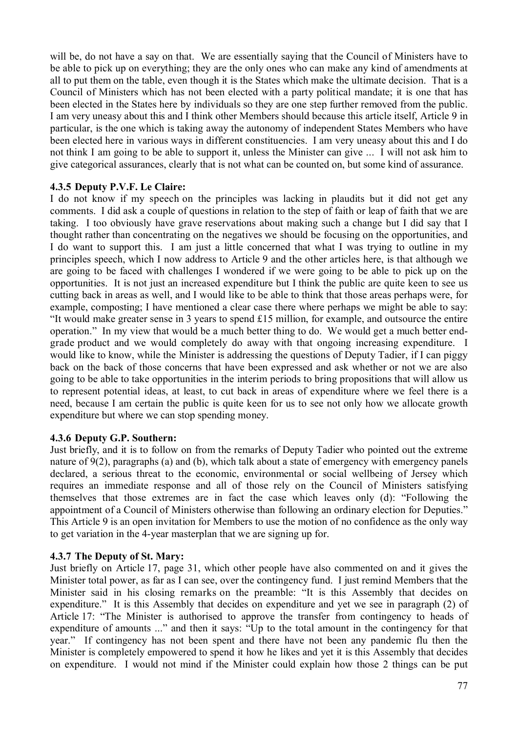will be, do not have a say on that. We are essentially saying that the Council of Ministers have to be able to pick up on everything; they are the only ones who can make any kind of amendments at all to put them on the table, even though it is the States which make the ultimate decision. That is a Council of Ministers which has not been elected with a party political mandate; it is one that has been elected in the States here by individuals so they are one step further removed from the public. I am very uneasy about this and I think other Members should because this article itself, Article 9 in particular, is the one which is taking away the autonomy of independent States Members who have been elected here in various ways in different constituencies. I am very uneasy about this and I do not think I am going to be able to support it, unless the Minister can give ... I will not ask him to give categorical assurances, clearly that is not what can be counted on, but some kind of assurance.

## **4.3.5 Deputy P.V.F. Le Claire:**

I do not know if my speech on the principles was lacking in plaudits but it did not get any comments. I did ask a couple of questions in relation to the step of faith or leap of faith that we are taking. I too obviously have grave reservations about making such a change but I did say that I thought rather than concentrating on the negatives we should be focusing on the opportunities, and I do want to support this. I am just a little concerned that what I was trying to outline in my principles speech, which I now address to Article 9 and the other articles here, is that although we are going to be faced with challenges I wondered if we were going to be able to pick up on the opportunities. It is not just an increased expenditure but I think the public are quite keen to see us cutting back in areas as well, and I would like to be able to think that those areas perhaps were, for example, composting; I have mentioned a clear case there where perhaps we might be able to say: "It would make greater sense in 3 years to spend £15 million, for example, and outsource the entire operation." In my view that would be a much better thing to do. We would get a much better endgrade product and we would completely do away with that ongoing increasing expenditure. I would like to know, while the Minister is addressing the questions of Deputy Tadier, if I can piggy back on the back of those concerns that have been expressed and ask whether or not we are also going to be able to take opportunities in the interim periods to bring propositions that will allow us to represent potential ideas, at least, to cut back in areas of expenditure where we feel there is a need, because I am certain the public is quite keen for us to see not only how we allocate growth expenditure but where we can stop spending money.

#### **4.3.6 Deputy G.P. Southern:**

Just briefly, and it is to follow on from the remarks of Deputy Tadier who pointed out the extreme nature of 9(2), paragraphs (a) and (b), which talk about a state of emergency with emergency panels declared, a serious threat to the economic, environmental or social wellbeing of Jersey which requires an immediate response and all of those rely on the Council of Ministers satisfying themselves that those extremes are in fact the case which leaves only (d): "Following the appointment of a Council of Ministers otherwise than following an ordinary election for Deputies." This Article 9 is an open invitation for Members to use the motion of no confidence as the only way to get variation in the 4-year masterplan that we are signing up for.

#### **4.3.7 The Deputy of St. Mary:**

Just briefly on Article 17, page 31, which other people have also commented on and it gives the Minister total power, as far as I can see, over the contingency fund. I just remind Members that the Minister said in his closing remarks on the preamble: "It is this Assembly that decides on expenditure." It is this Assembly that decides on expenditure and yet we see in paragraph (2) of Article 17: "The Minister is authorised to approve the transfer from contingency to heads of expenditure of amounts ..." and then it says: "Up to the total amount in the contingency for that year." If contingency has not been spent and there have not been any pandemic flu then the Minister is completely empowered to spend it how he likes and yet it is this Assembly that decides on expenditure. I would not mind if the Minister could explain how those 2 things can be put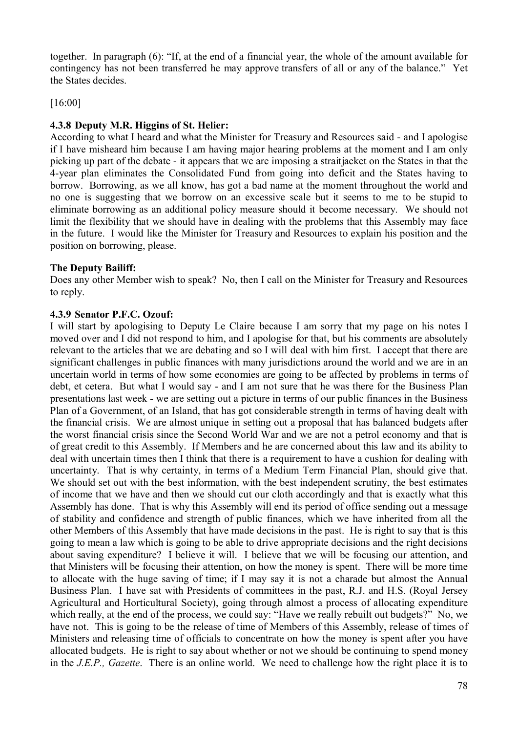together. In paragraph (6): "If, at the end of a financial year, the whole of the amount available for contingency has not been transferred he may approve transfers of all or any of the balance." Yet the States decides.

[16:00]

# **4.3.8 Deputy M.R. Higgins of St. Helier:**

According to what I heard and what the Minister for Treasury and Resources said - and I apologise if I have misheard him because I am having major hearing problems at the moment and I am only picking up part of the debate - it appears that we are imposing a straitjacket on the States in that the 4-year plan eliminates the Consolidated Fund from going into deficit and the States having to borrow. Borrowing, as we all know, has got a bad name at the moment throughout the world and no one is suggesting that we borrow on an excessive scale but it seems to me to be stupid to eliminate borrowing as an additional policy measure should it become necessary. We should not limit the flexibility that we should have in dealing with the problems that this Assembly may face in the future. I would like the Minister for Treasury and Resources to explain his position and the position on borrowing, please.

## **The Deputy Bailiff:**

Does any other Member wish to speak? No, then I call on the Minister for Treasury and Resources to reply.

### **4.3.9 Senator P.F.C. Ozouf:**

I will start by apologising to Deputy Le Claire because I am sorry that my page on his notes I moved over and I did not respond to him, and I apologise for that, but his comments are absolutely relevant to the articles that we are debating and so I will deal with him first. I accept that there are significant challenges in public finances with many jurisdictions around the world and we are in an uncertain world in terms of how some economies are going to be affected by problems in terms of debt, et cetera. But what I would say - and I am not sure that he was there for the Business Plan presentations last week - we are setting out a picture in terms of our public finances in the Business Plan of a Government, of an Island, that has got considerable strength in terms of having dealt with the financial crisis. We are almost unique in setting out a proposal that has balanced budgets after the worst financial crisis since the Second World War and we are not a petrol economy and that is of great credit to this Assembly. If Members and he are concerned about this law and its ability to deal with uncertain times then I think that there is a requirement to have a cushion for dealing with uncertainty. That is why certainty, in terms of a Medium Term Financial Plan, should give that. We should set out with the best information, with the best independent scrutiny, the best estimates of income that we have and then we should cut our cloth accordingly and that is exactly what this Assembly has done. That is why this Assembly will end its period of office sending out a message of stability and confidence and strength of public finances, which we have inherited from all the other Members of this Assembly that have made decisions in the past. He is right to say that is this going to mean a law which is going to be able to drive appropriate decisions and the right decisions about saving expenditure? I believe it will. I believe that we will be focusing our attention, and that Ministers will be focusing their attention, on how the money is spent. There will be more time to allocate with the huge saving of time; if I may say it is not a charade but almost the Annual Business Plan. I have sat with Presidents of committees in the past, R.J. and H.S. (Royal Jersey Agricultural and Horticultural Society), going through almost a process of allocating expenditure which really, at the end of the process, we could say: "Have we really rebuilt out budgets?" No, we have not. This is going to be the release of time of Members of this Assembly, release of times of Ministers and releasing time of officials to concentrate on how the money is spent after you have allocated budgets. He is right to say about whether or not we should be continuing to spend money in the *J.E.P., Gazette*. There is an online world. We need to challenge how the right place it is to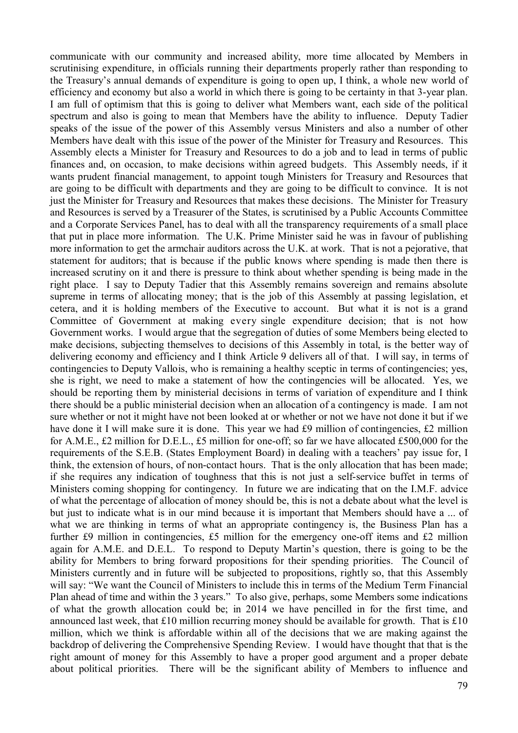communicate with our community and increased ability, more time allocated by Members in scrutinising expenditure, in officials running their departments properly rather than responding to the Treasury's annual demands of expenditure is going to open up, I think, a whole new world of efficiency and economy but also a world in which there is going to be certainty in that 3-year plan. I am full of optimism that this is going to deliver what Members want, each side of the political spectrum and also is going to mean that Members have the ability to influence. Deputy Tadier speaks of the issue of the power of this Assembly versus Ministers and also a number of other Members have dealt with this issue of the power of the Minister for Treasury and Resources. This Assembly elects a Minister for Treasury and Resources to do a job and to lead in terms of public finances and, on occasion, to make decisions within agreed budgets. This Assembly needs, if it wants prudent financial management, to appoint tough Ministers for Treasury and Resources that are going to be difficult with departments and they are going to be difficult to convince. It is not just the Minister for Treasury and Resources that makes these decisions. The Minister for Treasury and Resources is served by a Treasurer of the States, is scrutinised by a Public Accounts Committee and a Corporate Services Panel, has to deal with all the transparency requirements of a small place that put in place more information. The U.K. Prime Minister said he was in favour of publishing more information to get the armchair auditors across the U.K. at work. That is not a pejorative, that statement for auditors; that is because if the public knows where spending is made then there is increased scrutiny on it and there is pressure to think about whether spending is being made in the right place. I say to Deputy Tadier that this Assembly remains sovereign and remains absolute supreme in terms of allocating money; that is the job of this Assembly at passing legislation, et cetera, and it is holding members of the Executive to account. But what it is not is a grand Committee of Government at making every single expenditure decision; that is not how Government works. I would argue that the segregation of duties of some Members being elected to make decisions, subjecting themselves to decisions of this Assembly in total, is the better way of delivering economy and efficiency and I think Article 9 delivers all of that. I will say, in terms of contingencies to Deputy Vallois, who is remaining a healthy sceptic in terms of contingencies; yes, she is right, we need to make a statement of how the contingencies will be allocated. Yes, we should be reporting them by ministerial decisions in terms of variation of expenditure and I think there should be a public ministerial decision when an allocation of a contingency is made. I am not sure whether or not it might have not been looked at or whether or not we have not done it but if we have done it I will make sure it is done. This year we had £9 million of contingencies, £2 million for A.M.E., £2 million for D.E.L., £5 million for one-off; so far we have allocated £500,000 for the requirements of the S.E.B. (States Employment Board) in dealing with a teachers' pay issue for, I think, the extension of hours, of non-contact hours. That is the only allocation that has been made; if she requires any indication of toughness that this is not just a self-service buffet in terms of Ministers coming shopping for contingency. In future we are indicating that on the I.M.F. advice of what the percentage of allocation of money should be, this is not a debate about what the level is but just to indicate what is in our mind because it is important that Members should have a ... of what we are thinking in terms of what an appropriate contingency is, the Business Plan has a further £9 million in contingencies, £5 million for the emergency one-off items and £2 million again for A.M.E. and D.E.L. To respond to Deputy Martin's question, there is going to be the ability for Members to bring forward propositions for their spending priorities. The Council of Ministers currently and in future will be subjected to propositions, rightly so, that this Assembly will say: "We want the Council of Ministers to include this in terms of the Medium Term Financial Plan ahead of time and within the 3 years." To also give, perhaps, some Members some indications of what the growth allocation could be; in 2014 we have pencilled in for the first time, and announced last week, that  $\pounds 10$  million recurring money should be available for growth. That is  $\pounds 10$ million, which we think is affordable within all of the decisions that we are making against the backdrop of delivering the Comprehensive Spending Review. I would have thought that that is the right amount of money for this Assembly to have a proper good argument and a proper debate about political priorities. There will be the significant ability of Members to influence and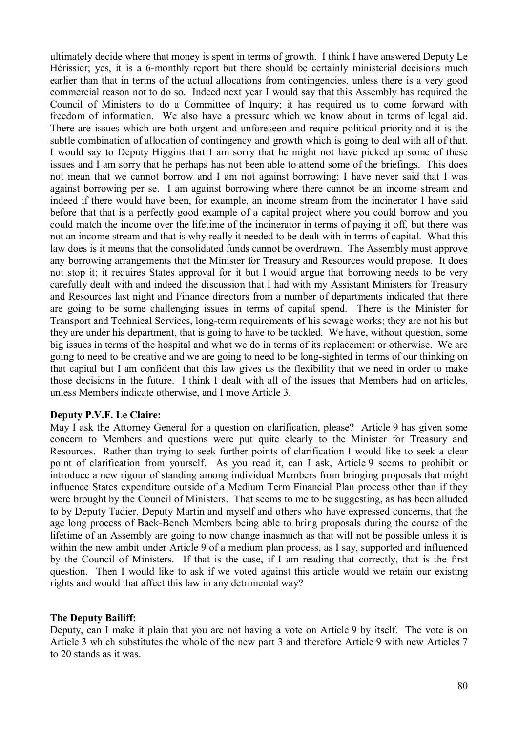ultimately decide where that money is spent in terms of growth. I think I have answered Deputy Le Hérissier; yes, it is a 6-monthly report but there should be certainly ministerial decisions much earlier than that in terms of the actual allocations from contingencies, unless there is a very good commercial reason not to do so. Indeed next year I would say that this Assembly has required the Council of Ministers to do a Committee of Inquiry; it has required us to come forward with freedom of information. We also have a pressure which we know about in terms of legal aid. There are issues which are both urgent and unforeseen and require political priority and it is the subtle combination of allocation of contingency and growth which is going to deal with all of that. I would say to Deputy Higgins that I am sorry that he might not have picked up some of these issues and I am sorry that he perhaps has not been able to attend some of the briefings. This does not mean that we cannot borrow and I am not against borrowing; I have never said that I was against borrowing per se. I am against borrowing where there cannot be an income stream and indeed if there would have been, for example, an income stream from the incinerator I have said before that that is a perfectly good example of a capital project where you could borrow and you could match the income over the lifetime of the incinerator in terms of paying it off, but there was not an income stream and that is why really it needed to be dealt with in terms of capital. What this law does is it means that the consolidated funds cannot be overdrawn. The Assembly must approve any borrowing arrangements that the Minister for Treasury and Resources would propose. It does not stop it; it requires States approval for it but I would argue that borrowing needs to be very carefully dealt with and indeed the discussion that I had with my Assistant Ministers for Treasury and Resources last night and Finance directors from a number of departments indicated that there are going to be some challenging issues in terms of capital spend. There is the Minister for Transport and Technical Services, long-term requirements of his sewage works; they are not his but they are under his department, that is going to have to be tackled. We have, without question, some big issues in terms of the hospital and what we do in terms of its replacement or otherwise. We are going to need to be creative and we are going to need to be long-sighted in terms of our thinking on that capital but I am confident that this law gives us the flexibility that we need in order to make those decisions in the future. I think I dealt with all of the issues that Members had on articles, unless Members indicate otherwise, and I move Article 3.

#### **Deputy P.V.F. Le Claire:**

May I ask the Attorney General for a question on clarification, please? Article 9 has given some concern to Members and questions were put quite clearly to the Minister for Treasury and Resources. Rather than trying to seek further points of clarification I would like to seek a clear point of clarification from yourself. As you read it, can I ask, Article 9 seems to prohibit or introduce a new rigour of standing among individual Members from bringing proposals that might influence States expenditure outside of a Medium Term Financial Plan process other than if they were brought by the Council of Ministers. That seems to me to be suggesting, as has been alluded to by Deputy Tadier, Deputy Martin and myself and others who have expressed concerns, that the age long process of Back-Bench Members being able to bring proposals during the course of the lifetime of an Assembly are going to now change inasmuch as that will not be possible unless it is within the new ambit under Article 9 of a medium plan process, as I say, supported and influenced by the Council of Ministers. If that is the case, if I am reading that correctly, that is the first question. Then I would like to ask if we voted against this article would we retain our existing rights and would that affect this law in any detrimental way?

#### **The Deputy Bailiff:**

Deputy, can I make it plain that you are not having a vote on Article 9 by itself. The vote is on Article 3 which substitutes the whole of the new part 3 and therefore Article 9 with new Articles 7 to 20 stands as it was.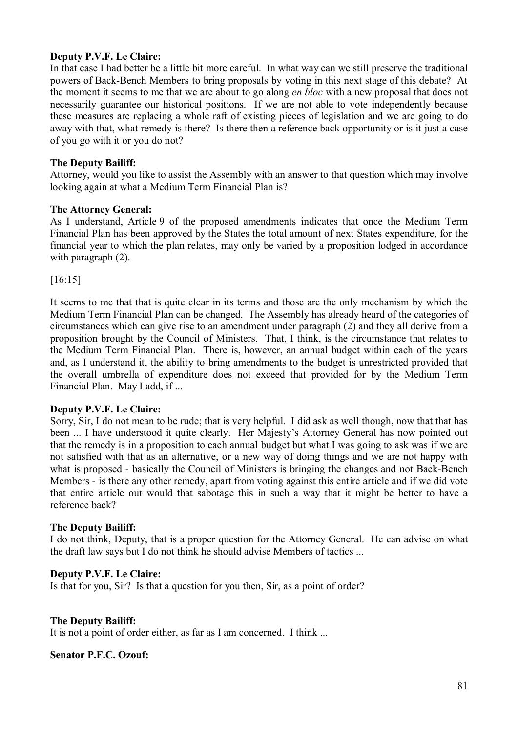### **Deputy P.V.F. Le Claire:**

In that case I had better be a little bit more careful. In what way can we still preserve the traditional powers of Back-Bench Members to bring proposals by voting in this next stage of this debate? At the moment it seems to me that we are about to go along *en bloc* with a new proposal that does not necessarily guarantee our historical positions. If we are not able to vote independently because these measures are replacing a whole raft of existing pieces of legislation and we are going to do away with that, what remedy is there? Is there then a reference back opportunity or is it just a case of you go with it or you do not?

### **The Deputy Bailiff:**

Attorney, would you like to assist the Assembly with an answer to that question which may involve looking again at what a Medium Term Financial Plan is?

### **The Attorney General:**

As I understand, Article 9 of the proposed amendments indicates that once the Medium Term Financial Plan has been approved by the States the total amount of next States expenditure, for the financial year to which the plan relates, may only be varied by a proposition lodged in accordance with paragraph  $(2)$ .

[16:15]

It seems to me that that is quite clear in its terms and those are the only mechanism by which the Medium Term Financial Plan can be changed. The Assembly has already heard of the categories of circumstances which can give rise to an amendment under paragraph (2) and they all derive from a proposition brought by the Council of Ministers. That, I think, is the circumstance that relates to the Medium Term Financial Plan. There is, however, an annual budget within each of the years and, as I understand it, the ability to bring amendments to the budget is unrestricted provided that the overall umbrella of expenditure does not exceed that provided for by the Medium Term Financial Plan. May I add, if ...

#### **Deputy P.V.F. Le Claire:**

Sorry, Sir, I do not mean to be rude; that is very helpful. I did ask as well though, now that that has been ... I have understood it quite clearly. Her Majesty's Attorney General has now pointed out that the remedy is in a proposition to each annual budget but what I was going to ask was if we are not satisfied with that as an alternative, or a new way of doing things and we are not happy with what is proposed - basically the Council of Ministers is bringing the changes and not Back-Bench Members - is there any other remedy, apart from voting against this entire article and if we did vote that entire article out would that sabotage this in such a way that it might be better to have a reference back?

## **The Deputy Bailiff:**

I do not think, Deputy, that is a proper question for the Attorney General. He can advise on what the draft law says but I do not think he should advise Members of tactics ...

#### **Deputy P.V.F. Le Claire:**

Is that for you, Sir? Is that a question for you then, Sir, as a point of order?

#### **The Deputy Bailiff:**

It is not a point of order either, as far as I am concerned. I think ...

#### **Senator P.F.C. Ozouf:**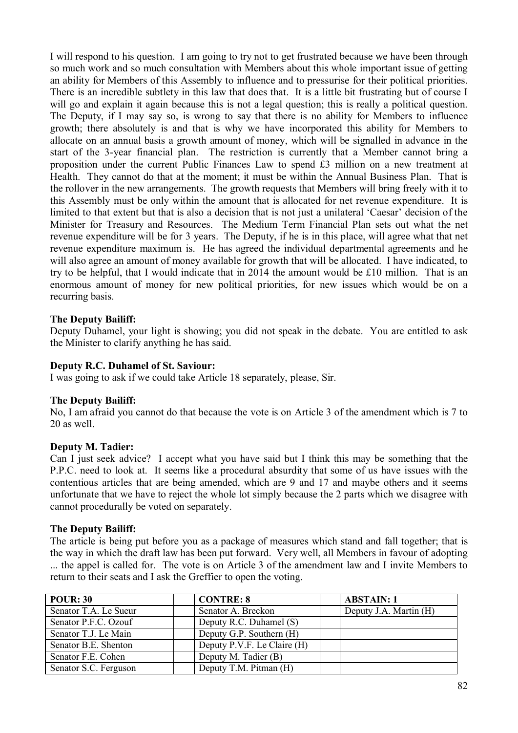I will respond to his question. I am going to try not to get frustrated because we have been through so much work and so much consultation with Members about this whole important issue of getting an ability for Members of this Assembly to influence and to pressurise for their political priorities. There is an incredible subtlety in this law that does that. It is a little bit frustrating but of course I will go and explain it again because this is not a legal question; this is really a political question. The Deputy, if I may say so, is wrong to say that there is no ability for Members to influence growth; there absolutely is and that is why we have incorporated this ability for Members to allocate on an annual basis a growth amount of money, which will be signalled in advance in the start of the 3-year financial plan. The restriction is currently that a Member cannot bring a proposition under the current Public Finances Law to spend £3 million on a new treatment at Health. They cannot do that at the moment; it must be within the Annual Business Plan. That is the rollover in the new arrangements. The growth requests that Members will bring freely with it to this Assembly must be only within the amount that is allocated for net revenue expenditure. It is limited to that extent but that is also a decision that is not just a unilateral 'Caesar' decision of the Minister for Treasury and Resources. The Medium Term Financial Plan sets out what the net revenue expenditure will be for 3 years. The Deputy, if he is in this place, will agree what that net revenue expenditure maximum is. He has agreed the individual departmental agreements and he will also agree an amount of money available for growth that will be allocated. I have indicated, to try to be helpful, that I would indicate that in 2014 the amount would be £10 million. That is an enormous amount of money for new political priorities, for new issues which would be on a recurring basis.

### **The Deputy Bailiff:**

Deputy Duhamel, your light is showing; you did not speak in the debate. You are entitled to ask the Minister to clarify anything he has said.

#### **Deputy R.C. Duhamel of St. Saviour:**

I was going to ask if we could take Article 18 separately, please, Sir.

#### **The Deputy Bailiff:**

No, I am afraid you cannot do that because the vote is on Article 3 of the amendment which is 7 to 20 as well.

#### **Deputy M. Tadier:**

Can I just seek advice? I accept what you have said but I think this may be something that the P.P.C. need to look at. It seems like a procedural absurdity that some of us have issues with the contentious articles that are being amended, which are 9 and 17 and maybe others and it seems unfortunate that we have to reject the whole lot simply because the 2 parts which we disagree with cannot procedurally be voted on separately.

#### **The Deputy Bailiff:**

The article is being put before you as a package of measures which stand and fall together; that is the way in which the draft law has been put forward. Very well, all Members in favour of adopting ... the appel is called for. The vote is on Article 3 of the amendment law and I invite Members to return to their seats and I ask the Greffier to open the voting.

| <b>POUR: 30</b>       | <b>CONTRE: 8</b>            | <b>ABSTAIN: 1</b>      |
|-----------------------|-----------------------------|------------------------|
| Senator T.A. Le Sueur | Senator A. Breckon          | Deputy J.A. Martin (H) |
| Senator P.F.C. Ozouf  | Deputy R.C. Duhamel (S)     |                        |
| Senator T.J. Le Main  | Deputy G.P. Southern (H)    |                        |
| Senator B.E. Shenton  | Deputy P.V.F. Le Claire (H) |                        |
| Senator F.E. Cohen    | Deputy M. Tadier (B)        |                        |
| Senator S.C. Ferguson | Deputy T.M. Pitman (H)      |                        |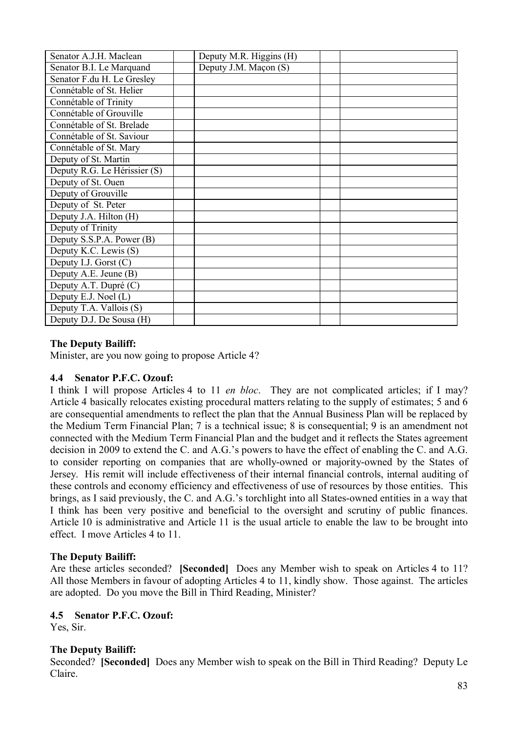| Senator A.J.H. Maclean       | Deputy M.R. Higgins (H) |  |
|------------------------------|-------------------------|--|
| Senator B.I. Le Marquand     | Deputy J.M. Maçon (S)   |  |
| Senator F.du H. Le Gresley   |                         |  |
| Connétable of St. Helier     |                         |  |
| Connétable of Trinity        |                         |  |
| Connétable of Grouville      |                         |  |
| Connétable of St. Brelade    |                         |  |
| Connétable of St. Saviour    |                         |  |
| Connétable of St. Mary       |                         |  |
| Deputy of St. Martin         |                         |  |
| Deputy R.G. Le Hérissier (S) |                         |  |
| Deputy of St. Ouen           |                         |  |
| Deputy of Grouville          |                         |  |
| Deputy of St. Peter          |                         |  |
| Deputy J.A. Hilton (H)       |                         |  |
| Deputy of Trinity            |                         |  |
| Deputy S.S.P.A. Power (B)    |                         |  |
| Deputy K.C. Lewis (S)        |                         |  |
| Deputy I.J. Gorst (C)        |                         |  |
| Deputy A.E. Jeune (B)        |                         |  |
| Deputy A.T. Dupré (C)        |                         |  |
| Deputy E.J. Noel (L)         |                         |  |
| Deputy T.A. Vallois (S)      |                         |  |
| Deputy D.J. De Sousa (H)     |                         |  |

## **The Deputy Bailiff:**

Minister, are you now going to propose Article 4?

## **4.4 Senator P.F.C. Ozouf:**

I think I will propose Articles 4 to 11 *en bloc*. They are not complicated articles; if I may? Article 4 basically relocates existing procedural matters relating to the supply of estimates; 5 and 6 are consequential amendments to reflect the plan that the Annual Business Plan will be replaced by the Medium Term Financial Plan; 7 is a technical issue; 8 is consequential; 9 is an amendment not connected with the Medium Term Financial Plan and the budget and it reflects the States agreement decision in 2009 to extend the C. and A.G.'s powers to have the effect of enabling the C. and A.G. to consider reporting on companies that are wholly-owned or majority-owned by the States of Jersey. His remit will include effectiveness of their internal financial controls, internal auditing of these controls and economy efficiency and effectiveness of use of resources by those entities. This brings, as I said previously, the C. and A.G.'s torchlight into all States-owned entities in a way that I think has been very positive and beneficial to the oversight and scrutiny of public finances. Article 10 is administrative and Article 11 is the usual article to enable the law to be brought into effect. I move Articles 4 to 11.

## **The Deputy Bailiff:**

Are these articles seconded? **[Seconded]** Does any Member wish to speak on Articles 4 to 11? All those Members in favour of adopting Articles 4 to 11, kindly show. Those against. The articles are adopted. Do you move the Bill in Third Reading, Minister?

## **4.5 Senator P.F.C. Ozouf:**

Yes, Sir.

## **The Deputy Bailiff:**

Seconded? **[Seconded]** Does any Member wish to speak on the Bill in Third Reading? Deputy Le Claire.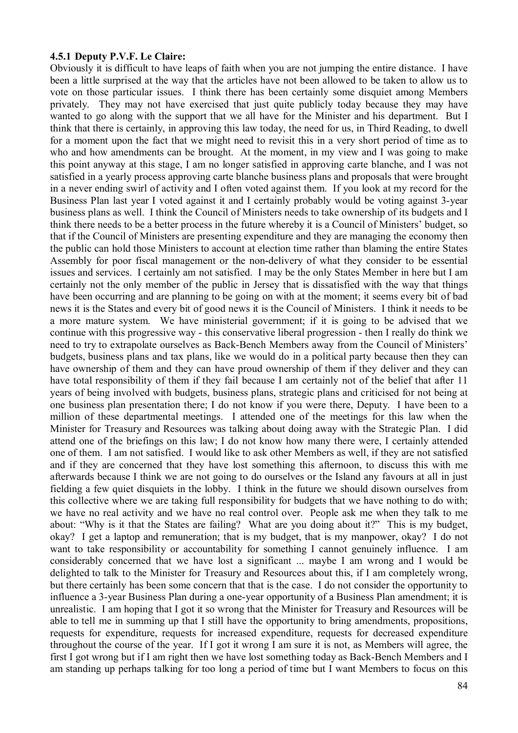#### **4.5.1 Deputy P.V.F. Le Claire:**

Obviously it is difficult to have leaps of faith when you are not jumping the entire distance. I have been a little surprised at the way that the articles have not been allowed to be taken to allow us to vote on those particular issues. I think there has been certainly some disquiet among Members privately. They may not have exercised that just quite publicly today because they may have wanted to go along with the support that we all have for the Minister and his department. But I think that there is certainly, in approving this law today, the need for us, in Third Reading, to dwell for a moment upon the fact that we might need to revisit this in a very short period of time as to who and how amendments can be brought. At the moment, in my view and I was going to make this point anyway at this stage, I am no longer satisfied in approving carte blanche, and I was not satisfied in a yearly process approving carte blanche business plans and proposals that were brought in a never ending swirl of activity and I often voted against them. If you look at my record for the Business Plan last year I voted against it and I certainly probably would be voting against 3-year business plans as well. I think the Council of Ministers needs to take ownership of its budgets and I think there needs to be a better process in the future whereby it is a Council of Ministers' budget, so that if the Council of Ministers are presenting expenditure and they are managing the economy then the public can hold those Ministers to account at election time rather than blaming the entire States Assembly for poor fiscal management or the non-delivery of what they consider to be essential issues and services. I certainly am not satisfied. I may be the only States Member in here but I am certainly not the only member of the public in Jersey that is dissatisfied with the way that things have been occurring and are planning to be going on with at the moment; it seems every bit of bad news it is the States and every bit of good news it is the Council of Ministers. I think it needs to be a more mature system. We have ministerial government; if it is going to be advised that we continue with this progressive way - this conservative liberal progression - then I really do think we need to try to extrapolate ourselves as Back-Bench Members away from the Council of Ministers' budgets, business plans and tax plans, like we would do in a political party because then they can have ownership of them and they can have proud ownership of them if they deliver and they can have total responsibility of them if they fail because I am certainly not of the belief that after 11 years of being involved with budgets, business plans, strategic plans and criticised for not being at one business plan presentation there; I do not know if you were there, Deputy. I have been to a million of these departmental meetings. I attended one of the meetings for this law when the Minister for Treasury and Resources was talking about doing away with the Strategic Plan. I did attend one of the briefings on this law; I do not know how many there were, I certainly attended one of them. I am not satisfied. I would like to ask other Members as well, if they are not satisfied and if they are concerned that they have lost something this afternoon, to discuss this with me afterwards because I think we are not going to do ourselves or the Island any favours at all in just fielding a few quiet disquiets in the lobby. I think in the future we should disown ourselves from this collective where we are taking full responsibility for budgets that we have nothing to do with; we have no real activity and we have no real control over. People ask me when they talk to me about: "Why is it that the States are failing? What are you doing about it?" This is my budget, okay? I get a laptop and remuneration; that is my budget, that is my manpower, okay? I do not want to take responsibility or accountability for something I cannot genuinely influence. I am considerably concerned that we have lost a significant ... maybe I am wrong and I would be delighted to talk to the Minister for Treasury and Resources about this, if I am completely wrong, but there certainly has been some concern that that is the case. I do not consider the opportunity to influence a 3-year Business Plan during a one-year opportunity of a Business Plan amendment; it is unrealistic. I am hoping that I got it so wrong that the Minister for Treasury and Resources will be able to tell me in summing up that I still have the opportunity to bring amendments, propositions, requests for expenditure, requests for increased expenditure, requests for decreased expenditure throughout the course of the year. If I got it wrong I am sure it is not, as Members will agree, the first I got wrong but if I am right then we have lost something today as Back-Bench Members and I am standing up perhaps talking for too long a period of time but I want Members to focus on this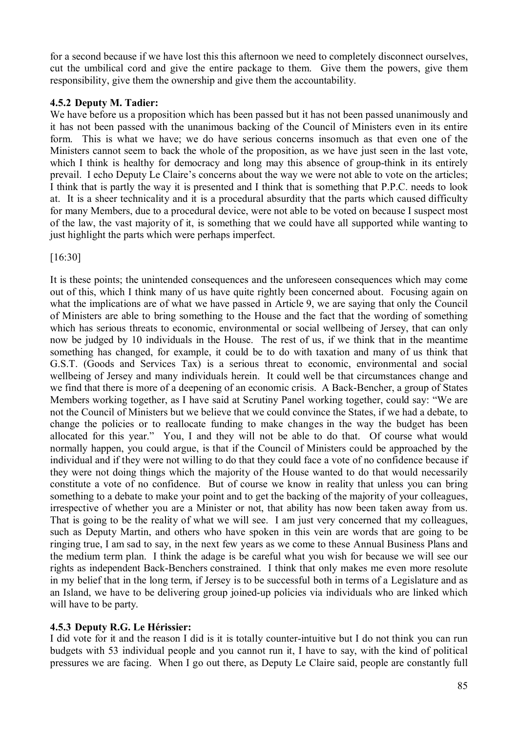for a second because if we have lost this this afternoon we need to completely disconnect ourselves, cut the umbilical cord and give the entire package to them. Give them the powers, give them responsibility, give them the ownership and give them the accountability.

## **4.5.2 Deputy M. Tadier:**

We have before us a proposition which has been passed but it has not been passed unanimously and it has not been passed with the unanimous backing of the Council of Ministers even in its entire form. This is what we have; we do have serious concerns insomuch as that even one of the Ministers cannot seem to back the whole of the proposition, as we have just seen in the last vote, which I think is healthy for democracy and long may this absence of group-think in its entirely prevail. I echo Deputy Le Claire's concerns about the way we were not able to vote on the articles; I think that is partly the way it is presented and I think that is something that P.P.C. needs to look at. It is a sheer technicality and it is a procedural absurdity that the parts which caused difficulty for many Members, due to a procedural device, were not able to be voted on because I suspect most of the law, the vast majority of it, is something that we could have all supported while wanting to just highlight the parts which were perhaps imperfect.

[16:30]

It is these points; the unintended consequences and the unforeseen consequences which may come out of this, which I think many of us have quite rightly been concerned about. Focusing again on what the implications are of what we have passed in Article 9, we are saying that only the Council of Ministers are able to bring something to the House and the fact that the wording of something which has serious threats to economic, environmental or social wellbeing of Jersey, that can only now be judged by 10 individuals in the House. The rest of us, if we think that in the meantime something has changed, for example, it could be to do with taxation and many of us think that G.S.T. (Goods and Services Tax) is a serious threat to economic, environmental and social wellbeing of Jersey and many individuals herein. It could well be that circumstances change and we find that there is more of a deepening of an economic crisis. A Back-Bencher, a group of States Members working together, as I have said at Scrutiny Panel working together, could say: "We are not the Council of Ministers but we believe that we could convince the States, if we had a debate, to change the policies or to reallocate funding to make changes in the way the budget has been allocated for this year." You, I and they will not be able to do that. Of course what would normally happen, you could argue, is that if the Council of Ministers could be approached by the individual and if they were not willing to do that they could face a vote of no confidence because if they were not doing things which the majority of the House wanted to do that would necessarily constitute a vote of no confidence. But of course we know in reality that unless you can bring something to a debate to make your point and to get the backing of the majority of your colleagues, irrespective of whether you are a Minister or not, that ability has now been taken away from us. That is going to be the reality of what we will see. I am just very concerned that my colleagues, such as Deputy Martin, and others who have spoken in this vein are words that are going to be ringing true, I am sad to say, in the next few years as we come to these Annual Business Plans and the medium term plan. I think the adage is be careful what you wish for because we will see our rights as independent Back-Benchers constrained. I think that only makes me even more resolute in my belief that in the long term, if Jersey is to be successful both in terms of a Legislature and as an Island, we have to be delivering group joined-up policies via individuals who are linked which will have to be party.

## **4.5.3 Deputy R.G. Le Hérissier:**

I did vote for it and the reason I did is it is totally counter-intuitive but I do not think you can run budgets with 53 individual people and you cannot run it, I have to say, with the kind of political pressures we are facing. When I go out there, as Deputy Le Claire said, people are constantly full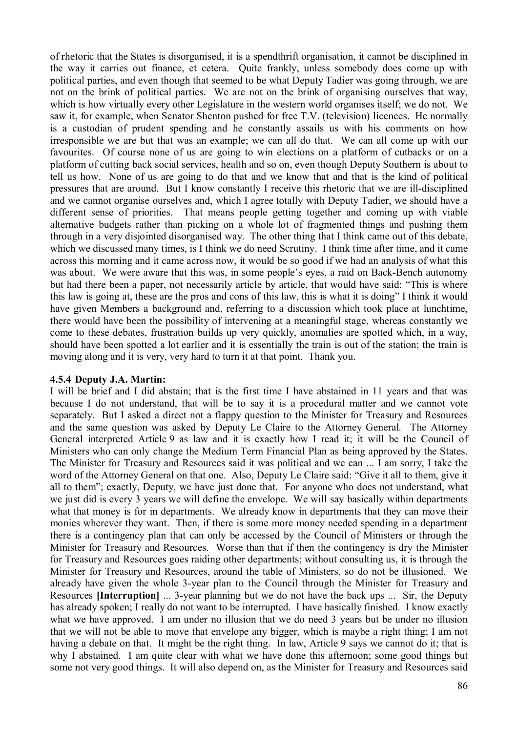of rhetoric that the States is disorganised, it is a spendthrift organisation, it cannot be disciplined in the way it carries out finance, et cetera. Quite frankly, unless somebody does come up with political parties, and even though that seemed to be what Deputy Tadier was going through, we are not on the brink of political parties. We are not on the brink of organising ourselves that way, which is how virtually every other Legislature in the western world organises itself; we do not. We saw it, for example, when Senator Shenton pushed for free T.V. (television) licences. He normally is a custodian of prudent spending and he constantly assails us with his comments on how irresponsible we are but that was an example; we can all do that. We can all come up with our favourites. Of course none of us are going to win elections on a platform of cutbacks or on a platform of cutting back social services, health and so on, even though Deputy Southern is about to tell us how. None of us are going to do that and we know that and that is the kind of political pressures that are around. But I know constantly I receive this rhetoric that we are ill-disciplined and we cannot organise ourselves and, which I agree totally with Deputy Tadier, we should have a different sense of priorities. That means people getting together and coming up with viable alternative budgets rather than picking on a whole lot of fragmented things and pushing them through in a very disjointed disorganised way. The other thing that I think came out of this debate, which we discussed many times, is I think we do need Scrutiny. I think time after time, and it came across this morning and it came across now, it would be so good if we had an analysis of what this was about. We were aware that this was, in some people's eyes, a raid on Back-Bench autonomy but had there been a paper, not necessarily article by article, that would have said: "This is where this law is going at, these are the pros and cons of this law, this is what it is doing" I think it would have given Members a background and, referring to a discussion which took place at lunchtime, there would have been the possibility of intervening at a meaningful stage, whereas constantly we come to these debates, frustration builds up very quickly, anomalies are spotted which, in a way, should have been spotted a lot earlier and it is essentially the train is out of the station; the train is moving along and it is very, very hard to turn it at that point. Thank you.

## **4.5.4 Deputy J.A. Martin:**

I will be brief and I did abstain; that is the first time I have abstained in 11 years and that was because I do not understand, that will be to say it is a procedural matter and we cannot vote separately. But I asked a direct not a flappy question to the Minister for Treasury and Resources and the same question was asked by Deputy Le Claire to the Attorney General. The Attorney General interpreted Article 9 as law and it is exactly how I read it; it will be the Council of Ministers who can only change the Medium Term Financial Plan as being approved by the States. The Minister for Treasury and Resources said it was political and we can ... I am sorry, I take the word of the Attorney General on that one. Also, Deputy Le Claire said: "Give it all to them, give it all to them"; exactly, Deputy, we have just done that. For anyone who does not understand, what we just did is every 3 years we will define the envelope. We will say basically within departments what that money is for in departments. We already know in departments that they can move their monies wherever they want. Then, if there is some more money needed spending in a department there is a contingency plan that can only be accessed by the Council of Ministers or through the Minister for Treasury and Resources. Worse than that if then the contingency is dry the Minister for Treasury and Resources goes raiding other departments; without consulting us, it is through the Minister for Treasury and Resources, around the table of Ministers, so do not be illusioned. We already have given the whole 3-year plan to the Council through the Minister for Treasury and Resources **[Interruption]** ... 3-year planning but we do not have the back ups ... Sir, the Deputy has already spoken; I really do not want to be interrupted. I have basically finished. I know exactly what we have approved. I am under no illusion that we do need 3 years but be under no illusion that we will not be able to move that envelope any bigger, which is maybe a right thing; I am not having a debate on that. It might be the right thing. In law, Article 9 says we cannot do it; that is why I abstained. I am quite clear with what we have done this afternoon; some good things but some not very good things. It will also depend on, as the Minister for Treasury and Resources said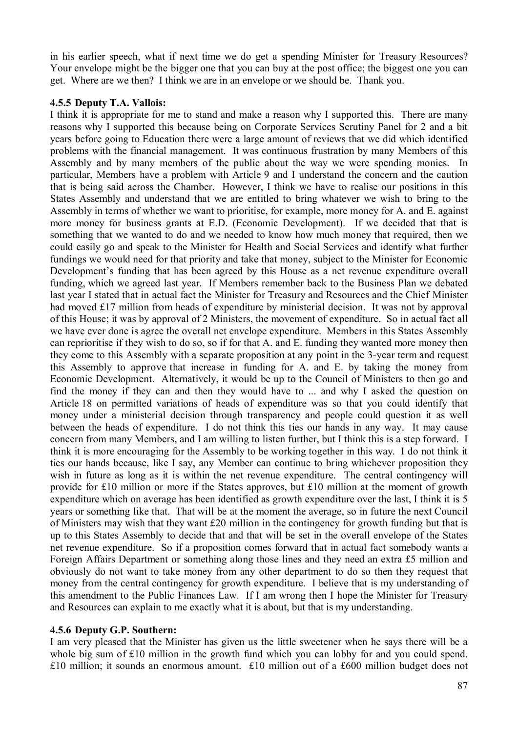in his earlier speech, what if next time we do get a spending Minister for Treasury Resources? Your envelope might be the bigger one that you can buy at the post office; the biggest one you can get. Where are we then? I think we are in an envelope or we should be. Thank you.

#### **4.5.5 Deputy T.A. Vallois:**

I think it is appropriate for me to stand and make a reason why I supported this. There are many reasons why I supported this because being on Corporate Services Scrutiny Panel for 2 and a bit years before going to Education there were a large amount of reviews that we did which identified problems with the financial management. It was continuous frustration by many Members of this Assembly and by many members of the public about the way we were spending monies. In particular, Members have a problem with Article 9 and I understand the concern and the caution that is being said across the Chamber. However, I think we have to realise our positions in this States Assembly and understand that we are entitled to bring whatever we wish to bring to the Assembly in terms of whether we want to prioritise, for example, more money for A. and E. against more money for business grants at E.D. (Economic Development). If we decided that that is something that we wanted to do and we needed to know how much money that required, then we could easily go and speak to the Minister for Health and Social Services and identify what further fundings we would need for that priority and take that money, subject to the Minister for Economic Development's funding that has been agreed by this House as a net revenue expenditure overall funding, which we agreed last year. If Members remember back to the Business Plan we debated last year I stated that in actual fact the Minister for Treasury and Resources and the Chief Minister had moved £17 million from heads of expenditure by ministerial decision. It was not by approval of this House; it was by approval of 2 Ministers, the movement of expenditure. So in actual fact all we have ever done is agree the overall net envelope expenditure. Members in this States Assembly can reprioritise if they wish to do so, so if for that A. and E. funding they wanted more money then they come to this Assembly with a separate proposition at any point in the 3-year term and request this Assembly to approve that increase in funding for A. and E. by taking the money from Economic Development. Alternatively, it would be up to the Council of Ministers to then go and find the money if they can and then they would have to ... and why I asked the question on Article 18 on permitted variations of heads of expenditure was so that you could identify that money under a ministerial decision through transparency and people could question it as well between the heads of expenditure. I do not think this ties our hands in any way. It may cause concern from many Members, and I am willing to listen further, but I think this is a step forward. I think it is more encouraging for the Assembly to be working together in this way. I do not think it ties our hands because, like I say, any Member can continue to bring whichever proposition they wish in future as long as it is within the net revenue expenditure. The central contingency will provide for £10 million or more if the States approves, but £10 million at the moment of growth expenditure which on average has been identified as growth expenditure over the last, I think it is 5 years or something like that. That will be at the moment the average, so in future the next Council of Ministers may wish that they want £20 million in the contingency for growth funding but that is up to this States Assembly to decide that and that will be set in the overall envelope of the States net revenue expenditure. So if a proposition comes forward that in actual fact somebody wants a Foreign Affairs Department or something along those lines and they need an extra £5 million and obviously do not want to take money from any other department to do so then they request that money from the central contingency for growth expenditure. I believe that is my understanding of this amendment to the Public Finances Law. If I am wrong then I hope the Minister for Treasury and Resources can explain to me exactly what it is about, but that is my understanding.

#### **4.5.6 Deputy G.P. Southern:**

I am very pleased that the Minister has given us the little sweetener when he says there will be a whole big sum of £10 million in the growth fund which you can lobby for and you could spend. £10 million; it sounds an enormous amount. £10 million out of a £600 million budget does not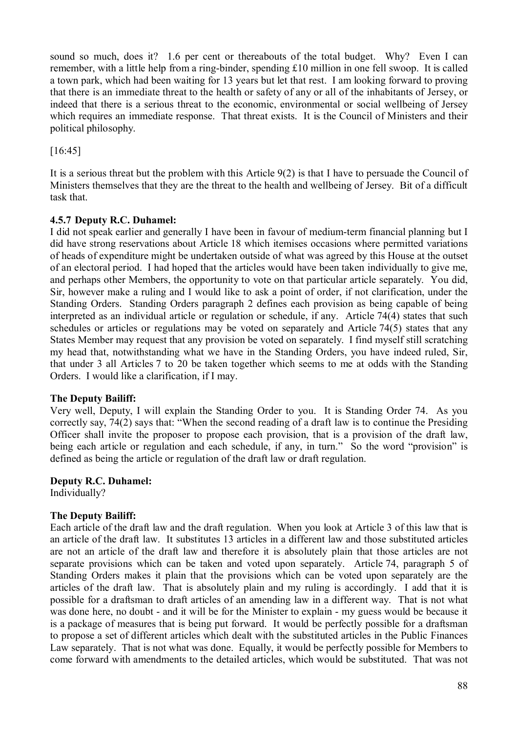sound so much, does it? 1.6 per cent or thereabouts of the total budget. Why? Even I can remember, with a little help from a ring-binder, spending £10 million in one fell swoop. It is called a town park, which had been waiting for 13 years but let that rest. I am looking forward to proving that there is an immediate threat to the health or safety of any or all of the inhabitants of Jersey, or indeed that there is a serious threat to the economic, environmental or social wellbeing of Jersey which requires an immediate response. That threat exists. It is the Council of Ministers and their political philosophy.

[16:45]

It is a serious threat but the problem with this Article 9(2) is that I have to persuade the Council of Ministers themselves that they are the threat to the health and wellbeing of Jersey. Bit of a difficult task that.

# **4.5.7 Deputy R.C. Duhamel:**

I did not speak earlier and generally I have been in favour of medium-term financial planning but I did have strong reservations about Article 18 which itemises occasions where permitted variations of heads of expenditure might be undertaken outside of what was agreed by this House at the outset of an electoral period. I had hoped that the articles would have been taken individually to give me, and perhaps other Members, the opportunity to vote on that particular article separately. You did, Sir, however make a ruling and I would like to ask a point of order, if not clarification, under the Standing Orders. Standing Orders paragraph 2 defines each provision as being capable of being interpreted as an individual article or regulation or schedule, if any. Article 74(4) states that such schedules or articles or regulations may be voted on separately and Article 74(5) states that any States Member may request that any provision be voted on separately. I find myself still scratching my head that, notwithstanding what we have in the Standing Orders, you have indeed ruled, Sir, that under 3 all Articles 7 to 20 be taken together which seems to me at odds with the Standing Orders. I would like a clarification, if I may.

## **The Deputy Bailiff:**

Very well, Deputy, I will explain the Standing Order to you. It is Standing Order 74. As you correctly say, 74(2) says that: "When the second reading of a draft law is to continue the Presiding Officer shall invite the proposer to propose each provision, that is a provision of the draft law, being each article or regulation and each schedule, if any, in turn." So the word "provision" is defined as being the article or regulation of the draft law or draft regulation.

## **Deputy R.C. Duhamel:**

Individually?

## **The Deputy Bailiff:**

Each article of the draft law and the draft regulation. When you look at Article 3 of this law that is an article of the draft law. It substitutes 13 articles in a different law and those substituted articles are not an article of the draft law and therefore it is absolutely plain that those articles are not separate provisions which can be taken and voted upon separately. Article 74, paragraph 5 of Standing Orders makes it plain that the provisions which can be voted upon separately are the articles of the draft law. That is absolutely plain and my ruling is accordingly. I add that it is possible for a draftsman to draft articles of an amending law in a different way. That is not what was done here, no doubt - and it will be for the Minister to explain - my guess would be because it is a package of measures that is being put forward. It would be perfectly possible for a draftsman to propose a set of different articles which dealt with the substituted articles in the Public Finances Law separately. That is not what was done. Equally, it would be perfectly possible for Members to come forward with amendments to the detailed articles, which would be substituted. That was not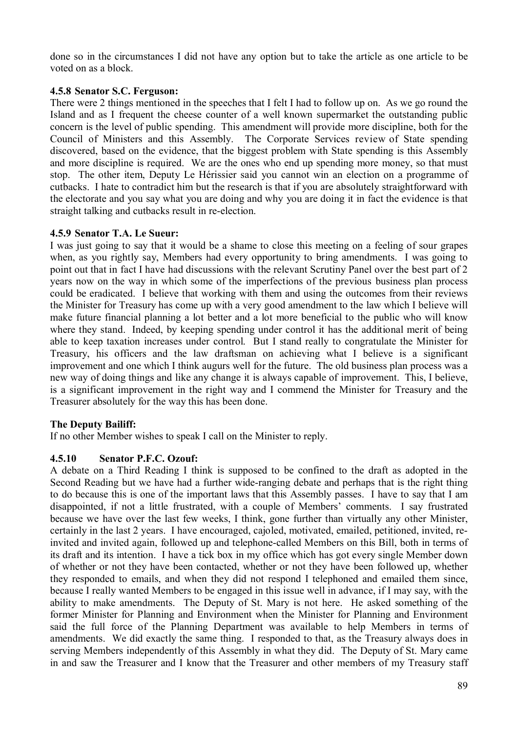done so in the circumstances I did not have any option but to take the article as one article to be voted on as a block.

#### **4.5.8 Senator S.C. Ferguson:**

There were 2 things mentioned in the speeches that I felt I had to follow up on. As we go round the Island and as I frequent the cheese counter of a well known supermarket the outstanding public concern is the level of public spending. This amendment will provide more discipline, both for the Council of Ministers and this Assembly. The Corporate Services review of State spending discovered, based on the evidence, that the biggest problem with State spending is this Assembly and more discipline is required. We are the ones who end up spending more money, so that must stop. The other item, Deputy Le Hérissier said you cannot win an election on a programme of cutbacks. I hate to contradict him but the research is that if you are absolutely straightforward with the electorate and you say what you are doing and why you are doing it in fact the evidence is that straight talking and cutbacks result in re-election.

#### **4.5.9 Senator T.A. Le Sueur:**

I was just going to say that it would be a shame to close this meeting on a feeling of sour grapes when, as you rightly say, Members had every opportunity to bring amendments. I was going to point out that in fact I have had discussions with the relevant Scrutiny Panel over the best part of 2 years now on the way in which some of the imperfections of the previous business plan process could be eradicated. I believe that working with them and using the outcomes from their reviews the Minister for Treasury has come up with a very good amendment to the law which I believe will make future financial planning a lot better and a lot more beneficial to the public who will know where they stand. Indeed, by keeping spending under control it has the additional merit of being able to keep taxation increases under control. But I stand really to congratulate the Minister for Treasury, his officers and the law draftsman on achieving what I believe is a significant improvement and one which I think augurs well for the future. The old business plan process was a new way of doing things and like any change it is always capable of improvement. This, I believe, is a significant improvement in the right way and I commend the Minister for Treasury and the Treasurer absolutely for the way this has been done.

## **The Deputy Bailiff:**

If no other Member wishes to speak I call on the Minister to reply.

## **4.5.10 Senator P.F.C. Ozouf:**

A debate on a Third Reading I think is supposed to be confined to the draft as adopted in the Second Reading but we have had a further wide-ranging debate and perhaps that is the right thing to do because this is one of the important laws that this Assembly passes. I have to say that I am disappointed, if not a little frustrated, with a couple of Members' comments. I say frustrated because we have over the last few weeks, I think, gone further than virtually any other Minister, certainly in the last 2 years. I have encouraged, cajoled, motivated, emailed, petitioned, invited, reinvited and invited again, followed up and telephone-called Members on this Bill, both in terms of its draft and its intention. I have a tick box in my office which has got every single Member down of whether or not they have been contacted, whether or not they have been followed up, whether they responded to emails, and when they did not respond I telephoned and emailed them since, because I really wanted Members to be engaged in this issue well in advance, if I may say, with the ability to make amendments. The Deputy of St. Mary is not here. He asked something of the former Minister for Planning and Environment when the Minister for Planning and Environment said the full force of the Planning Department was available to help Members in terms of amendments. We did exactly the same thing. I responded to that, as the Treasury always does in serving Members independently of this Assembly in what they did. The Deputy of St. Mary came in and saw the Treasurer and I know that the Treasurer and other members of my Treasury staff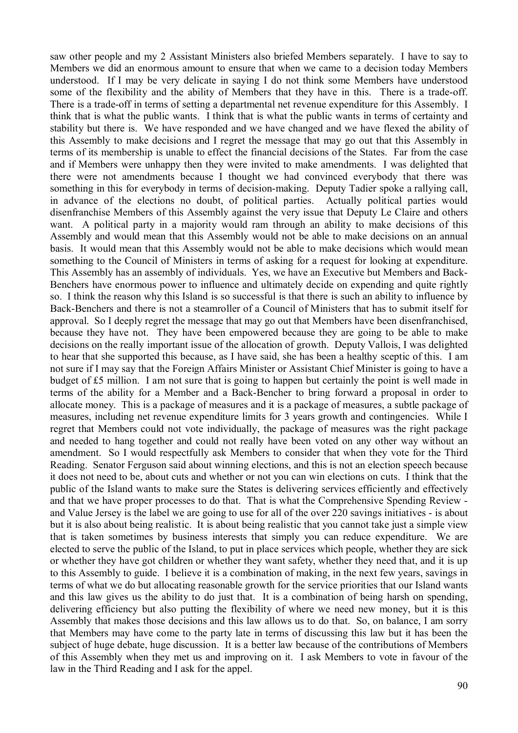saw other people and my 2 Assistant Ministers also briefed Members separately. I have to say to Members we did an enormous amount to ensure that when we came to a decision today Members understood. If I may be very delicate in saying I do not think some Members have understood some of the flexibility and the ability of Members that they have in this. There is a trade-off. There is a trade-off in terms of setting a departmental net revenue expenditure for this Assembly. I think that is what the public wants. I think that is what the public wants in terms of certainty and stability but there is. We have responded and we have changed and we have flexed the ability of this Assembly to make decisions and I regret the message that may go out that this Assembly in terms of its membership is unable to effect the financial decisions of the States. Far from the case and if Members were unhappy then they were invited to make amendments. I was delighted that there were not amendments because I thought we had convinced everybody that there was something in this for everybody in terms of decision-making. Deputy Tadier spoke a rallying call, in advance of the elections no doubt, of political parties. Actually political parties would disenfranchise Members of this Assembly against the very issue that Deputy Le Claire and others want. A political party in a majority would ram through an ability to make decisions of this Assembly and would mean that this Assembly would not be able to make decisions on an annual basis. It would mean that this Assembly would not be able to make decisions which would mean something to the Council of Ministers in terms of asking for a request for looking at expenditure. This Assembly has an assembly of individuals. Yes, we have an Executive but Members and Back-Benchers have enormous power to influence and ultimately decide on expending and quite rightly so. I think the reason why this Island is so successful is that there is such an ability to influence by Back-Benchers and there is not a steamroller of a Council of Ministers that has to submit itself for approval. So I deeply regret the message that may go out that Members have been disenfranchised, because they have not. They have been empowered because they are going to be able to make decisions on the really important issue of the allocation of growth. Deputy Vallois, I was delighted to hear that she supported this because, as I have said, she has been a healthy sceptic of this. I am not sure if I may say that the Foreign Affairs Minister or Assistant Chief Minister is going to have a budget of £5 million. I am not sure that is going to happen but certainly the point is well made in terms of the ability for a Member and a Back-Bencher to bring forward a proposal in order to allocate money. This is a package of measures and it is a package of measures, a subtle package of measures, including net revenue expenditure limits for 3 years growth and contingencies. While I regret that Members could not vote individually, the package of measures was the right package and needed to hang together and could not really have been voted on any other way without an amendment. So I would respectfully ask Members to consider that when they vote for the Third Reading. Senator Ferguson said about winning elections, and this is not an election speech because it does not need to be, about cuts and whether or not you can win elections on cuts. I think that the public of the Island wants to make sure the States is delivering services efficiently and effectively and that we have proper processes to do that. That is what the Comprehensive Spending Review and Value Jersey is the label we are going to use for all of the over 220 savings initiatives - is about but it is also about being realistic. It is about being realistic that you cannot take just a simple view that is taken sometimes by business interests that simply you can reduce expenditure. We are elected to serve the public of the Island, to put in place services which people, whether they are sick or whether they have got children or whether they want safety, whether they need that, and it is up to this Assembly to guide. I believe it is a combination of making, in the next few years, savings in terms of what we do but allocating reasonable growth for the service priorities that our Island wants and this law gives us the ability to do just that. It is a combination of being harsh on spending, delivering efficiency but also putting the flexibility of where we need new money, but it is this Assembly that makes those decisions and this law allows us to do that. So, on balance, I am sorry that Members may have come to the party late in terms of discussing this law but it has been the subject of huge debate, huge discussion. It is a better law because of the contributions of Members of this Assembly when they met us and improving on it. I ask Members to vote in favour of the law in the Third Reading and I ask for the appel.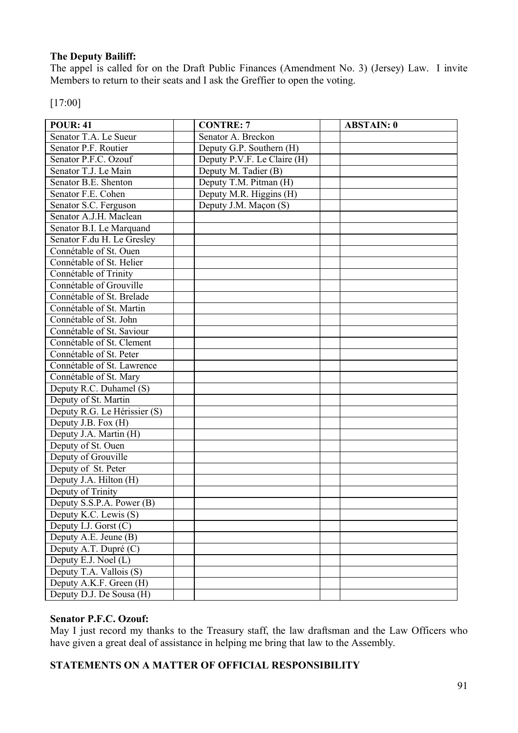# **The Deputy Bailiff:**

The appel is called for on the Draft Public Finances (Amendment No. 3) (Jersey) Law. I invite Members to return to their seats and I ask the Greffier to open the voting.

[17:00]

| <b>POUR: 41</b>              | <b>CONTRE: 7</b>            | <b>ABSTAIN: 0</b> |
|------------------------------|-----------------------------|-------------------|
| Senator T.A. Le Sueur        | Senator A. Breckon          |                   |
| Senator P.F. Routier         | Deputy G.P. Southern (H)    |                   |
| Senator P.F.C. Ozouf         | Deputy P.V.F. Le Claire (H) |                   |
| Senator T.J. Le Main         | Deputy M. Tadier (B)        |                   |
| Senator B.E. Shenton         | Deputy T.M. Pitman (H)      |                   |
| Senator F.E. Cohen           | Deputy M.R. Higgins (H)     |                   |
| Senator S.C. Ferguson        | Deputy J.M. Maçon (S)       |                   |
| Senator A.J.H. Maclean       |                             |                   |
| Senator B.I. Le Marquand     |                             |                   |
| Senator F.du H. Le Gresley   |                             |                   |
| Connétable of St. Ouen       |                             |                   |
| Connétable of St. Helier     |                             |                   |
| Connétable of Trinity        |                             |                   |
| Connétable of Grouville      |                             |                   |
| Connétable of St. Brelade    |                             |                   |
| Connétable of St. Martin     |                             |                   |
| Connétable of St. John       |                             |                   |
| Connétable of St. Saviour    |                             |                   |
| Connétable of St. Clement    |                             |                   |
| Connétable of St. Peter      |                             |                   |
| Connétable of St. Lawrence   |                             |                   |
| Connétable of St. Mary       |                             |                   |
| Deputy R.C. Duhamel (S)      |                             |                   |
| Deputy of St. Martin         |                             |                   |
| Deputy R.G. Le Hérissier (S) |                             |                   |
| Deputy J.B. Fox (H)          |                             |                   |
| Deputy J.A. Martin (H)       |                             |                   |
| Deputy of St. Ouen           |                             |                   |
| Deputy of Grouville          |                             |                   |
| Deputy of St. Peter          |                             |                   |
| Deputy J.A. Hilton (H)       |                             |                   |
| Deputy of Trinity            |                             |                   |
| Deputy S.S.P.A. Power (B)    |                             |                   |
| Deputy K.C. Lewis (S)        |                             |                   |
| Deputy I.J. Gorst $(C)$      |                             |                   |
| Deputy A.E. Jeune (B)        |                             |                   |
| Deputy A.T. Dupré (C)        |                             |                   |
| Deputy E.J. Noel (L)         |                             |                   |
| Deputy T.A. Vallois (S)      |                             |                   |
| Deputy A.K.F. Green (H)      |                             |                   |
| Deputy D.J. De Sousa (H)     |                             |                   |

## **Senator P.F.C. Ozouf:**

May I just record my thanks to the Treasury staff, the law draftsman and the Law Officers who have given a great deal of assistance in helping me bring that law to the Assembly.

## **STATEMENTS ON A MATTER OF OFFICIAL RESPONSIBILITY**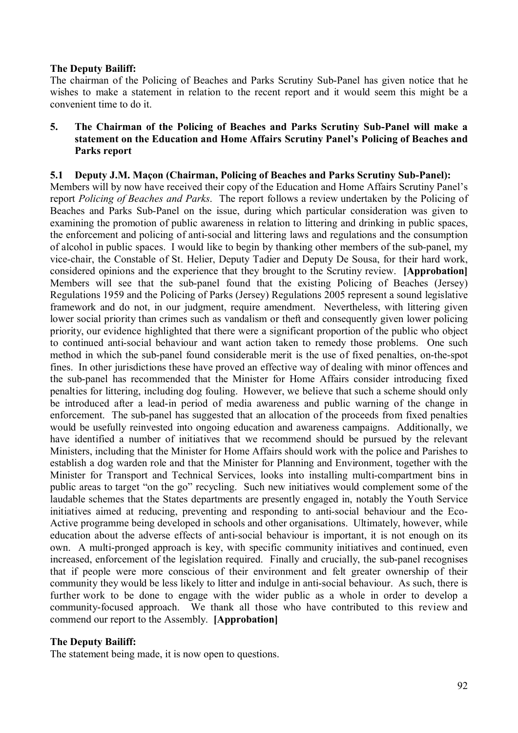#### **The Deputy Bailiff:**

The chairman of the Policing of Beaches and Parks Scrutiny Sub-Panel has given notice that he wishes to make a statement in relation to the recent report and it would seem this might be a convenient time to do it.

#### **5. The Chairman of the Policing of Beaches and Parks Scrutiny Sub-Panel will make a statement on the Education and Home Affairs Scrutiny Panel's Policing of Beaches and Parks report**

### **5.1 Deputy J.M. Maçon (Chairman, Policing of Beaches and Parks Scrutiny Sub-Panel):**

Members will by now have received their copy of the Education and Home Affairs Scrutiny Panel's report *Policing of Beaches and Parks*. The report follows a review undertaken by the Policing of Beaches and Parks Sub-Panel on the issue, during which particular consideration was given to examining the promotion of public awareness in relation to littering and drinking in public spaces, the enforcement and policing of anti-social and littering laws and regulations and the consumption of alcohol in public spaces. I would like to begin by thanking other members of the sub-panel, my vice-chair, the Constable of St. Helier, Deputy Tadier and Deputy De Sousa, for their hard work, considered opinions and the experience that they brought to the Scrutiny review. **[Approbation]** Members will see that the sub-panel found that the existing Policing of Beaches (Jersey) Regulations 1959 and the Policing of Parks (Jersey) Regulations 2005 represent a sound legislative framework and do not, in our judgment, require amendment. Nevertheless, with littering given lower social priority than crimes such as vandalism or theft and consequently given lower policing priority, our evidence highlighted that there were a significant proportion of the public who object to continued anti-social behaviour and want action taken to remedy those problems. One such method in which the sub-panel found considerable merit is the use of fixed penalties, on-the-spot fines. In other jurisdictions these have proved an effective way of dealing with minor offences and the sub-panel has recommended that the Minister for Home Affairs consider introducing fixed penalties for littering, including dog fouling. However, we believe that such a scheme should only be introduced after a lead-in period of media awareness and public warning of the change in enforcement. The sub-panel has suggested that an allocation of the proceeds from fixed penalties would be usefully reinvested into ongoing education and awareness campaigns. Additionally, we have identified a number of initiatives that we recommend should be pursued by the relevant Ministers, including that the Minister for Home Affairs should work with the police and Parishes to establish a dog warden role and that the Minister for Planning and Environment, together with the Minister for Transport and Technical Services, looks into installing multi-compartment bins in public areas to target "on the go" recycling. Such new initiatives would complement some of the laudable schemes that the States departments are presently engaged in, notably the Youth Service initiatives aimed at reducing, preventing and responding to anti-social behaviour and the Eco-Active programme being developed in schools and other organisations. Ultimately, however, while education about the adverse effects of anti-social behaviour is important, it is not enough on its own. A multi-pronged approach is key, with specific community initiatives and continued, even increased, enforcement of the legislation required. Finally and crucially, the sub-panel recognises that if people were more conscious of their environment and felt greater ownership of their community they would be less likely to litter and indulge in anti-social behaviour. As such, there is further work to be done to engage with the wider public as a whole in order to develop a community-focused approach. We thank all those who have contributed to this review and commend our report to the Assembly. **[Approbation]**

#### **The Deputy Bailiff:**

The statement being made, it is now open to questions.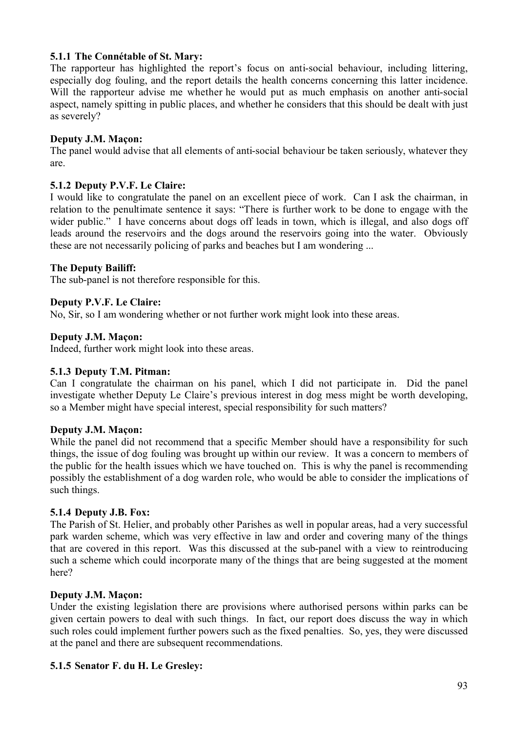## **5.1.1 The Connétable of St. Mary:**

The rapporteur has highlighted the report's focus on anti-social behaviour, including littering, especially dog fouling, and the report details the health concerns concerning this latter incidence. Will the rapporteur advise me whether he would put as much emphasis on another anti-social aspect, namely spitting in public places, and whether he considers that this should be dealt with just as severely?

## **Deputy J.M. Maçon:**

The panel would advise that all elements of anti-social behaviour be taken seriously, whatever they are.

# **5.1.2 Deputy P.V.F. Le Claire:**

I would like to congratulate the panel on an excellent piece of work. Can I ask the chairman, in relation to the penultimate sentence it says: "There is further work to be done to engage with the wider public." I have concerns about dogs off leads in town, which is illegal, and also dogs off leads around the reservoirs and the dogs around the reservoirs going into the water. Obviously these are not necessarily policing of parks and beaches but I am wondering ...

## **The Deputy Bailiff:**

The sub-panel is not therefore responsible for this.

## **Deputy P.V.F. Le Claire:**

No, Sir, so I am wondering whether or not further work might look into these areas.

## **Deputy J.M. Maçon:**

Indeed, further work might look into these areas.

## **5.1.3 Deputy T.M. Pitman:**

Can I congratulate the chairman on his panel, which I did not participate in. Did the panel investigate whether Deputy Le Claire's previous interest in dog mess might be worth developing, so a Member might have special interest, special responsibility for such matters?

## **Deputy J.M. Maçon:**

While the panel did not recommend that a specific Member should have a responsibility for such things, the issue of dog fouling was brought up within our review. It was a concern to members of the public for the health issues which we have touched on. This is why the panel is recommending possibly the establishment of a dog warden role, who would be able to consider the implications of such things.

## **5.1.4 Deputy J.B. Fox:**

The Parish of St. Helier, and probably other Parishes as well in popular areas, had a very successful park warden scheme, which was very effective in law and order and covering many of the things that are covered in this report. Was this discussed at the sub-panel with a view to reintroducing such a scheme which could incorporate many of the things that are being suggested at the moment here?

## **Deputy J.M. Maçon:**

Under the existing legislation there are provisions where authorised persons within parks can be given certain powers to deal with such things. In fact, our report does discuss the way in which such roles could implement further powers such as the fixed penalties. So, yes, they were discussed at the panel and there are subsequent recommendations.

## **5.1.5 Senator F. du H. Le Gresley:**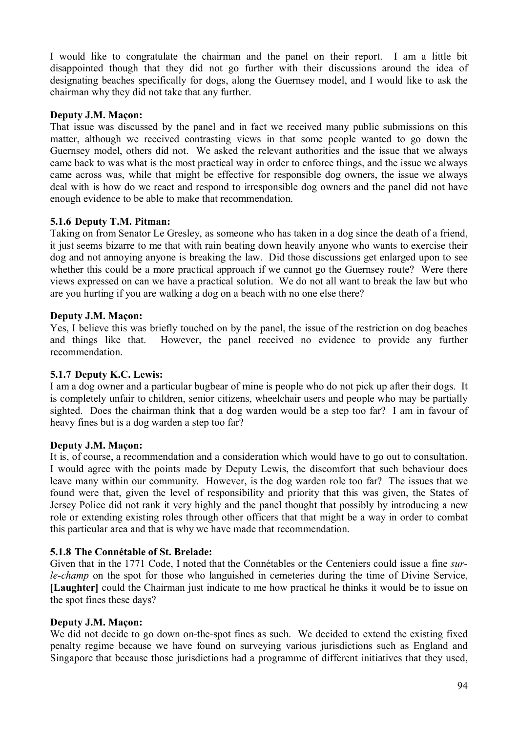I would like to congratulate the chairman and the panel on their report. I am a little bit disappointed though that they did not go further with their discussions around the idea of designating beaches specifically for dogs, along the Guernsey model, and I would like to ask the chairman why they did not take that any further.

## **Deputy J.M. Maçon:**

That issue was discussed by the panel and in fact we received many public submissions on this matter, although we received contrasting views in that some people wanted to go down the Guernsey model, others did not. We asked the relevant authorities and the issue that we always came back to was what is the most practical way in order to enforce things, and the issue we always came across was, while that might be effective for responsible dog owners, the issue we always deal with is how do we react and respond to irresponsible dog owners and the panel did not have enough evidence to be able to make that recommendation.

## **5.1.6 Deputy T.M. Pitman:**

Taking on from Senator Le Gresley, as someone who has taken in a dog since the death of a friend, it just seems bizarre to me that with rain beating down heavily anyone who wants to exercise their dog and not annoying anyone is breaking the law. Did those discussions get enlarged upon to see whether this could be a more practical approach if we cannot go the Guernsey route? Were there views expressed on can we have a practical solution. We do not all want to break the law but who are you hurting if you are walking a dog on a beach with no one else there?

### **Deputy J.M. Maçon:**

Yes, I believe this was briefly touched on by the panel, the issue of the restriction on dog beaches and things like that. However, the panel received no evidence to provide any further recommendation.

## **5.1.7 Deputy K.C. Lewis:**

I am a dog owner and a particular bugbear of mine is people who do not pick up after their dogs. It is completely unfair to children, senior citizens, wheelchair users and people who may be partially sighted. Does the chairman think that a dog warden would be a step too far? I am in favour of heavy fines but is a dog warden a step too far?

#### **Deputy J.M. Maçon:**

It is, of course, a recommendation and a consideration which would have to go out to consultation. I would agree with the points made by Deputy Lewis, the discomfort that such behaviour does leave many within our community. However, is the dog warden role too far? The issues that we found were that, given the level of responsibility and priority that this was given, the States of Jersey Police did not rank it very highly and the panel thought that possibly by introducing a new role or extending existing roles through other officers that that might be a way in order to combat this particular area and that is why we have made that recommendation.

#### **5.1.8 The Connétable of St. Brelade:**

Given that in the 1771 Code, I noted that the Connétables or the Centeniers could issue a fine *surle-champ* on the spot for those who languished in cemeteries during the time of Divine Service, **[Laughter]** could the Chairman just indicate to me how practical he thinks it would be to issue on the spot fines these days?

#### **Deputy J.M. Maçon:**

We did not decide to go down on-the-spot fines as such. We decided to extend the existing fixed penalty regime because we have found on surveying various jurisdictions such as England and Singapore that because those jurisdictions had a programme of different initiatives that they used,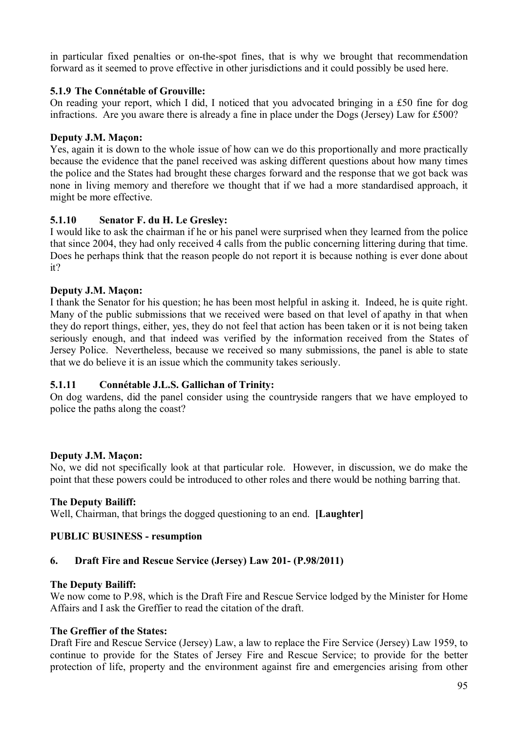in particular fixed penalties or on-the-spot fines, that is why we brought that recommendation forward as it seemed to prove effective in other jurisdictions and it could possibly be used here.

## **5.1.9 The Connétable of Grouville:**

On reading your report, which I did, I noticed that you advocated bringing in a £50 fine for dog infractions. Are you aware there is already a fine in place under the Dogs (Jersey) Law for £500?

### **Deputy J.M. Maçon:**

Yes, again it is down to the whole issue of how can we do this proportionally and more practically because the evidence that the panel received was asking different questions about how many times the police and the States had brought these charges forward and the response that we got back was none in living memory and therefore we thought that if we had a more standardised approach, it might be more effective.

## **5.1.10 Senator F. du H. Le Gresley:**

I would like to ask the chairman if he or his panel were surprised when they learned from the police that since 2004, they had only received 4 calls from the public concerning littering during that time. Does he perhaps think that the reason people do not report it is because nothing is ever done about it?

## **Deputy J.M. Maçon:**

I thank the Senator for his question; he has been most helpful in asking it. Indeed, he is quite right. Many of the public submissions that we received were based on that level of apathy in that when they do report things, either, yes, they do not feel that action has been taken or it is not being taken seriously enough, and that indeed was verified by the information received from the States of Jersey Police. Nevertheless, because we received so many submissions, the panel is able to state that we do believe it is an issue which the community takes seriously.

## **5.1.11 Connétable J.L.S. Gallichan of Trinity:**

On dog wardens, did the panel consider using the countryside rangers that we have employed to police the paths along the coast?

## **Deputy J.M. Maçon:**

No, we did not specifically look at that particular role. However, in discussion, we do make the point that these powers could be introduced to other roles and there would be nothing barring that.

#### **The Deputy Bailiff:**

Well, Chairman, that brings the dogged questioning to an end. **[Laughter]**

## **PUBLIC BUSINESS - resumption**

## **6. Draft Fire and Rescue Service (Jersey) Law 201- (P.98/2011)**

#### **The Deputy Bailiff:**

We now come to P.98, which is the Draft Fire and Rescue Service lodged by the Minister for Home Affairs and I ask the Greffier to read the citation of the draft.

#### **The Greffier of the States:**

Draft Fire and Rescue Service (Jersey) Law, a law to replace the Fire Service (Jersey) Law 1959, to continue to provide for the States of Jersey Fire and Rescue Service; to provide for the better protection of life, property and the environment against fire and emergencies arising from other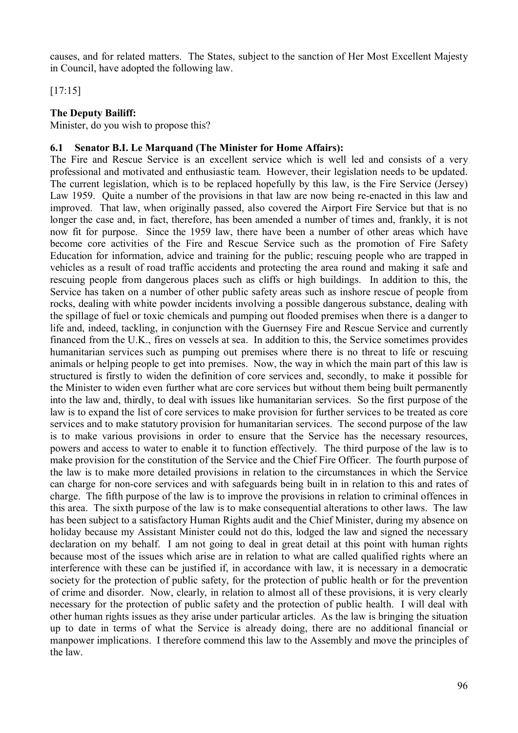causes, and for related matters. The States, subject to the sanction of Her Most Excellent Majesty in Council, have adopted the following law.

[17:15]

### **The Deputy Bailiff:**

Minister, do you wish to propose this?

### **6.1 Senator B.I. Le Marquand (The Minister for Home Affairs):**

The Fire and Rescue Service is an excellent service which is well led and consists of a very professional and motivated and enthusiastic team. However, their legislation needs to be updated. The current legislation, which is to be replaced hopefully by this law, is the Fire Service (Jersey) Law 1959. Quite a number of the provisions in that law are now being re-enacted in this law and improved. That law, when originally passed, also covered the Airport Fire Service but that is no longer the case and, in fact, therefore, has been amended a number of times and, frankly, it is not now fit for purpose. Since the 1959 law, there have been a number of other areas which have become core activities of the Fire and Rescue Service such as the promotion of Fire Safety Education for information, advice and training for the public; rescuing people who are trapped in vehicles as a result of road traffic accidents and protecting the area round and making it safe and rescuing people from dangerous places such as cliffs or high buildings. In addition to this, the Service has taken on a number of other public safety areas such as inshore rescue of people from rocks, dealing with white powder incidents involving a possible dangerous substance, dealing with the spillage of fuel or toxic chemicals and pumping out flooded premises when there is a danger to life and, indeed, tackling, in conjunction with the Guernsey Fire and Rescue Service and currently financed from the U.K., fires on vessels at sea. In addition to this, the Service sometimes provides humanitarian services such as pumping out premises where there is no threat to life or rescuing animals or helping people to get into premises. Now, the way in which the main part of this law is structured is firstly to widen the definition of core services and, secondly, to make it possible for the Minister to widen even further what are core services but without them being built permanently into the law and, thirdly, to deal with issues like humanitarian services. So the first purpose of the law is to expand the list of core services to make provision for further services to be treated as core services and to make statutory provision for humanitarian services. The second purpose of the law is to make various provisions in order to ensure that the Service has the necessary resources, powers and access to water to enable it to function effectively. The third purpose of the law is to make provision for the constitution of the Service and the Chief Fire Officer. The fourth purpose of the law is to make more detailed provisions in relation to the circumstances in which the Service can charge for non-core services and with safeguards being built in in relation to this and rates of charge. The fifth purpose of the law is to improve the provisions in relation to criminal offences in this area. The sixth purpose of the law is to make consequential alterations to other laws. The law has been subject to a satisfactory Human Rights audit and the Chief Minister, during my absence on holiday because my Assistant Minister could not do this, lodged the law and signed the necessary declaration on my behalf. I am not going to deal in great detail at this point with human rights because most of the issues which arise are in relation to what are called qualified rights where an interference with these can be justified if, in accordance with law, it is necessary in a democratic society for the protection of public safety, for the protection of public health or for the prevention of crime and disorder. Now, clearly, in relation to almost all of these provisions, it is very clearly necessary for the protection of public safety and the protection of public health. I will deal with other human rights issues as they arise under particular articles. As the law is bringing the situation up to date in terms of what the Service is already doing, there are no additional financial or manpower implications. I therefore commend this law to the Assembly and move the principles of the law.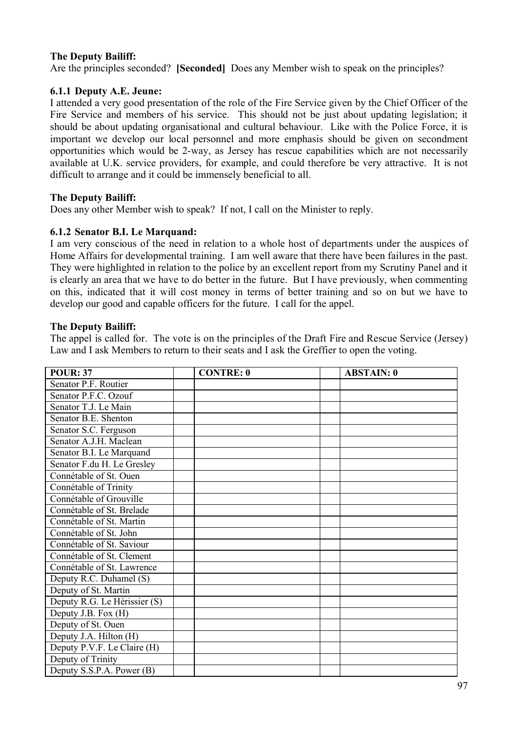## **The Deputy Bailiff:**

Are the principles seconded? **[Seconded]** Does any Member wish to speak on the principles?

### **6.1.1 Deputy A.E. Jeune:**

I attended a very good presentation of the role of the Fire Service given by the Chief Officer of the Fire Service and members of his service. This should not be just about updating legislation; it should be about updating organisational and cultural behaviour. Like with the Police Force, it is important we develop our local personnel and more emphasis should be given on secondment opportunities which would be 2-way, as Jersey has rescue capabilities which are not necessarily available at U.K. service providers, for example, and could therefore be very attractive. It is not difficult to arrange and it could be immensely beneficial to all.

### **The Deputy Bailiff:**

Does any other Member wish to speak? If not, I call on the Minister to reply.

### **6.1.2 Senator B.I. Le Marquand:**

I am very conscious of the need in relation to a whole host of departments under the auspices of Home Affairs for developmental training. I am well aware that there have been failures in the past. They were highlighted in relation to the police by an excellent report from my Scrutiny Panel and it is clearly an area that we have to do better in the future. But I have previously, when commenting on this, indicated that it will cost money in terms of better training and so on but we have to develop our good and capable officers for the future. I call for the appel.

### **The Deputy Bailiff:**

The appel is called for. The vote is on the principles of the Draft Fire and Rescue Service (Jersey) Law and I ask Members to return to their seats and I ask the Greffier to open the voting.

| <b>POUR: 37</b>              | <b>CONTRE: 0</b> | <b>ABSTAIN: 0</b> |
|------------------------------|------------------|-------------------|
| Senator P.F. Routier         |                  |                   |
| Senator P.F.C. Ozouf         |                  |                   |
| Senator T.J. Le Main         |                  |                   |
| Senator B.E. Shenton         |                  |                   |
| Senator S.C. Ferguson        |                  |                   |
| Senator A.J.H. Maclean       |                  |                   |
| Senator B.I. Le Marquand     |                  |                   |
| Senator F.du H. Le Gresley   |                  |                   |
| Connétable of St. Ouen       |                  |                   |
| Connétable of Trinity        |                  |                   |
| Connétable of Grouville      |                  |                   |
| Connétable of St. Brelade    |                  |                   |
| Connétable of St. Martin     |                  |                   |
| Connétable of St. John       |                  |                   |
| Connétable of St. Saviour    |                  |                   |
| Connétable of St. Clement    |                  |                   |
| Connétable of St. Lawrence   |                  |                   |
| Deputy R.C. Duhamel (S)      |                  |                   |
| Deputy of St. Martin         |                  |                   |
| Deputy R.G. Le Hérissier (S) |                  |                   |
| Deputy J.B. Fox (H)          |                  |                   |
| Deputy of St. Ouen           |                  |                   |
| Deputy J.A. Hilton (H)       |                  |                   |
| Deputy P.V.F. Le Claire (H)  |                  |                   |
| Deputy of Trinity            |                  |                   |
| Deputy S.S.P.A. Power (B)    |                  |                   |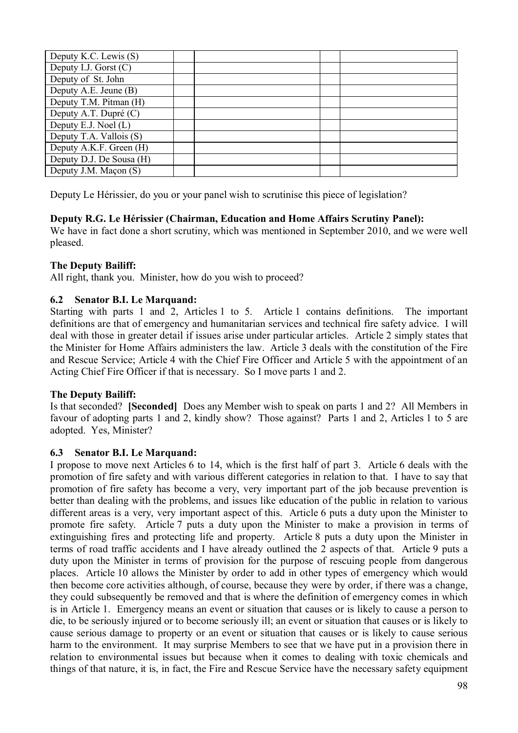| Deputy K.C. Lewis (S)    |  |  |
|--------------------------|--|--|
| Deputy I.J. Gorst $(C)$  |  |  |
| Deputy of St. John       |  |  |
| Deputy A.E. Jeune (B)    |  |  |
| Deputy T.M. Pitman (H)   |  |  |
| Deputy A.T. Dupré (C)    |  |  |
| Deputy E.J. Noel (L)     |  |  |
| Deputy T.A. Vallois (S)  |  |  |
| Deputy A.K.F. Green (H)  |  |  |
| Deputy D.J. De Sousa (H) |  |  |
| Deputy J.M. Maçon (S)    |  |  |

Deputy Le Hérissier, do you or your panel wish to scrutinise this piece of legislation?

## **Deputy R.G. Le Hérissier (Chairman, Education and Home Affairs Scrutiny Panel):**

We have in fact done a short scrutiny, which was mentioned in September 2010, and we were well pleased.

#### **The Deputy Bailiff:**

All right, thank you. Minister, how do you wish to proceed?

### **6.2 Senator B.I. Le Marquand:**

Starting with parts 1 and 2, Articles 1 to 5. Article 1 contains definitions. The important definitions are that of emergency and humanitarian services and technical fire safety advice. I will deal with those in greater detail if issues arise under particular articles. Article 2 simply states that the Minister for Home Affairs administers the law. Article 3 deals with the constitution of the Fire and Rescue Service; Article 4 with the Chief Fire Officer and Article 5 with the appointment of an Acting Chief Fire Officer if that is necessary. So I move parts 1 and 2.

#### **The Deputy Bailiff:**

Is that seconded? **[Seconded]** Does any Member wish to speak on parts 1 and 2? All Members in favour of adopting parts 1 and 2, kindly show? Those against? Parts 1 and 2, Articles 1 to 5 are adopted. Yes, Minister?

#### **6.3 Senator B.I. Le Marquand:**

I propose to move next Articles 6 to 14, which is the first half of part 3. Article 6 deals with the promotion of fire safety and with various different categories in relation to that. I have to say that promotion of fire safety has become a very, very important part of the job because prevention is better than dealing with the problems, and issues like education of the public in relation to various different areas is a very, very important aspect of this. Article 6 puts a duty upon the Minister to promote fire safety. Article 7 puts a duty upon the Minister to make a provision in terms of extinguishing fires and protecting life and property. Article 8 puts a duty upon the Minister in terms of road traffic accidents and I have already outlined the 2 aspects of that. Article 9 puts a duty upon the Minister in terms of provision for the purpose of rescuing people from dangerous places. Article 10 allows the Minister by order to add in other types of emergency which would then become core activities although, of course, because they were by order, if there was a change, they could subsequently be removed and that is where the definition of emergency comes in which is in Article 1. Emergency means an event or situation that causes or is likely to cause a person to die, to be seriously injured or to become seriously ill; an event or situation that causes or is likely to cause serious damage to property or an event or situation that causes or is likely to cause serious harm to the environment. It may surprise Members to see that we have put in a provision there in relation to environmental issues but because when it comes to dealing with toxic chemicals and things of that nature, it is, in fact, the Fire and Rescue Service have the necessary safety equipment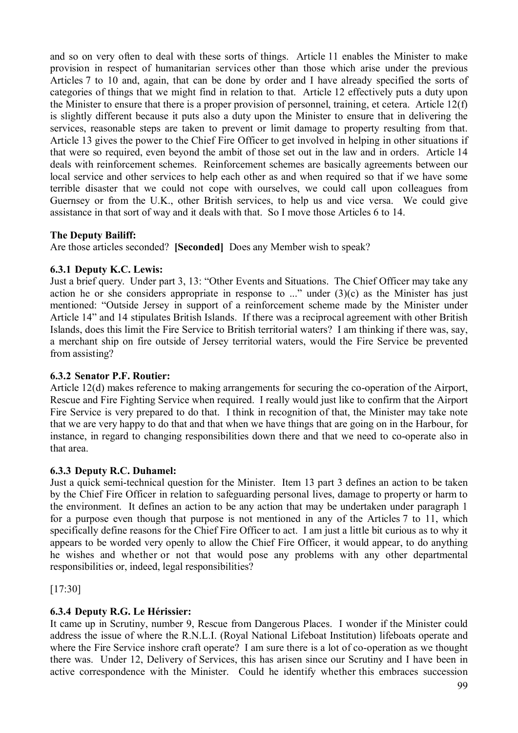and so on very often to deal with these sorts of things. Article 11 enables the Minister to make provision in respect of humanitarian services other than those which arise under the previous Articles 7 to 10 and, again, that can be done by order and I have already specified the sorts of categories of things that we might find in relation to that. Article 12 effectively puts a duty upon the Minister to ensure that there is a proper provision of personnel, training, et cetera. Article 12(f) is slightly different because it puts also a duty upon the Minister to ensure that in delivering the services, reasonable steps are taken to prevent or limit damage to property resulting from that. Article 13 gives the power to the Chief Fire Officer to get involved in helping in other situations if that were so required, even beyond the ambit of those set out in the law and in orders. Article 14 deals with reinforcement schemes. Reinforcement schemes are basically agreements between our local service and other services to help each other as and when required so that if we have some terrible disaster that we could not cope with ourselves, we could call upon colleagues from Guernsey or from the U.K., other British services, to help us and vice versa. We could give assistance in that sort of way and it deals with that. So I move those Articles 6 to 14.

## **The Deputy Bailiff:**

Are those articles seconded? **[Seconded]** Does any Member wish to speak?

# **6.3.1 Deputy K.C. Lewis:**

Just a brief query. Under part 3, 13: "Other Events and Situations. The Chief Officer may take any action he or she considers appropriate in response to ..." under  $(3)(c)$  as the Minister has just mentioned: "Outside Jersey in support of a reinforcement scheme made by the Minister under Article 14" and 14 stipulates British Islands. If there was a reciprocal agreement with other British Islands, does this limit the Fire Service to British territorial waters? I am thinking if there was, say, a merchant ship on fire outside of Jersey territorial waters, would the Fire Service be prevented from assisting?

## **6.3.2 Senator P.F. Routier:**

Article 12(d) makes reference to making arrangements for securing the co-operation of the Airport, Rescue and Fire Fighting Service when required. I really would just like to confirm that the Airport Fire Service is very prepared to do that. I think in recognition of that, the Minister may take note that we are very happy to do that and that when we have things that are going on in the Harbour, for instance, in regard to changing responsibilities down there and that we need to co-operate also in that area.

## **6.3.3 Deputy R.C. Duhamel:**

Just a quick semi-technical question for the Minister. Item 13 part 3 defines an action to be taken by the Chief Fire Officer in relation to safeguarding personal lives, damage to property or harm to the environment. It defines an action to be any action that may be undertaken under paragraph 1 for a purpose even though that purpose is not mentioned in any of the Articles 7 to 11, which specifically define reasons for the Chief Fire Officer to act. I am just a little bit curious as to why it appears to be worded very openly to allow the Chief Fire Officer, it would appear, to do anything he wishes and whether or not that would pose any problems with any other departmental responsibilities or, indeed, legal responsibilities?

[17:30]

# **6.3.4 Deputy R.G. Le Hérissier:**

It came up in Scrutiny, number 9, Rescue from Dangerous Places. I wonder if the Minister could address the issue of where the R.N.L.I. (Royal National Lifeboat Institution) lifeboats operate and where the Fire Service inshore craft operate? I am sure there is a lot of co-operation as we thought there was. Under 12, Delivery of Services, this has arisen since our Scrutiny and I have been in active correspondence with the Minister. Could he identify whether this embraces succession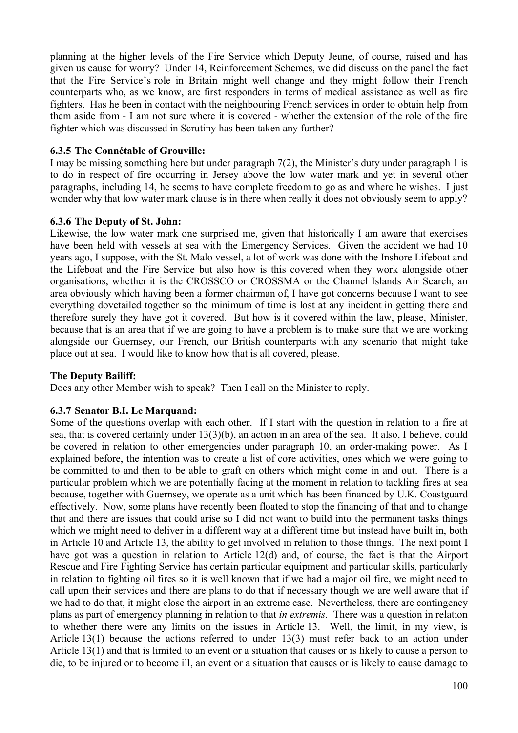planning at the higher levels of the Fire Service which Deputy Jeune, of course, raised and has given us cause for worry? Under 14, Reinforcement Schemes, we did discuss on the panel the fact that the Fire Service's role in Britain might well change and they might follow their French counterparts who, as we know, are first responders in terms of medical assistance as well as fire fighters. Has he been in contact with the neighbouring French services in order to obtain help from them aside from - I am not sure where it is covered - whether the extension of the role of the fire fighter which was discussed in Scrutiny has been taken any further?

#### **6.3.5 The Connétable of Grouville:**

I may be missing something here but under paragraph 7(2), the Minister's duty under paragraph 1 is to do in respect of fire occurring in Jersey above the low water mark and yet in several other paragraphs, including 14, he seems to have complete freedom to go as and where he wishes. I just wonder why that low water mark clause is in there when really it does not obviously seem to apply?

### **6.3.6 The Deputy of St. John:**

Likewise, the low water mark one surprised me, given that historically I am aware that exercises have been held with vessels at sea with the Emergency Services. Given the accident we had 10 years ago, I suppose, with the St. Malo vessel, a lot of work was done with the Inshore Lifeboat and the Lifeboat and the Fire Service but also how is this covered when they work alongside other organisations, whether it is the CROSSCO or CROSSMA or the Channel Islands Air Search, an area obviously which having been a former chairman of, I have got concerns because I want to see everything dovetailed together so the minimum of time is lost at any incident in getting there and therefore surely they have got it covered. But how is it covered within the law, please, Minister, because that is an area that if we are going to have a problem is to make sure that we are working alongside our Guernsey, our French, our British counterparts with any scenario that might take place out at sea. I would like to know how that is all covered, please.

## **The Deputy Bailiff:**

Does any other Member wish to speak? Then I call on the Minister to reply.

## **6.3.7 Senator B.I. Le Marquand:**

Some of the questions overlap with each other. If I start with the question in relation to a fire at sea, that is covered certainly under 13(3)(b), an action in an area of the sea. It also, I believe, could be covered in relation to other emergencies under paragraph 10, an order-making power. As I explained before, the intention was to create a list of core activities, ones which we were going to be committed to and then to be able to graft on others which might come in and out. There is a particular problem which we are potentially facing at the moment in relation to tackling fires at sea because, together with Guernsey, we operate as a unit which has been financed by U.K. Coastguard effectively. Now, some plans have recently been floated to stop the financing of that and to change that and there are issues that could arise so I did not want to build into the permanent tasks things which we might need to deliver in a different way at a different time but instead have built in, both in Article 10 and Article 13, the ability to get involved in relation to those things. The next point I have got was a question in relation to Article 12(d) and, of course, the fact is that the Airport Rescue and Fire Fighting Service has certain particular equipment and particular skills, particularly in relation to fighting oil fires so it is well known that if we had a major oil fire, we might need to call upon their services and there are plans to do that if necessary though we are well aware that if we had to do that, it might close the airport in an extreme case. Nevertheless, there are contingency plans as part of emergency planning in relation to that *in extremis*. There was a question in relation to whether there were any limits on the issues in Article 13. Well, the limit, in my view, is Article 13(1) because the actions referred to under 13(3) must refer back to an action under Article 13(1) and that is limited to an event or a situation that causes or is likely to cause a person to die, to be injured or to become ill, an event or a situation that causes or is likely to cause damage to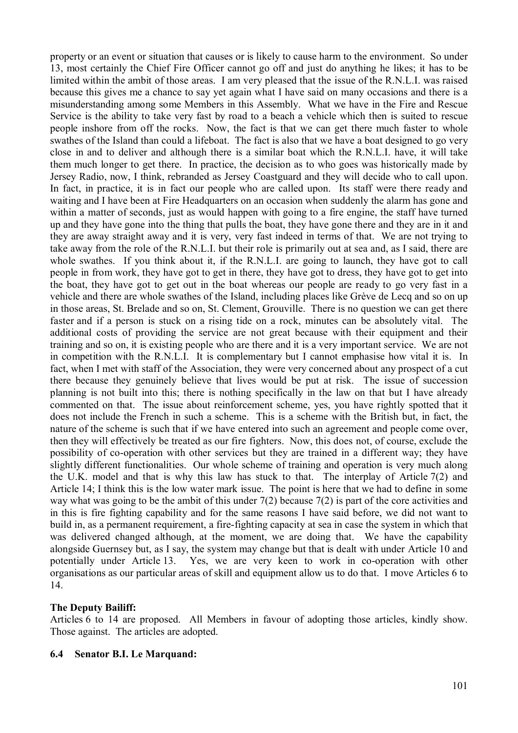property or an event or situation that causes or is likely to cause harm to the environment. So under 13, most certainly the Chief Fire Officer cannot go off and just do anything he likes; it has to be limited within the ambit of those areas. I am very pleased that the issue of the R.N.L.I. was raised because this gives me a chance to say yet again what I have said on many occasions and there is a misunderstanding among some Members in this Assembly. What we have in the Fire and Rescue Service is the ability to take very fast by road to a beach a vehicle which then is suited to rescue people inshore from off the rocks. Now, the fact is that we can get there much faster to whole swathes of the Island than could a lifeboat. The fact is also that we have a boat designed to go very close in and to deliver and although there is a similar boat which the R.N.L.I. have, it will take them much longer to get there. In practice, the decision as to who goes was historically made by Jersey Radio, now, I think, rebranded as Jersey Coastguard and they will decide who to call upon. In fact, in practice, it is in fact our people who are called upon. Its staff were there ready and waiting and I have been at Fire Headquarters on an occasion when suddenly the alarm has gone and within a matter of seconds, just as would happen with going to a fire engine, the staff have turned up and they have gone into the thing that pulls the boat, they have gone there and they are in it and they are away straight away and it is very, very fast indeed in terms of that. We are not trying to take away from the role of the R.N.L.I. but their role is primarily out at sea and, as I said, there are whole swathes. If you think about it, if the R.N.L.I. are going to launch, they have got to call people in from work, they have got to get in there, they have got to dress, they have got to get into the boat, they have got to get out in the boat whereas our people are ready to go very fast in a vehicle and there are whole swathes of the Island, including places like Grève de Lecq and so on up in those areas, St. Brelade and so on, St. Clement, Grouville. There is no question we can get there faster and if a person is stuck on a rising tide on a rock, minutes can be absolutely vital. The additional costs of providing the service are not great because with their equipment and their training and so on, it is existing people who are there and it is a very important service. We are not in competition with the R.N.L.I. It is complementary but I cannot emphasise how vital it is. In fact, when I met with staff of the Association, they were very concerned about any prospect of a cut there because they genuinely believe that lives would be put at risk. The issue of succession planning is not built into this; there is nothing specifically in the law on that but I have already commented on that. The issue about reinforcement scheme, yes, you have rightly spotted that it does not include the French in such a scheme. This is a scheme with the British but, in fact, the nature of the scheme is such that if we have entered into such an agreement and people come over, then they will effectively be treated as our fire fighters. Now, this does not, of course, exclude the possibility of co-operation with other services but they are trained in a different way; they have slightly different functionalities. Our whole scheme of training and operation is very much along the U.K. model and that is why this law has stuck to that. The interplay of Article  $7(2)$  and Article 14; I think this is the low water mark issue. The point is here that we had to define in some way what was going to be the ambit of this under 7(2) because 7(2) is part of the core activities and in this is fire fighting capability and for the same reasons I have said before, we did not want to build in, as a permanent requirement, a fire-fighting capacity at sea in case the system in which that was delivered changed although, at the moment, we are doing that. We have the capability alongside Guernsey but, as I say, the system may change but that is dealt with under Article 10 and potentially under Article 13. Yes, we are very keen to work in co-operation with other organisations as our particular areas of skill and equipment allow us to do that. I move Articles 6 to 14.

#### **The Deputy Bailiff:**

Articles 6 to 14 are proposed. All Members in favour of adopting those articles, kindly show. Those against. The articles are adopted.

#### **6.4 Senator B.I. Le Marquand:**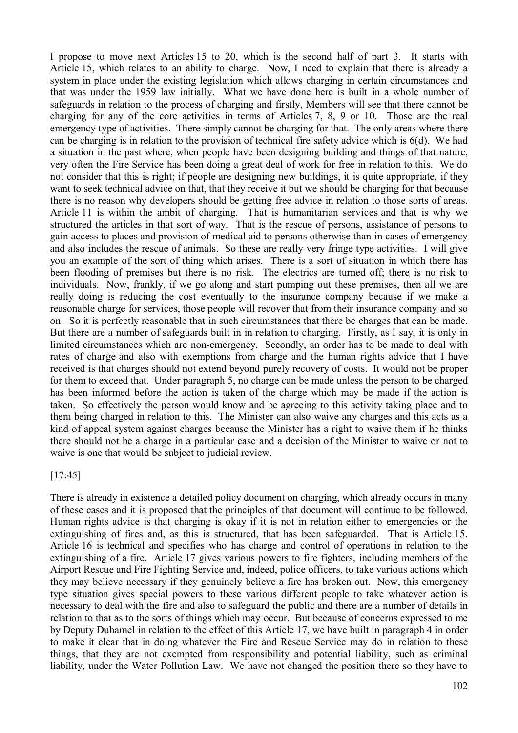I propose to move next Articles 15 to 20, which is the second half of part 3. It starts with Article 15, which relates to an ability to charge. Now, I need to explain that there is already a system in place under the existing legislation which allows charging in certain circumstances and that was under the 1959 law initially. What we have done here is built in a whole number of safeguards in relation to the process of charging and firstly, Members will see that there cannot be charging for any of the core activities in terms of Articles 7, 8, 9 or 10. Those are the real emergency type of activities. There simply cannot be charging for that. The only areas where there can be charging is in relation to the provision of technical fire safety advice which is 6(d). We had a situation in the past where, when people have been designing building and things of that nature, very often the Fire Service has been doing a great deal of work for free in relation to this. We do not consider that this is right; if people are designing new buildings, it is quite appropriate, if they want to seek technical advice on that, that they receive it but we should be charging for that because there is no reason why developers should be getting free advice in relation to those sorts of areas. Article 11 is within the ambit of charging. That is humanitarian services and that is why we structured the articles in that sort of way. That is the rescue of persons, assistance of persons to gain access to places and provision of medical aid to persons otherwise than in cases of emergency and also includes the rescue of animals. So these are really very fringe type activities. I will give you an example of the sort of thing which arises. There is a sort of situation in which there has been flooding of premises but there is no risk. The electrics are turned off; there is no risk to individuals. Now, frankly, if we go along and start pumping out these premises, then all we are really doing is reducing the cost eventually to the insurance company because if we make a reasonable charge for services, those people will recover that from their insurance company and so on. So it is perfectly reasonable that in such circumstances that there be charges that can be made. But there are a number of safeguards built in in relation to charging. Firstly, as I say, it is only in limited circumstances which are non-emergency. Secondly, an order has to be made to deal with rates of charge and also with exemptions from charge and the human rights advice that I have received is that charges should not extend beyond purely recovery of costs. It would not be proper for them to exceed that. Under paragraph 5, no charge can be made unless the person to be charged has been informed before the action is taken of the charge which may be made if the action is taken. So effectively the person would know and be agreeing to this activity taking place and to them being charged in relation to this. The Minister can also waive any charges and this acts as a kind of appeal system against charges because the Minister has a right to waive them if he thinks there should not be a charge in a particular case and a decision of the Minister to waive or not to waive is one that would be subject to judicial review.

## [17:45]

There is already in existence a detailed policy document on charging, which already occurs in many of these cases and it is proposed that the principles of that document will continue to be followed. Human rights advice is that charging is okay if it is not in relation either to emergencies or the extinguishing of fires and, as this is structured, that has been safeguarded. That is Article 15. Article 16 is technical and specifies who has charge and control of operations in relation to the extinguishing of a fire. Article 17 gives various powers to fire fighters, including members of the Airport Rescue and Fire Fighting Service and, indeed, police officers, to take various actions which they may believe necessary if they genuinely believe a fire has broken out. Now, this emergency type situation gives special powers to these various different people to take whatever action is necessary to deal with the fire and also to safeguard the public and there are a number of details in relation to that as to the sorts of things which may occur. But because of concerns expressed to me by Deputy Duhamel in relation to the effect of this Article 17, we have built in paragraph 4 in order to make it clear that in doing whatever the Fire and Rescue Service may do in relation to these things, that they are not exempted from responsibility and potential liability, such as criminal liability, under the Water Pollution Law. We have not changed the position there so they have to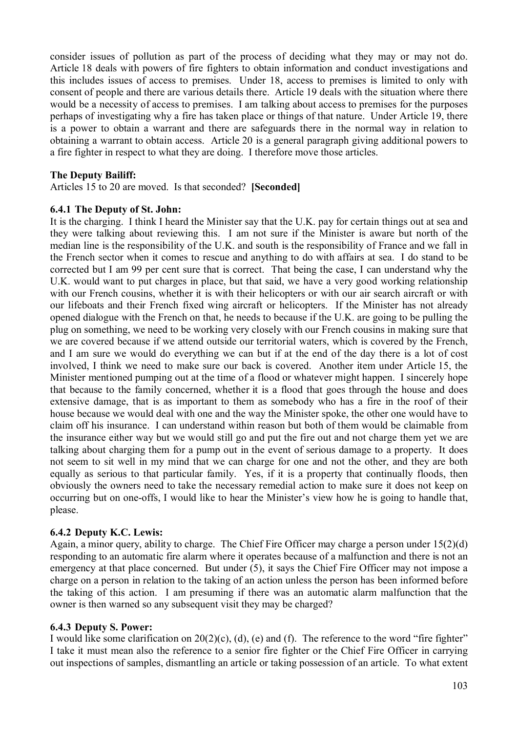consider issues of pollution as part of the process of deciding what they may or may not do. Article 18 deals with powers of fire fighters to obtain information and conduct investigations and this includes issues of access to premises. Under 18, access to premises is limited to only with consent of people and there are various details there. Article 19 deals with the situation where there would be a necessity of access to premises. I am talking about access to premises for the purposes perhaps of investigating why a fire has taken place or things of that nature. Under Article 19, there is a power to obtain a warrant and there are safeguards there in the normal way in relation to obtaining a warrant to obtain access. Article 20 is a general paragraph giving additional powers to a fire fighter in respect to what they are doing. I therefore move those articles.

### **The Deputy Bailiff:**

Articles 15 to 20 are moved. Is that seconded? **[Seconded]**

#### **6.4.1 The Deputy of St. John:**

It is the charging. I think I heard the Minister say that the U.K. pay for certain things out at sea and they were talking about reviewing this. I am not sure if the Minister is aware but north of the median line is the responsibility of the U.K. and south is the responsibility of France and we fall in the French sector when it comes to rescue and anything to do with affairs at sea. I do stand to be corrected but I am 99 per cent sure that is correct. That being the case, I can understand why the U.K. would want to put charges in place, but that said, we have a very good working relationship with our French cousins, whether it is with their helicopters or with our air search aircraft or with our lifeboats and their French fixed wing aircraft or helicopters. If the Minister has not already opened dialogue with the French on that, he needs to because if the U.K. are going to be pulling the plug on something, we need to be working very closely with our French cousins in making sure that we are covered because if we attend outside our territorial waters, which is covered by the French, and I am sure we would do everything we can but if at the end of the day there is a lot of cost involved, I think we need to make sure our back is covered. Another item under Article 15, the Minister mentioned pumping out at the time of a flood or whatever might happen. I sincerely hope that because to the family concerned, whether it is a flood that goes through the house and does extensive damage, that is as important to them as somebody who has a fire in the roof of their house because we would deal with one and the way the Minister spoke, the other one would have to claim off his insurance. I can understand within reason but both of them would be claimable from the insurance either way but we would still go and put the fire out and not charge them yet we are talking about charging them for a pump out in the event of serious damage to a property. It does not seem to sit well in my mind that we can charge for one and not the other, and they are both equally as serious to that particular family. Yes, if it is a property that continually floods, then obviously the owners need to take the necessary remedial action to make sure it does not keep on occurring but on one-offs, I would like to hear the Minister's view how he is going to handle that, please.

## **6.4.2 Deputy K.C. Lewis:**

Again, a minor query, ability to charge. The Chief Fire Officer may charge a person under 15(2)(d) responding to an automatic fire alarm where it operates because of a malfunction and there is not an emergency at that place concerned. But under (5), it says the Chief Fire Officer may not impose a charge on a person in relation to the taking of an action unless the person has been informed before the taking of this action. I am presuming if there was an automatic alarm malfunction that the owner is then warned so any subsequent visit they may be charged?

#### **6.4.3 Deputy S. Power:**

I would like some clarification on 20(2)(c), (d), (e) and (f). The reference to the word "fire fighter" I take it must mean also the reference to a senior fire fighter or the Chief Fire Officer in carrying out inspections of samples, dismantling an article or taking possession of an article. To what extent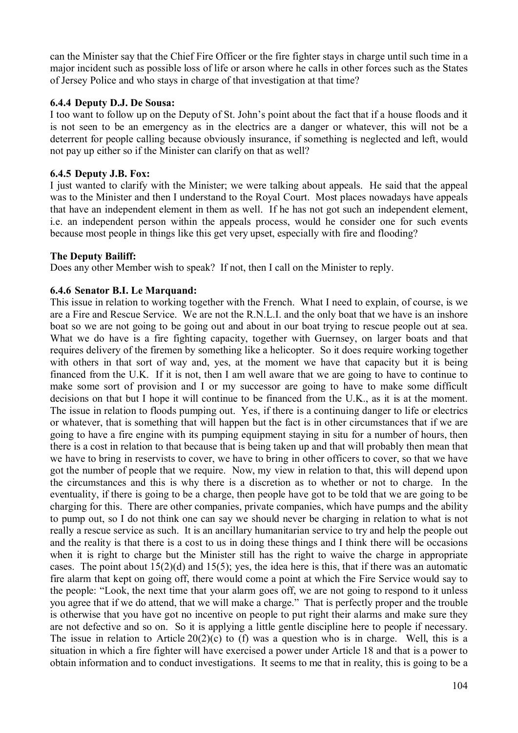can the Minister say that the Chief Fire Officer or the fire fighter stays in charge until such time in a major incident such as possible loss of life or arson where he calls in other forces such as the States of Jersey Police and who stays in charge of that investigation at that time?

### **6.4.4 Deputy D.J. De Sousa:**

I too want to follow up on the Deputy of St. John's point about the fact that if a house floods and it is not seen to be an emergency as in the electrics are a danger or whatever, this will not be a deterrent for people calling because obviously insurance, if something is neglected and left, would not pay up either so if the Minister can clarify on that as well?

### **6.4.5 Deputy J.B. Fox:**

I just wanted to clarify with the Minister; we were talking about appeals. He said that the appeal was to the Minister and then I understand to the Royal Court. Most places nowadays have appeals that have an independent element in them as well. If he has not got such an independent element, i.e. an independent person within the appeals process, would he consider one for such events because most people in things like this get very upset, especially with fire and flooding?

### **The Deputy Bailiff:**

Does any other Member wish to speak? If not, then I call on the Minister to reply.

### **6.4.6 Senator B.I. Le Marquand:**

This issue in relation to working together with the French. What I need to explain, of course, is we are a Fire and Rescue Service. We are not the R.N.L.I. and the only boat that we have is an inshore boat so we are not going to be going out and about in our boat trying to rescue people out at sea. What we do have is a fire fighting capacity, together with Guernsey, on larger boats and that requires delivery of the firemen by something like a helicopter. So it does require working together with others in that sort of way and, yes, at the moment we have that capacity but it is being financed from the U.K. If it is not, then I am well aware that we are going to have to continue to make some sort of provision and I or my successor are going to have to make some difficult decisions on that but I hope it will continue to be financed from the U.K., as it is at the moment. The issue in relation to floods pumping out. Yes, if there is a continuing danger to life or electrics or whatever, that is something that will happen but the fact is in other circumstances that if we are going to have a fire engine with its pumping equipment staying in situ for a number of hours, then there is a cost in relation to that because that is being taken up and that will probably then mean that we have to bring in reservists to cover, we have to bring in other officers to cover, so that we have got the number of people that we require. Now, my view in relation to that, this will depend upon the circumstances and this is why there is a discretion as to whether or not to charge. In the eventuality, if there is going to be a charge, then people have got to be told that we are going to be charging for this. There are other companies, private companies, which have pumps and the ability to pump out, so I do not think one can say we should never be charging in relation to what is not really a rescue service as such. It is an ancillary humanitarian service to try and help the people out and the reality is that there is a cost to us in doing these things and I think there will be occasions when it is right to charge but the Minister still has the right to waive the charge in appropriate cases. The point about  $15(2)(d)$  and  $15(5)$ ; yes, the idea here is this, that if there was an automatic fire alarm that kept on going off, there would come a point at which the Fire Service would say to the people: "Look, the next time that your alarm goes off, we are not going to respond to it unless you agree that if we do attend, that we will make a charge." That is perfectly proper and the trouble is otherwise that you have got no incentive on people to put right their alarms and make sure they are not defective and so on. So it is applying a little gentle discipline here to people if necessary. The issue in relation to Article  $20(2)(c)$  to (f) was a question who is in charge. Well, this is a situation in which a fire fighter will have exercised a power under Article 18 and that is a power to obtain information and to conduct investigations. It seems to me that in reality, this is going to be a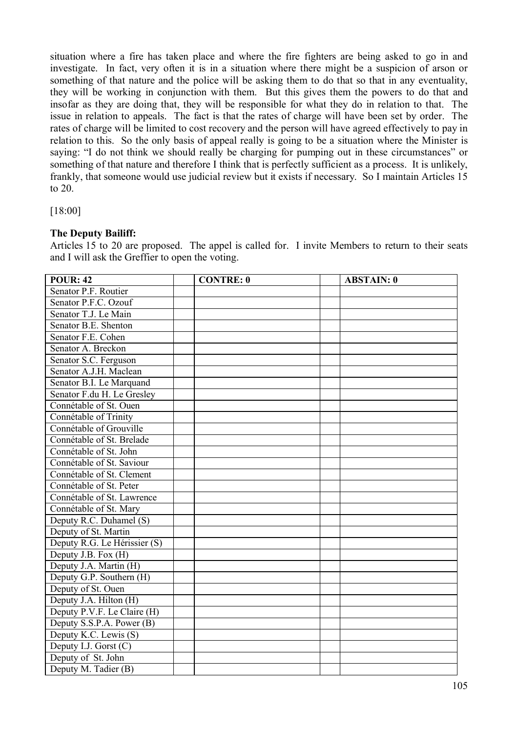situation where a fire has taken place and where the fire fighters are being asked to go in and investigate. In fact, very often it is in a situation where there might be a suspicion of arson or something of that nature and the police will be asking them to do that so that in any eventuality, they will be working in conjunction with them. But this gives them the powers to do that and insofar as they are doing that, they will be responsible for what they do in relation to that. The issue in relation to appeals. The fact is that the rates of charge will have been set by order. The rates of charge will be limited to cost recovery and the person will have agreed effectively to pay in relation to this. So the only basis of appeal really is going to be a situation where the Minister is saying: "I do not think we should really be charging for pumping out in these circumstances" or something of that nature and therefore I think that is perfectly sufficient as a process. It is unlikely, frankly, that someone would use judicial review but it exists if necessary. So I maintain Articles 15 to 20.

[18:00]

# **The Deputy Bailiff:**

Articles 15 to 20 are proposed. The appel is called for. I invite Members to return to their seats and I will ask the Greffier to open the voting.

| POUR: $\overline{42}$        | <b>CONTRE: 0</b> | <b>ABSTAIN: 0</b> |
|------------------------------|------------------|-------------------|
| Senator P.F. Routier         |                  |                   |
| Senator P.F.C. Ozouf         |                  |                   |
| Senator T.J. Le Main         |                  |                   |
| Senator B.E. Shenton         |                  |                   |
| Senator F.E. Cohen           |                  |                   |
| Senator A. Breckon           |                  |                   |
| Senator S.C. Ferguson        |                  |                   |
| Senator A.J.H. Maclean       |                  |                   |
| Senator B.I. Le Marquand     |                  |                   |
| Senator F.du H. Le Gresley   |                  |                   |
| Connétable of St. Ouen       |                  |                   |
| Connétable of Trinity        |                  |                   |
| Connétable of Grouville      |                  |                   |
| Connétable of St. Brelade    |                  |                   |
| Connétable of St. John       |                  |                   |
| Connétable of St. Saviour    |                  |                   |
| Connétable of St. Clement    |                  |                   |
| Connétable of St. Peter      |                  |                   |
| Connétable of St. Lawrence   |                  |                   |
| Connétable of St. Mary       |                  |                   |
| Deputy R.C. Duhamel (S)      |                  |                   |
| Deputy of St. Martin         |                  |                   |
| Deputy R.G. Le Hérissier (S) |                  |                   |
| Deputy J.B. Fox $(H)$        |                  |                   |
| Deputy J.A. Martin (H)       |                  |                   |
| Deputy G.P. Southern (H)     |                  |                   |
| Deputy of St. Ouen           |                  |                   |
| Deputy J.A. Hilton (H)       |                  |                   |
| Deputy P.V.F. Le Claire (H)  |                  |                   |
| Deputy S.S.P.A. Power (B)    |                  |                   |
| Deputy K.C. Lewis (S)        |                  |                   |
| Deputy I.J. Gorst (C)        |                  |                   |
| Deputy of St. John           |                  |                   |
| Deputy M. Tadier (B)         |                  |                   |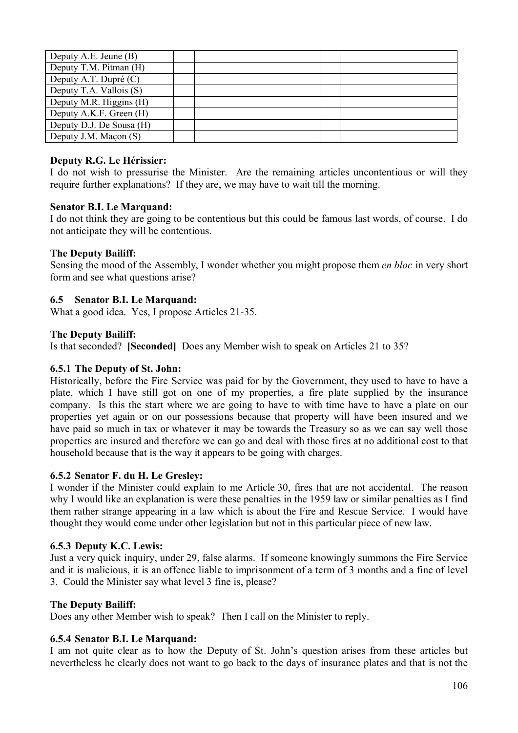| Deputy A.E. Jeune (B)    |  |  |
|--------------------------|--|--|
| Deputy T.M. Pitman (H)   |  |  |
| Deputy A.T. Dupré (C)    |  |  |
| Deputy T.A. Vallois (S)  |  |  |
| Deputy M.R. Higgins (H)  |  |  |
| Deputy A.K.F. Green (H)  |  |  |
| Deputy D.J. De Sousa (H) |  |  |
| Deputy J.M. Maçon (S)    |  |  |

### **Deputy R.G. Le Hérissier:**

I do not wish to pressurise the Minister. Are the remaining articles uncontentious or will they require further explanations? If they are, we may have to wait till the morning.

#### **Senator B.I. Le Marquand:**

I do not think they are going to be contentious but this could be famous last words, of course. I do not anticipate they will be contentious.

#### **The Deputy Bailiff:**

Sensing the mood of the Assembly, I wonder whether you might propose them *en bloc* in very short form and see what questions arise?

### **6.5 Senator B.I. Le Marquand:**

What a good idea. Yes, I propose Articles 21-35.

#### **The Deputy Bailiff:**

Is that seconded? **[Seconded]** Does any Member wish to speak on Articles 21 to 35?

#### **6.5.1 The Deputy of St. John:**

Historically, before the Fire Service was paid for by the Government, they used to have to have a plate, which I have still got on one of my properties, a fire plate supplied by the insurance company. Is this the start where we are going to have to with time have to have a plate on our properties yet again or on our possessions because that property will have been insured and we have paid so much in tax or whatever it may be towards the Treasury so as we can say well those properties are insured and therefore we can go and deal with those fires at no additional cost to that household because that is the way it appears to be going with charges.

#### **6.5.2 Senator F. du H. Le Gresley:**

I wonder if the Minister could explain to me Article 30, fires that are not accidental. The reason why I would like an explanation is were these penalties in the 1959 law or similar penalties as I find them rather strange appearing in a law which is about the Fire and Rescue Service. I would have thought they would come under other legislation but not in this particular piece of new law.

#### **6.5.3 Deputy K.C. Lewis:**

Just a very quick inquiry, under 29, false alarms. If someone knowingly summons the Fire Service and it is malicious, it is an offence liable to imprisonment of a term of 3 months and a fine of level 3. Could the Minister say what level 3 fine is, please?

#### **The Deputy Bailiff:**

Does any other Member wish to speak? Then I call on the Minister to reply.

#### **6.5.4 Senator B.I. Le Marquand:**

I am not quite clear as to how the Deputy of St. John's question arises from these articles but nevertheless he clearly does not want to go back to the days of insurance plates and that is not the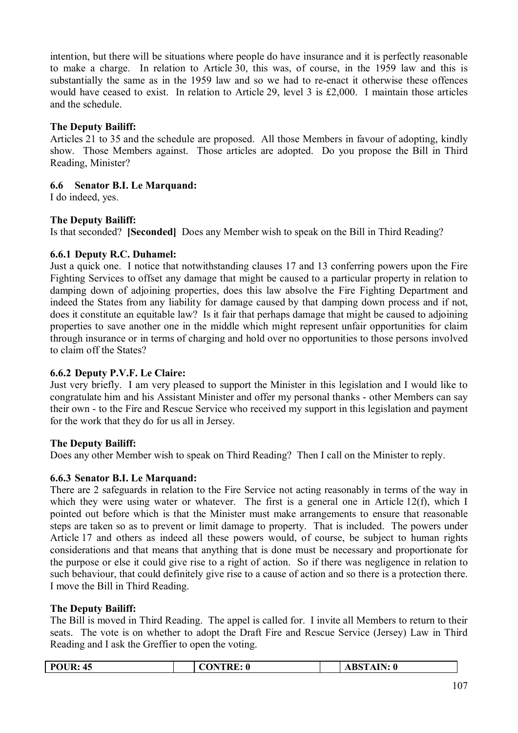intention, but there will be situations where people do have insurance and it is perfectly reasonable to make a charge. In relation to Article 30, this was, of course, in the 1959 law and this is substantially the same as in the 1959 law and so we had to re-enact it otherwise these offences would have ceased to exist. In relation to Article 29, level 3 is £2,000. I maintain those articles and the schedule.

## **The Deputy Bailiff:**

Articles 21 to 35 and the schedule are proposed. All those Members in favour of adopting, kindly show. Those Members against. Those articles are adopted. Do you propose the Bill in Third Reading, Minister?

# **6.6 Senator B.I. Le Marquand:**

I do indeed, yes.

# **The Deputy Bailiff:**

Is that seconded? **[Seconded]** Does any Member wish to speak on the Bill in Third Reading?

## **6.6.1 Deputy R.C. Duhamel:**

Just a quick one. I notice that notwithstanding clauses 17 and 13 conferring powers upon the Fire Fighting Services to offset any damage that might be caused to a particular property in relation to damping down of adjoining properties, does this law absolve the Fire Fighting Department and indeed the States from any liability for damage caused by that damping down process and if not, does it constitute an equitable law? Is it fair that perhaps damage that might be caused to adjoining properties to save another one in the middle which might represent unfair opportunities for claim through insurance or in terms of charging and hold over no opportunities to those persons involved to claim off the States?

## **6.6.2 Deputy P.V.F. Le Claire:**

Just very briefly. I am very pleased to support the Minister in this legislation and I would like to congratulate him and his Assistant Minister and offer my personal thanks - other Members can say their own - to the Fire and Rescue Service who received my support in this legislation and payment for the work that they do for us all in Jersey.

## **The Deputy Bailiff:**

Does any other Member wish to speak on Third Reading? Then I call on the Minister to reply.

## **6.6.3 Senator B.I. Le Marquand:**

There are 2 safeguards in relation to the Fire Service not acting reasonably in terms of the way in which they were using water or whatever. The first is a general one in Article 12(f), which I pointed out before which is that the Minister must make arrangements to ensure that reasonable steps are taken so as to prevent or limit damage to property. That is included. The powers under Article 17 and others as indeed all these powers would, of course, be subject to human rights considerations and that means that anything that is done must be necessary and proportionate for the purpose or else it could give rise to a right of action. So if there was negligence in relation to such behaviour, that could definitely give rise to a cause of action and so there is a protection there. I move the Bill in Third Reading.

## **The Deputy Bailiff:**

The Bill is moved in Third Reading. The appel is called for. I invite all Members to return to their seats. The vote is on whether to adopt the Draft Fire and Rescue Service (Jersey) Law in Third Reading and I ask the Greffier to open the voting.

| D1<br>R:<br>≖⊷<br>$\sim$ $\sim$<br>$\sim$ | w | TAIN: 0<br>$\mathbf{A}\mathbf{B}\mathbf{S}^{\mathsf{T}}$<br>$\sim$ |  |
|-------------------------------------------|---|--------------------------------------------------------------------|--|
|-------------------------------------------|---|--------------------------------------------------------------------|--|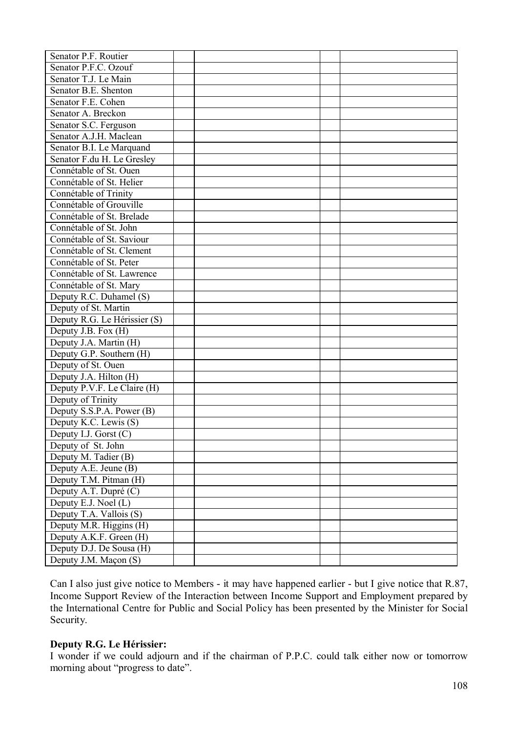| Senator P.F. Routier         |  |  |
|------------------------------|--|--|
| Senator P.F.C. Ozouf         |  |  |
| Senator T.J. Le Main         |  |  |
| Senator B.E. Shenton         |  |  |
| Senator F.E. Cohen           |  |  |
| Senator A. Breckon           |  |  |
| Senator S.C. Ferguson        |  |  |
| Senator A.J.H. Maclean       |  |  |
| Senator B.I. Le Marquand     |  |  |
| Senator F.du H. Le Gresley   |  |  |
| Connétable of St. Ouen       |  |  |
| Connétable of St. Helier     |  |  |
| Connétable of Trinity        |  |  |
| Connétable of Grouville      |  |  |
| Connétable of St. Brelade    |  |  |
| Connétable of St. John       |  |  |
| Connétable of St. Saviour    |  |  |
| Connétable of St. Clement    |  |  |
| Connétable of St. Peter      |  |  |
| Connétable of St. Lawrence   |  |  |
| Connétable of St. Mary       |  |  |
| Deputy R.C. Duhamel (S)      |  |  |
| Deputy of St. Martin         |  |  |
| Deputy R.G. Le Hérissier (S) |  |  |
| Deputy J.B. Fox (H)          |  |  |
| Deputy J.A. Martin (H)       |  |  |
| Deputy G.P. Southern (H)     |  |  |
| Deputy of St. Ouen           |  |  |
| Deputy J.A. Hilton (H)       |  |  |
| Deputy P.V.F. Le Claire (H)  |  |  |
| Deputy of Trinity            |  |  |
| Deputy S.S.P.A. Power (B)    |  |  |
| Deputy K.C. Lewis (S)        |  |  |
| Deputy I.J. Gorst $(C)$      |  |  |
| Deputy of St. John           |  |  |
| Deputy M. Tadier (B)         |  |  |
| Deputy A.E. Jeune (B)        |  |  |
| Deputy T.M. Pitman (H)       |  |  |
| Deputy A.T. Dupré (C)        |  |  |
| Deputy E.J. Noel (L)         |  |  |
| Deputy T.A. Vallois (S)      |  |  |
| Deputy M.R. Higgins (H)      |  |  |
| Deputy A.K.F. Green (H)      |  |  |
| Deputy D.J. De Sousa (H)     |  |  |
| Deputy J.M. Maçon (S)        |  |  |
|                              |  |  |

Can I also just give notice to Members - it may have happened earlier - but I give notice that R.87, Income Support Review of the Interaction between Income Support and Employment prepared by the International Centre for Public and Social Policy has been presented by the Minister for Social Security.

#### **Deputy R.G. Le Hérissier:**

I wonder if we could adjourn and if the chairman of P.P.C. could talk either now or tomorrow morning about "progress to date".